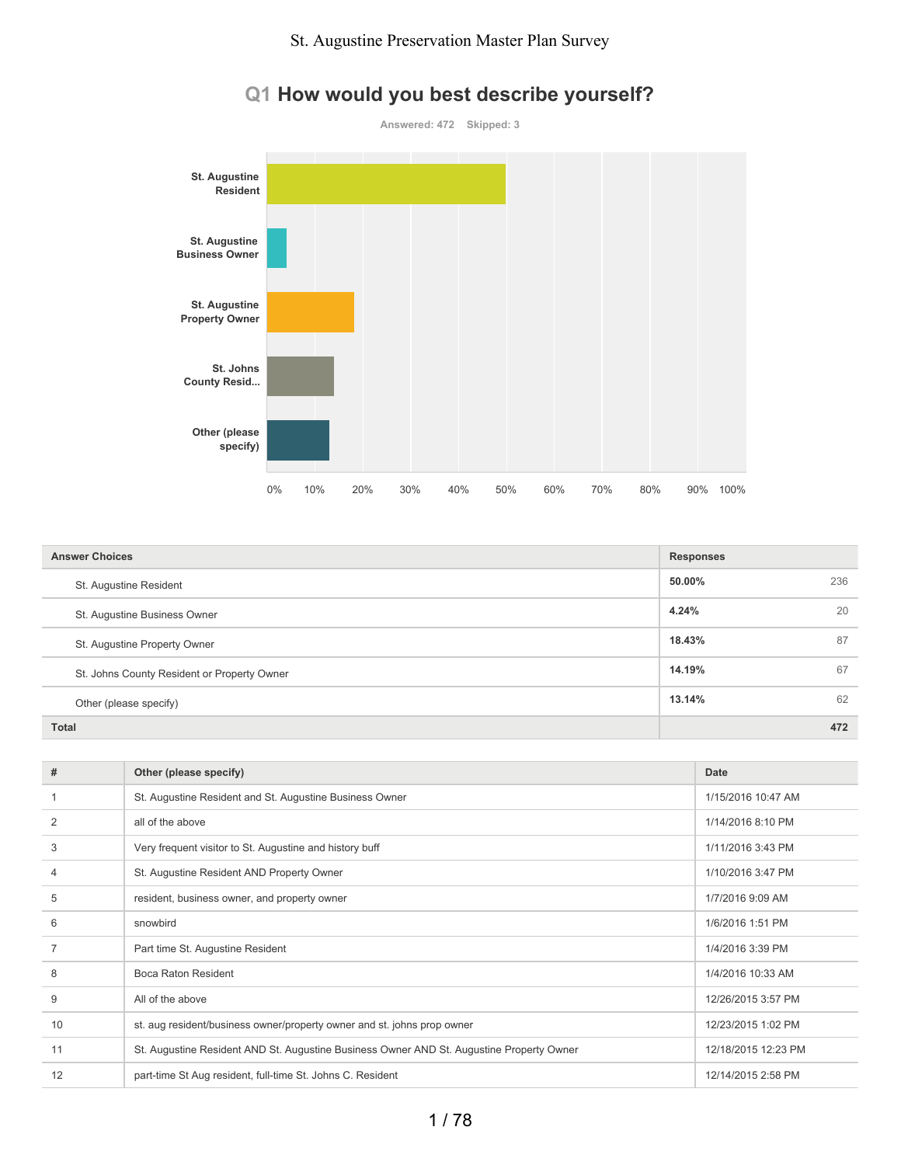

## **Q1 How would you best describe yourself?**

| <b>Answer Choices</b>                       | <b>Responses</b> |     |
|---------------------------------------------|------------------|-----|
| St. Augustine Resident                      | 50.00%           | 236 |
| St. Augustine Business Owner                | 4.24%            | 20  |
| St. Augustine Property Owner                | 18.43%           | 87  |
| St. Johns County Resident or Property Owner | 14.19%           | 67  |
| Other (please specify)                      | 13.14%           | 62  |
| <b>Total</b>                                |                  | 472 |

| #  | Other (please specify)                                                                   | Date                |
|----|------------------------------------------------------------------------------------------|---------------------|
|    | St. Augustine Resident and St. Augustine Business Owner                                  | 1/15/2016 10:47 AM  |
| 2  | all of the above                                                                         | 1/14/2016 8:10 PM   |
| 3  | Very frequent visitor to St. Augustine and history buff                                  | 1/11/2016 3:43 PM   |
| 4  | St. Augustine Resident AND Property Owner                                                | 1/10/2016 3:47 PM   |
| 5  | resident, business owner, and property owner                                             | 1/7/2016 9:09 AM    |
| 6  | snowbird                                                                                 | 1/6/2016 1:51 PM    |
|    | Part time St. Augustine Resident                                                         | 1/4/2016 3:39 PM    |
| 8  | Boca Raton Resident                                                                      | 1/4/2016 10:33 AM   |
| 9  | All of the above                                                                         | 12/26/2015 3:57 PM  |
| 10 | st. aug resident/business owner/property owner and st. johns prop owner                  | 12/23/2015 1:02 PM  |
| 11 | St. Augustine Resident AND St. Augustine Business Owner AND St. Augustine Property Owner | 12/18/2015 12:23 PM |
| 12 | part-time St Aug resident, full-time St. Johns C. Resident                               | 12/14/2015 2:58 PM  |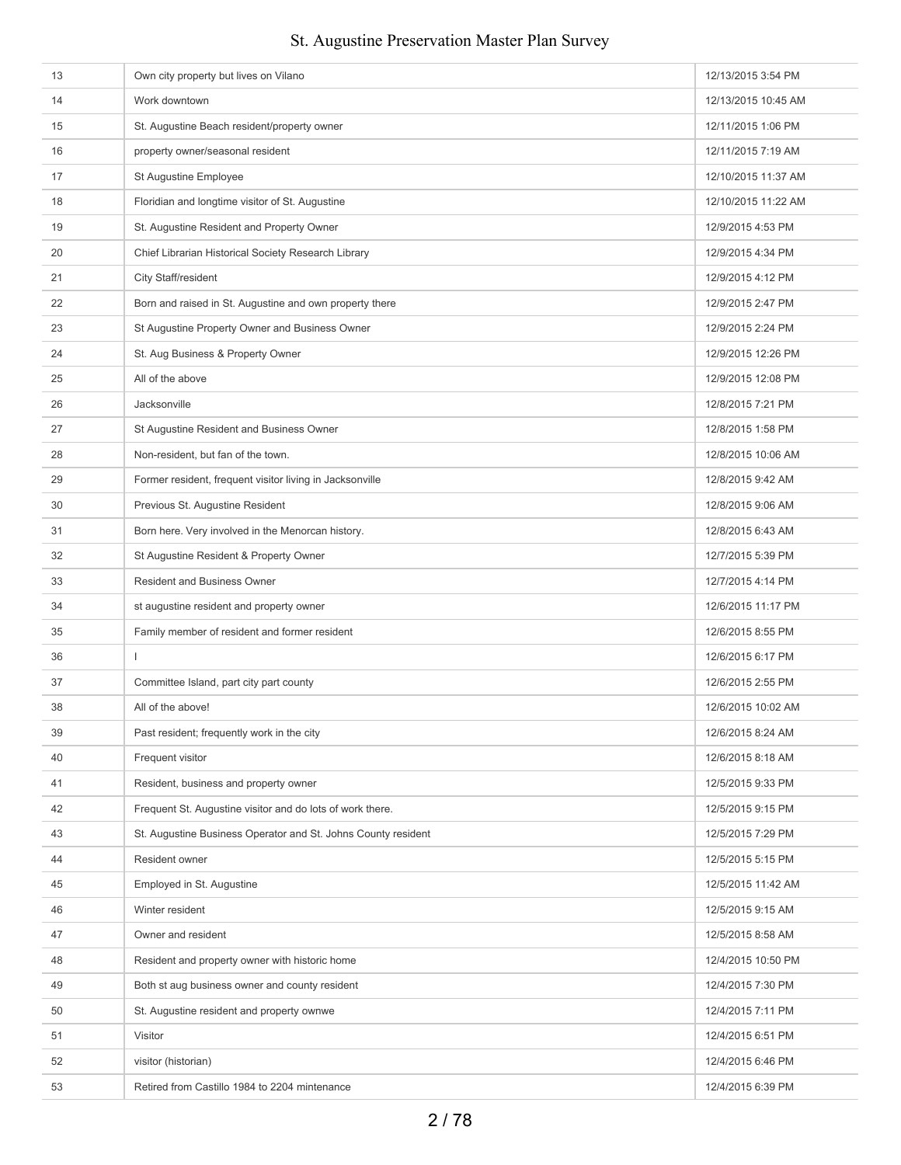| 13 | Own city property but lives on Vilano                         | 12/13/2015 3:54 PM  |
|----|---------------------------------------------------------------|---------------------|
| 14 | Work downtown                                                 | 12/13/2015 10:45 AM |
| 15 | St. Augustine Beach resident/property owner                   | 12/11/2015 1:06 PM  |
| 16 | property owner/seasonal resident                              | 12/11/2015 7:19 AM  |
| 17 | St Augustine Employee                                         | 12/10/2015 11:37 AM |
| 18 | Floridian and longtime visitor of St. Augustine               | 12/10/2015 11:22 AM |
| 19 | St. Augustine Resident and Property Owner                     | 12/9/2015 4:53 PM   |
| 20 | Chief Librarian Historical Society Research Library           | 12/9/2015 4:34 PM   |
| 21 | City Staff/resident                                           | 12/9/2015 4:12 PM   |
| 22 | Born and raised in St. Augustine and own property there       | 12/9/2015 2:47 PM   |
| 23 | St Augustine Property Owner and Business Owner                | 12/9/2015 2:24 PM   |
| 24 | St. Aug Business & Property Owner                             | 12/9/2015 12:26 PM  |
| 25 | All of the above                                              | 12/9/2015 12:08 PM  |
| 26 | Jacksonville                                                  | 12/8/2015 7:21 PM   |
| 27 | St Augustine Resident and Business Owner                      | 12/8/2015 1:58 PM   |
| 28 | Non-resident, but fan of the town.                            | 12/8/2015 10:06 AM  |
| 29 | Former resident, frequent visitor living in Jacksonville      | 12/8/2015 9:42 AM   |
| 30 | Previous St. Augustine Resident                               | 12/8/2015 9:06 AM   |
| 31 | Born here. Very involved in the Menorcan history.             | 12/8/2015 6:43 AM   |
| 32 | St Augustine Resident & Property Owner                        | 12/7/2015 5:39 PM   |
| 33 | Resident and Business Owner                                   | 12/7/2015 4:14 PM   |
| 34 | st augustine resident and property owner                      | 12/6/2015 11:17 PM  |
| 35 | Family member of resident and former resident                 | 12/6/2015 8:55 PM   |
| 36 | $\overline{1}$                                                | 12/6/2015 6:17 PM   |
| 37 | Committee Island, part city part county                       | 12/6/2015 2:55 PM   |
| 38 | All of the above!                                             | 12/6/2015 10:02 AM  |
| 39 | Past resident; frequently work in the city                    | 12/6/2015 8:24 AM   |
| 40 | Frequent visitor                                              | 12/6/2015 8:18 AM   |
| 41 | Resident, business and property owner                         | 12/5/2015 9:33 PM   |
| 42 | Frequent St. Augustine visitor and do lots of work there.     | 12/5/2015 9:15 PM   |
| 43 | St. Augustine Business Operator and St. Johns County resident | 12/5/2015 7:29 PM   |
| 44 | Resident owner                                                | 12/5/2015 5:15 PM   |
| 45 | Employed in St. Augustine                                     | 12/5/2015 11:42 AM  |
| 46 | Winter resident                                               | 12/5/2015 9:15 AM   |
| 47 | Owner and resident                                            | 12/5/2015 8:58 AM   |
| 48 | Resident and property owner with historic home                | 12/4/2015 10:50 PM  |
| 49 | Both st aug business owner and county resident                | 12/4/2015 7:30 PM   |
| 50 | St. Augustine resident and property ownwe                     | 12/4/2015 7:11 PM   |
| 51 | Visitor                                                       | 12/4/2015 6:51 PM   |
| 52 | visitor (historian)                                           | 12/4/2015 6:46 PM   |
| 53 | Retired from Castillo 1984 to 2204 mintenance                 | 12/4/2015 6:39 PM   |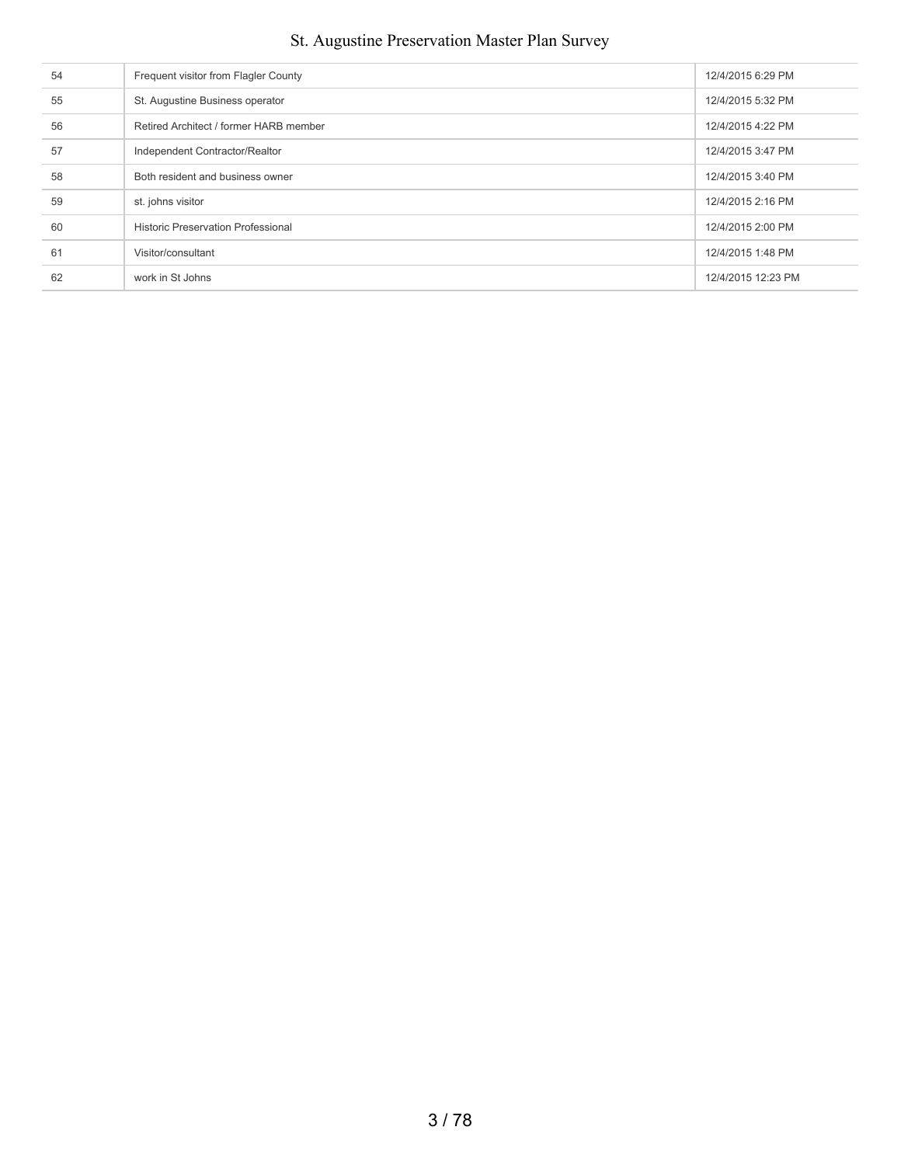| 54 | Frequent visitor from Flagler County      | 12/4/2015 6:29 PM  |
|----|-------------------------------------------|--------------------|
| 55 | St. Augustine Business operator           | 12/4/2015 5:32 PM  |
| 56 | Retired Architect / former HARB member    | 12/4/2015 4:22 PM  |
| 57 | Independent Contractor/Realtor            | 12/4/2015 3:47 PM  |
| 58 | Both resident and business owner          | 12/4/2015 3:40 PM  |
| 59 | st. johns visitor                         | 12/4/2015 2:16 PM  |
| 60 | <b>Historic Preservation Professional</b> | 12/4/2015 2:00 PM  |
| 61 | Visitor/consultant                        | 12/4/2015 1:48 PM  |
| 62 | work in St Johns                          | 12/4/2015 12:23 PM |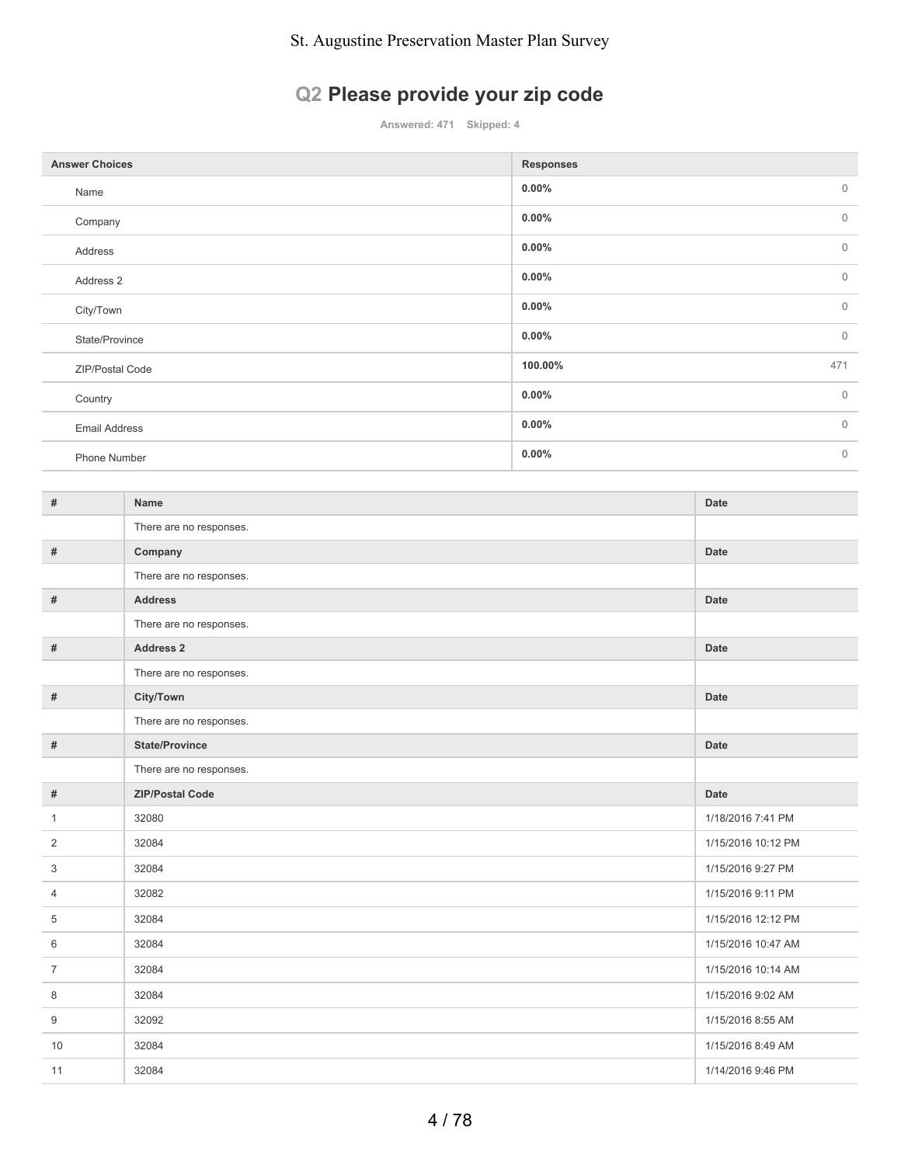# **Q2 Please provide your zip code**

**Answered: 471 Skipped: 4**

| <b>Answer Choices</b> | <b>Responses</b>         |
|-----------------------|--------------------------|
| Name                  | $0.00\%$<br>$\mathbf{0}$ |
| Company               | $0.00\%$<br>$\mathbb O$  |
| Address               | $\mathbf{0}$<br>$0.00\%$ |
| Address 2             | $\mathbb O$<br>$0.00\%$  |
| City/Town             | $\mathbf{0}$<br>$0.00\%$ |
| State/Province        | $\mathbb O$<br>$0.00\%$  |
| ZIP/Postal Code       | 471<br>100.00%           |
| Country               | $\mathbb O$<br>$0.00\%$  |
| <b>Email Address</b>  | $\mathbf{0}$<br>$0.00\%$ |
| Phone Number          | $\mathbb O$<br>$0.00\%$  |

| #              | Name                    | Date               |
|----------------|-------------------------|--------------------|
|                | There are no responses. |                    |
| #              | Company                 | Date               |
|                | There are no responses. |                    |
| #              | <b>Address</b>          | Date               |
|                | There are no responses. |                    |
| #              | Address 2               | Date               |
|                | There are no responses. |                    |
| #              | City/Town               | Date               |
|                | There are no responses. |                    |
| #              | <b>State/Province</b>   | Date               |
|                | There are no responses. |                    |
|                |                         |                    |
| $\#$           | <b>ZIP/Postal Code</b>  | Date               |
| $\mathbf{1}$   | 32080                   | 1/18/2016 7:41 PM  |
| 2              | 32084                   | 1/15/2016 10:12 PM |
| 3              | 32084                   | 1/15/2016 9:27 PM  |
| $\overline{4}$ | 32082                   | 1/15/2016 9:11 PM  |
| 5              | 32084                   | 1/15/2016 12:12 PM |
| 6              | 32084                   | 1/15/2016 10:47 AM |
| $\overline{7}$ | 32084                   | 1/15/2016 10:14 AM |
| 8              | 32084                   | 1/15/2016 9:02 AM  |
| 9              | 32092                   | 1/15/2016 8:55 AM  |
| 10             | 32084                   | 1/15/2016 8:49 AM  |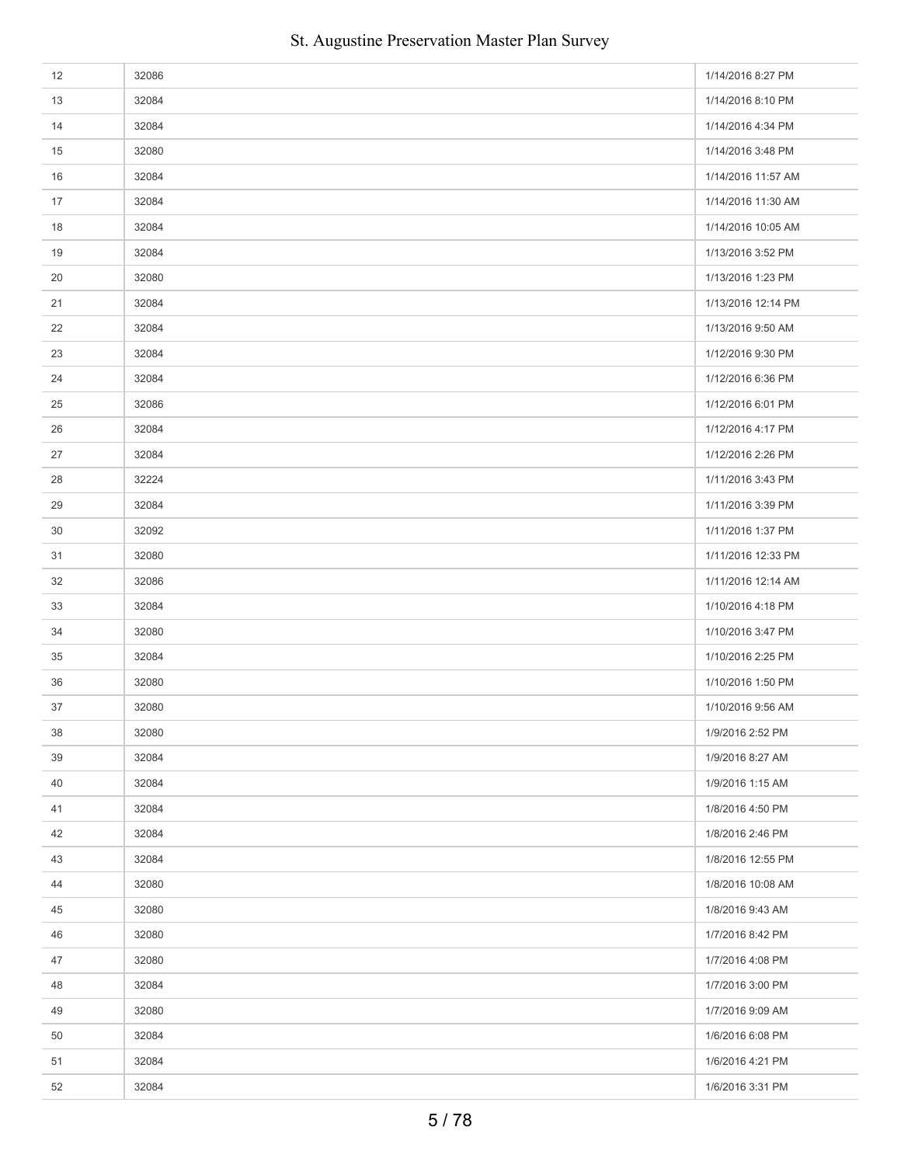| 12 | 32086 | 1/14/2016 8:27 PM  |
|----|-------|--------------------|
| 13 | 32084 | 1/14/2016 8:10 PM  |
| 14 | 32084 | 1/14/2016 4:34 PM  |
| 15 | 32080 | 1/14/2016 3:48 PM  |
| 16 | 32084 | 1/14/2016 11:57 AM |
| 17 | 32084 | 1/14/2016 11:30 AM |
| 18 | 32084 | 1/14/2016 10:05 AM |
| 19 | 32084 | 1/13/2016 3:52 PM  |
| 20 | 32080 | 1/13/2016 1:23 PM  |
| 21 | 32084 | 1/13/2016 12:14 PM |
| 22 | 32084 | 1/13/2016 9:50 AM  |
| 23 | 32084 | 1/12/2016 9:30 PM  |
| 24 | 32084 | 1/12/2016 6:36 PM  |
| 25 | 32086 | 1/12/2016 6:01 PM  |
| 26 | 32084 | 1/12/2016 4:17 PM  |
| 27 | 32084 | 1/12/2016 2:26 PM  |
| 28 | 32224 | 1/11/2016 3:43 PM  |
| 29 | 32084 | 1/11/2016 3:39 PM  |
| 30 | 32092 | 1/11/2016 1:37 PM  |
| 31 | 32080 | 1/11/2016 12:33 PM |
| 32 | 32086 | 1/11/2016 12:14 AM |
| 33 | 32084 | 1/10/2016 4:18 PM  |
| 34 | 32080 | 1/10/2016 3:47 PM  |
| 35 | 32084 | 1/10/2016 2:25 PM  |
| 36 | 32080 | 1/10/2016 1:50 PM  |
| 37 | 32080 | 1/10/2016 9:56 AM  |
| 38 | 32080 | 1/9/2016 2:52 PM   |
| 39 | 32084 | 1/9/2016 8:27 AM   |
| 40 | 32084 | 1/9/2016 1:15 AM   |
| 41 | 32084 | 1/8/2016 4:50 PM   |
| 42 | 32084 | 1/8/2016 2:46 PM   |
| 43 | 32084 | 1/8/2016 12:55 PM  |
| 44 | 32080 | 1/8/2016 10:08 AM  |
| 45 | 32080 | 1/8/2016 9:43 AM   |
| 46 | 32080 | 1/7/2016 8:42 PM   |
| 47 | 32080 | 1/7/2016 4:08 PM   |
| 48 | 32084 | 1/7/2016 3:00 PM   |
| 49 | 32080 | 1/7/2016 9:09 AM   |
| 50 | 32084 | 1/6/2016 6:08 PM   |
| 51 | 32084 | 1/6/2016 4:21 PM   |
| 52 | 32084 | 1/6/2016 3:31 PM   |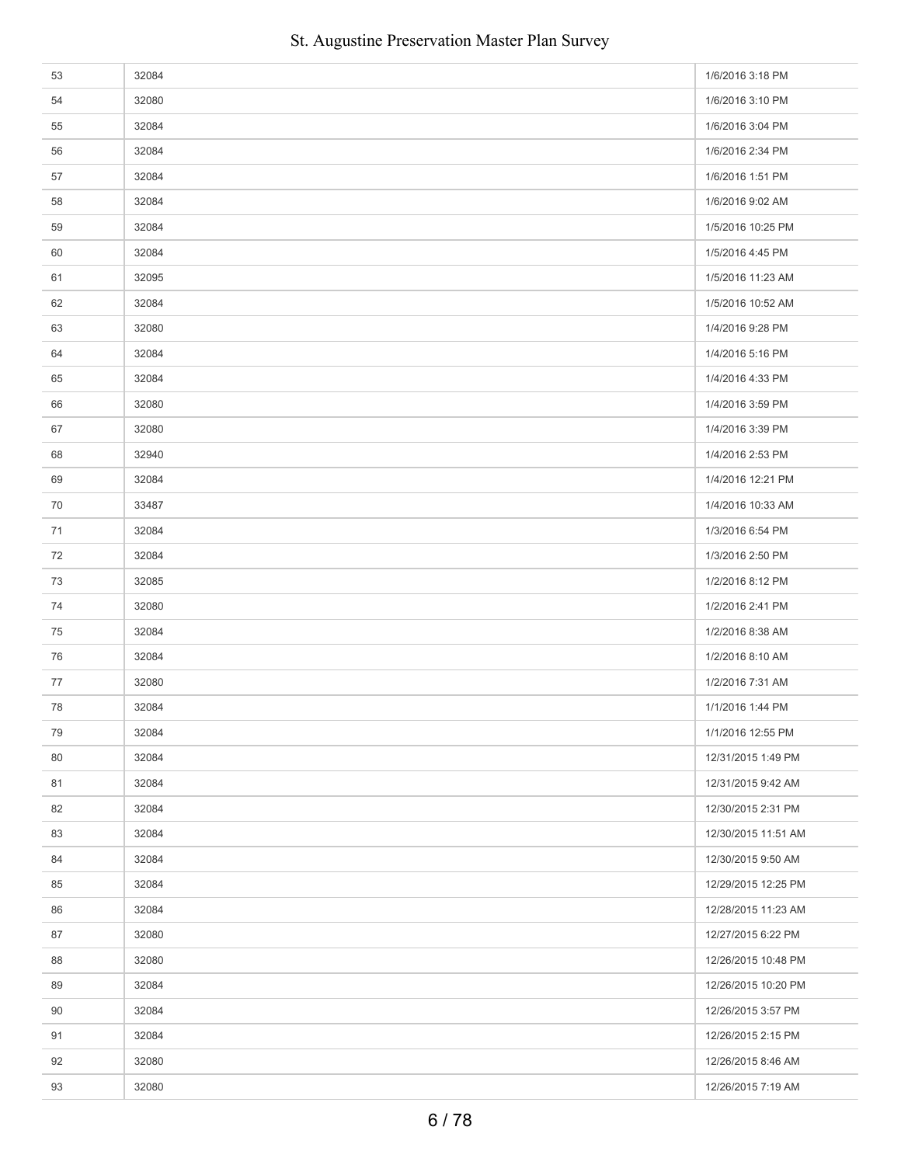| 53 | 32084 | 1/6/2016 3:18 PM    |
|----|-------|---------------------|
| 54 | 32080 | 1/6/2016 3:10 PM    |
| 55 | 32084 | 1/6/2016 3:04 PM    |
| 56 | 32084 | 1/6/2016 2:34 PM    |
| 57 | 32084 | 1/6/2016 1:51 PM    |
| 58 | 32084 | 1/6/2016 9:02 AM    |
| 59 | 32084 | 1/5/2016 10:25 PM   |
| 60 | 32084 | 1/5/2016 4:45 PM    |
| 61 | 32095 | 1/5/2016 11:23 AM   |
| 62 | 32084 | 1/5/2016 10:52 AM   |
| 63 | 32080 | 1/4/2016 9:28 PM    |
| 64 | 32084 | 1/4/2016 5:16 PM    |
| 65 | 32084 | 1/4/2016 4:33 PM    |
| 66 | 32080 | 1/4/2016 3:59 PM    |
| 67 | 32080 | 1/4/2016 3:39 PM    |
| 68 | 32940 | 1/4/2016 2:53 PM    |
| 69 | 32084 | 1/4/2016 12:21 PM   |
| 70 | 33487 | 1/4/2016 10:33 AM   |
| 71 | 32084 | 1/3/2016 6:54 PM    |
| 72 | 32084 | 1/3/2016 2:50 PM    |
| 73 | 32085 | 1/2/2016 8:12 PM    |
| 74 | 32080 | 1/2/2016 2:41 PM    |
| 75 | 32084 | 1/2/2016 8:38 AM    |
| 76 | 32084 | 1/2/2016 8:10 AM    |
| 77 | 32080 | 1/2/2016 7:31 AM    |
| 78 | 32084 | 1/1/2016 1:44 PM    |
| 79 | 32084 | 1/1/2016 12:55 PM   |
| 80 | 32084 | 12/31/2015 1:49 PM  |
| 81 | 32084 | 12/31/2015 9:42 AM  |
| 82 | 32084 | 12/30/2015 2:31 PM  |
| 83 | 32084 | 12/30/2015 11:51 AM |
| 84 | 32084 | 12/30/2015 9:50 AM  |
| 85 | 32084 | 12/29/2015 12:25 PM |
| 86 | 32084 | 12/28/2015 11:23 AM |
| 87 | 32080 | 12/27/2015 6:22 PM  |
| 88 | 32080 | 12/26/2015 10:48 PM |
| 89 | 32084 | 12/26/2015 10:20 PM |
| 90 | 32084 | 12/26/2015 3:57 PM  |
| 91 | 32084 | 12/26/2015 2:15 PM  |
| 92 | 32080 | 12/26/2015 8:46 AM  |
| 93 | 32080 | 12/26/2015 7:19 AM  |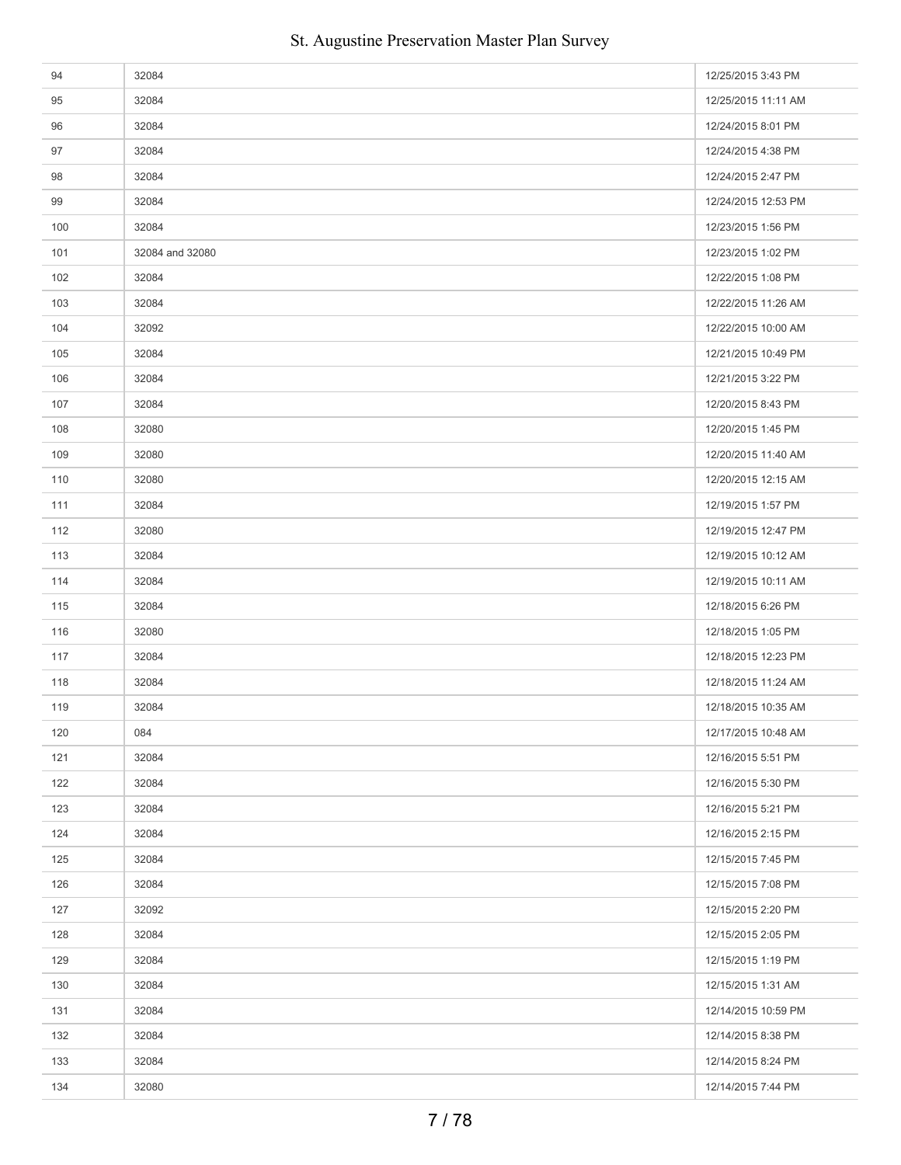| 94  | 32084           | 12/25/2015 3:43 PM  |
|-----|-----------------|---------------------|
| 95  | 32084           | 12/25/2015 11:11 AM |
| 96  | 32084           | 12/24/2015 8:01 PM  |
| 97  | 32084           | 12/24/2015 4:38 PM  |
| 98  | 32084           | 12/24/2015 2:47 PM  |
| 99  | 32084           | 12/24/2015 12:53 PM |
| 100 | 32084           | 12/23/2015 1:56 PM  |
| 101 | 32084 and 32080 | 12/23/2015 1:02 PM  |
| 102 | 32084           | 12/22/2015 1:08 PM  |
| 103 | 32084           | 12/22/2015 11:26 AM |
| 104 | 32092           | 12/22/2015 10:00 AM |
| 105 | 32084           | 12/21/2015 10:49 PM |
| 106 | 32084           | 12/21/2015 3:22 PM  |
| 107 | 32084           | 12/20/2015 8:43 PM  |
| 108 | 32080           | 12/20/2015 1:45 PM  |
| 109 | 32080           | 12/20/2015 11:40 AM |
| 110 | 32080           | 12/20/2015 12:15 AM |
| 111 | 32084           | 12/19/2015 1:57 PM  |
| 112 | 32080           | 12/19/2015 12:47 PM |
| 113 | 32084           | 12/19/2015 10:12 AM |
| 114 | 32084           | 12/19/2015 10:11 AM |
| 115 | 32084           | 12/18/2015 6:26 PM  |
| 116 | 32080           | 12/18/2015 1:05 PM  |
| 117 | 32084           | 12/18/2015 12:23 PM |
| 118 | 32084           | 12/18/2015 11:24 AM |
| 119 | 32084           | 12/18/2015 10:35 AM |
| 120 | 084             | 12/17/2015 10:48 AM |
| 121 | 32084           | 12/16/2015 5:51 PM  |
| 122 | 32084           | 12/16/2015 5:30 PM  |
| 123 | 32084           | 12/16/2015 5:21 PM  |
| 124 | 32084           | 12/16/2015 2:15 PM  |
| 125 | 32084           | 12/15/2015 7:45 PM  |
| 126 | 32084           | 12/15/2015 7:08 PM  |
| 127 | 32092           | 12/15/2015 2:20 PM  |
| 128 | 32084           | 12/15/2015 2:05 PM  |
| 129 | 32084           | 12/15/2015 1:19 PM  |
| 130 | 32084           | 12/15/2015 1:31 AM  |
| 131 | 32084           | 12/14/2015 10:59 PM |
| 132 | 32084           | 12/14/2015 8:38 PM  |
| 133 | 32084           | 12/14/2015 8:24 PM  |
| 134 | 32080           | 12/14/2015 7:44 PM  |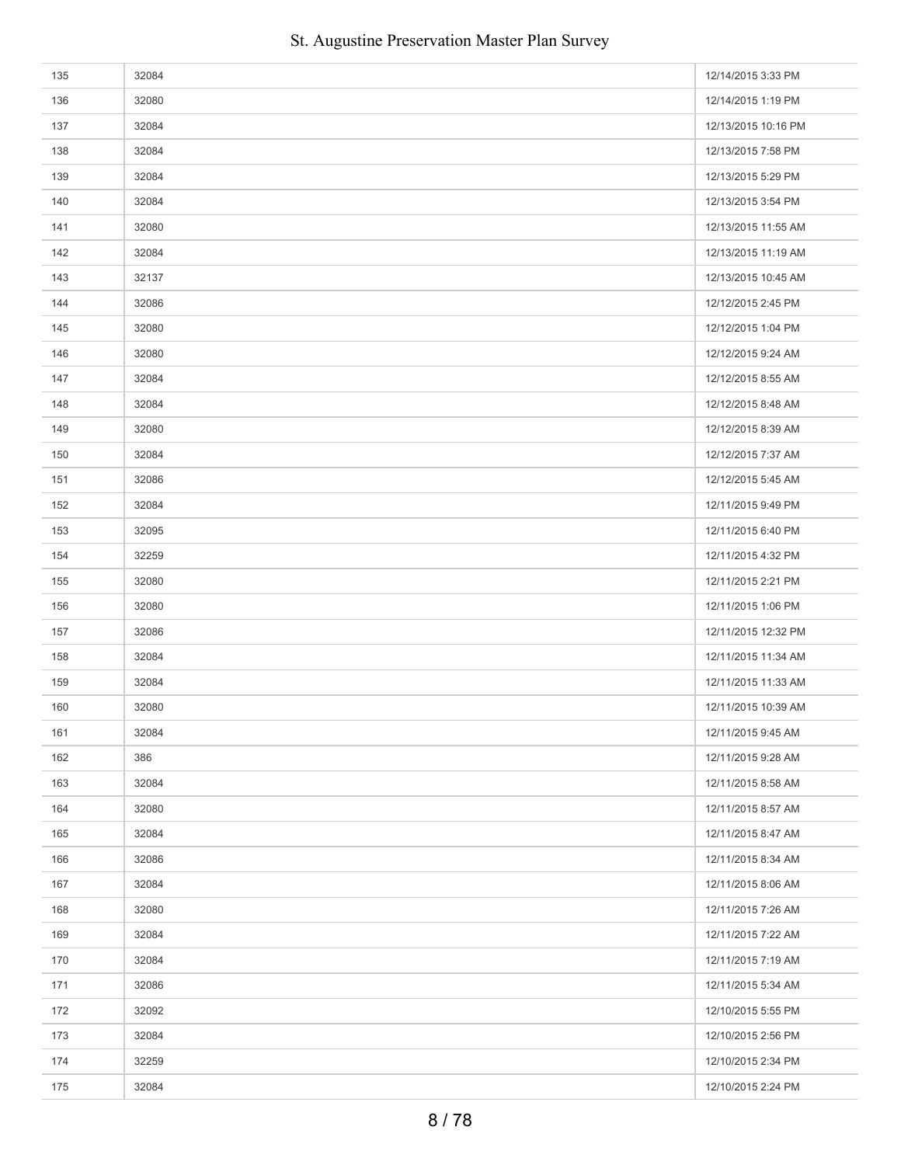| 135 | 32084 | 12/14/2015 3:33 PM  |
|-----|-------|---------------------|
| 136 | 32080 | 12/14/2015 1:19 PM  |
| 137 | 32084 | 12/13/2015 10:16 PM |
| 138 | 32084 | 12/13/2015 7:58 PM  |
| 139 | 32084 | 12/13/2015 5:29 PM  |
| 140 | 32084 | 12/13/2015 3:54 PM  |
| 141 | 32080 | 12/13/2015 11:55 AM |
| 142 | 32084 | 12/13/2015 11:19 AM |
| 143 | 32137 | 12/13/2015 10:45 AM |
| 144 | 32086 | 12/12/2015 2:45 PM  |
| 145 | 32080 | 12/12/2015 1:04 PM  |
| 146 | 32080 | 12/12/2015 9:24 AM  |
| 147 | 32084 | 12/12/2015 8:55 AM  |
| 148 | 32084 | 12/12/2015 8:48 AM  |
| 149 | 32080 | 12/12/2015 8:39 AM  |
| 150 | 32084 | 12/12/2015 7:37 AM  |
| 151 | 32086 | 12/12/2015 5:45 AM  |
| 152 | 32084 | 12/11/2015 9:49 PM  |
| 153 | 32095 | 12/11/2015 6:40 PM  |
| 154 | 32259 | 12/11/2015 4:32 PM  |
| 155 | 32080 | 12/11/2015 2:21 PM  |
| 156 | 32080 | 12/11/2015 1:06 PM  |
| 157 | 32086 | 12/11/2015 12:32 PM |
| 158 | 32084 | 12/11/2015 11:34 AM |
| 159 | 32084 | 12/11/2015 11:33 AM |
| 160 | 32080 | 12/11/2015 10:39 AM |
| 161 | 32084 | 12/11/2015 9:45 AM  |
| 162 | 386   | 12/11/2015 9:28 AM  |
| 163 | 32084 | 12/11/2015 8:58 AM  |
| 164 | 32080 | 12/11/2015 8:57 AM  |
| 165 | 32084 | 12/11/2015 8:47 AM  |
| 166 | 32086 | 12/11/2015 8:34 AM  |
| 167 | 32084 | 12/11/2015 8:06 AM  |
| 168 | 32080 | 12/11/2015 7:26 AM  |
| 169 | 32084 | 12/11/2015 7:22 AM  |
| 170 | 32084 | 12/11/2015 7:19 AM  |
| 171 | 32086 | 12/11/2015 5:34 AM  |
| 172 | 32092 | 12/10/2015 5:55 PM  |
| 173 | 32084 | 12/10/2015 2:56 PM  |
| 174 | 32259 | 12/10/2015 2:34 PM  |
| 175 | 32084 | 12/10/2015 2:24 PM  |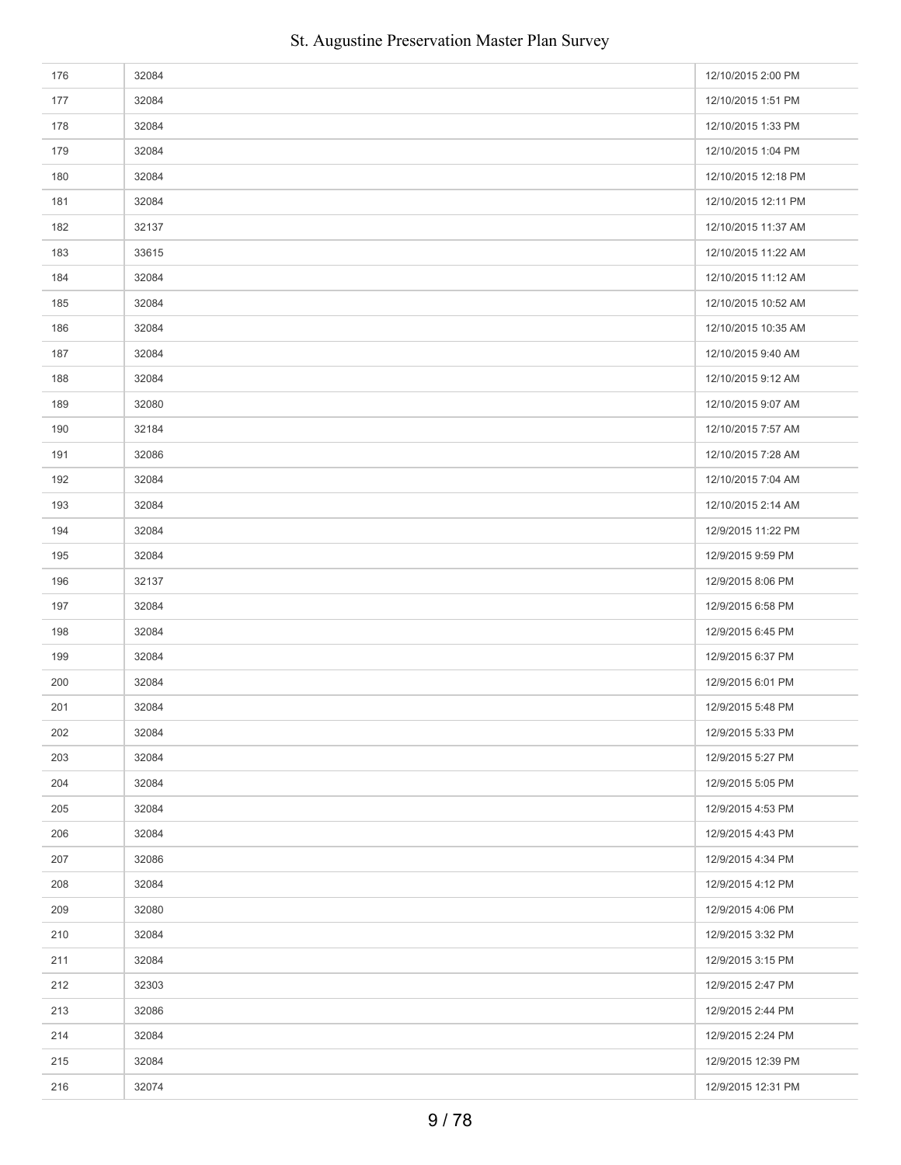| 176 | 32084 | 12/10/2015 2:00 PM  |
|-----|-------|---------------------|
| 177 | 32084 | 12/10/2015 1:51 PM  |
| 178 | 32084 | 12/10/2015 1:33 PM  |
| 179 | 32084 | 12/10/2015 1:04 PM  |
| 180 | 32084 | 12/10/2015 12:18 PM |
| 181 | 32084 | 12/10/2015 12:11 PM |
| 182 | 32137 | 12/10/2015 11:37 AM |
| 183 | 33615 | 12/10/2015 11:22 AM |
| 184 | 32084 | 12/10/2015 11:12 AM |
| 185 | 32084 | 12/10/2015 10:52 AM |
| 186 | 32084 | 12/10/2015 10:35 AM |
| 187 | 32084 | 12/10/2015 9:40 AM  |
| 188 | 32084 | 12/10/2015 9:12 AM  |
| 189 | 32080 | 12/10/2015 9:07 AM  |
| 190 | 32184 | 12/10/2015 7:57 AM  |
| 191 | 32086 | 12/10/2015 7:28 AM  |
| 192 | 32084 | 12/10/2015 7:04 AM  |
| 193 | 32084 | 12/10/2015 2:14 AM  |
| 194 | 32084 | 12/9/2015 11:22 PM  |
| 195 | 32084 | 12/9/2015 9:59 PM   |
| 196 | 32137 | 12/9/2015 8:06 PM   |
| 197 | 32084 | 12/9/2015 6:58 PM   |
| 198 | 32084 | 12/9/2015 6:45 PM   |
| 199 | 32084 | 12/9/2015 6:37 PM   |
| 200 | 32084 | 12/9/2015 6:01 PM   |
| 201 | 32084 | 12/9/2015 5:48 PM   |
| 202 | 32084 | 12/9/2015 5:33 PM   |
| 203 | 32084 | 12/9/2015 5:27 PM   |
| 204 | 32084 | 12/9/2015 5:05 PM   |
| 205 | 32084 | 12/9/2015 4:53 PM   |
| 206 | 32084 | 12/9/2015 4:43 PM   |
| 207 | 32086 | 12/9/2015 4:34 PM   |
| 208 | 32084 | 12/9/2015 4:12 PM   |
| 209 | 32080 | 12/9/2015 4:06 PM   |
| 210 | 32084 | 12/9/2015 3:32 PM   |
| 211 | 32084 | 12/9/2015 3:15 PM   |
| 212 | 32303 | 12/9/2015 2:47 PM   |
| 213 | 32086 | 12/9/2015 2:44 PM   |
| 214 | 32084 | 12/9/2015 2:24 PM   |
| 215 | 32084 | 12/9/2015 12:39 PM  |
| 216 | 32074 | 12/9/2015 12:31 PM  |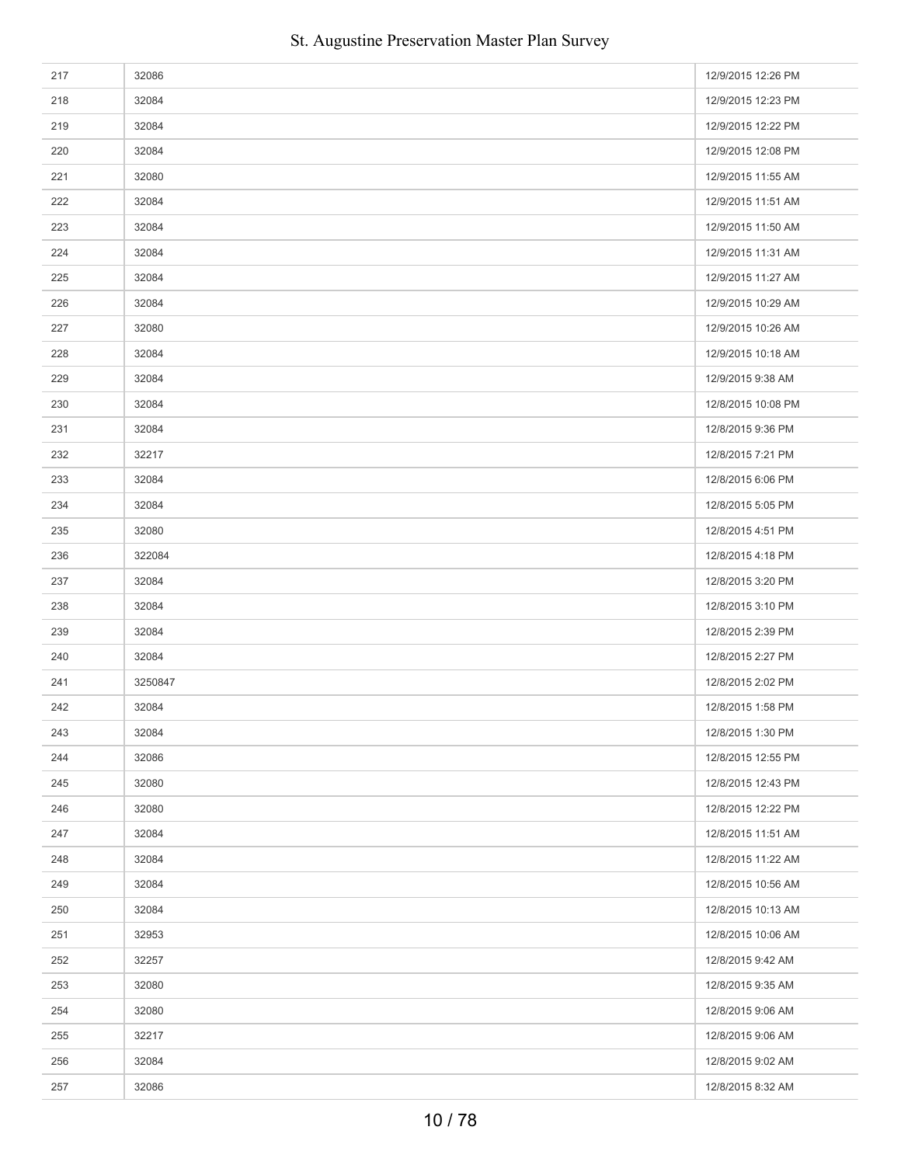| 217 | 32086   | 12/9/2015 12:26 PM |
|-----|---------|--------------------|
| 218 | 32084   | 12/9/2015 12:23 PM |
| 219 | 32084   | 12/9/2015 12:22 PM |
| 220 | 32084   | 12/9/2015 12:08 PM |
| 221 | 32080   | 12/9/2015 11:55 AM |
| 222 | 32084   | 12/9/2015 11:51 AM |
| 223 | 32084   | 12/9/2015 11:50 AM |
| 224 | 32084   | 12/9/2015 11:31 AM |
| 225 | 32084   | 12/9/2015 11:27 AM |
| 226 | 32084   | 12/9/2015 10:29 AM |
| 227 | 32080   | 12/9/2015 10:26 AM |
| 228 | 32084   | 12/9/2015 10:18 AM |
| 229 | 32084   | 12/9/2015 9:38 AM  |
| 230 | 32084   | 12/8/2015 10:08 PM |
| 231 | 32084   | 12/8/2015 9:36 PM  |
| 232 | 32217   | 12/8/2015 7:21 PM  |
| 233 | 32084   | 12/8/2015 6:06 PM  |
| 234 | 32084   | 12/8/2015 5:05 PM  |
| 235 | 32080   | 12/8/2015 4:51 PM  |
| 236 | 322084  | 12/8/2015 4:18 PM  |
| 237 | 32084   | 12/8/2015 3:20 PM  |
| 238 | 32084   | 12/8/2015 3:10 PM  |
| 239 | 32084   | 12/8/2015 2:39 PM  |
| 240 | 32084   | 12/8/2015 2:27 PM  |
| 241 | 3250847 | 12/8/2015 2:02 PM  |
| 242 | 32084   | 12/8/2015 1:58 PM  |
| 243 | 32084   | 12/8/2015 1:30 PM  |
| 244 | 32086   | 12/8/2015 12:55 PM |
| 245 | 32080   | 12/8/2015 12:43 PM |
| 246 | 32080   | 12/8/2015 12:22 PM |
| 247 | 32084   | 12/8/2015 11:51 AM |
| 248 | 32084   | 12/8/2015 11:22 AM |
| 249 | 32084   | 12/8/2015 10:56 AM |
| 250 | 32084   | 12/8/2015 10:13 AM |
| 251 | 32953   | 12/8/2015 10:06 AM |
| 252 | 32257   | 12/8/2015 9:42 AM  |
| 253 | 32080   | 12/8/2015 9:35 AM  |
| 254 | 32080   | 12/8/2015 9:06 AM  |
| 255 | 32217   | 12/8/2015 9:06 AM  |
| 256 | 32084   | 12/8/2015 9:02 AM  |
| 257 | 32086   | 12/8/2015 8:32 AM  |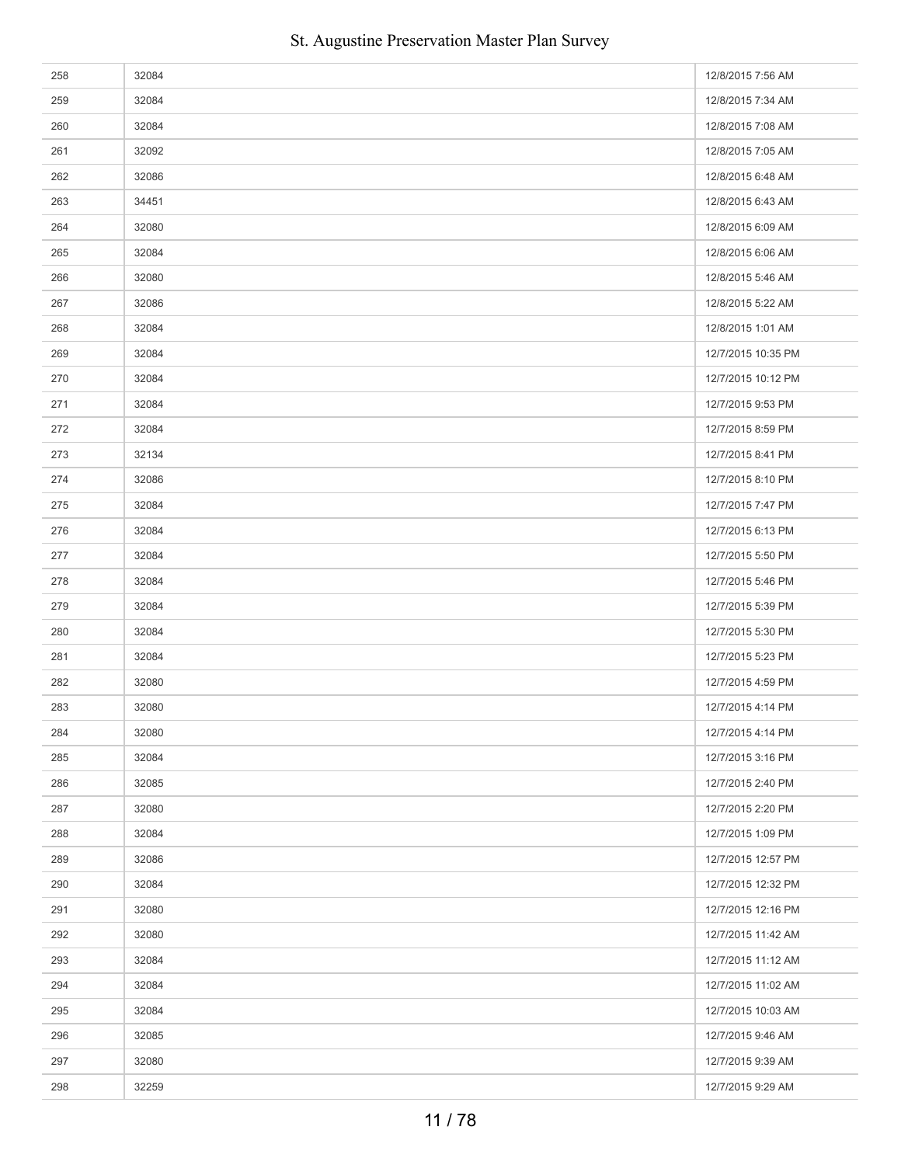| 258 | 32084 | 12/8/2015 7:56 AM  |
|-----|-------|--------------------|
| 259 | 32084 | 12/8/2015 7:34 AM  |
| 260 | 32084 | 12/8/2015 7:08 AM  |
| 261 | 32092 | 12/8/2015 7:05 AM  |
| 262 | 32086 | 12/8/2015 6:48 AM  |
| 263 | 34451 | 12/8/2015 6:43 AM  |
| 264 | 32080 | 12/8/2015 6:09 AM  |
| 265 | 32084 | 12/8/2015 6:06 AM  |
| 266 | 32080 | 12/8/2015 5:46 AM  |
| 267 | 32086 | 12/8/2015 5:22 AM  |
| 268 | 32084 | 12/8/2015 1:01 AM  |
| 269 | 32084 | 12/7/2015 10:35 PM |
| 270 | 32084 | 12/7/2015 10:12 PM |
| 271 | 32084 | 12/7/2015 9:53 PM  |
| 272 | 32084 | 12/7/2015 8:59 PM  |
| 273 | 32134 | 12/7/2015 8:41 PM  |
| 274 | 32086 | 12/7/2015 8:10 PM  |
| 275 | 32084 | 12/7/2015 7:47 PM  |
| 276 | 32084 | 12/7/2015 6:13 PM  |
| 277 | 32084 | 12/7/2015 5:50 PM  |
| 278 | 32084 | 12/7/2015 5:46 PM  |
| 279 | 32084 | 12/7/2015 5:39 PM  |
| 280 | 32084 | 12/7/2015 5:30 PM  |
| 281 | 32084 | 12/7/2015 5:23 PM  |
| 282 | 32080 | 12/7/2015 4:59 PM  |
| 283 | 32080 | 12/7/2015 4:14 PM  |
| 284 | 32080 | 12/7/2015 4:14 PM  |
| 285 | 32084 | 12/7/2015 3:16 PM  |
| 286 | 32085 | 12/7/2015 2:40 PM  |
| 287 | 32080 | 12/7/2015 2:20 PM  |
| 288 | 32084 | 12/7/2015 1:09 PM  |
| 289 | 32086 | 12/7/2015 12:57 PM |
| 290 | 32084 | 12/7/2015 12:32 PM |
| 291 | 32080 | 12/7/2015 12:16 PM |
| 292 | 32080 | 12/7/2015 11:42 AM |
| 293 | 32084 | 12/7/2015 11:12 AM |
| 294 | 32084 | 12/7/2015 11:02 AM |
| 295 | 32084 | 12/7/2015 10:03 AM |
| 296 | 32085 | 12/7/2015 9:46 AM  |
| 297 | 32080 | 12/7/2015 9:39 AM  |
| 298 | 32259 | 12/7/2015 9:29 AM  |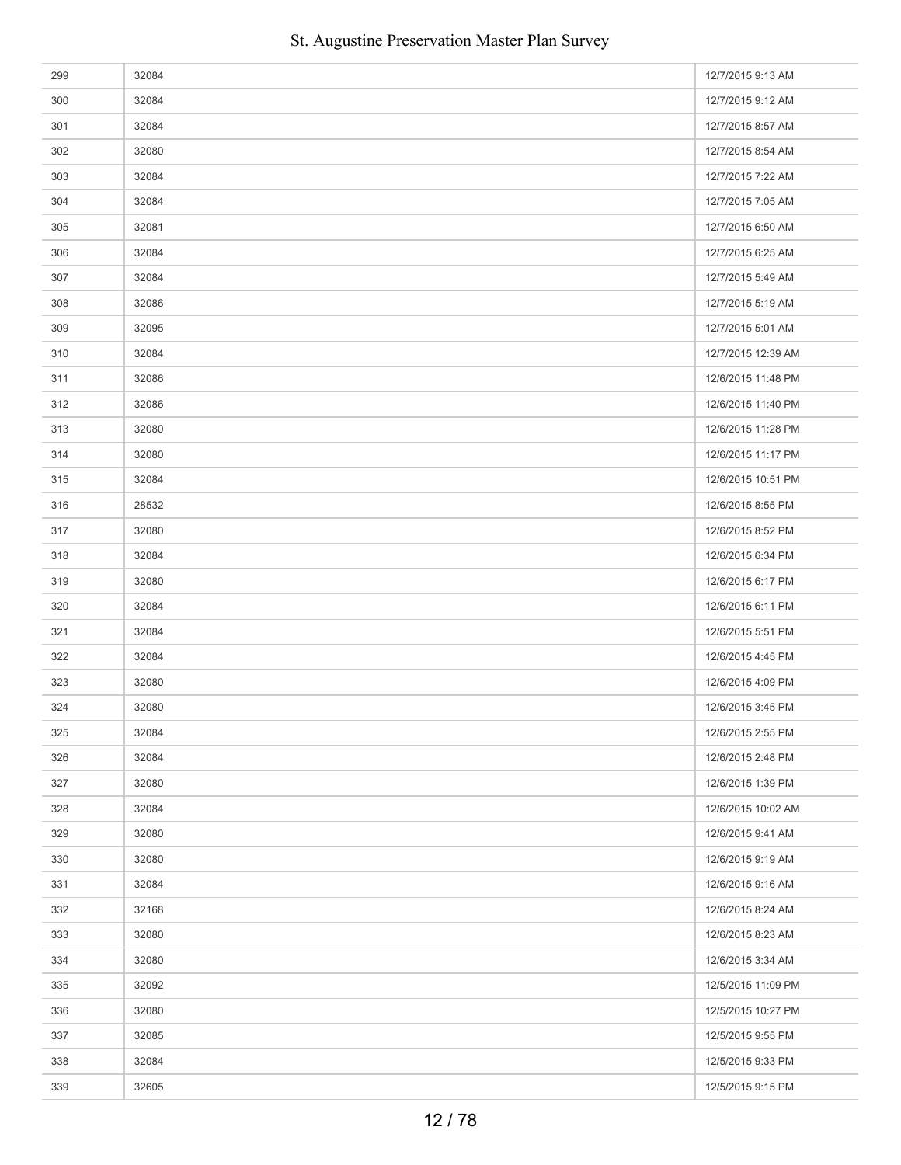| 299 | 32084 | 12/7/2015 9:13 AM  |
|-----|-------|--------------------|
| 300 | 32084 | 12/7/2015 9:12 AM  |
| 301 | 32084 | 12/7/2015 8:57 AM  |
| 302 | 32080 | 12/7/2015 8:54 AM  |
| 303 | 32084 | 12/7/2015 7:22 AM  |
| 304 | 32084 | 12/7/2015 7:05 AM  |
| 305 | 32081 | 12/7/2015 6:50 AM  |
| 306 | 32084 | 12/7/2015 6:25 AM  |
| 307 | 32084 | 12/7/2015 5:49 AM  |
| 308 | 32086 | 12/7/2015 5:19 AM  |
| 309 | 32095 | 12/7/2015 5:01 AM  |
| 310 | 32084 | 12/7/2015 12:39 AM |
| 311 | 32086 | 12/6/2015 11:48 PM |
| 312 | 32086 | 12/6/2015 11:40 PM |
| 313 | 32080 | 12/6/2015 11:28 PM |
| 314 | 32080 | 12/6/2015 11:17 PM |
| 315 | 32084 | 12/6/2015 10:51 PM |
| 316 | 28532 | 12/6/2015 8:55 PM  |
| 317 | 32080 | 12/6/2015 8:52 PM  |
| 318 | 32084 | 12/6/2015 6:34 PM  |
| 319 | 32080 | 12/6/2015 6:17 PM  |
| 320 | 32084 | 12/6/2015 6:11 PM  |
| 321 | 32084 | 12/6/2015 5:51 PM  |
| 322 | 32084 | 12/6/2015 4:45 PM  |
| 323 | 32080 | 12/6/2015 4:09 PM  |
| 324 | 32080 | 12/6/2015 3:45 PM  |
| 325 | 32084 | 12/6/2015 2:55 PM  |
| 326 | 32084 | 12/6/2015 2:48 PM  |
| 327 | 32080 | 12/6/2015 1:39 PM  |
| 328 | 32084 | 12/6/2015 10:02 AM |
| 329 | 32080 | 12/6/2015 9:41 AM  |
| 330 | 32080 | 12/6/2015 9:19 AM  |
| 331 | 32084 | 12/6/2015 9:16 AM  |
| 332 | 32168 | 12/6/2015 8:24 AM  |
| 333 | 32080 | 12/6/2015 8:23 AM  |
| 334 | 32080 | 12/6/2015 3:34 AM  |
| 335 | 32092 | 12/5/2015 11:09 PM |
| 336 | 32080 | 12/5/2015 10:27 PM |
| 337 | 32085 | 12/5/2015 9:55 PM  |
| 338 | 32084 | 12/5/2015 9:33 PM  |
| 339 | 32605 | 12/5/2015 9:15 PM  |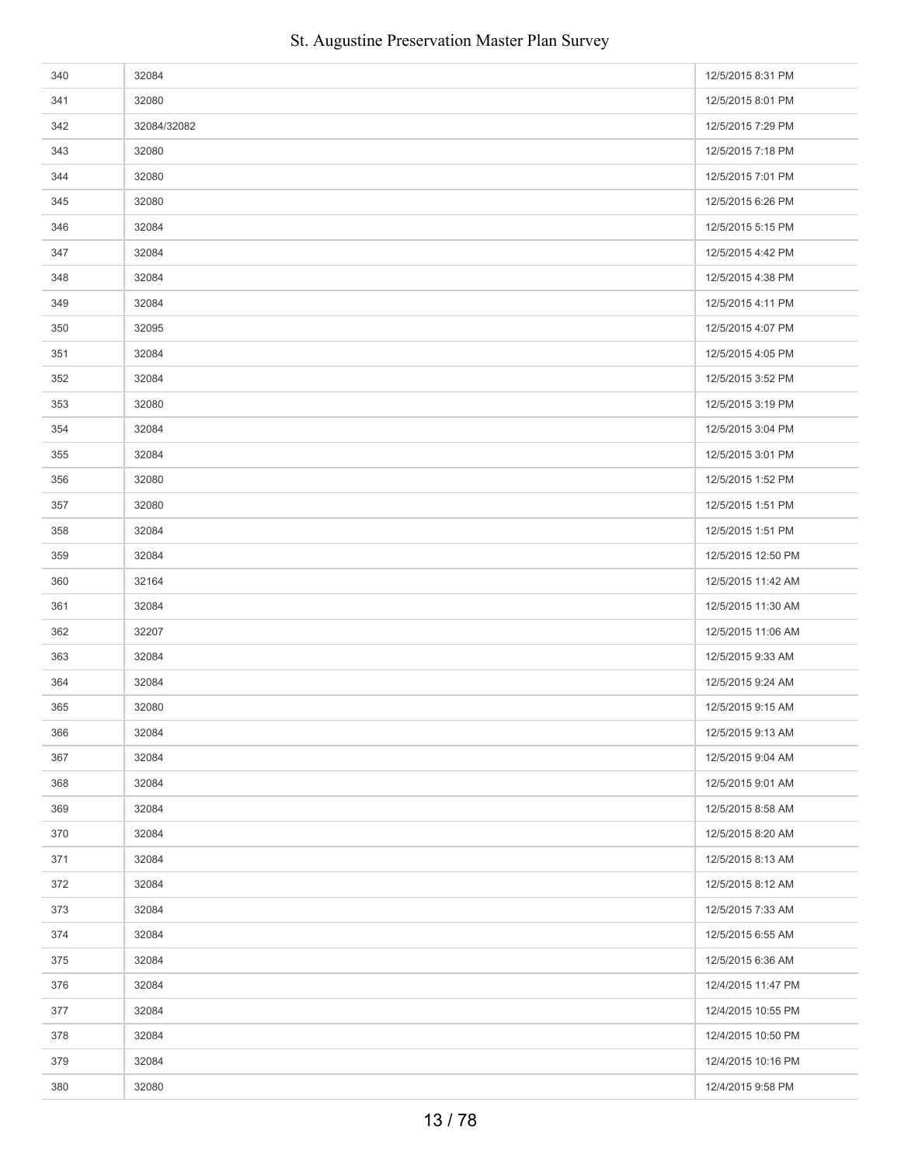| 340 | 32084       | 12/5/2015 8:31 PM  |
|-----|-------------|--------------------|
| 341 | 32080       | 12/5/2015 8:01 PM  |
| 342 | 32084/32082 | 12/5/2015 7:29 PM  |
| 343 | 32080       | 12/5/2015 7:18 PM  |
| 344 | 32080       | 12/5/2015 7:01 PM  |
| 345 | 32080       | 12/5/2015 6:26 PM  |
| 346 | 32084       | 12/5/2015 5:15 PM  |
| 347 | 32084       | 12/5/2015 4:42 PM  |
| 348 | 32084       | 12/5/2015 4:38 PM  |
| 349 | 32084       | 12/5/2015 4:11 PM  |
| 350 | 32095       | 12/5/2015 4:07 PM  |
| 351 | 32084       | 12/5/2015 4:05 PM  |
| 352 | 32084       | 12/5/2015 3:52 PM  |
| 353 | 32080       | 12/5/2015 3:19 PM  |
| 354 | 32084       | 12/5/2015 3:04 PM  |
| 355 | 32084       | 12/5/2015 3:01 PM  |
| 356 | 32080       | 12/5/2015 1:52 PM  |
| 357 | 32080       | 12/5/2015 1:51 PM  |
| 358 | 32084       | 12/5/2015 1:51 PM  |
| 359 | 32084       | 12/5/2015 12:50 PM |
| 360 | 32164       | 12/5/2015 11:42 AM |
| 361 | 32084       | 12/5/2015 11:30 AM |
| 362 | 32207       | 12/5/2015 11:06 AM |
| 363 | 32084       | 12/5/2015 9:33 AM  |
| 364 | 32084       | 12/5/2015 9:24 AM  |
| 365 | 32080       | 12/5/2015 9:15 AM  |
| 366 | 32084       | 12/5/2015 9:13 AM  |
| 367 | 32084       | 12/5/2015 9:04 AM  |
| 368 | 32084       | 12/5/2015 9:01 AM  |
| 369 | 32084       | 12/5/2015 8:58 AM  |
| 370 | 32084       | 12/5/2015 8:20 AM  |
| 371 | 32084       | 12/5/2015 8:13 AM  |
| 372 | 32084       | 12/5/2015 8:12 AM  |
| 373 | 32084       | 12/5/2015 7:33 AM  |
| 374 | 32084       | 12/5/2015 6:55 AM  |
| 375 | 32084       | 12/5/2015 6:36 AM  |
| 376 | 32084       | 12/4/2015 11:47 PM |
| 377 | 32084       | 12/4/2015 10:55 PM |
| 378 | 32084       | 12/4/2015 10:50 PM |
| 379 | 32084       | 12/4/2015 10:16 PM |
| 380 | 32080       | 12/4/2015 9:58 PM  |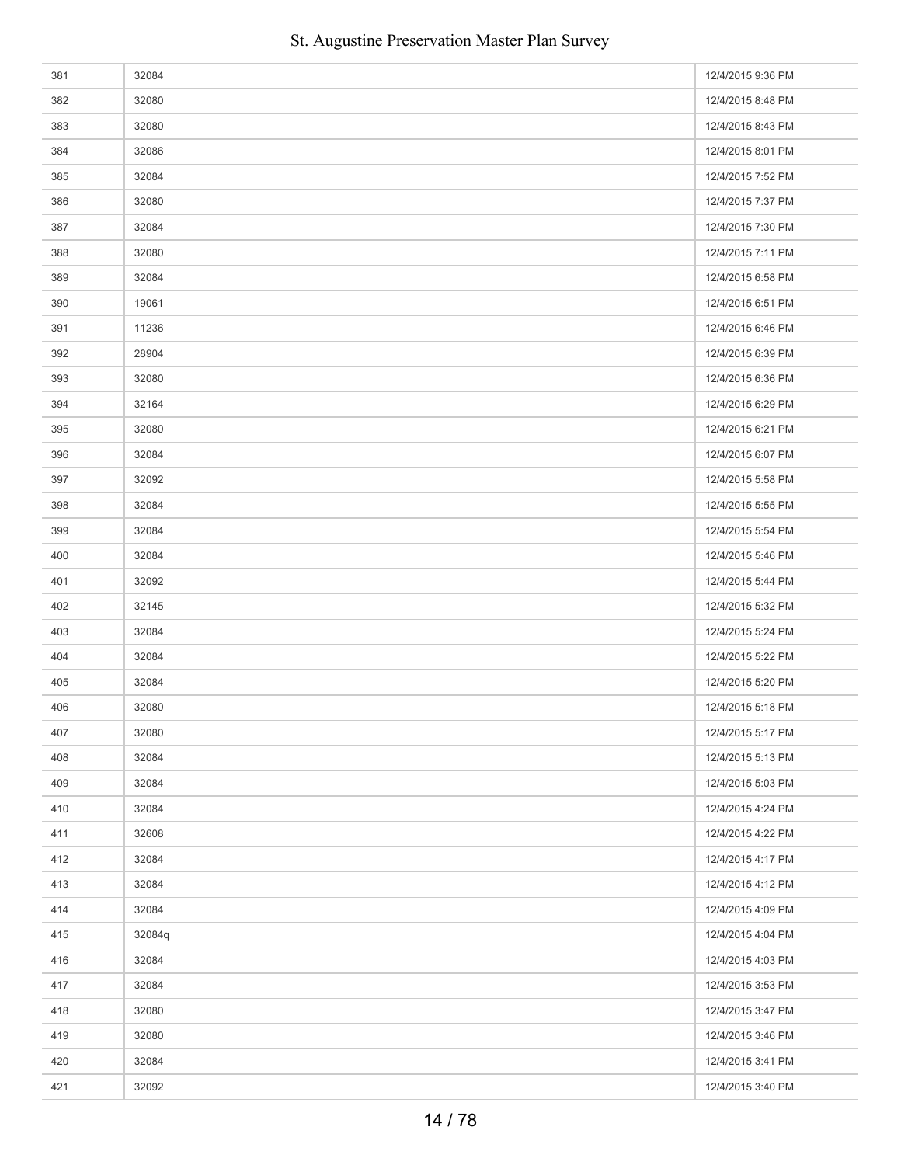| 381 | 32084  | 12/4/2015 9:36 PM |
|-----|--------|-------------------|
| 382 | 32080  | 12/4/2015 8:48 PM |
| 383 | 32080  | 12/4/2015 8:43 PM |
| 384 | 32086  | 12/4/2015 8:01 PM |
| 385 | 32084  | 12/4/2015 7:52 PM |
| 386 | 32080  | 12/4/2015 7:37 PM |
| 387 | 32084  | 12/4/2015 7:30 PM |
| 388 | 32080  | 12/4/2015 7:11 PM |
| 389 | 32084  | 12/4/2015 6:58 PM |
| 390 | 19061  | 12/4/2015 6:51 PM |
| 391 | 11236  | 12/4/2015 6:46 PM |
| 392 | 28904  | 12/4/2015 6:39 PM |
| 393 | 32080  | 12/4/2015 6:36 PM |
| 394 | 32164  | 12/4/2015 6:29 PM |
| 395 | 32080  | 12/4/2015 6:21 PM |
| 396 | 32084  | 12/4/2015 6:07 PM |
| 397 | 32092  | 12/4/2015 5:58 PM |
| 398 | 32084  | 12/4/2015 5:55 PM |
| 399 | 32084  | 12/4/2015 5:54 PM |
| 400 | 32084  | 12/4/2015 5:46 PM |
| 401 | 32092  | 12/4/2015 5:44 PM |
| 402 | 32145  | 12/4/2015 5:32 PM |
| 403 | 32084  | 12/4/2015 5:24 PM |
| 404 | 32084  | 12/4/2015 5:22 PM |
| 405 | 32084  | 12/4/2015 5:20 PM |
| 406 | 32080  | 12/4/2015 5:18 PM |
| 407 | 32080  | 12/4/2015 5:17 PM |
| 408 | 32084  | 12/4/2015 5:13 PM |
| 409 | 32084  | 12/4/2015 5:03 PM |
| 410 | 32084  | 12/4/2015 4:24 PM |
| 411 | 32608  | 12/4/2015 4:22 PM |
| 412 | 32084  | 12/4/2015 4:17 PM |
| 413 | 32084  | 12/4/2015 4:12 PM |
| 414 | 32084  | 12/4/2015 4:09 PM |
| 415 | 32084q | 12/4/2015 4:04 PM |
| 416 | 32084  | 12/4/2015 4:03 PM |
| 417 | 32084  | 12/4/2015 3:53 PM |
| 418 | 32080  | 12/4/2015 3:47 PM |
| 419 | 32080  | 12/4/2015 3:46 PM |
| 420 | 32084  | 12/4/2015 3:41 PM |
| 421 | 32092  | 12/4/2015 3:40 PM |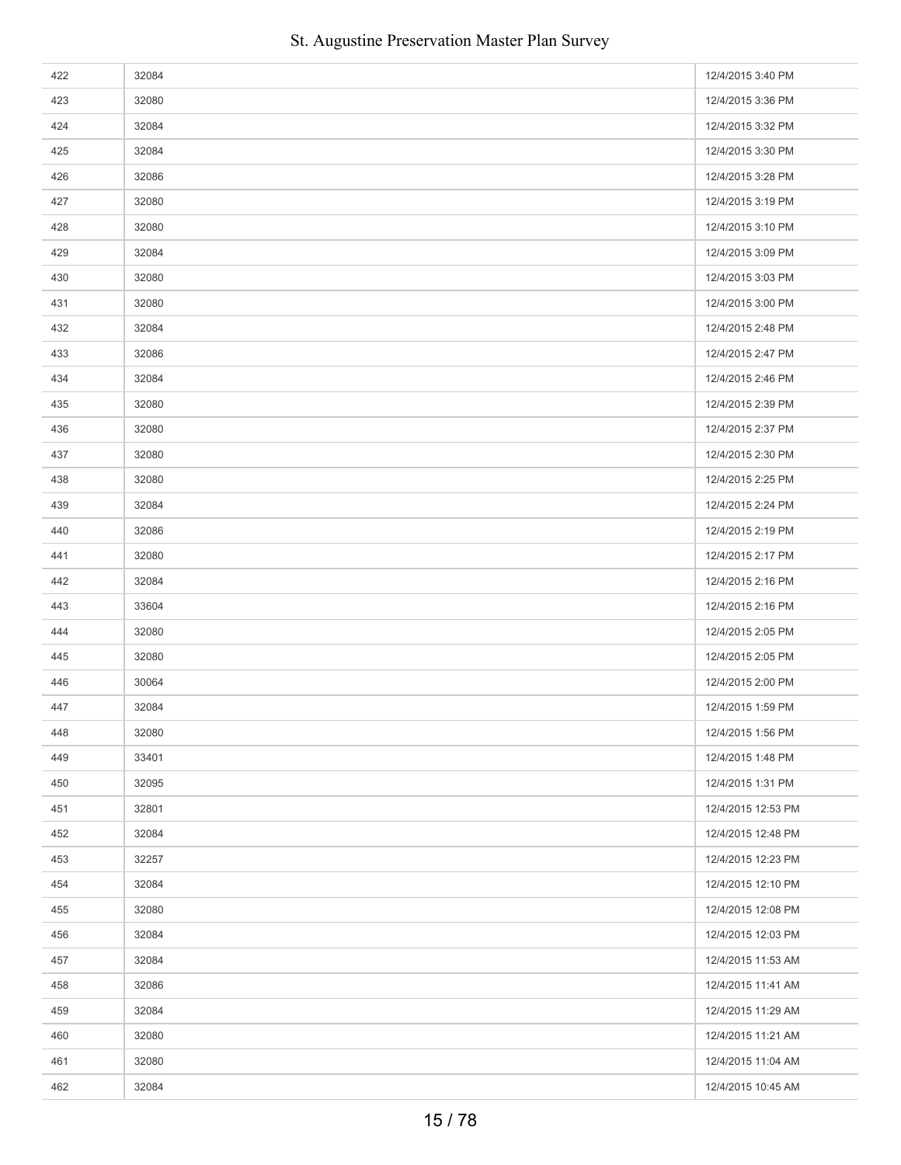| 422 | 32084 | 12/4/2015 3:40 PM  |
|-----|-------|--------------------|
| 423 | 32080 | 12/4/2015 3:36 PM  |
| 424 | 32084 | 12/4/2015 3:32 PM  |
| 425 | 32084 | 12/4/2015 3:30 PM  |
| 426 | 32086 | 12/4/2015 3:28 PM  |
| 427 | 32080 | 12/4/2015 3:19 PM  |
| 428 | 32080 | 12/4/2015 3:10 PM  |
| 429 | 32084 | 12/4/2015 3:09 PM  |
| 430 | 32080 | 12/4/2015 3:03 PM  |
| 431 | 32080 | 12/4/2015 3:00 PM  |
| 432 | 32084 | 12/4/2015 2:48 PM  |
| 433 | 32086 | 12/4/2015 2:47 PM  |
| 434 | 32084 | 12/4/2015 2:46 PM  |
| 435 | 32080 | 12/4/2015 2:39 PM  |
| 436 | 32080 | 12/4/2015 2:37 PM  |
| 437 | 32080 | 12/4/2015 2:30 PM  |
| 438 | 32080 | 12/4/2015 2:25 PM  |
| 439 | 32084 | 12/4/2015 2:24 PM  |
| 440 | 32086 | 12/4/2015 2:19 PM  |
| 441 | 32080 | 12/4/2015 2:17 PM  |
| 442 | 32084 | 12/4/2015 2:16 PM  |
| 443 | 33604 | 12/4/2015 2:16 PM  |
| 444 | 32080 | 12/4/2015 2:05 PM  |
| 445 | 32080 | 12/4/2015 2:05 PM  |
| 446 | 30064 | 12/4/2015 2:00 PM  |
| 447 | 32084 | 12/4/2015 1:59 PM  |
| 448 | 32080 | 12/4/2015 1:56 PM  |
| 449 | 33401 | 12/4/2015 1:48 PM  |
| 450 | 32095 | 12/4/2015 1:31 PM  |
| 451 | 32801 | 12/4/2015 12:53 PM |
| 452 | 32084 | 12/4/2015 12:48 PM |
| 453 | 32257 | 12/4/2015 12:23 PM |
| 454 | 32084 | 12/4/2015 12:10 PM |
| 455 | 32080 | 12/4/2015 12:08 PM |
| 456 | 32084 | 12/4/2015 12:03 PM |
| 457 | 32084 | 12/4/2015 11:53 AM |
| 458 | 32086 | 12/4/2015 11:41 AM |
| 459 | 32084 | 12/4/2015 11:29 AM |
| 460 | 32080 | 12/4/2015 11:21 AM |
| 461 | 32080 | 12/4/2015 11:04 AM |
| 462 | 32084 | 12/4/2015 10:45 AM |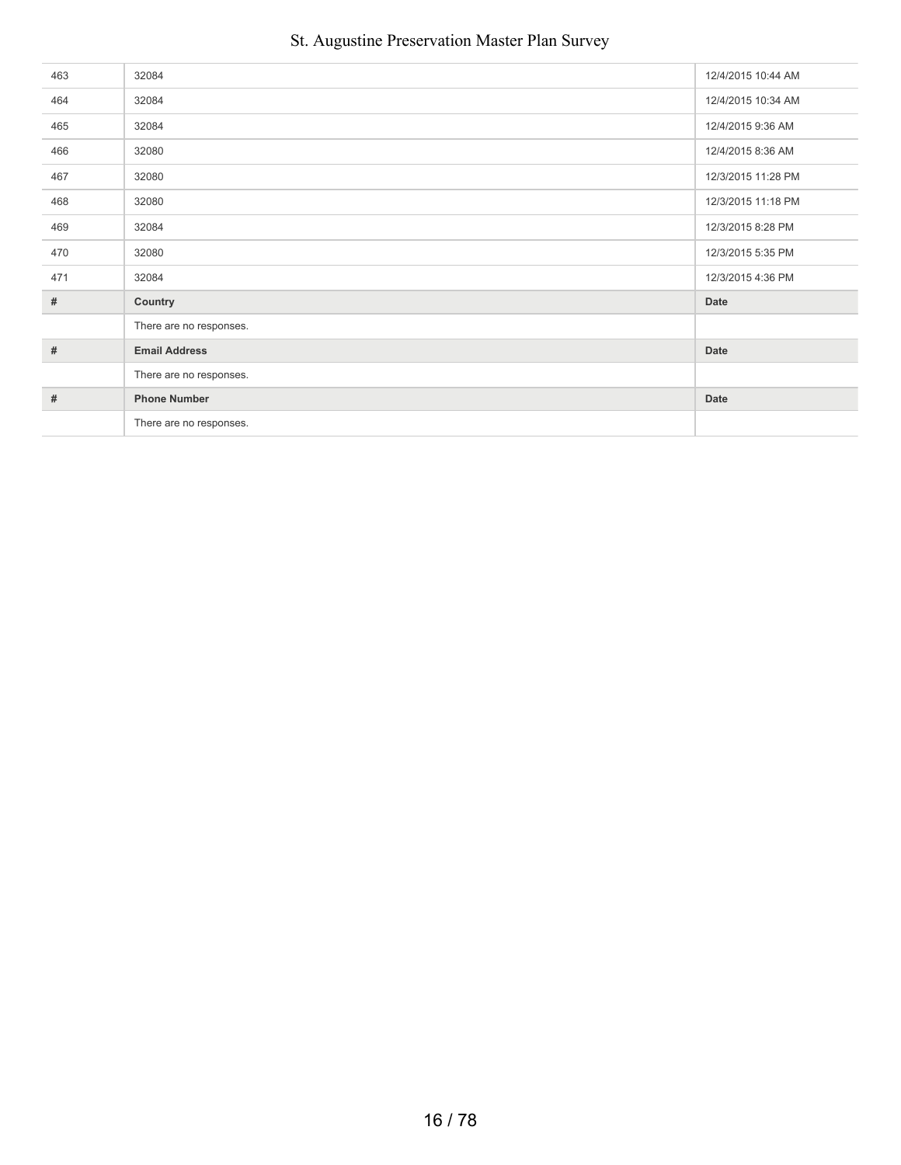| 463  | 32084                   | 12/4/2015 10:44 AM |
|------|-------------------------|--------------------|
| 464  | 32084                   | 12/4/2015 10:34 AM |
| 465  | 32084                   | 12/4/2015 9:36 AM  |
| 466  | 32080                   | 12/4/2015 8:36 AM  |
| 467  | 32080                   | 12/3/2015 11:28 PM |
| 468  | 32080                   | 12/3/2015 11:18 PM |
| 469  | 32084                   | 12/3/2015 8:28 PM  |
| 470  | 32080                   | 12/3/2015 5:35 PM  |
| 471  | 32084                   | 12/3/2015 4:36 PM  |
| $\#$ | Country                 | Date               |
|      | There are no responses. |                    |
| $\#$ | <b>Email Address</b>    | Date               |
|      | There are no responses. |                    |
| #    | <b>Phone Number</b>     | Date               |
|      | There are no responses. |                    |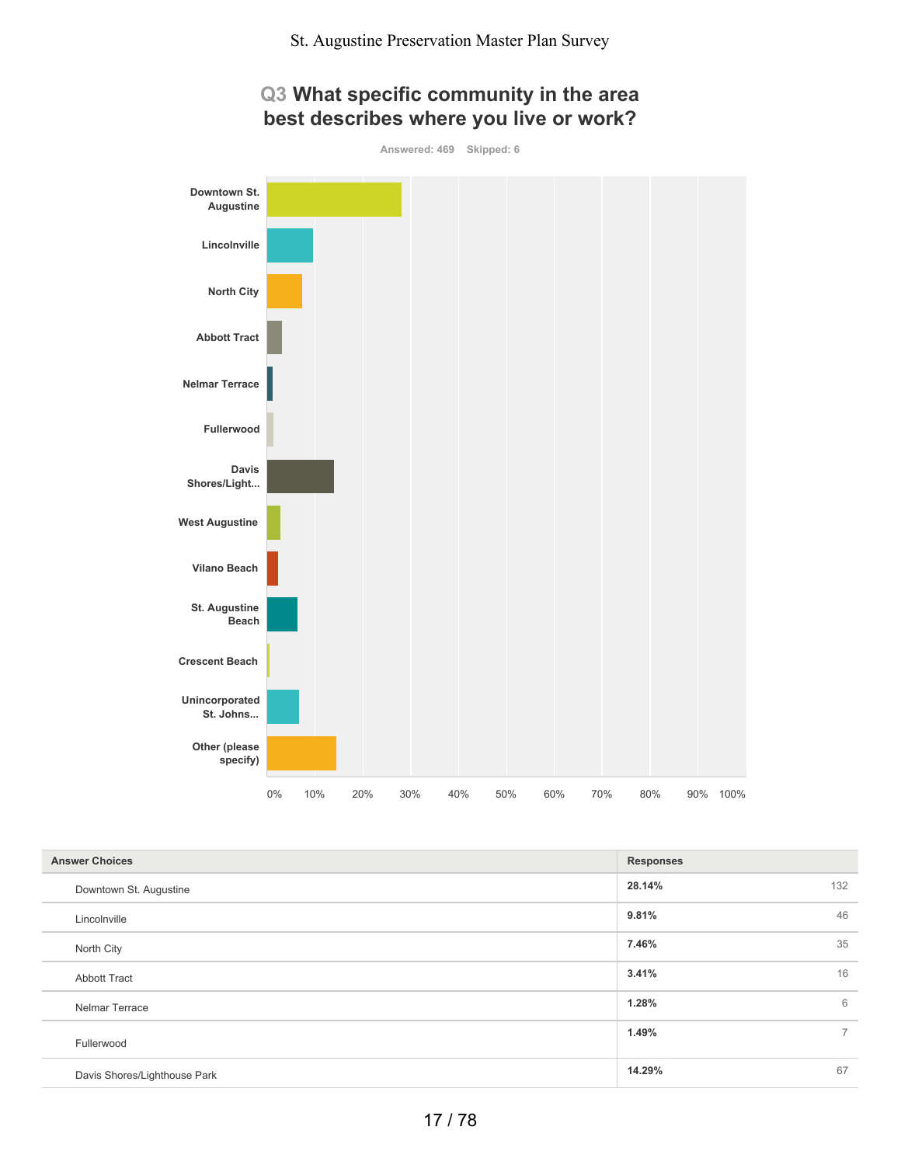

## **Q3 What specific community in the area best describes where you live or work?**

| <b>Answer Choices</b>        | <b>Responses</b> |             |
|------------------------------|------------------|-------------|
| Downtown St. Augustine       | 28.14%           | 132         |
| Lincolnville                 | 9.81%            | 46          |
| North City                   | 7.46%            | 35          |
| <b>Abbott Tract</b>          | 3.41%            | 16          |
| Nelmar Terrace               | 1.28%            | 6           |
| Fullerwood                   | 1.49%            | $7^{\circ}$ |
| Davis Shores/Lighthouse Park | 14.29%           | 67          |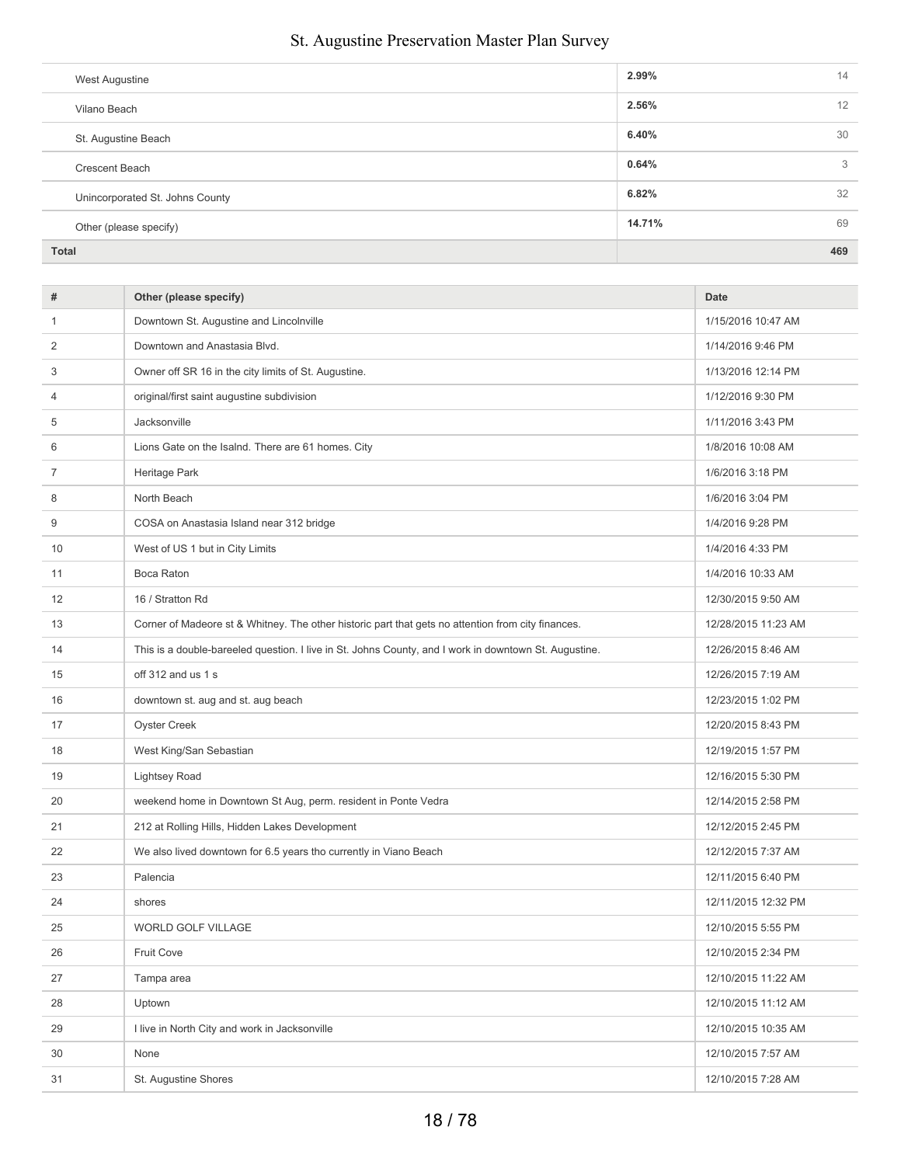| West Augustine                  | 2.99%    | 14  |
|---------------------------------|----------|-----|
| Vilano Beach                    | $2.56\%$ | 12  |
| St. Augustine Beach             | 6.40%    | 30  |
| Crescent Beach                  | 0.64%    | 3   |
| Unincorporated St. Johns County | 6.82%    | 32  |
| Other (please specify)          | 14.71%   | 69  |
| <b>Total</b>                    |          | 469 |

| #  | Other (please specify)                                                                                | <b>Date</b>         |
|----|-------------------------------------------------------------------------------------------------------|---------------------|
| 1  | Downtown St. Augustine and Lincolnville                                                               | 1/15/2016 10:47 AM  |
| 2  | Downtown and Anastasia Blvd.                                                                          | 1/14/2016 9:46 PM   |
| 3  | Owner off SR 16 in the city limits of St. Augustine.                                                  | 1/13/2016 12:14 PM  |
| 4  | original/first saint augustine subdivision                                                            | 1/12/2016 9:30 PM   |
| 5  | Jacksonville                                                                                          | 1/11/2016 3:43 PM   |
| 6  | Lions Gate on the Isalnd. There are 61 homes. City                                                    | 1/8/2016 10:08 AM   |
| 7  | Heritage Park                                                                                         | 1/6/2016 3:18 PM    |
| 8  | North Beach                                                                                           | 1/6/2016 3:04 PM    |
| 9  | COSA on Anastasia Island near 312 bridge                                                              | 1/4/2016 9:28 PM    |
| 10 | West of US 1 but in City Limits                                                                       | 1/4/2016 4:33 PM    |
| 11 | Boca Raton                                                                                            | 1/4/2016 10:33 AM   |
| 12 | 16 / Stratton Rd                                                                                      | 12/30/2015 9:50 AM  |
| 13 | Corner of Madeore st & Whitney. The other historic part that gets no attention from city finances.    | 12/28/2015 11:23 AM |
| 14 | This is a double-bareeled question. I live in St. Johns County, and I work in downtown St. Augustine. | 12/26/2015 8:46 AM  |
| 15 | off 312 and us 1 s                                                                                    | 12/26/2015 7:19 AM  |
| 16 | downtown st. aug and st. aug beach                                                                    | 12/23/2015 1:02 PM  |
| 17 | Oyster Creek                                                                                          | 12/20/2015 8:43 PM  |
| 18 | West King/San Sebastian                                                                               | 12/19/2015 1:57 PM  |
| 19 | <b>Lightsey Road</b>                                                                                  | 12/16/2015 5:30 PM  |
| 20 | weekend home in Downtown St Aug, perm. resident in Ponte Vedra                                        | 12/14/2015 2:58 PM  |
| 21 | 212 at Rolling Hills, Hidden Lakes Development                                                        | 12/12/2015 2:45 PM  |
| 22 | We also lived downtown for 6.5 years tho currently in Viano Beach                                     | 12/12/2015 7:37 AM  |
| 23 | Palencia                                                                                              | 12/11/2015 6:40 PM  |
| 24 | shores                                                                                                | 12/11/2015 12:32 PM |
| 25 | WORLD GOLF VILLAGE                                                                                    | 12/10/2015 5:55 PM  |
| 26 | Fruit Cove                                                                                            | 12/10/2015 2:34 PM  |
| 27 | Tampa area                                                                                            | 12/10/2015 11:22 AM |
| 28 | Uptown                                                                                                | 12/10/2015 11:12 AM |
| 29 | I live in North City and work in Jacksonville                                                         | 12/10/2015 10:35 AM |
| 30 | None                                                                                                  | 12/10/2015 7:57 AM  |
| 31 | St. Augustine Shores                                                                                  | 12/10/2015 7:28 AM  |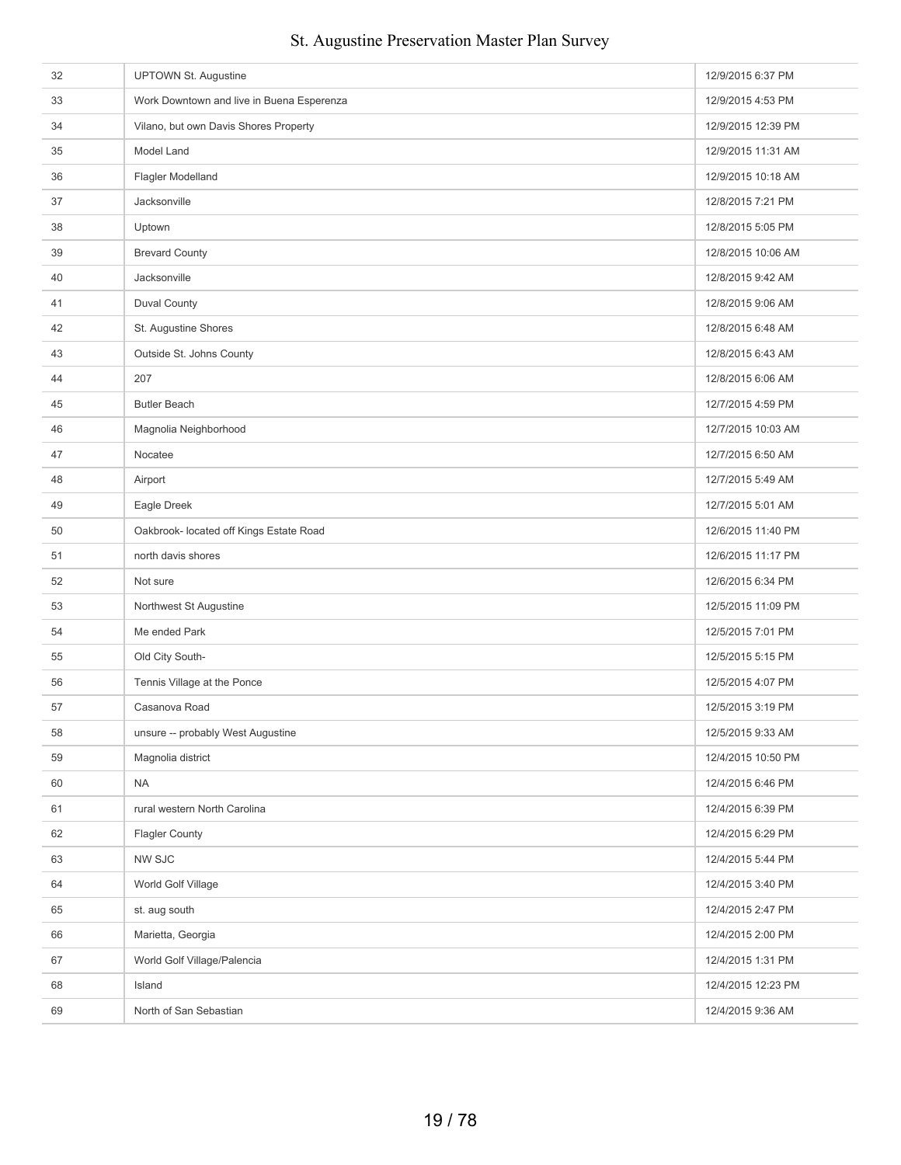| 32 | <b>UPTOWN St. Augustine</b>               | 12/9/2015 6:37 PM  |
|----|-------------------------------------------|--------------------|
| 33 | Work Downtown and live in Buena Esperenza | 12/9/2015 4:53 PM  |
| 34 | Vilano, but own Davis Shores Property     | 12/9/2015 12:39 PM |
| 35 | Model Land                                | 12/9/2015 11:31 AM |
| 36 | Flagler Modelland                         | 12/9/2015 10:18 AM |
| 37 | Jacksonville                              | 12/8/2015 7:21 PM  |
| 38 | Uptown                                    | 12/8/2015 5:05 PM  |
| 39 | <b>Brevard County</b>                     | 12/8/2015 10:06 AM |
| 40 | Jacksonville                              | 12/8/2015 9:42 AM  |
| 41 | <b>Duval County</b>                       | 12/8/2015 9:06 AM  |
| 42 | St. Augustine Shores                      | 12/8/2015 6:48 AM  |
| 43 | Outside St. Johns County                  | 12/8/2015 6:43 AM  |
| 44 | 207                                       | 12/8/2015 6:06 AM  |
| 45 | <b>Butler Beach</b>                       | 12/7/2015 4:59 PM  |
| 46 | Magnolia Neighborhood                     | 12/7/2015 10:03 AM |
| 47 | Nocatee                                   | 12/7/2015 6:50 AM  |
| 48 | Airport                                   | 12/7/2015 5:49 AM  |
| 49 | Eagle Dreek                               | 12/7/2015 5:01 AM  |
| 50 | Oakbrook- located off Kings Estate Road   | 12/6/2015 11:40 PM |
| 51 | north davis shores                        | 12/6/2015 11:17 PM |
| 52 | Not sure                                  | 12/6/2015 6:34 PM  |
| 53 | Northwest St Augustine                    | 12/5/2015 11:09 PM |
| 54 | Me ended Park                             | 12/5/2015 7:01 PM  |
| 55 | Old City South-                           | 12/5/2015 5:15 PM  |
| 56 | Tennis Village at the Ponce               | 12/5/2015 4:07 PM  |
| 57 | Casanova Road                             | 12/5/2015 3:19 PM  |
| 58 | unsure -- probably West Augustine         | 12/5/2015 9:33 AM  |
| 59 | Magnolia district                         | 12/4/2015 10:50 PM |
| 60 | <b>NA</b>                                 | 12/4/2015 6:46 PM  |
| 61 | rural western North Carolina              | 12/4/2015 6:39 PM  |
| 62 | <b>Flagler County</b>                     | 12/4/2015 6:29 PM  |
| 63 | <b>NW SJC</b>                             | 12/4/2015 5:44 PM  |
| 64 | World Golf Village                        | 12/4/2015 3:40 PM  |
| 65 | st. aug south                             | 12/4/2015 2:47 PM  |
| 66 | Marietta, Georgia                         | 12/4/2015 2:00 PM  |
| 67 | World Golf Village/Palencia               | 12/4/2015 1:31 PM  |
| 68 | Island                                    | 12/4/2015 12:23 PM |
| 69 | North of San Sebastian                    | 12/4/2015 9:36 AM  |
|    |                                           |                    |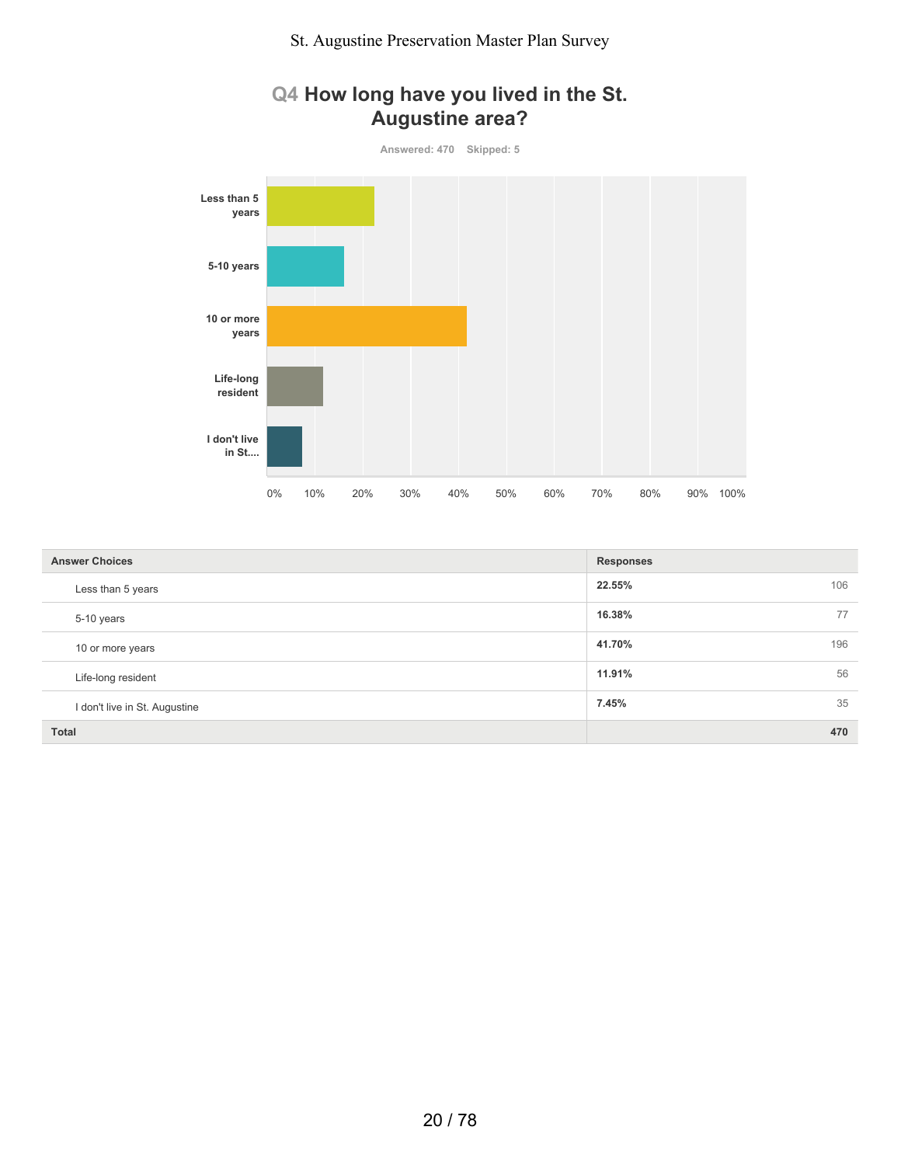## **Q4 How long have you lived in the St. Augustine area?**



| <b>Answer Choices</b>         | <b>Responses</b> |
|-------------------------------|------------------|
| Less than 5 years             | 22.55%<br>106    |
| 5-10 years                    | 16.38%<br>77     |
| 10 or more years              | 41.70%<br>196    |
| Life-long resident            | 11.91%<br>56     |
| I don't live in St. Augustine | 35<br>7.45%      |
| <b>Total</b>                  | 470              |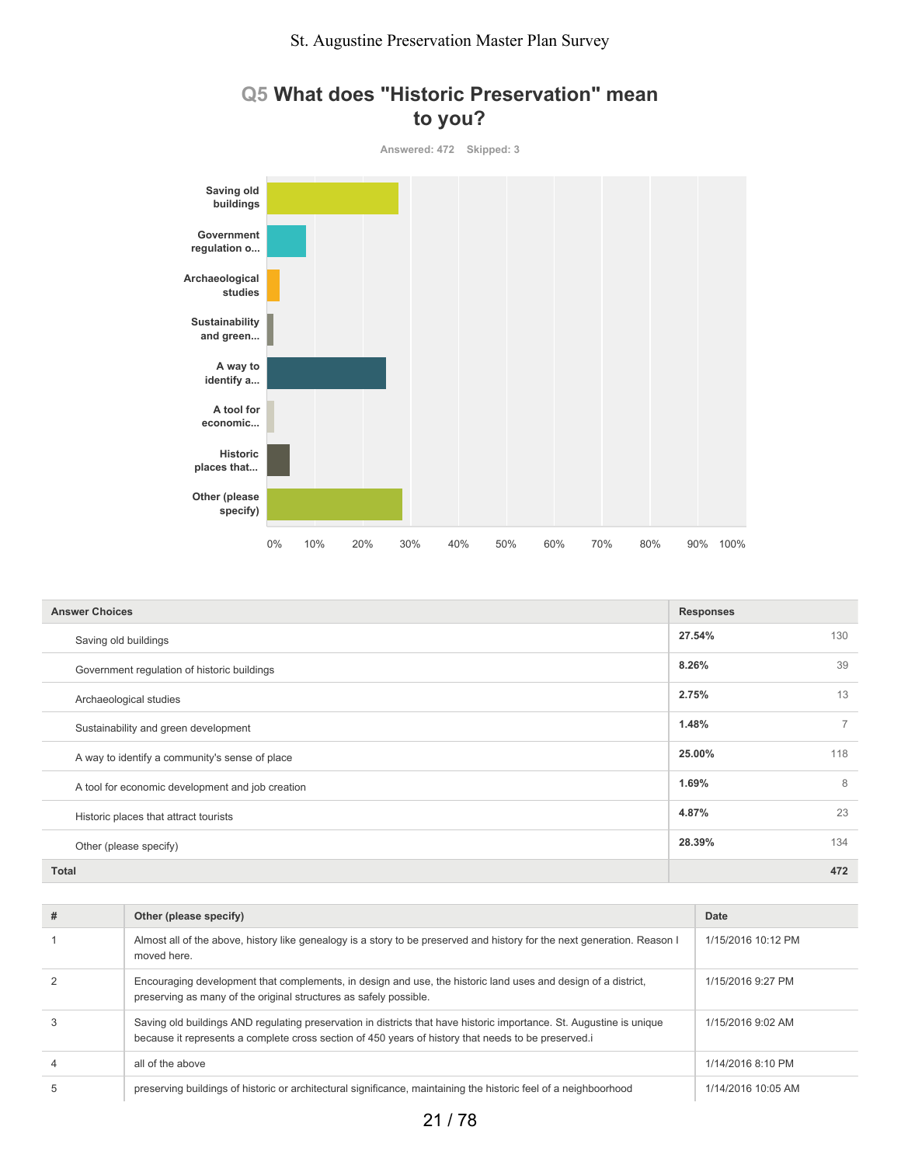

## **Q5 What does "Historic Preservation" mean to you?**

| <b>Answer Choices</b>                            | <b>Responses</b> |                |
|--------------------------------------------------|------------------|----------------|
| Saving old buildings                             | 27.54%           | 130            |
| Government regulation of historic buildings      | 8.26%            | 39             |
| Archaeological studies                           | 2.75%            | 13             |
| Sustainability and green development             | 1.48%            | $\overline{ }$ |
| A way to identify a community's sense of place   | 25.00%           | 118            |
| A tool for economic development and job creation | 1.69%            | 8              |
| Historic places that attract tourists            | 4.87%            | 23             |
| Other (please specify)                           | 28.39%           | 134            |
| <b>Total</b>                                     |                  | 472            |

| # | Other (please specify)                                                                                                                                                                                                     | Date               |
|---|----------------------------------------------------------------------------------------------------------------------------------------------------------------------------------------------------------------------------|--------------------|
|   | Almost all of the above, history like genealogy is a story to be preserved and history for the next generation. Reason I<br>moved here.                                                                                    | 1/15/2016 10:12 PM |
|   | Encouraging development that complements, in design and use, the historic land uses and design of a district,<br>preserving as many of the original structures as safely possible.                                         | 1/15/2016 9:27 PM  |
| 3 | Saving old buildings AND regulating preservation in districts that have historic importance. St. Augustine is unique<br>because it represents a complete cross section of 450 years of history that needs to be preserved. | 1/15/2016 9:02 AM  |
| 4 | all of the above                                                                                                                                                                                                           | 1/14/2016 8:10 PM  |
| 5 | preserving buildings of historic or architectural significance, maintaining the historic feel of a neighboorhood                                                                                                           | 1/14/2016 10:05 AM |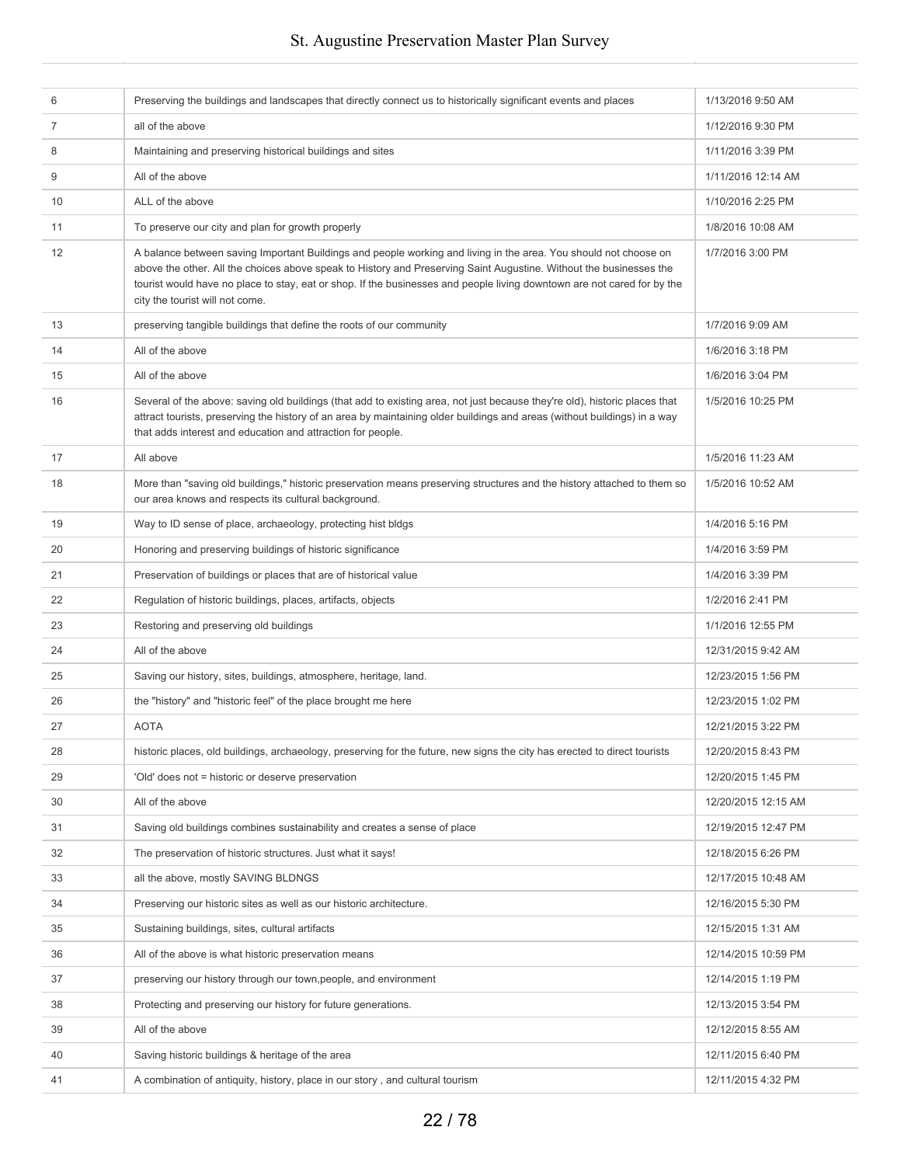| 6  | Preserving the buildings and landscapes that directly connect us to historically significant events and places                                                                                                                                                                                                                                                                                       | 1/13/2016 9:50 AM   |
|----|------------------------------------------------------------------------------------------------------------------------------------------------------------------------------------------------------------------------------------------------------------------------------------------------------------------------------------------------------------------------------------------------------|---------------------|
| 7  | all of the above                                                                                                                                                                                                                                                                                                                                                                                     | 1/12/2016 9:30 PM   |
| 8  | Maintaining and preserving historical buildings and sites                                                                                                                                                                                                                                                                                                                                            | 1/11/2016 3:39 PM   |
| 9  | All of the above                                                                                                                                                                                                                                                                                                                                                                                     | 1/11/2016 12:14 AM  |
| 10 | ALL of the above                                                                                                                                                                                                                                                                                                                                                                                     | 1/10/2016 2:25 PM   |
| 11 | To preserve our city and plan for growth properly                                                                                                                                                                                                                                                                                                                                                    | 1/8/2016 10:08 AM   |
| 12 | A balance between saving Important Buildings and people working and living in the area. You should not choose on<br>above the other. All the choices above speak to History and Preserving Saint Augustine. Without the businesses the<br>tourist would have no place to stay, eat or shop. If the businesses and people living downtown are not cared for by the<br>city the tourist will not come. | 1/7/2016 3:00 PM    |
| 13 | preserving tangible buildings that define the roots of our community                                                                                                                                                                                                                                                                                                                                 | 1/7/2016 9:09 AM    |
| 14 | All of the above                                                                                                                                                                                                                                                                                                                                                                                     | 1/6/2016 3:18 PM    |
| 15 | All of the above                                                                                                                                                                                                                                                                                                                                                                                     | 1/6/2016 3:04 PM    |
| 16 | Several of the above: saving old buildings (that add to existing area, not just because they're old), historic places that<br>attract tourists, preserving the history of an area by maintaining older buildings and areas (without buildings) in a way<br>that adds interest and education and attraction for people.                                                                               | 1/5/2016 10:25 PM   |
| 17 | All above                                                                                                                                                                                                                                                                                                                                                                                            | 1/5/2016 11:23 AM   |
| 18 | More than "saving old buildings," historic preservation means preserving structures and the history attached to them so<br>our area knows and respects its cultural background.                                                                                                                                                                                                                      | 1/5/2016 10:52 AM   |
| 19 | Way to ID sense of place, archaeology, protecting hist bldgs                                                                                                                                                                                                                                                                                                                                         | 1/4/2016 5:16 PM    |
| 20 | Honoring and preserving buildings of historic significance                                                                                                                                                                                                                                                                                                                                           | 1/4/2016 3:59 PM    |
| 21 | Preservation of buildings or places that are of historical value                                                                                                                                                                                                                                                                                                                                     | 1/4/2016 3:39 PM    |
| 22 | Regulation of historic buildings, places, artifacts, objects                                                                                                                                                                                                                                                                                                                                         | 1/2/2016 2:41 PM    |
| 23 | Restoring and preserving old buildings                                                                                                                                                                                                                                                                                                                                                               | 1/1/2016 12:55 PM   |
| 24 | All of the above                                                                                                                                                                                                                                                                                                                                                                                     | 12/31/2015 9:42 AM  |
| 25 | Saving our history, sites, buildings, atmosphere, heritage, land.                                                                                                                                                                                                                                                                                                                                    | 12/23/2015 1:56 PM  |
| 26 | the "history" and "historic feel" of the place brought me here                                                                                                                                                                                                                                                                                                                                       | 12/23/2015 1:02 PM  |
| 27 | <b>AOTA</b>                                                                                                                                                                                                                                                                                                                                                                                          | 12/21/2015 3:22 PM  |
| 28 | historic places, old buildings, archaeology, preserving for the future, new signs the city has erected to direct tourists                                                                                                                                                                                                                                                                            | 12/20/2015 8:43 PM  |
| 29 | 'Old' does not = historic or deserve preservation                                                                                                                                                                                                                                                                                                                                                    | 12/20/2015 1:45 PM  |
| 30 | All of the above                                                                                                                                                                                                                                                                                                                                                                                     | 12/20/2015 12:15 AM |
| 31 | Saving old buildings combines sustainability and creates a sense of place                                                                                                                                                                                                                                                                                                                            | 12/19/2015 12:47 PM |
| 32 | The preservation of historic structures. Just what it says!                                                                                                                                                                                                                                                                                                                                          | 12/18/2015 6:26 PM  |
| 33 | all the above, mostly SAVING BLDNGS                                                                                                                                                                                                                                                                                                                                                                  | 12/17/2015 10:48 AM |
| 34 | Preserving our historic sites as well as our historic architecture.                                                                                                                                                                                                                                                                                                                                  | 12/16/2015 5:30 PM  |
| 35 | Sustaining buildings, sites, cultural artifacts                                                                                                                                                                                                                                                                                                                                                      | 12/15/2015 1:31 AM  |
| 36 | All of the above is what historic preservation means                                                                                                                                                                                                                                                                                                                                                 | 12/14/2015 10:59 PM |
| 37 | preserving our history through our town, people, and environment                                                                                                                                                                                                                                                                                                                                     | 12/14/2015 1:19 PM  |
| 38 | Protecting and preserving our history for future generations.                                                                                                                                                                                                                                                                                                                                        | 12/13/2015 3:54 PM  |
| 39 | All of the above                                                                                                                                                                                                                                                                                                                                                                                     | 12/12/2015 8:55 AM  |
| 40 | Saving historic buildings & heritage of the area                                                                                                                                                                                                                                                                                                                                                     | 12/11/2015 6:40 PM  |
| 41 | A combination of antiquity, history, place in our story, and cultural tourism                                                                                                                                                                                                                                                                                                                        | 12/11/2015 4:32 PM  |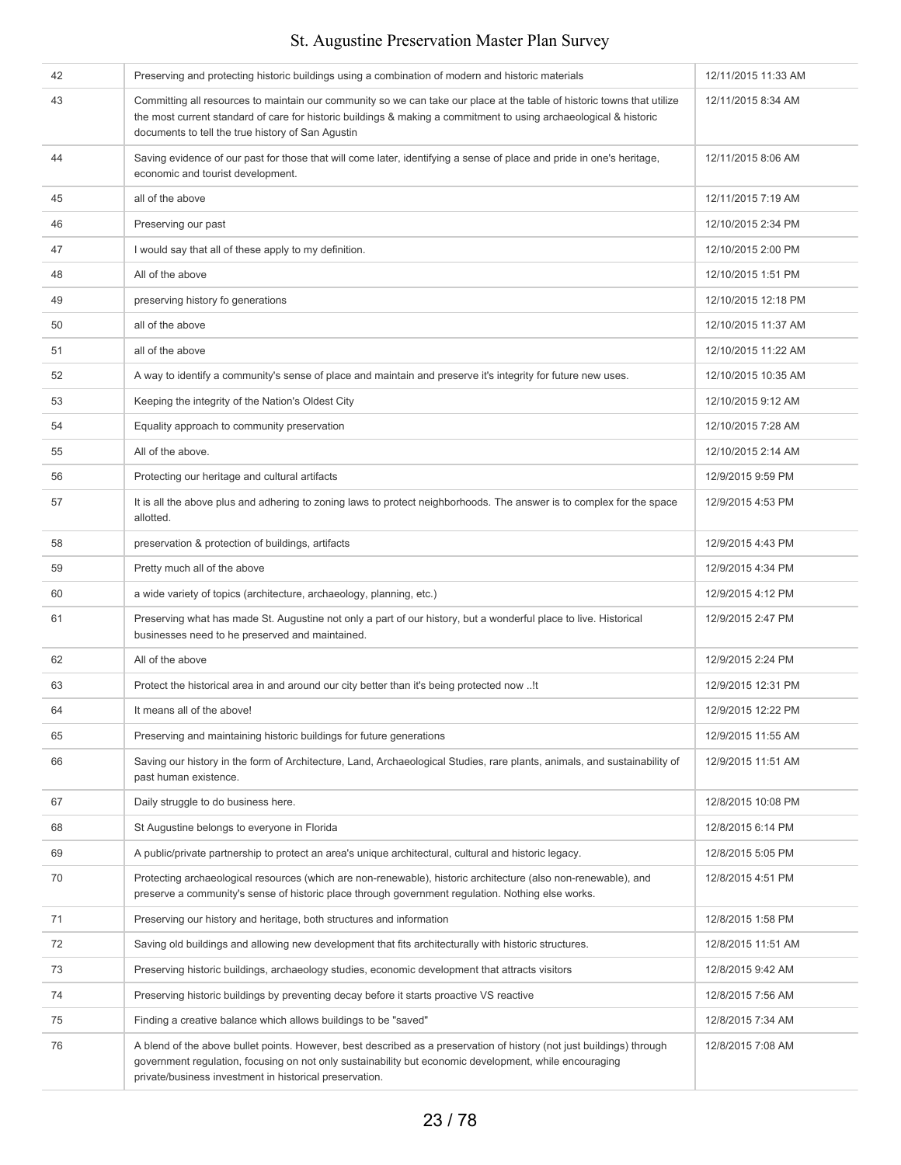#### 42 Preserving and protecting historic buildings using a combination of modern and historic materials 12/11/2015 11:33 AM 43 Committing all resources to maintain our community so we can take our place at the table of historic towns that utilize the most current standard of care for historic buildings & making a commitment to using archaeological & historic documents to tell the true history of San Agustin 12/11/2015 8:34 AM 44 Saving evidence of our past for those that will come later, identifying a sense of place and pride in one's heritage, economic and tourist development. 12/11/2015 8:06 AM 45 all of the above 12/11/2015 7:19 AM 46 Preserving our past **Preserving our past 12/10/2015** 2:34 PM And I would say that all of these apply to my definition. 12/10/2015 2:00 PM 48 All of the above 1200 All of the above 1200 All of the above 1200 All of the above 1200 All of the above 1200 All of the above 1200 All of the above 1200 All of the above 1200 All of the above 1200 All of the above 1200 49 preserving history fo generations **12/10/2015** 12:18 PM 50 all of the above all of the above the state of the above 12/10/2015 11:37 AM 51 all of the above **12/10/2015 11:22 AM** 52 A way to identify a community's sense of place and maintain and preserve it's integrity for future new uses. 12/10/2015 10:35 AM 53 Keeping the integrity of the Nation's Oldest City 12/10/2015 9:12 AM 54 Equality approach to community preservation 12/10/2015 7:28 AM 55 All of the above. And the state of the state of the state of the state of the state of the state of the state of the state of the state of the state of the state of the state of the state of the state of the state of th 56 **Protecting our heritage and cultural artifacts** 12/9/2015 9:59 PM 57 It is all the above plus and adhering to zoning laws to protect neighborhoods. The answer is to complex for the space allotted. 12/9/2015 4:53 PM 58 preservation & protection of buildings, artifacts **12/9/2015 4:43 PM** and the protection of buildings, artifacts 12/9/2015 4:43 PM 59 **Pretty much all of the above 12/9/2015 4:34 PM** 12/9/2015 4:34 PM 60 a wide variety of topics (architecture, archaeology, planning, etc.) and the state of the state of the 12/9/2015 4:12 PM 61 Preserving what has made St. Augustine not only a part of our history, but a wonderful place to live. Historical businesses need to he preserved and maintained. 12/9/2015 2:47 PM 62 All of the above 12/9/2015 2:24 PM 63 Protect the historical area in and around our city better than it's being protected now ..!t 12/9/2015 12:31 PM 64 It means all of the above! 12/9/2015 12:22 PM 65 Preserving and maintaining historic buildings for future generations 1200 1200 1209/2015 11:55 AM 66 Saving our history in the form of Architecture, Land, Archaeological Studies, rare plants, animals, and sustainability of past human existence. 12/9/2015 11:51 AM 67 **Daily struggle to do business here.** 12/8/2015 10:08 PM and the struggle to do business here. 68 St Augustine belongs to everyone in Florida 12/8/2015 6:14 PM 69 A public/private partnership to protect an area's unique architectural, cultural and historic legacy. 12/8/2015 5:05 PM 70 Protecting archaeological resources (which are non-renewable), historic architecture (also non-renewable), and preserve a community's sense of historic place through government regulation. Nothing else works. 12/8/2015 4:51 PM 71 Preserving our history and heritage, both structures and information 12/8/2015 1:58 PM 72 Saving old buildings and allowing new development that fits architecturally with historic structures. 12/8/2015 11:51 AM 73 Preserving historic buildings, archaeology studies, economic development that attracts visitors 12/8/2015 9:42 AM 74 Preserving historic buildings by preventing decay before it starts proactive VS reactive 1200 1200 12/8/2015 7:56 AM 75 **Finding a creative balance which allows buildings to be "saved"** 12/8/2015 7:34 AM 76 A blend of the above bullet points. However, best described as a preservation of history (not just buildings) through government regulation, focusing on not only sustainability but economic development, while encouraging 12/8/2015 7:08 AM

#### St. Augustine Preservation Master Plan Survey

private/business investment in historical preservation.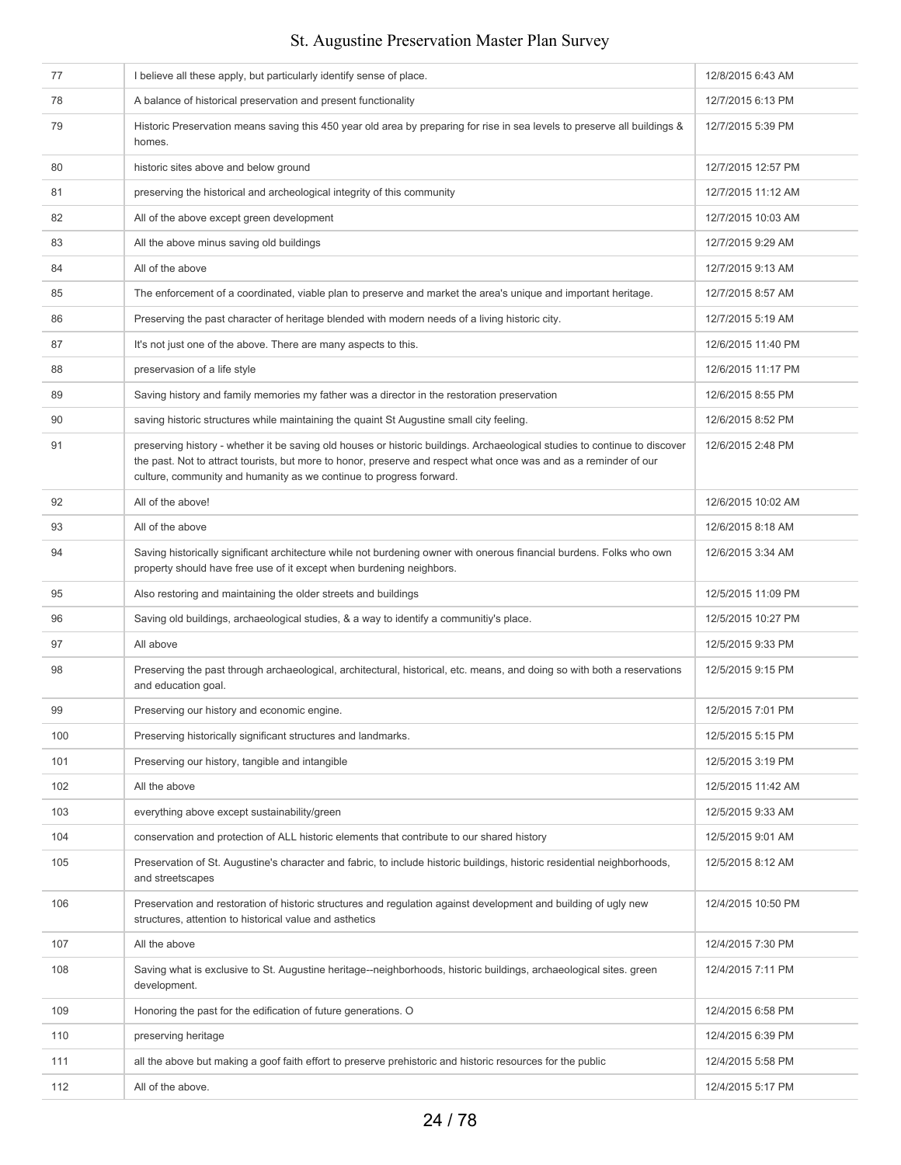| 77  | I believe all these apply, but particularly identify sense of place.                                                                                                                                                                                                                                                   | 12/8/2015 6:43 AM  |
|-----|------------------------------------------------------------------------------------------------------------------------------------------------------------------------------------------------------------------------------------------------------------------------------------------------------------------------|--------------------|
| 78  | A balance of historical preservation and present functionality                                                                                                                                                                                                                                                         | 12/7/2015 6:13 PM  |
| 79  | Historic Preservation means saving this 450 year old area by preparing for rise in sea levels to preserve all buildings &<br>homes.                                                                                                                                                                                    | 12/7/2015 5:39 PM  |
| 80  | historic sites above and below ground                                                                                                                                                                                                                                                                                  | 12/7/2015 12:57 PM |
| 81  | preserving the historical and archeological integrity of this community                                                                                                                                                                                                                                                | 12/7/2015 11:12 AM |
| 82  | All of the above except green development                                                                                                                                                                                                                                                                              | 12/7/2015 10:03 AM |
| 83  | All the above minus saving old buildings                                                                                                                                                                                                                                                                               | 12/7/2015 9:29 AM  |
| 84  | All of the above                                                                                                                                                                                                                                                                                                       | 12/7/2015 9:13 AM  |
| 85  | The enforcement of a coordinated, viable plan to preserve and market the area's unique and important heritage.                                                                                                                                                                                                         | 12/7/2015 8:57 AM  |
| 86  | Preserving the past character of heritage blended with modern needs of a living historic city.                                                                                                                                                                                                                         | 12/7/2015 5:19 AM  |
| 87  | It's not just one of the above. There are many aspects to this.                                                                                                                                                                                                                                                        | 12/6/2015 11:40 PM |
| 88  | preservasion of a life style                                                                                                                                                                                                                                                                                           | 12/6/2015 11:17 PM |
| 89  | Saving history and family memories my father was a director in the restoration preservation                                                                                                                                                                                                                            | 12/6/2015 8:55 PM  |
| 90  | saving historic structures while maintaining the quaint St Augustine small city feeling.                                                                                                                                                                                                                               | 12/6/2015 8:52 PM  |
| 91  | preserving history - whether it be saving old houses or historic buildings. Archaeological studies to continue to discover<br>the past. Not to attract tourists, but more to honor, preserve and respect what once was and as a reminder of our<br>culture, community and humanity as we continue to progress forward. | 12/6/2015 2:48 PM  |
| 92  | All of the above!                                                                                                                                                                                                                                                                                                      | 12/6/2015 10:02 AM |
| 93  | All of the above                                                                                                                                                                                                                                                                                                       | 12/6/2015 8:18 AM  |
| 94  | Saving historically significant architecture while not burdening owner with onerous financial burdens. Folks who own<br>property should have free use of it except when burdening neighbors.                                                                                                                           | 12/6/2015 3:34 AM  |
| 95  | Also restoring and maintaining the older streets and buildings                                                                                                                                                                                                                                                         | 12/5/2015 11:09 PM |
|     |                                                                                                                                                                                                                                                                                                                        |                    |
| 96  | Saving old buildings, archaeological studies, & a way to identify a communitiy's place.                                                                                                                                                                                                                                | 12/5/2015 10:27 PM |
| 97  | All above                                                                                                                                                                                                                                                                                                              | 12/5/2015 9:33 PM  |
| 98  | Preserving the past through archaeological, architectural, historical, etc. means, and doing so with both a reservations<br>and education goal.                                                                                                                                                                        | 12/5/2015 9:15 PM  |
| 99  | Preserving our history and economic engine.                                                                                                                                                                                                                                                                            | 12/5/2015 7:01 PM  |
| 100 | Preserving historically significant structures and landmarks.                                                                                                                                                                                                                                                          | 12/5/2015 5:15 PM  |
| 101 | Preserving our history, tangible and intangible                                                                                                                                                                                                                                                                        | 12/5/2015 3:19 PM  |
| 102 | All the above                                                                                                                                                                                                                                                                                                          | 12/5/2015 11:42 AM |
| 103 | everything above except sustainability/green                                                                                                                                                                                                                                                                           | 12/5/2015 9:33 AM  |
| 104 | conservation and protection of ALL historic elements that contribute to our shared history                                                                                                                                                                                                                             | 12/5/2015 9:01 AM  |
| 105 | Preservation of St. Augustine's character and fabric, to include historic buildings, historic residential neighborhoods,<br>and streetscapes                                                                                                                                                                           | 12/5/2015 8:12 AM  |
| 106 | Preservation and restoration of historic structures and regulation against development and building of ugly new<br>structures, attention to historical value and asthetics                                                                                                                                             | 12/4/2015 10:50 PM |
| 107 | All the above                                                                                                                                                                                                                                                                                                          | 12/4/2015 7:30 PM  |
| 108 | Saving what is exclusive to St. Augustine heritage--neighborhoods, historic buildings, archaeological sites. green<br>development.                                                                                                                                                                                     | 12/4/2015 7:11 PM  |
| 109 | Honoring the past for the edification of future generations. O                                                                                                                                                                                                                                                         | 12/4/2015 6:58 PM  |
| 110 | preserving heritage                                                                                                                                                                                                                                                                                                    | 12/4/2015 6:39 PM  |
| 111 | all the above but making a goof faith effort to preserve prehistoric and historic resources for the public                                                                                                                                                                                                             | 12/4/2015 5:58 PM  |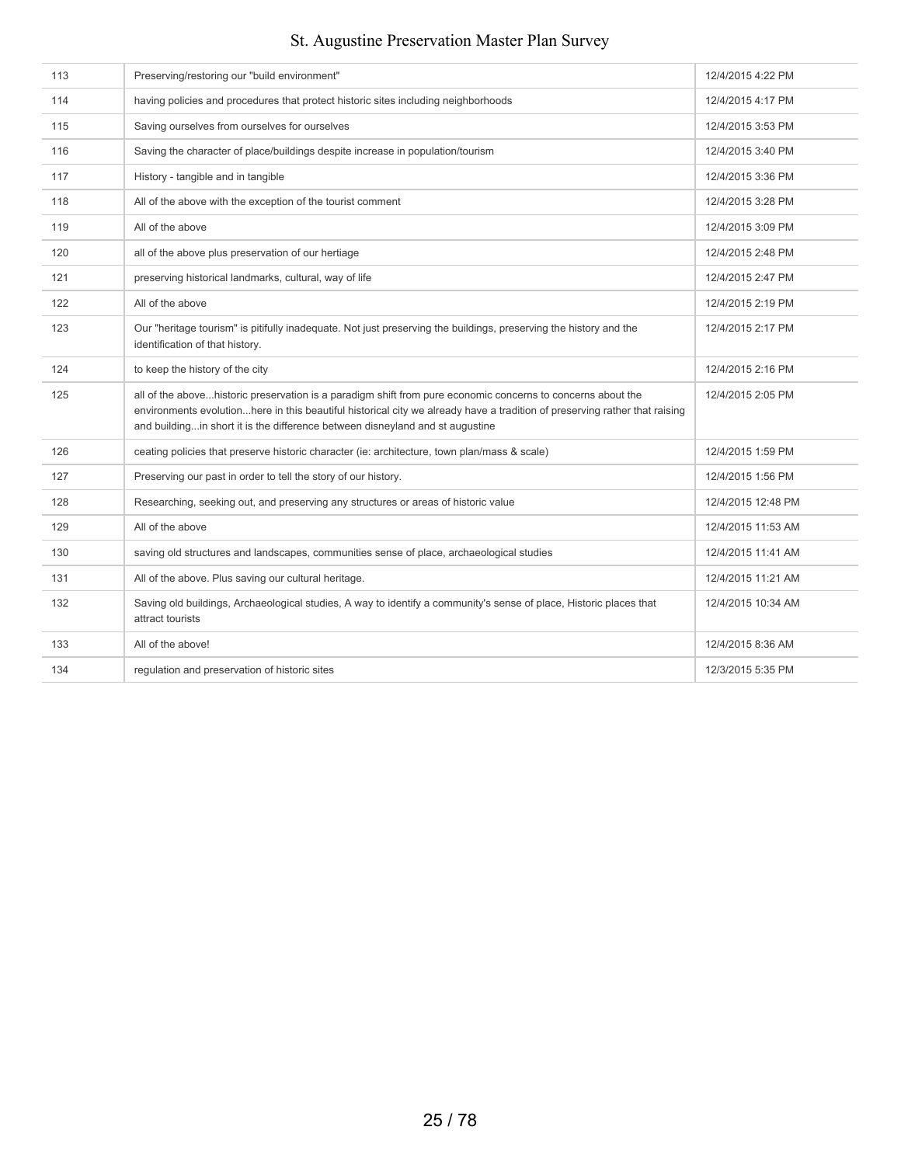| 113 | Preserving/restoring our "build environment"                                                                                                                                                                                                                                                                               | 12/4/2015 4:22 PM  |
|-----|----------------------------------------------------------------------------------------------------------------------------------------------------------------------------------------------------------------------------------------------------------------------------------------------------------------------------|--------------------|
| 114 | having policies and procedures that protect historic sites including neighborhoods                                                                                                                                                                                                                                         | 12/4/2015 4:17 PM  |
| 115 | Saving ourselves from ourselves for ourselves                                                                                                                                                                                                                                                                              | 12/4/2015 3:53 PM  |
| 116 | Saving the character of place/buildings despite increase in population/tourism                                                                                                                                                                                                                                             | 12/4/2015 3:40 PM  |
| 117 | History - tangible and in tangible                                                                                                                                                                                                                                                                                         | 12/4/2015 3:36 PM  |
| 118 | All of the above with the exception of the tourist comment                                                                                                                                                                                                                                                                 | 12/4/2015 3:28 PM  |
| 119 | All of the above                                                                                                                                                                                                                                                                                                           | 12/4/2015 3:09 PM  |
| 120 | all of the above plus preservation of our hertiage                                                                                                                                                                                                                                                                         | 12/4/2015 2:48 PM  |
| 121 | preserving historical landmarks, cultural, way of life                                                                                                                                                                                                                                                                     | 12/4/2015 2:47 PM  |
| 122 | All of the above                                                                                                                                                                                                                                                                                                           | 12/4/2015 2:19 PM  |
| 123 | Our "heritage tourism" is pitifully inadequate. Not just preserving the buildings, preserving the history and the<br>identification of that history.                                                                                                                                                                       | 12/4/2015 2:17 PM  |
| 124 | to keep the history of the city                                                                                                                                                                                                                                                                                            | 12/4/2015 2:16 PM  |
| 125 | all of the abovehistoric preservation is a paradigm shift from pure economic concerns to concerns about the<br>environments evolutionhere in this beautiful historical city we already have a tradition of preserving rather that raising<br>and buildingin short it is the difference between disneyland and st augustine | 12/4/2015 2:05 PM  |
| 126 | ceating policies that preserve historic character (ie: architecture, town plan/mass & scale)                                                                                                                                                                                                                               | 12/4/2015 1:59 PM  |
| 127 | Preserving our past in order to tell the story of our history.                                                                                                                                                                                                                                                             | 12/4/2015 1:56 PM  |
| 128 | Researching, seeking out, and preserving any structures or areas of historic value                                                                                                                                                                                                                                         | 12/4/2015 12:48 PM |
| 129 | All of the above                                                                                                                                                                                                                                                                                                           | 12/4/2015 11:53 AM |
| 130 | saving old structures and landscapes, communities sense of place, archaeological studies                                                                                                                                                                                                                                   | 12/4/2015 11:41 AM |
| 131 | All of the above. Plus saving our cultural heritage.                                                                                                                                                                                                                                                                       | 12/4/2015 11:21 AM |
| 132 | Saving old buildings, Archaeological studies, A way to identify a community's sense of place, Historic places that<br>attract tourists                                                                                                                                                                                     | 12/4/2015 10:34 AM |
| 133 | All of the above!                                                                                                                                                                                                                                                                                                          | 12/4/2015 8:36 AM  |
| 134 | regulation and preservation of historic sites                                                                                                                                                                                                                                                                              | 12/3/2015 5:35 PM  |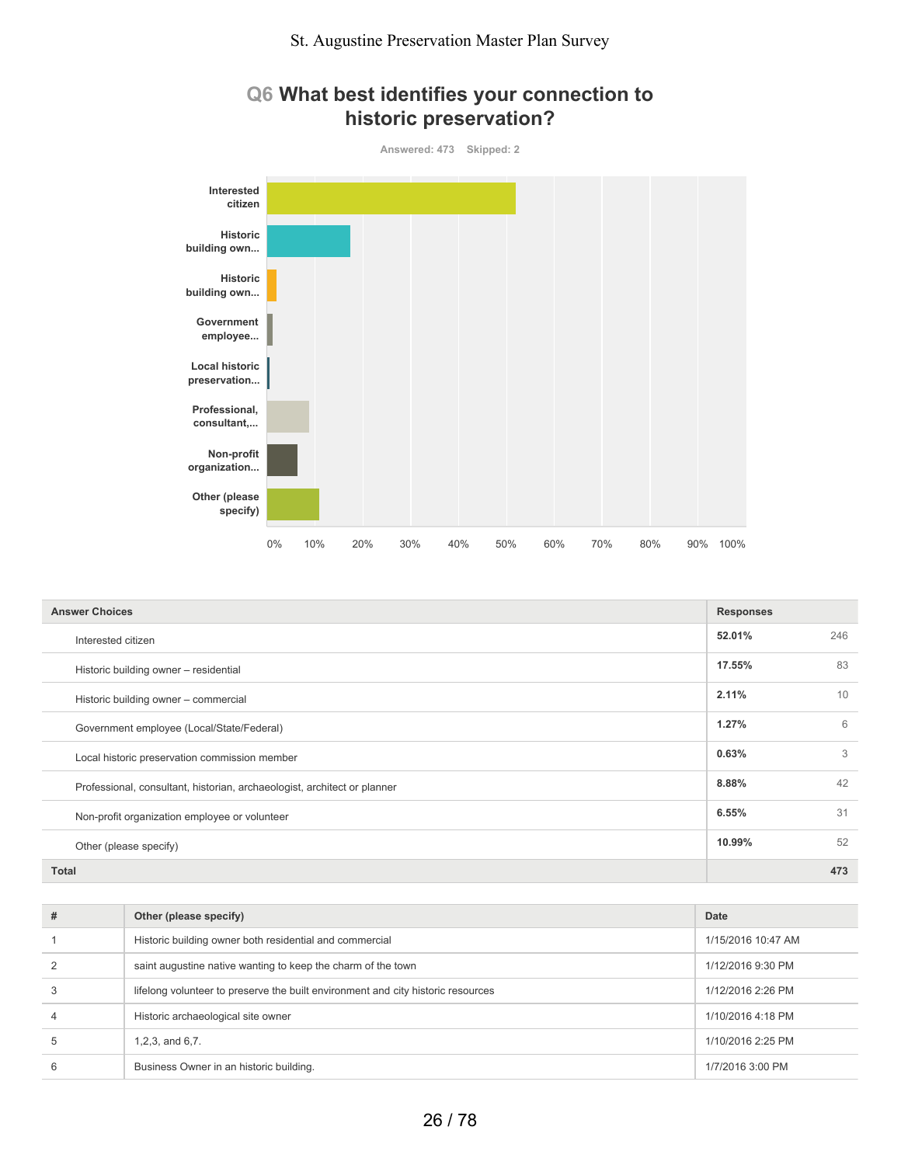## **Q6 What best identifies your connection to historic preservation?**



| <b>Answer Choices</b>                                                    | <b>Responses</b> |     |
|--------------------------------------------------------------------------|------------------|-----|
| Interested citizen                                                       | 52.01%           | 246 |
| Historic building owner - residential                                    | 17.55%           | 83  |
| Historic building owner - commercial                                     | 2.11%            | 10  |
| Government employee (Local/State/Federal)                                | 1.27%            | 6   |
| Local historic preservation commission member                            | 0.63%            | 3   |
| Professional, consultant, historian, archaeologist, architect or planner | 8.88%            | 42  |
| Non-profit organization employee or volunteer                            | 6.55%            | 31  |
| Other (please specify)                                                   | 10.99%           | 52  |
| <b>Total</b>                                                             |                  | 473 |

| #            | Other (please specify)                                                           | Date               |
|--------------|----------------------------------------------------------------------------------|--------------------|
|              | Historic building owner both residential and commercial                          | 1/15/2016 10:47 AM |
|              | saint augustine native wanting to keep the charm of the town                     | 1/12/2016 9:30 PM  |
|              | lifelong volunteer to preserve the built environment and city historic resources | 1/12/2016 2:26 PM  |
|              | Historic archaeological site owner                                               | 1/10/2016 4:18 PM  |
| $\mathbf{5}$ | $1,2,3$ , and $6,7$ .                                                            | 1/10/2016 2:25 PM  |
|              | Business Owner in an historic building.                                          | 1/7/2016 3:00 PM   |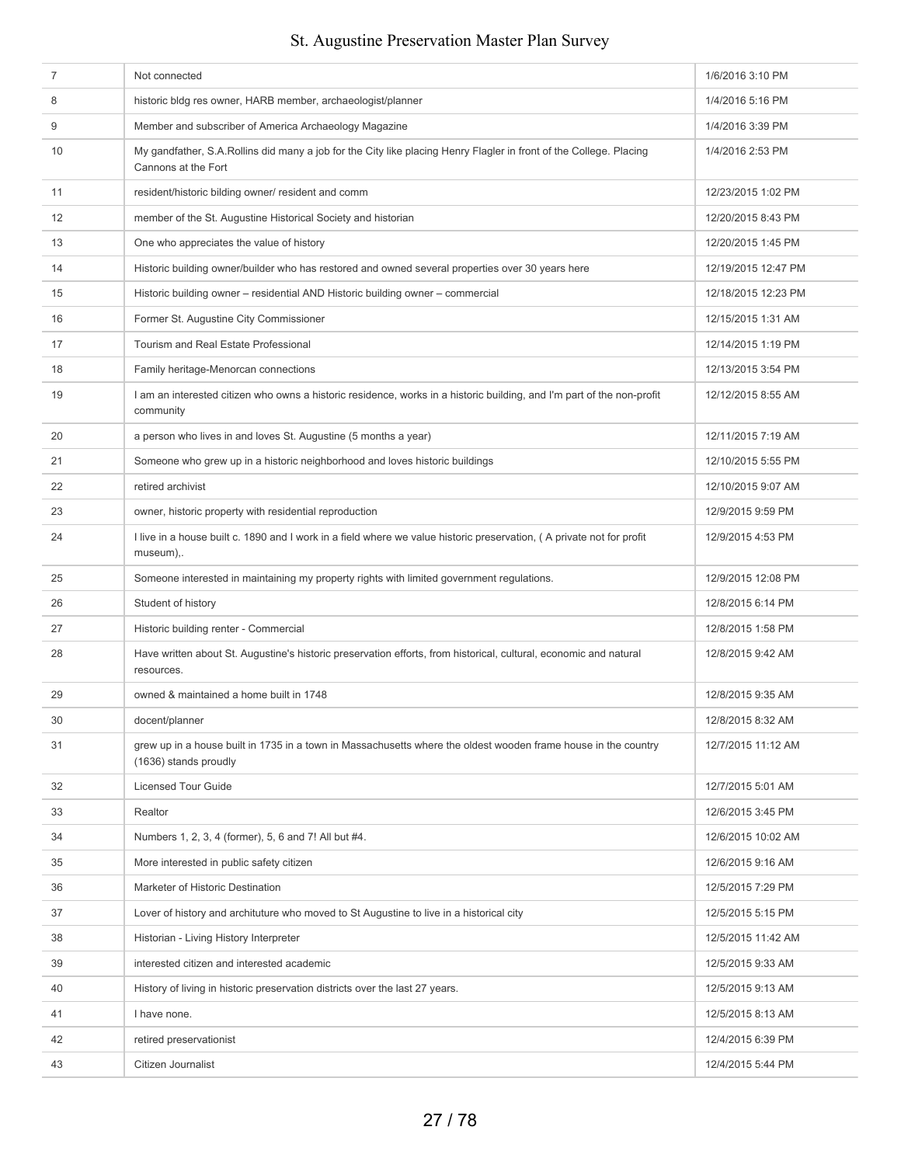| $\overline{7}$ | Not connected                                                                                                                             | 1/6/2016 3:10 PM    |
|----------------|-------------------------------------------------------------------------------------------------------------------------------------------|---------------------|
| 8              | historic bldg res owner, HARB member, archaeologist/planner                                                                               | 1/4/2016 5:16 PM    |
| 9              | Member and subscriber of America Archaeology Magazine                                                                                     | 1/4/2016 3:39 PM    |
| 10             | My gandfather, S.A.Rollins did many a job for the City like placing Henry Flagler in front of the College. Placing<br>Cannons at the Fort | 1/4/2016 2:53 PM    |
| 11             | resident/historic bilding owner/ resident and comm                                                                                        | 12/23/2015 1:02 PM  |
| 12             | member of the St. Augustine Historical Society and historian                                                                              | 12/20/2015 8:43 PM  |
| 13             | One who appreciates the value of history                                                                                                  | 12/20/2015 1:45 PM  |
| 14             | Historic building owner/builder who has restored and owned several properties over 30 years here                                          | 12/19/2015 12:47 PM |
| 15             | Historic building owner - residential AND Historic building owner - commercial                                                            | 12/18/2015 12:23 PM |
| 16             | Former St. Augustine City Commissioner                                                                                                    | 12/15/2015 1:31 AM  |
| 17             | Tourism and Real Estate Professional                                                                                                      | 12/14/2015 1:19 PM  |
| 18             | Family heritage-Menorcan connections                                                                                                      | 12/13/2015 3:54 PM  |
| 19             | I am an interested citizen who owns a historic residence, works in a historic building, and I'm part of the non-profit<br>community       | 12/12/2015 8:55 AM  |
| 20             | a person who lives in and loves St. Augustine (5 months a year)                                                                           | 12/11/2015 7:19 AM  |
| 21             | Someone who grew up in a historic neighborhood and loves historic buildings                                                               | 12/10/2015 5:55 PM  |
| 22             | retired archivist                                                                                                                         | 12/10/2015 9:07 AM  |
| 23             | owner, historic property with residential reproduction                                                                                    | 12/9/2015 9:59 PM   |
| 24             | I live in a house built c. 1890 and I work in a field where we value historic preservation, (A private not for profit<br>museum),.        | 12/9/2015 4:53 PM   |
| 25             | Someone interested in maintaining my property rights with limited government regulations.                                                 | 12/9/2015 12:08 PM  |
| 26             | Student of history                                                                                                                        | 12/8/2015 6:14 PM   |
| 27             | Historic building renter - Commercial                                                                                                     | 12/8/2015 1:58 PM   |
| 28             | Have written about St. Augustine's historic preservation efforts, from historical, cultural, economic and natural<br>resources.           | 12/8/2015 9:42 AM   |
| 29             | owned & maintained a home built in 1748                                                                                                   | 12/8/2015 9:35 AM   |
| 30             | docent/planner                                                                                                                            | 12/8/2015 8:32 AM   |
| 31             | grew up in a house built in 1735 in a town in Massachusetts where the oldest wooden frame house in the country<br>(1636) stands proudly   | 12/7/2015 11:12 AM  |
| 32             | <b>Licensed Tour Guide</b>                                                                                                                | 12/7/2015 5:01 AM   |
| 33             | Realtor                                                                                                                                   | 12/6/2015 3:45 PM   |
| 34             | Numbers 1, 2, 3, 4 (former), 5, 6 and 7! All but #4.                                                                                      | 12/6/2015 10:02 AM  |
| 35             | More interested in public safety citizen                                                                                                  | 12/6/2015 9:16 AM   |
| 36             | Marketer of Historic Destination                                                                                                          | 12/5/2015 7:29 PM   |
| 37             | Lover of history and archituture who moved to St Augustine to live in a historical city                                                   | 12/5/2015 5:15 PM   |
| 38             | Historian - Living History Interpreter                                                                                                    | 12/5/2015 11:42 AM  |
| 39             | interested citizen and interested academic                                                                                                | 12/5/2015 9:33 AM   |
| 40             | History of living in historic preservation districts over the last 27 years.                                                              | 12/5/2015 9:13 AM   |
| 41             | I have none.                                                                                                                              | 12/5/2015 8:13 AM   |
| 42             | retired preservationist                                                                                                                   | 12/4/2015 6:39 PM   |
| 43             | Citizen Journalist                                                                                                                        | 12/4/2015 5:44 PM   |
|                |                                                                                                                                           |                     |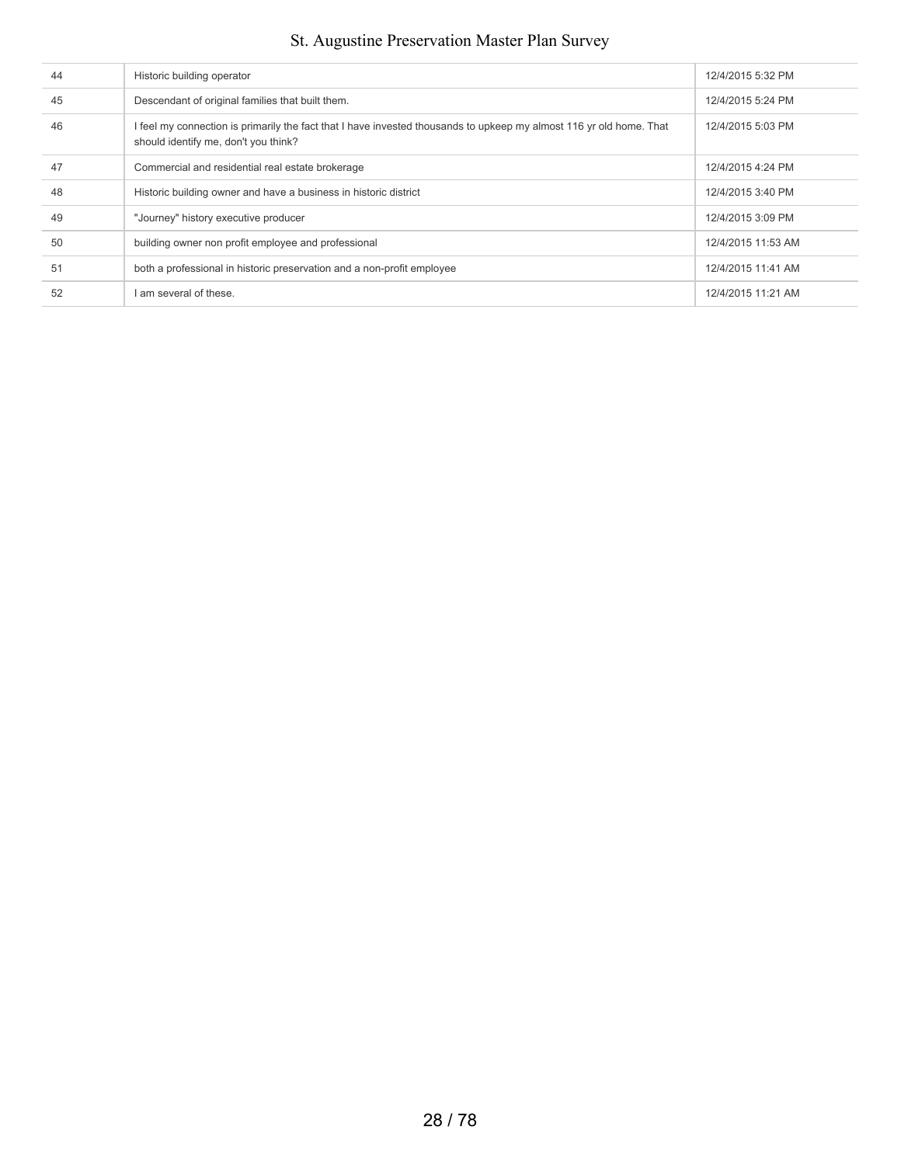| 44 | Historic building operator                                                                                                                                  | 12/4/2015 5:32 PM  |
|----|-------------------------------------------------------------------------------------------------------------------------------------------------------------|--------------------|
| 45 | Descendant of original families that built them.                                                                                                            | 12/4/2015 5:24 PM  |
| 46 | I feel my connection is primarily the fact that I have invested thousands to upkeep my almost 116 yr old home. That<br>should identify me, don't you think? | 12/4/2015 5:03 PM  |
| 47 | Commercial and residential real estate brokerage                                                                                                            | 12/4/2015 4:24 PM  |
| 48 | Historic building owner and have a business in historic district                                                                                            | 12/4/2015 3:40 PM  |
| 49 | "Journey" history executive producer                                                                                                                        | 12/4/2015 3:09 PM  |
| 50 | building owner non profit employee and professional                                                                                                         | 12/4/2015 11:53 AM |
| 51 | both a professional in historic preservation and a non-profit employee                                                                                      | 12/4/2015 11:41 AM |
| 52 | I am several of these.                                                                                                                                      | 12/4/2015 11:21 AM |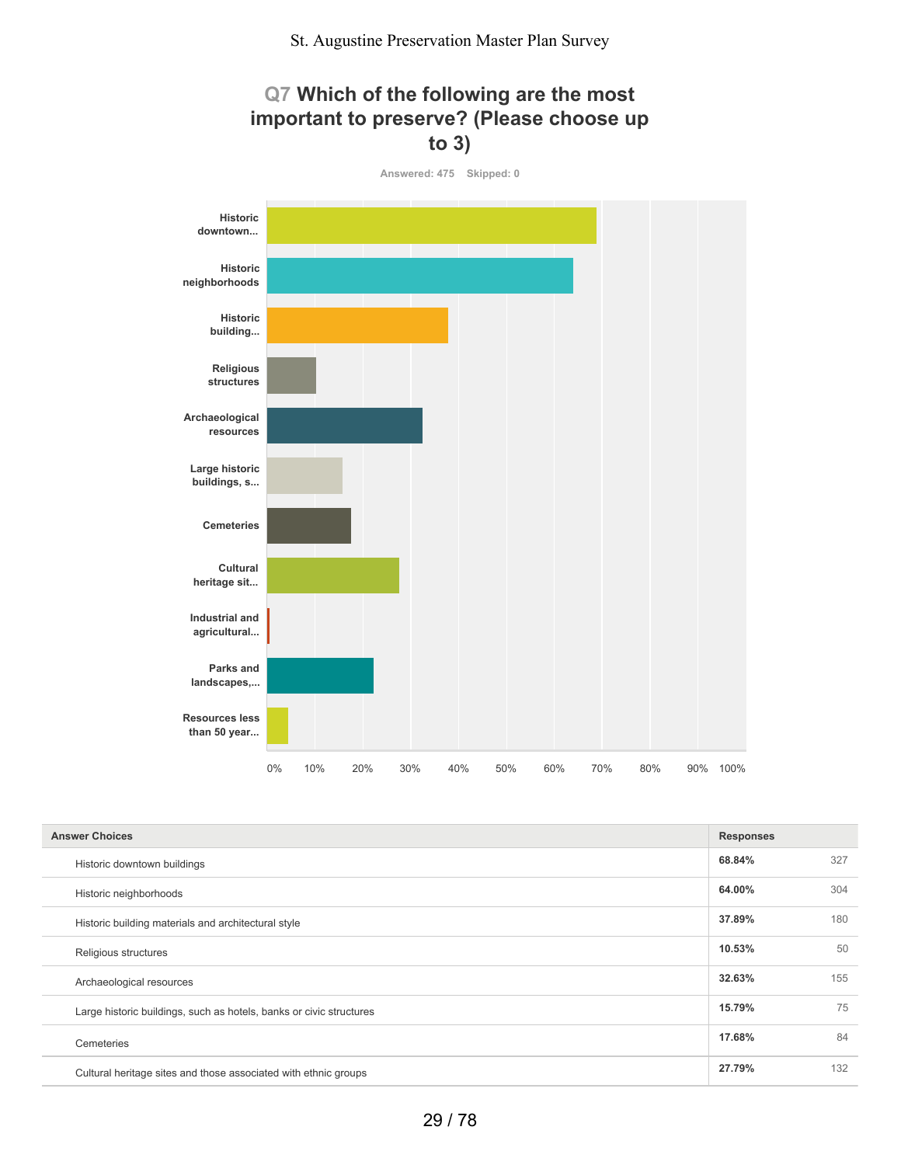



| <b>Answer Choices</b>                                               |        |     |
|---------------------------------------------------------------------|--------|-----|
| Historic downtown buildings                                         | 68.84% | 327 |
| Historic neighborhoods                                              | 64.00% | 304 |
| Historic building materials and architectural style                 | 37.89% | 180 |
| Religious structures                                                | 10.53% | 50  |
| Archaeological resources                                            | 32.63% | 155 |
| Large historic buildings, such as hotels, banks or civic structures | 15.79% | 75  |
| Cemeteries                                                          | 17.68% | 84  |
| Cultural heritage sites and those associated with ethnic groups     | 27.79% | 132 |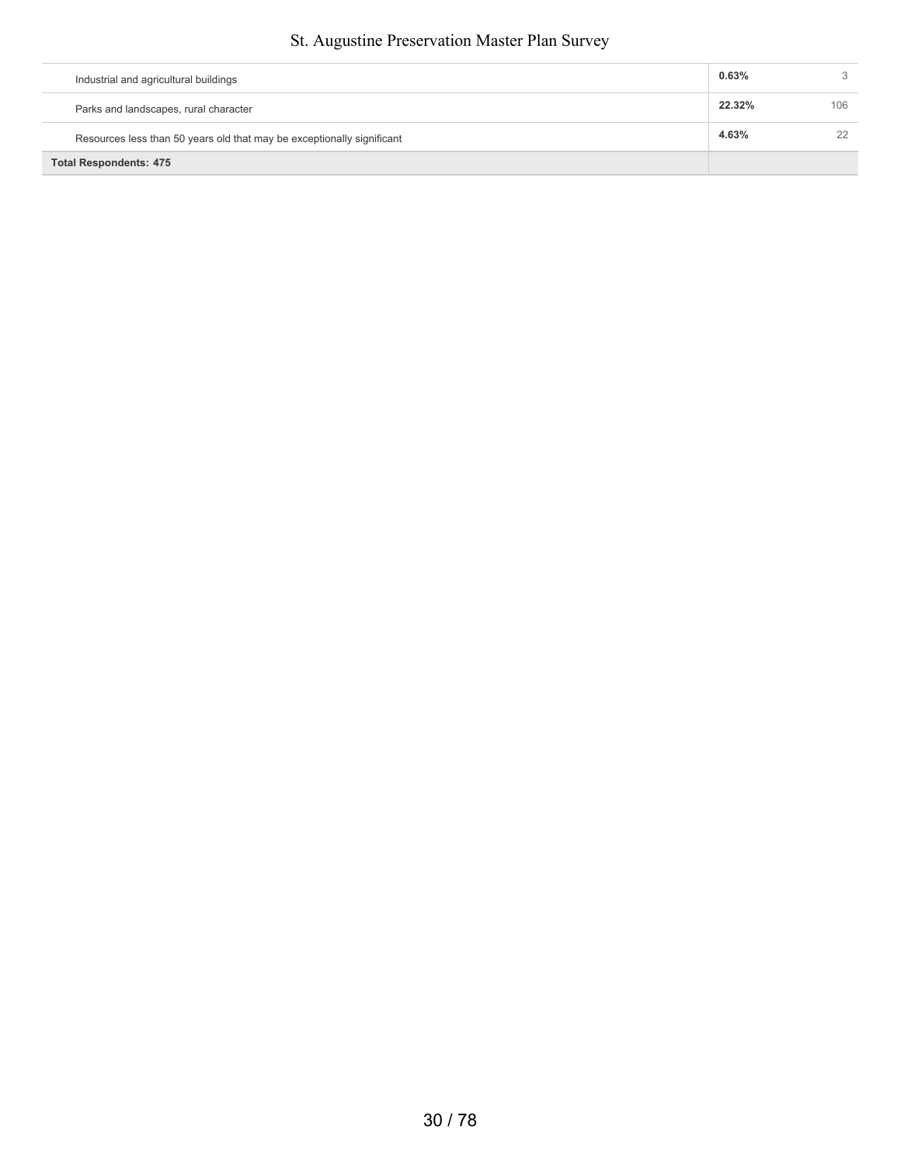| Industrial and agricultural buildings                                  | 0.63%  |     |
|------------------------------------------------------------------------|--------|-----|
| Parks and landscapes, rural character                                  | 22.32% | 106 |
| Resources less than 50 years old that may be exceptionally significant | 4.63%  | 22  |
| <b>Total Respondents: 475</b>                                          |        |     |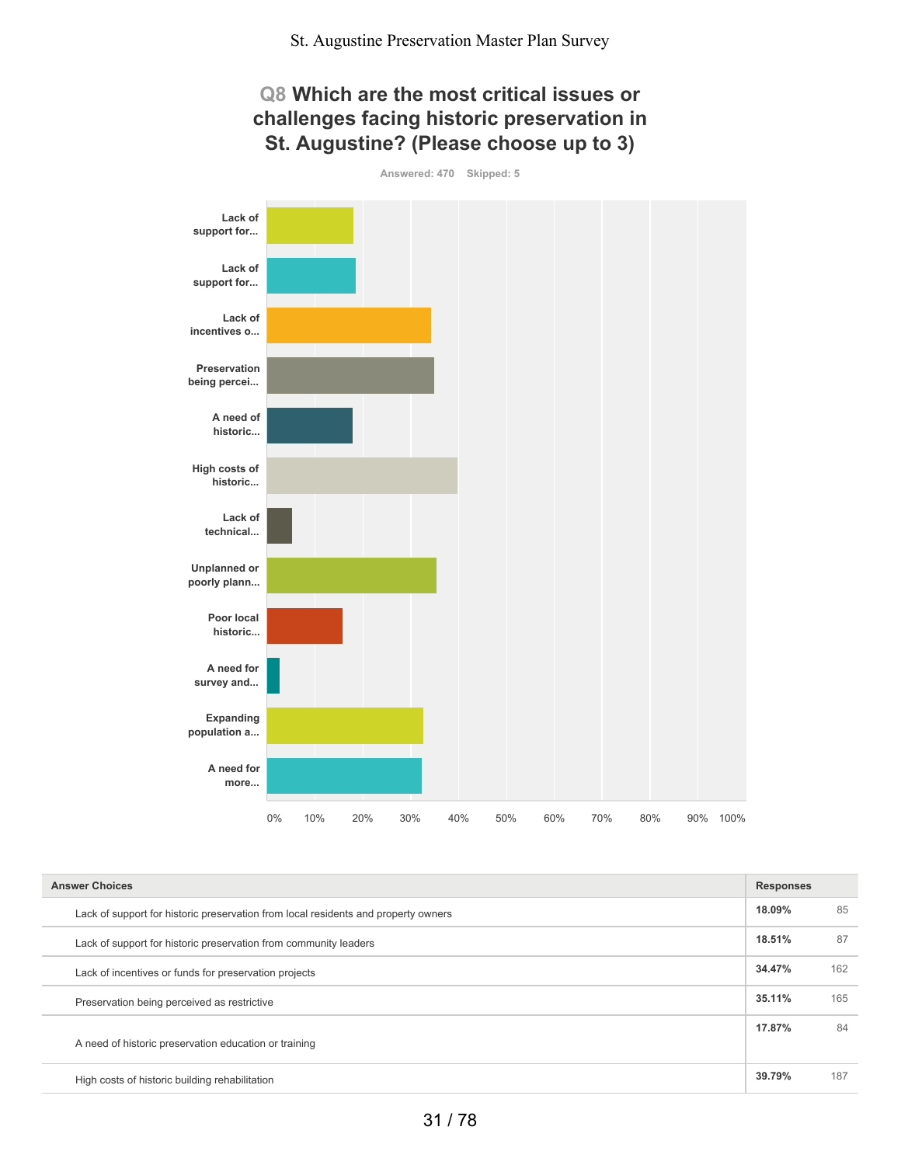

| <b>Answer Choices</b>                                                              |        |     |
|------------------------------------------------------------------------------------|--------|-----|
| Lack of support for historic preservation from local residents and property owners | 18.09% | 85  |
| Lack of support for historic preservation from community leaders                   | 18.51% | 87  |
| Lack of incentives or funds for preservation projects                              | 34.47% | 162 |
| Preservation being perceived as restrictive                                        | 35.11% | 165 |
| A need of historic preservation education or training                              | 17.87% | 84  |
| High costs of historic building rehabilitation                                     | 39.79% | 187 |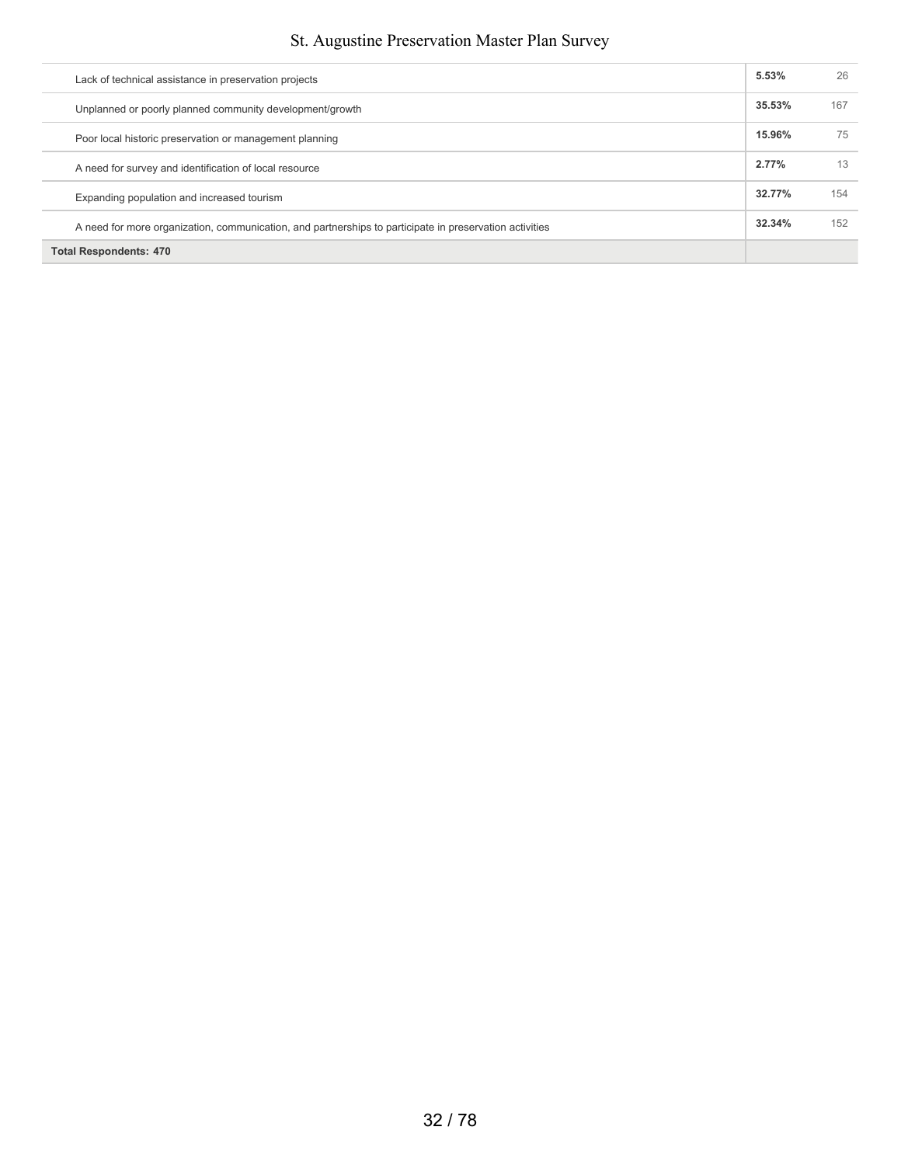| <b>Total Respondents: 470</b>                                                                           |        |     |
|---------------------------------------------------------------------------------------------------------|--------|-----|
| A need for more organization, communication, and partnerships to participate in preservation activities | 32.34% | 152 |
| Expanding population and increased tourism                                                              | 32.77% | 154 |
| A need for survey and identification of local resource                                                  | 2.77%  | 13  |
| Poor local historic preservation or management planning                                                 | 15.96% | 75  |
| Unplanned or poorly planned community development/growth                                                | 35.53% | 167 |
| Lack of technical assistance in preservation projects                                                   | 5.53%  | 26  |

Ī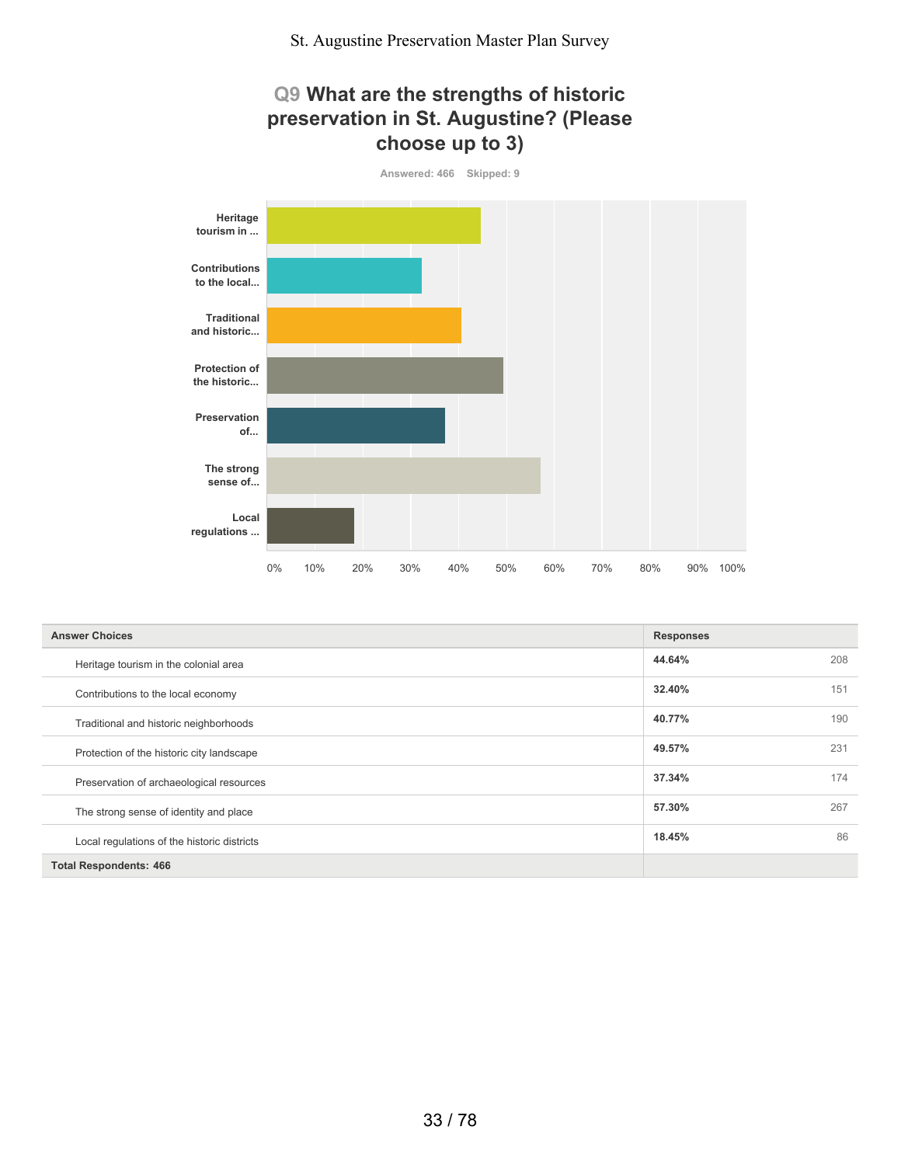

| <b>Answer Choices</b>                       | <b>Responses</b> |     |
|---------------------------------------------|------------------|-----|
| Heritage tourism in the colonial area       | 44.64%           | 208 |
| Contributions to the local economy          | 32.40%           | 151 |
| Traditional and historic neighborhoods      | 40.77%           | 190 |
| Protection of the historic city landscape   | 49.57%           | 231 |
| Preservation of archaeological resources    | 37.34%           | 174 |
| The strong sense of identity and place      | 57.30%           | 267 |
| Local regulations of the historic districts | 18.45%           | 86  |
| <b>Total Respondents: 466</b>               |                  |     |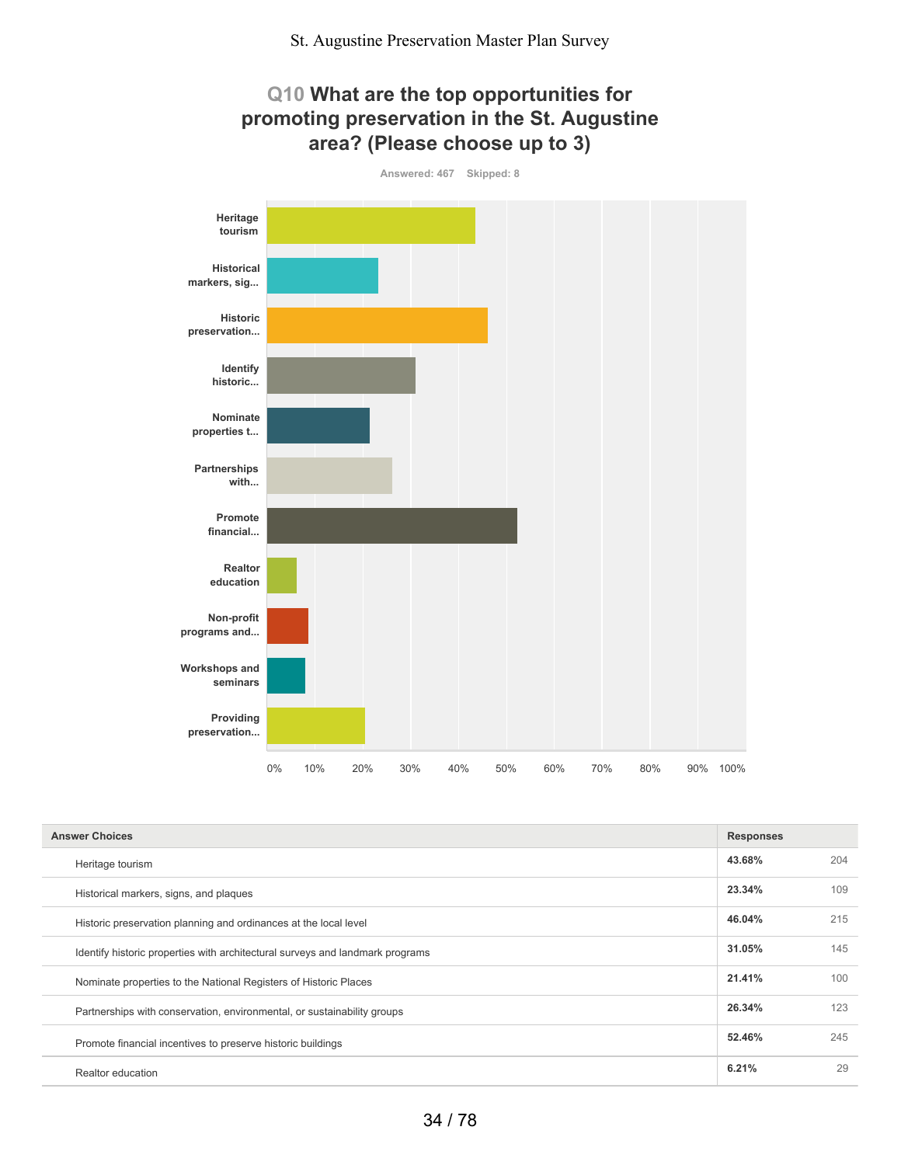## **Q10 What are the top opportunities for promoting preservation in the St. Augustine area? (Please choose up to 3)**



| <b>Answer Choices</b>                                                         | <b>Responses</b> |     |
|-------------------------------------------------------------------------------|------------------|-----|
| Heritage tourism                                                              | 43.68%           | 204 |
| Historical markers, signs, and plaques                                        | 23.34%           | 109 |
| Historic preservation planning and ordinances at the local level              | 46.04%           | 215 |
| Identify historic properties with architectural surveys and landmark programs | 31.05%           | 145 |
| Nominate properties to the National Registers of Historic Places              | 21.41%           | 100 |
| Partnerships with conservation, environmental, or sustainability groups       | 26.34%           | 123 |
| Promote financial incentives to preserve historic buildings                   | 52.46%           | 245 |
| Realtor education                                                             | 6.21%            | 29  |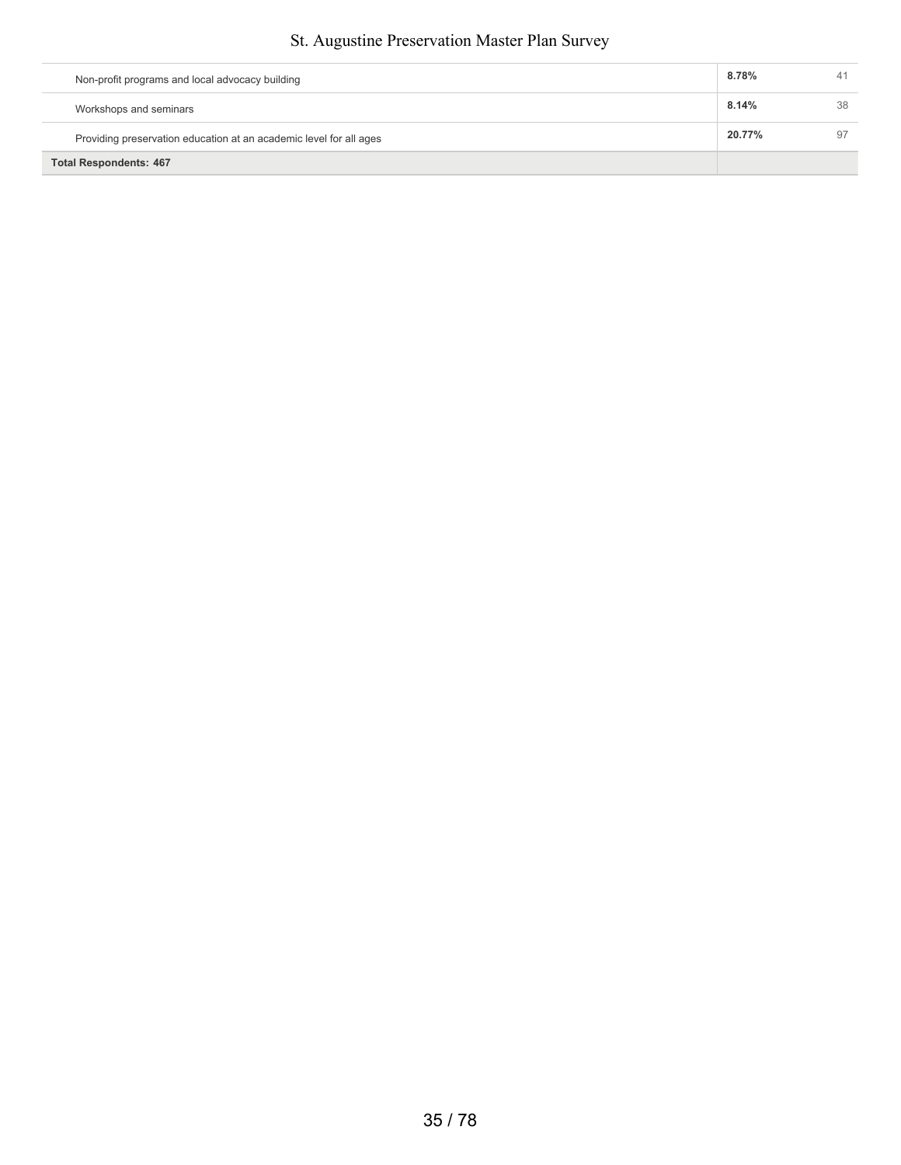| Non-profit programs and local advocacy building                    | 8.78%  | 41 |
|--------------------------------------------------------------------|--------|----|
| Workshops and seminars                                             | 8.14%  | 38 |
| Providing preservation education at an academic level for all ages | 20.77% | 97 |
| <b>Total Respondents: 467</b>                                      |        |    |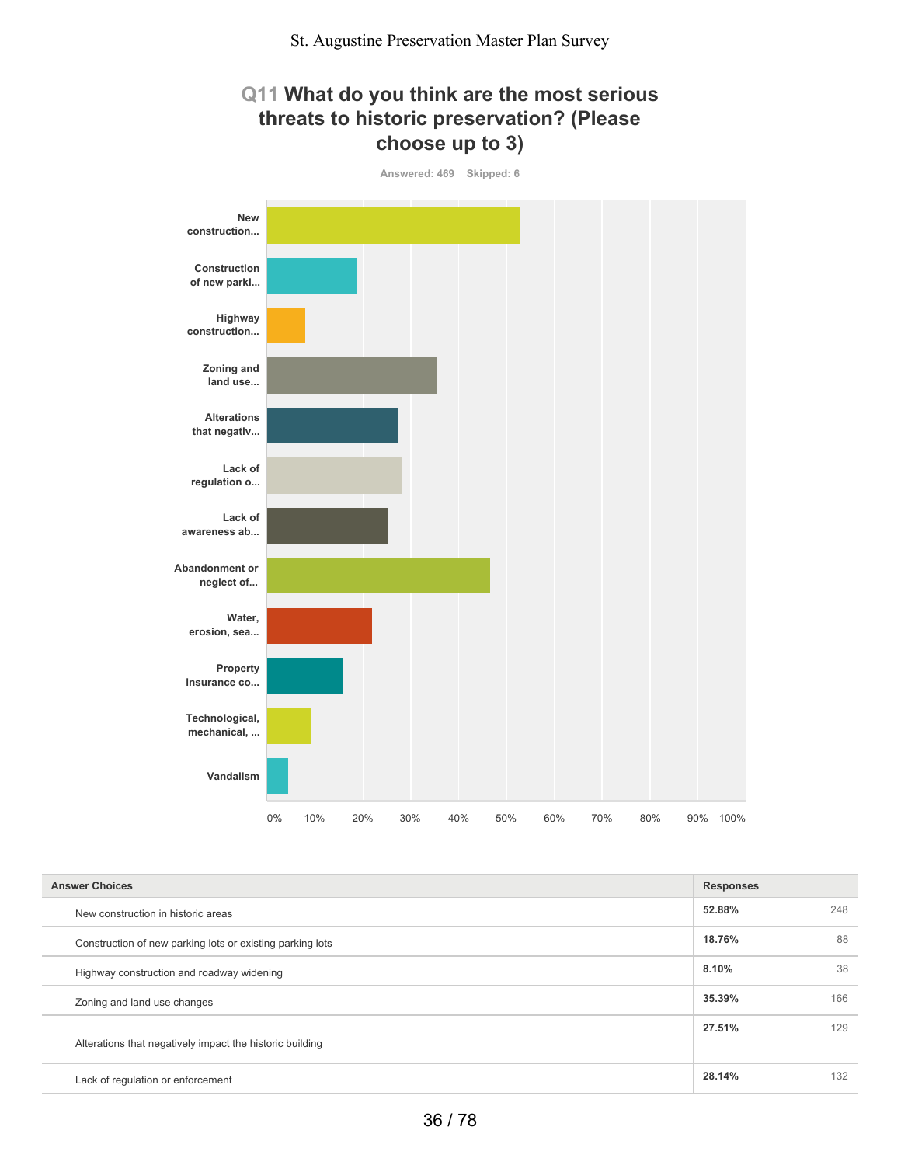### **Q11 What do you think are the most serious threats to historic preservation? (Please choose up to 3)**



| <b>Answer Choices</b>                                     | <b>Responses</b> |     |
|-----------------------------------------------------------|------------------|-----|
| New construction in historic areas                        | 52.88%           | 248 |
| Construction of new parking lots or existing parking lots | 18.76%           | 88  |
| Highway construction and roadway widening                 | 8.10%            | 38  |
| Zoning and land use changes                               | 35.39%           | 166 |
| Alterations that negatively impact the historic building  | 27.51%           | 129 |
| Lack of regulation or enforcement                         | 28.14%           | 132 |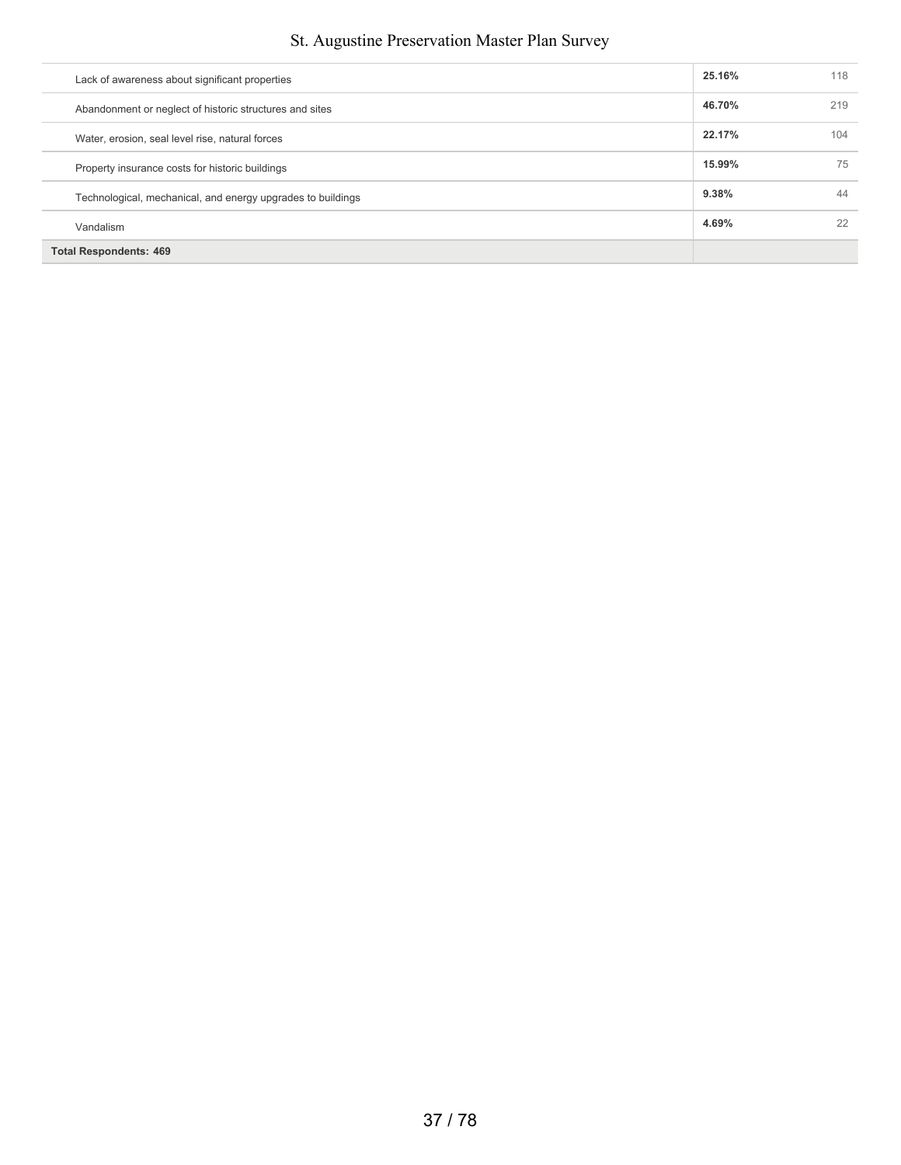| Lack of awareness about significant properties              | 25.16% | 118 |
|-------------------------------------------------------------|--------|-----|
| Abandonment or neglect of historic structures and sites     | 46.70% | 219 |
| Water, erosion, seal level rise, natural forces             | 22.17% | 104 |
| Property insurance costs for historic buildings             | 15.99% | 75  |
| Technological, mechanical, and energy upgrades to buildings | 9.38%  | 44  |
| Vandalism                                                   | 4.69%  | 22  |
| <b>Total Respondents: 469</b>                               |        |     |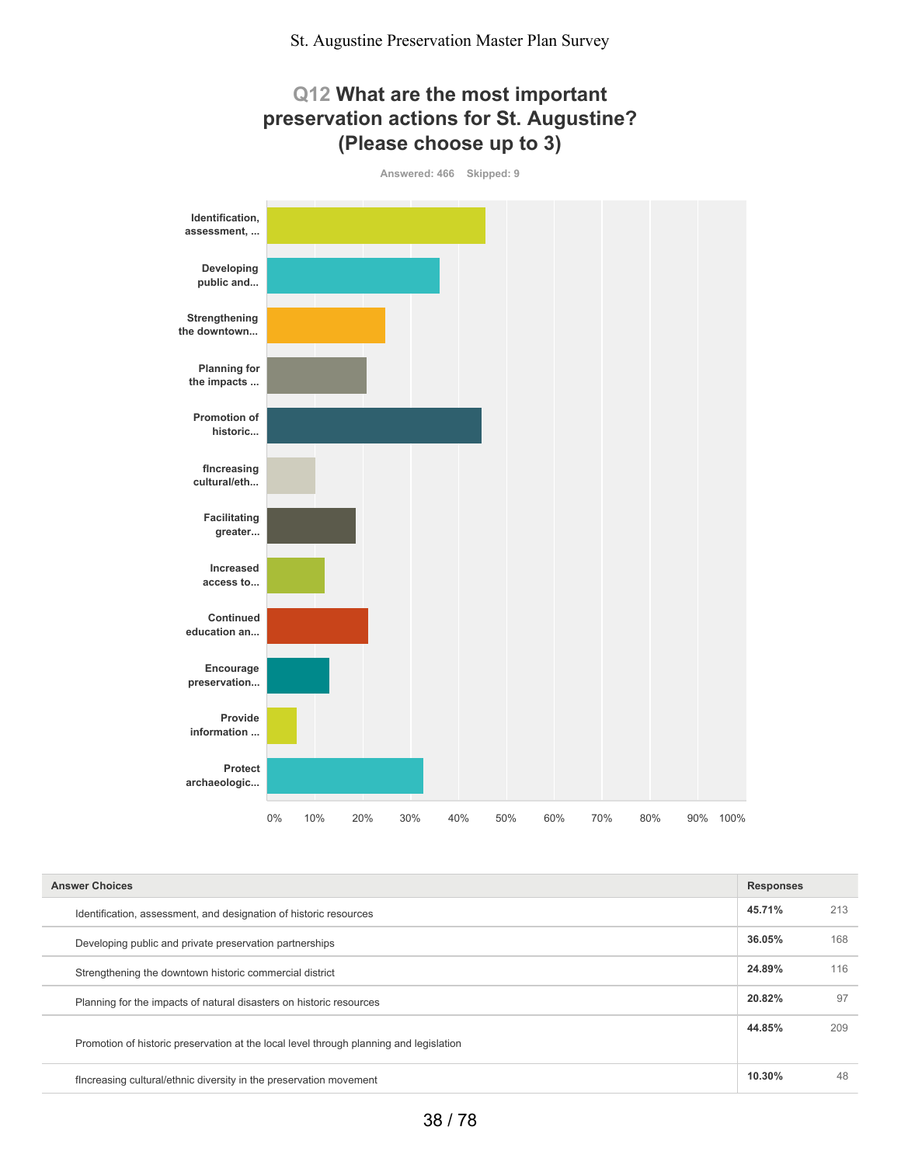

| <b>Answer Choices</b>                                                                  |        |     |
|----------------------------------------------------------------------------------------|--------|-----|
| Identification, assessment, and designation of historic resources                      | 45.71% | 213 |
| Developing public and private preservation partnerships                                | 36.05% | 168 |
| Strengthening the downtown historic commercial district                                | 24.89% | 116 |
| Planning for the impacts of natural disasters on historic resources                    | 20.82% | 97  |
| Promotion of historic preservation at the local level through planning and legislation | 44.85% | 209 |
| flncreasing cultural/ethnic diversity in the preservation movement                     | 10.30% | 48  |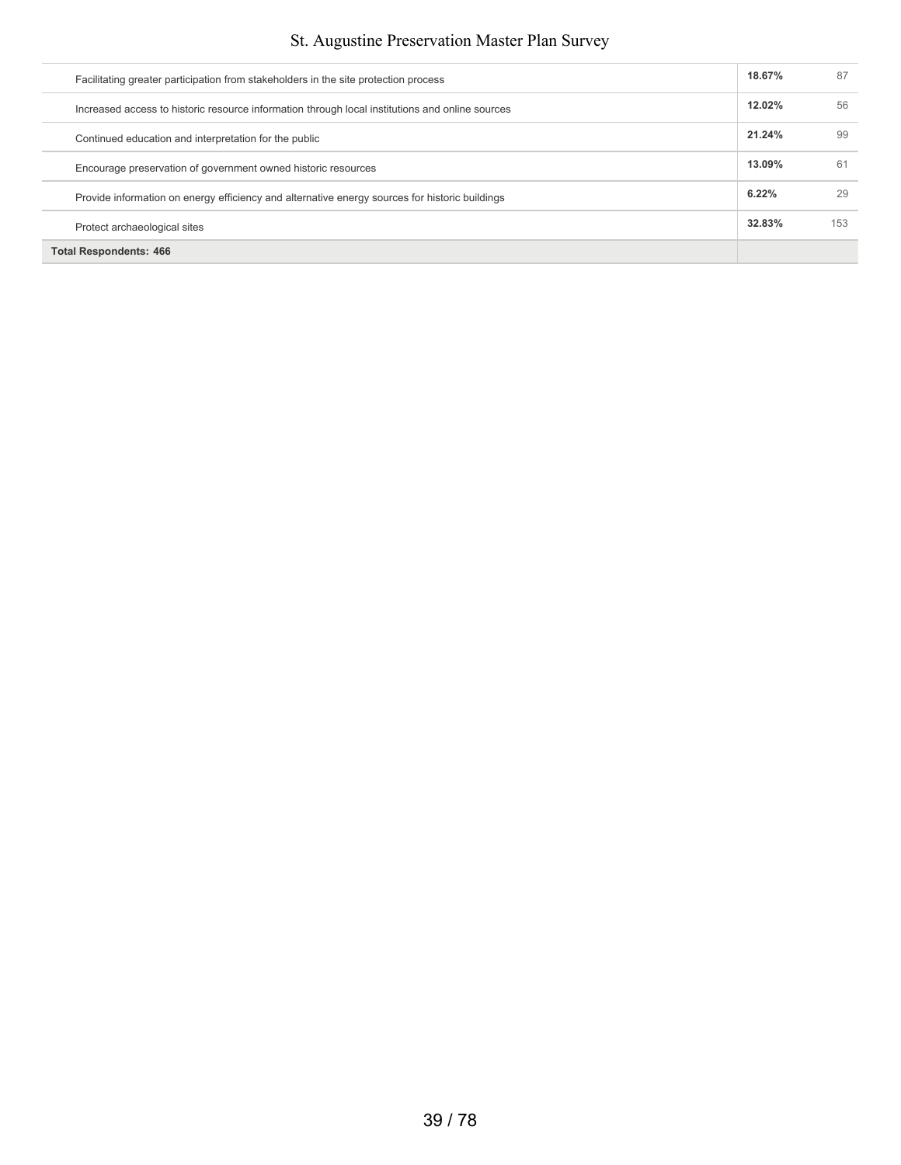| Facilitating greater participation from stakeholders in the site protection process             | 18.67% | 87  |
|-------------------------------------------------------------------------------------------------|--------|-----|
| Increased access to historic resource information through local institutions and online sources | 12.02% | 56  |
| Continued education and interpretation for the public                                           | 21.24% | 99  |
| Encourage preservation of government owned historic resources                                   | 13.09% | 61  |
| Provide information on energy efficiency and alternative energy sources for historic buildings  | 6.22%  | 29  |
| Protect archaeological sites                                                                    | 32.83% | 153 |
| <b>Total Respondents: 466</b>                                                                   |        |     |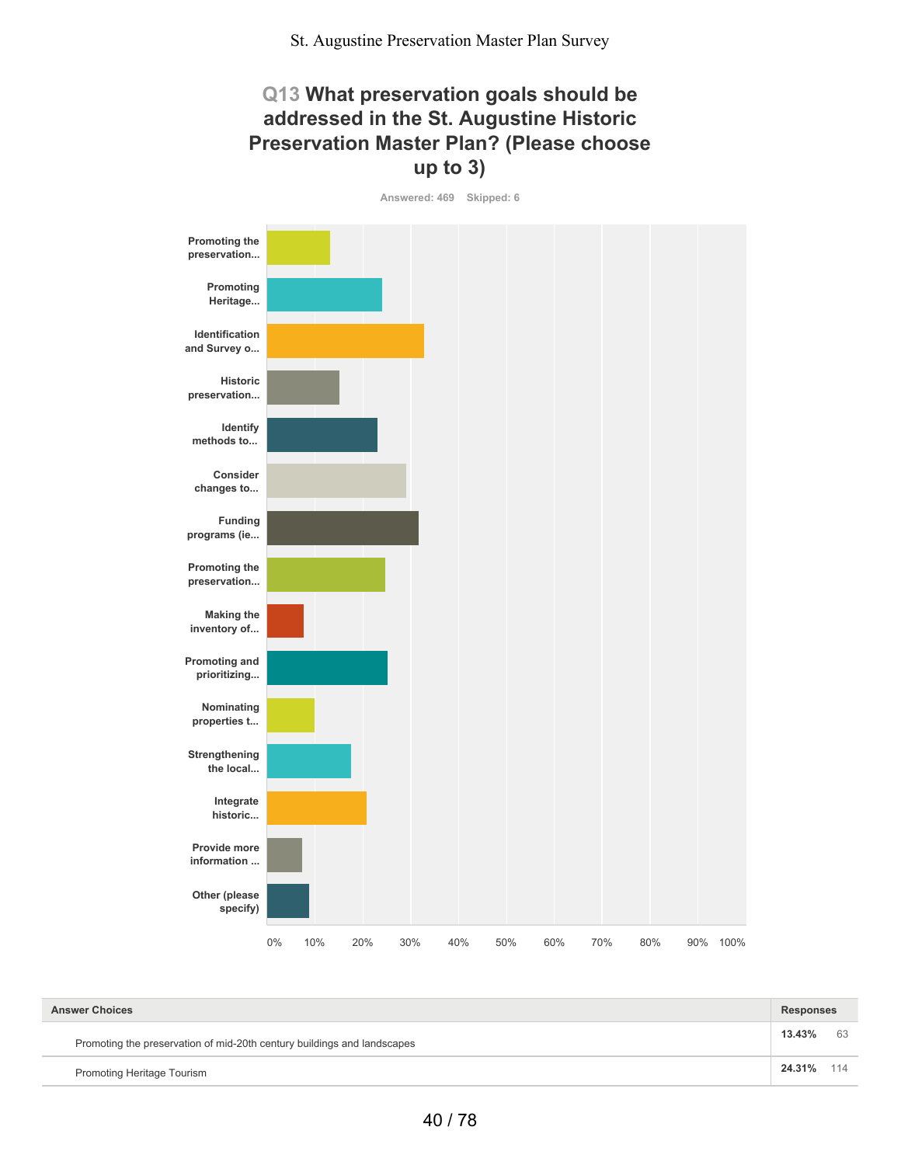### **Q13 What preservation goals should be addressed in the St. Augustine Historic Preservation Master Plan? (Please choose up to 3)**

**Answered: 469 Skipped: 6**



| <b>Answer Choices</b>                                                   | <b>Responses</b> |     |
|-------------------------------------------------------------------------|------------------|-----|
| Promoting the preservation of mid-20th century buildings and landscapes | 13.43%           | 63  |
| Promoting Heritage Tourism                                              | 24.31%           | 114 |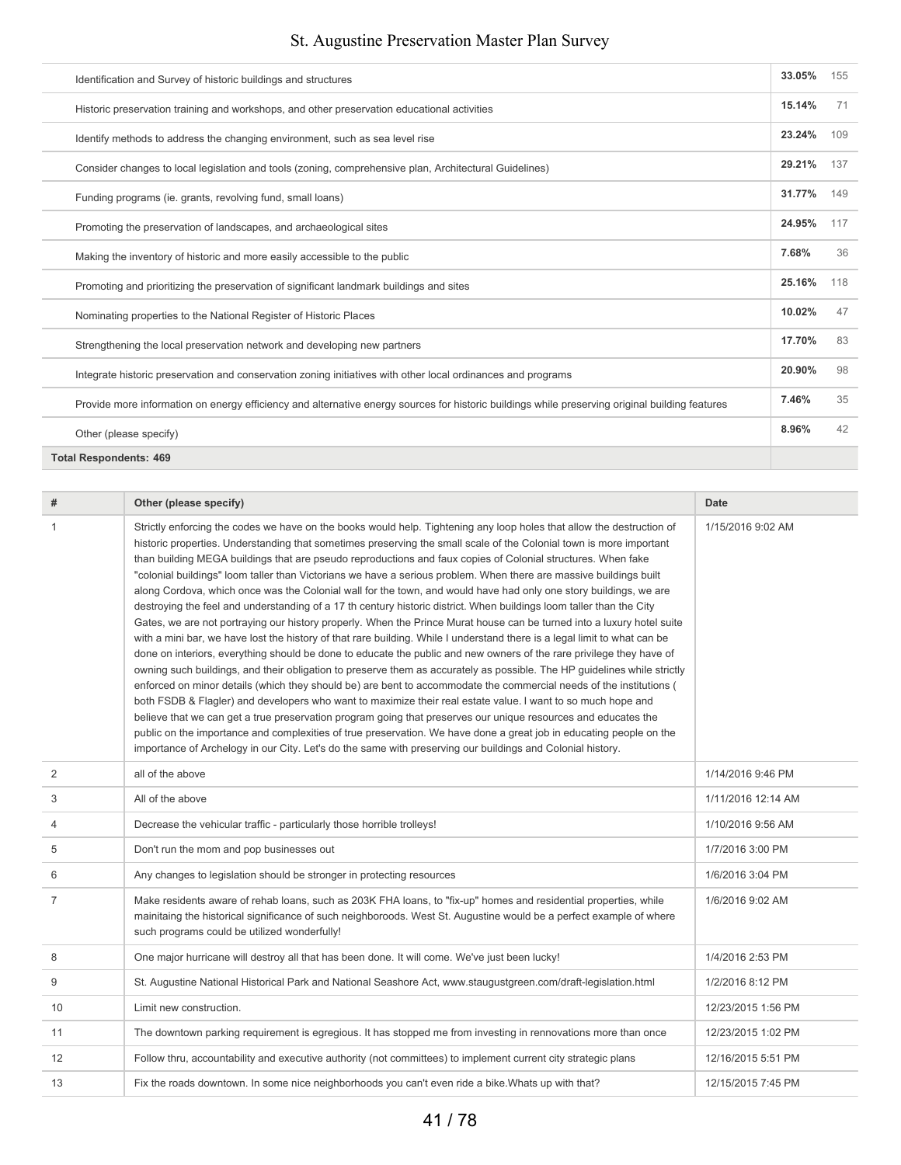| Identification and Survey of historic buildings and structures                                                                                  | 33.05% | 155 |
|-------------------------------------------------------------------------------------------------------------------------------------------------|--------|-----|
| Historic preservation training and workshops, and other preservation educational activities                                                     | 15.14% | 71  |
| Identify methods to address the changing environment, such as sea level rise                                                                    | 23.24% | 109 |
| Consider changes to local legislation and tools (zoning, comprehensive plan, Architectural Guidelines)                                          | 29.21% | 137 |
| Funding programs (ie. grants, revolving fund, small loans)                                                                                      | 31.77% | 149 |
| Promoting the preservation of landscapes, and archaeological sites                                                                              | 24.95% | 117 |
| Making the inventory of historic and more easily accessible to the public                                                                       | 7.68%  | 36  |
| Promoting and prioritizing the preservation of significant landmark buildings and sites                                                         | 25.16% | 118 |
| Nominating properties to the National Register of Historic Places                                                                               | 10.02% | 47  |
| Strengthening the local preservation network and developing new partners                                                                        | 17.70% | 83  |
| Integrate historic preservation and conservation zoning initiatives with other local ordinances and programs                                    | 20.90% | 98  |
| Provide more information on energy efficiency and alternative energy sources for historic buildings while preserving original building features | 7.46%  | 35  |
| Other (please specify)                                                                                                                          | 8.96%  | 42  |
| <b>Total Respondents: 469</b>                                                                                                                   |        |     |

| #              | Other (please specify)                                                                                                                                                                                                                                                                                                                                                                                                                                                                                                                                                                                                                                                                                                                                                                                                                                                                                                                                                                                                                                                                                                                                                                                                                                                                                                                                                                                                                                                                                                                                                                                                                                                                                                                                                                                                                   | <b>Date</b>        |
|----------------|------------------------------------------------------------------------------------------------------------------------------------------------------------------------------------------------------------------------------------------------------------------------------------------------------------------------------------------------------------------------------------------------------------------------------------------------------------------------------------------------------------------------------------------------------------------------------------------------------------------------------------------------------------------------------------------------------------------------------------------------------------------------------------------------------------------------------------------------------------------------------------------------------------------------------------------------------------------------------------------------------------------------------------------------------------------------------------------------------------------------------------------------------------------------------------------------------------------------------------------------------------------------------------------------------------------------------------------------------------------------------------------------------------------------------------------------------------------------------------------------------------------------------------------------------------------------------------------------------------------------------------------------------------------------------------------------------------------------------------------------------------------------------------------------------------------------------------------|--------------------|
| 1              | Strictly enforcing the codes we have on the books would help. Tightening any loop holes that allow the destruction of<br>historic properties. Understanding that sometimes preserving the small scale of the Colonial town is more important<br>than building MEGA buildings that are pseudo reproductions and faux copies of Colonial structures. When fake<br>"colonial buildings" loom taller than Victorians we have a serious problem. When there are massive buildings built<br>along Cordova, which once was the Colonial wall for the town, and would have had only one story buildings, we are<br>destroying the feel and understanding of a 17 th century historic district. When buildings loom taller than the City<br>Gates, we are not portraying our history properly. When the Prince Murat house can be turned into a luxury hotel suite<br>with a mini bar, we have lost the history of that rare building. While I understand there is a legal limit to what can be<br>done on interiors, everything should be done to educate the public and new owners of the rare privilege they have of<br>owning such buildings, and their obligation to preserve them as accurately as possible. The HP guidelines while strictly<br>enforced on minor details (which they should be) are bent to accommodate the commercial needs of the institutions (<br>both FSDB & Flagler) and developers who want to maximize their real estate value. I want to so much hope and<br>believe that we can get a true preservation program going that preserves our unique resources and educates the<br>public on the importance and complexities of true preservation. We have done a great job in educating people on the<br>importance of Archelogy in our City. Let's do the same with preserving our buildings and Colonial history. | 1/15/2016 9:02 AM  |
| 2              | all of the above                                                                                                                                                                                                                                                                                                                                                                                                                                                                                                                                                                                                                                                                                                                                                                                                                                                                                                                                                                                                                                                                                                                                                                                                                                                                                                                                                                                                                                                                                                                                                                                                                                                                                                                                                                                                                         | 1/14/2016 9:46 PM  |
| 3              | All of the above                                                                                                                                                                                                                                                                                                                                                                                                                                                                                                                                                                                                                                                                                                                                                                                                                                                                                                                                                                                                                                                                                                                                                                                                                                                                                                                                                                                                                                                                                                                                                                                                                                                                                                                                                                                                                         | 1/11/2016 12:14 AM |
| 4              | Decrease the vehicular traffic - particularly those horrible trolleys!                                                                                                                                                                                                                                                                                                                                                                                                                                                                                                                                                                                                                                                                                                                                                                                                                                                                                                                                                                                                                                                                                                                                                                                                                                                                                                                                                                                                                                                                                                                                                                                                                                                                                                                                                                   | 1/10/2016 9:56 AM  |
| 5              | Don't run the mom and pop businesses out                                                                                                                                                                                                                                                                                                                                                                                                                                                                                                                                                                                                                                                                                                                                                                                                                                                                                                                                                                                                                                                                                                                                                                                                                                                                                                                                                                                                                                                                                                                                                                                                                                                                                                                                                                                                 | 1/7/2016 3:00 PM   |
| 6              | Any changes to legislation should be stronger in protecting resources                                                                                                                                                                                                                                                                                                                                                                                                                                                                                                                                                                                                                                                                                                                                                                                                                                                                                                                                                                                                                                                                                                                                                                                                                                                                                                                                                                                                                                                                                                                                                                                                                                                                                                                                                                    | 1/6/2016 3:04 PM   |
| $\overline{7}$ | Make residents aware of rehab loans, such as 203K FHA loans, to "fix-up" homes and residential properties, while<br>mainitaing the historical significance of such neighboroods. West St. Augustine would be a perfect example of where<br>such programs could be utilized wonderfully!                                                                                                                                                                                                                                                                                                                                                                                                                                                                                                                                                                                                                                                                                                                                                                                                                                                                                                                                                                                                                                                                                                                                                                                                                                                                                                                                                                                                                                                                                                                                                  | 1/6/2016 9:02 AM   |
| 8              | One major hurricane will destroy all that has been done. It will come. We've just been lucky!                                                                                                                                                                                                                                                                                                                                                                                                                                                                                                                                                                                                                                                                                                                                                                                                                                                                                                                                                                                                                                                                                                                                                                                                                                                                                                                                                                                                                                                                                                                                                                                                                                                                                                                                            | 1/4/2016 2:53 PM   |
| 9              | St. Augustine National Historical Park and National Seashore Act, www.staugustgreen.com/draft-legislation.html                                                                                                                                                                                                                                                                                                                                                                                                                                                                                                                                                                                                                                                                                                                                                                                                                                                                                                                                                                                                                                                                                                                                                                                                                                                                                                                                                                                                                                                                                                                                                                                                                                                                                                                           | 1/2/2016 8:12 PM   |
| 10             | Limit new construction.                                                                                                                                                                                                                                                                                                                                                                                                                                                                                                                                                                                                                                                                                                                                                                                                                                                                                                                                                                                                                                                                                                                                                                                                                                                                                                                                                                                                                                                                                                                                                                                                                                                                                                                                                                                                                  | 12/23/2015 1:56 PM |
| 11             | The downtown parking requirement is egregious. It has stopped me from investing in rennovations more than once                                                                                                                                                                                                                                                                                                                                                                                                                                                                                                                                                                                                                                                                                                                                                                                                                                                                                                                                                                                                                                                                                                                                                                                                                                                                                                                                                                                                                                                                                                                                                                                                                                                                                                                           | 12/23/2015 1:02 PM |
| 12             | Follow thru, accountability and executive authority (not committees) to implement current city strategic plans                                                                                                                                                                                                                                                                                                                                                                                                                                                                                                                                                                                                                                                                                                                                                                                                                                                                                                                                                                                                                                                                                                                                                                                                                                                                                                                                                                                                                                                                                                                                                                                                                                                                                                                           | 12/16/2015 5:51 PM |
| 13             | Fix the roads downtown. In some nice neighborhoods you can't even ride a bike. Whats up with that?                                                                                                                                                                                                                                                                                                                                                                                                                                                                                                                                                                                                                                                                                                                                                                                                                                                                                                                                                                                                                                                                                                                                                                                                                                                                                                                                                                                                                                                                                                                                                                                                                                                                                                                                       | 12/15/2015 7:45 PM |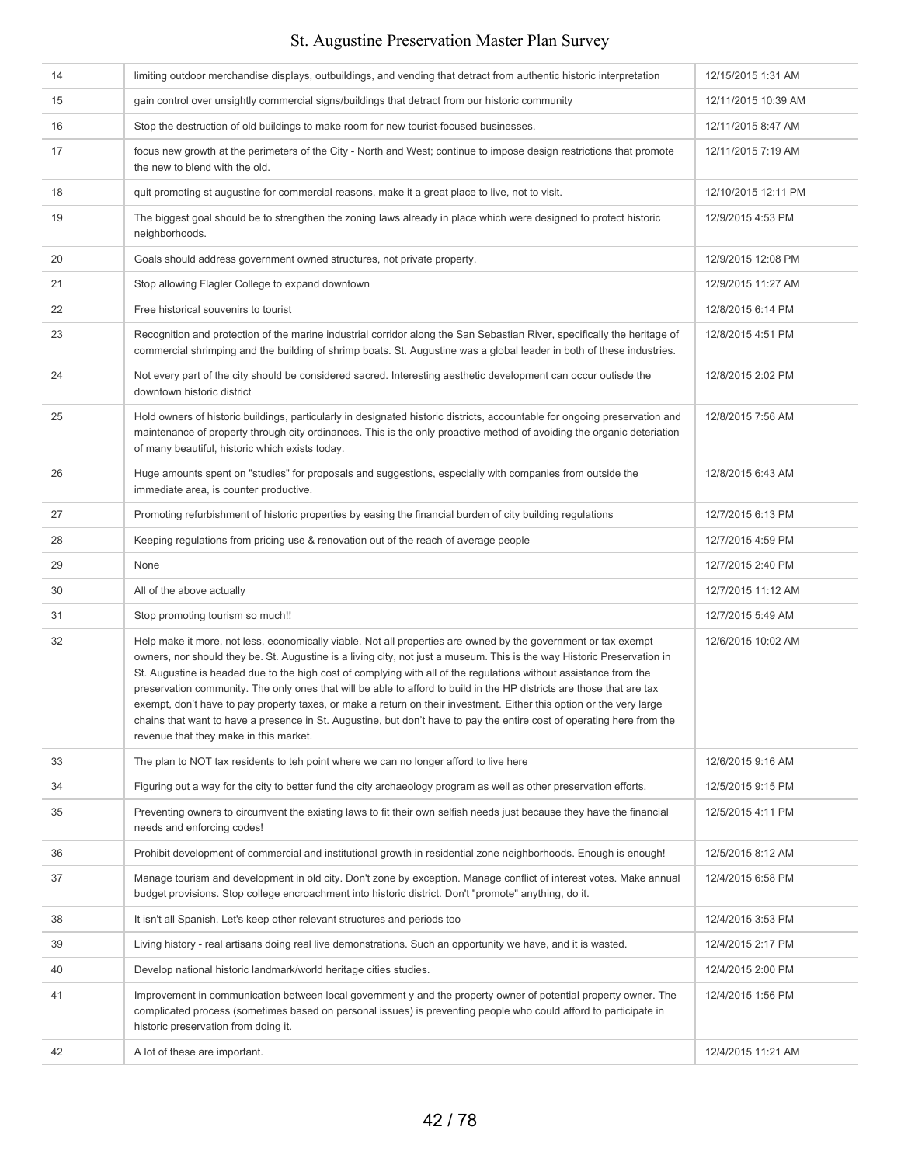| 14 | limiting outdoor merchandise displays, outbuildings, and vending that detract from authentic historic interpretation                                                                                                                                                                                                                                                                                                                                                                                                                                                                                                                                                                                                                                                                | 12/15/2015 1:31 AM  |
|----|-------------------------------------------------------------------------------------------------------------------------------------------------------------------------------------------------------------------------------------------------------------------------------------------------------------------------------------------------------------------------------------------------------------------------------------------------------------------------------------------------------------------------------------------------------------------------------------------------------------------------------------------------------------------------------------------------------------------------------------------------------------------------------------|---------------------|
| 15 | gain control over unsightly commercial signs/buildings that detract from our historic community                                                                                                                                                                                                                                                                                                                                                                                                                                                                                                                                                                                                                                                                                     | 12/11/2015 10:39 AM |
| 16 | Stop the destruction of old buildings to make room for new tourist-focused businesses.                                                                                                                                                                                                                                                                                                                                                                                                                                                                                                                                                                                                                                                                                              | 12/11/2015 8:47 AM  |
| 17 | focus new growth at the perimeters of the City - North and West; continue to impose design restrictions that promote<br>the new to blend with the old.                                                                                                                                                                                                                                                                                                                                                                                                                                                                                                                                                                                                                              | 12/11/2015 7:19 AM  |
| 18 | quit promoting st augustine for commercial reasons, make it a great place to live, not to visit.                                                                                                                                                                                                                                                                                                                                                                                                                                                                                                                                                                                                                                                                                    | 12/10/2015 12:11 PM |
| 19 | The biggest goal should be to strengthen the zoning laws already in place which were designed to protect historic<br>neighborhoods.                                                                                                                                                                                                                                                                                                                                                                                                                                                                                                                                                                                                                                                 | 12/9/2015 4:53 PM   |
| 20 | Goals should address government owned structures, not private property.                                                                                                                                                                                                                                                                                                                                                                                                                                                                                                                                                                                                                                                                                                             | 12/9/2015 12:08 PM  |
| 21 | Stop allowing Flagler College to expand downtown                                                                                                                                                                                                                                                                                                                                                                                                                                                                                                                                                                                                                                                                                                                                    | 12/9/2015 11:27 AM  |
| 22 | Free historical souvenirs to tourist                                                                                                                                                                                                                                                                                                                                                                                                                                                                                                                                                                                                                                                                                                                                                | 12/8/2015 6:14 PM   |
| 23 | Recognition and protection of the marine industrial corridor along the San Sebastian River, specifically the heritage of<br>commercial shrimping and the building of shrimp boats. St. Augustine was a global leader in both of these industries.                                                                                                                                                                                                                                                                                                                                                                                                                                                                                                                                   | 12/8/2015 4:51 PM   |
| 24 | Not every part of the city should be considered sacred. Interesting aesthetic development can occur outisde the<br>downtown historic district                                                                                                                                                                                                                                                                                                                                                                                                                                                                                                                                                                                                                                       | 12/8/2015 2:02 PM   |
| 25 | Hold owners of historic buildings, particularly in designated historic districts, accountable for ongoing preservation and<br>maintenance of property through city ordinances. This is the only proactive method of avoiding the organic deteriation<br>of many beautiful, historic which exists today.                                                                                                                                                                                                                                                                                                                                                                                                                                                                             | 12/8/2015 7:56 AM   |
| 26 | Huge amounts spent on "studies" for proposals and suggestions, especially with companies from outside the<br>immediate area, is counter productive.                                                                                                                                                                                                                                                                                                                                                                                                                                                                                                                                                                                                                                 | 12/8/2015 6:43 AM   |
| 27 | Promoting refurbishment of historic properties by easing the financial burden of city building regulations                                                                                                                                                                                                                                                                                                                                                                                                                                                                                                                                                                                                                                                                          | 12/7/2015 6:13 PM   |
| 28 | Keeping regulations from pricing use & renovation out of the reach of average people                                                                                                                                                                                                                                                                                                                                                                                                                                                                                                                                                                                                                                                                                                | 12/7/2015 4:59 PM   |
| 29 | None                                                                                                                                                                                                                                                                                                                                                                                                                                                                                                                                                                                                                                                                                                                                                                                | 12/7/2015 2:40 PM   |
| 30 | All of the above actually                                                                                                                                                                                                                                                                                                                                                                                                                                                                                                                                                                                                                                                                                                                                                           | 12/7/2015 11:12 AM  |
| 31 | Stop promoting tourism so much!!                                                                                                                                                                                                                                                                                                                                                                                                                                                                                                                                                                                                                                                                                                                                                    | 12/7/2015 5:49 AM   |
| 32 | Help make it more, not less, economically viable. Not all properties are owned by the government or tax exempt<br>owners, nor should they be. St. Augustine is a living city, not just a museum. This is the way Historic Preservation in<br>St. Augustine is headed due to the high cost of complying with all of the regulations without assistance from the<br>preservation community. The only ones that will be able to afford to build in the HP districts are those that are tax<br>exempt, don't have to pay property taxes, or make a return on their investment. Either this option or the very large<br>chains that want to have a presence in St. Augustine, but don't have to pay the entire cost of operating here from the<br>revenue that they make in this market. | 12/6/2015 10:02 AM  |
| 33 | The plan to NOT tax residents to teh point where we can no longer afford to live here                                                                                                                                                                                                                                                                                                                                                                                                                                                                                                                                                                                                                                                                                               | 12/6/2015 9:16 AM   |
| 34 | Figuring out a way for the city to better fund the city archaeology program as well as other preservation efforts.                                                                                                                                                                                                                                                                                                                                                                                                                                                                                                                                                                                                                                                                  | 12/5/2015 9:15 PM   |
| 35 | Preventing owners to circumvent the existing laws to fit their own selfish needs just because they have the financial<br>needs and enforcing codes!                                                                                                                                                                                                                                                                                                                                                                                                                                                                                                                                                                                                                                 | 12/5/2015 4:11 PM   |
| 36 | Prohibit development of commercial and institutional growth in residential zone neighborhoods. Enough is enough!                                                                                                                                                                                                                                                                                                                                                                                                                                                                                                                                                                                                                                                                    | 12/5/2015 8:12 AM   |
| 37 | Manage tourism and development in old city. Don't zone by exception. Manage conflict of interest votes. Make annual<br>budget provisions. Stop college encroachment into historic district. Don't "promote" anything, do it.                                                                                                                                                                                                                                                                                                                                                                                                                                                                                                                                                        | 12/4/2015 6:58 PM   |
| 38 | It isn't all Spanish. Let's keep other relevant structures and periods too                                                                                                                                                                                                                                                                                                                                                                                                                                                                                                                                                                                                                                                                                                          | 12/4/2015 3:53 PM   |
| 39 | Living history - real artisans doing real live demonstrations. Such an opportunity we have, and it is wasted.                                                                                                                                                                                                                                                                                                                                                                                                                                                                                                                                                                                                                                                                       | 12/4/2015 2:17 PM   |
| 40 | Develop national historic landmark/world heritage cities studies.                                                                                                                                                                                                                                                                                                                                                                                                                                                                                                                                                                                                                                                                                                                   | 12/4/2015 2:00 PM   |
| 41 | Improvement in communication between local government y and the property owner of potential property owner. The<br>complicated process (sometimes based on personal issues) is preventing people who could afford to participate in<br>historic preservation from doing it.                                                                                                                                                                                                                                                                                                                                                                                                                                                                                                         | 12/4/2015 1:56 PM   |
| 42 | A lot of these are important.                                                                                                                                                                                                                                                                                                                                                                                                                                                                                                                                                                                                                                                                                                                                                       | 12/4/2015 11:21 AM  |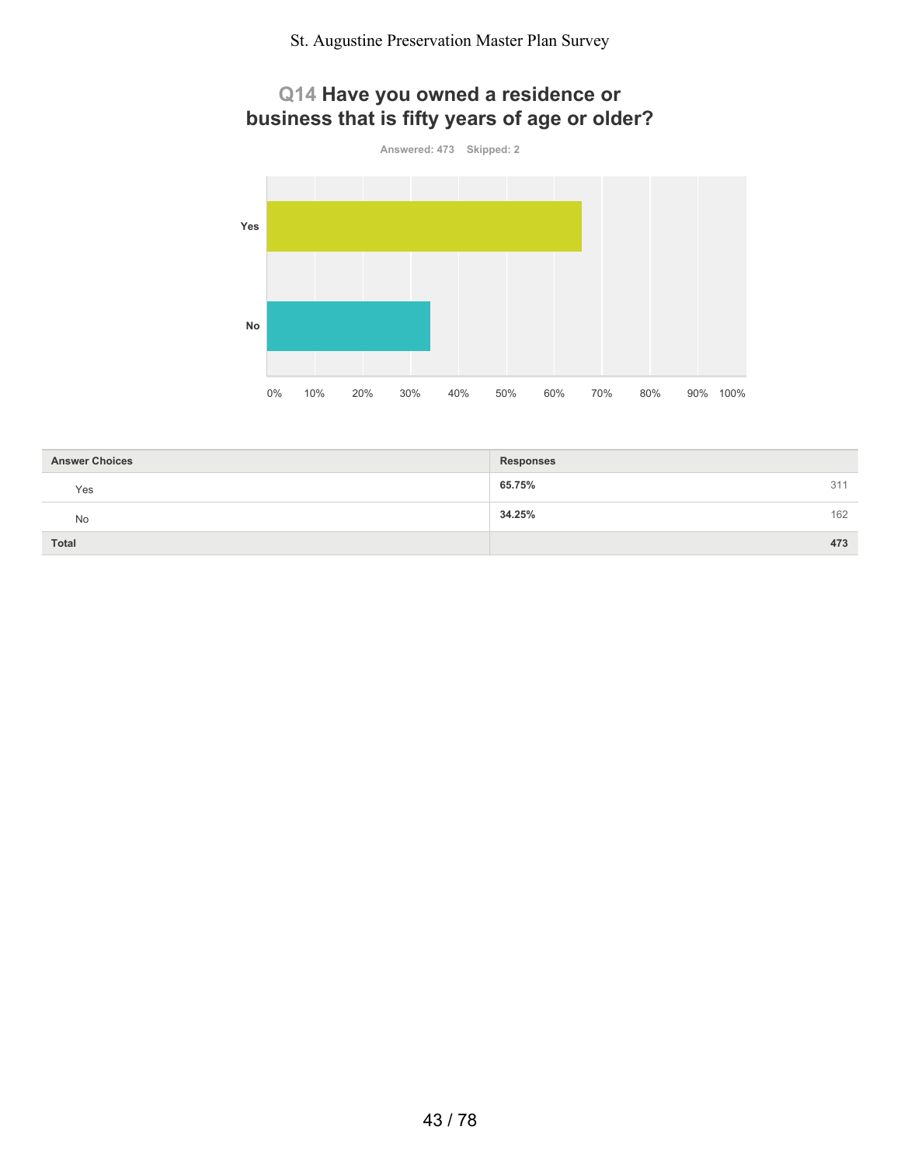# **Q14 Have you owned a residence or business that is fifty years of age or older?**



| <b>Answer Choices</b> | <b>Responses</b> |
|-----------------------|------------------|
| Yes                   | 65.75%<br>311    |
| No                    | 162<br>34.25%    |
| <b>Total</b>          | 473              |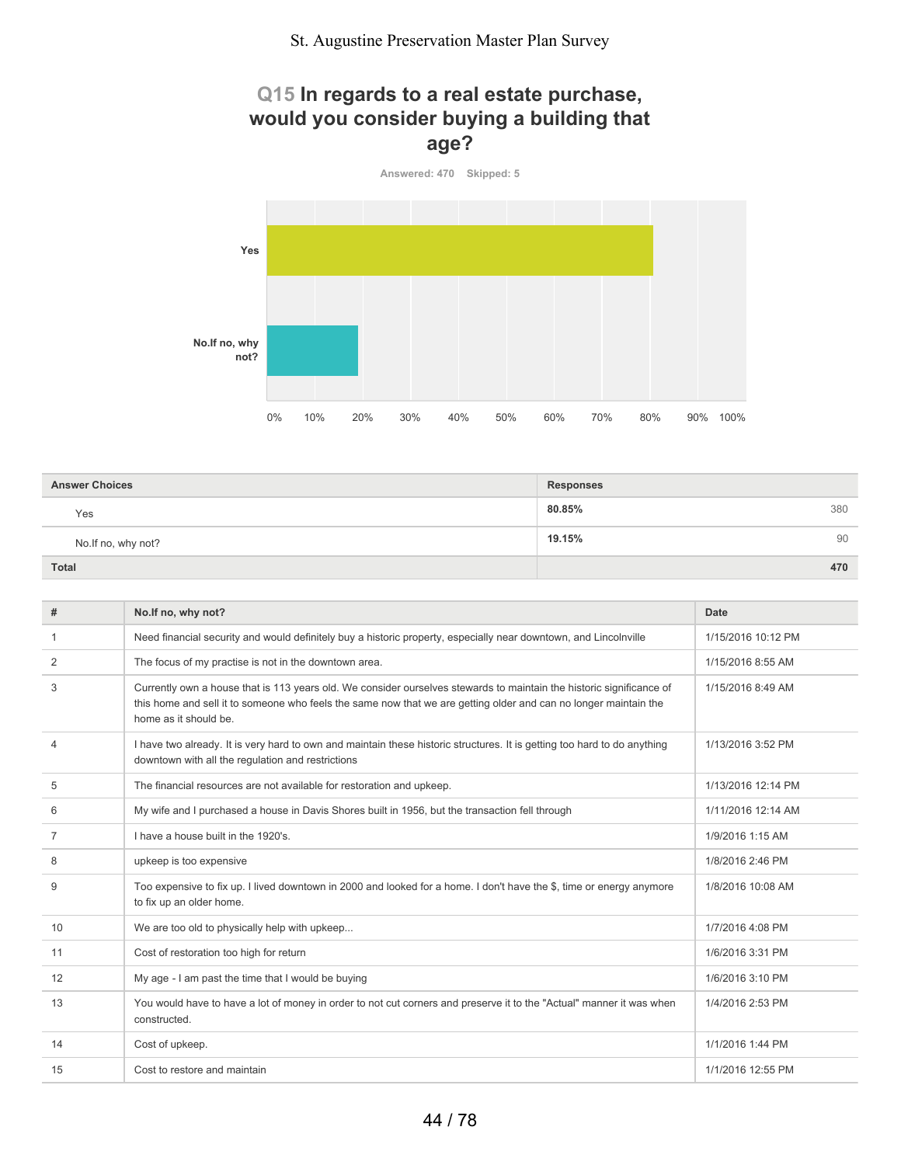## **Q15 In regards to a real estate purchase, would you consider buying a building that age?**



| <b>Answer Choices</b> | <b>Responses</b> |
|-----------------------|------------------|
| Yes                   | 80.85%<br>380    |
| No. If no, why not?   | 19.15%<br>90     |
| Total                 | 470              |

| #              | No.If no, why not?                                                                                                                                                                                                                                                | Date               |
|----------------|-------------------------------------------------------------------------------------------------------------------------------------------------------------------------------------------------------------------------------------------------------------------|--------------------|
| -1             | Need financial security and would definitely buy a historic property, especially near downtown, and Lincolnville                                                                                                                                                  | 1/15/2016 10:12 PM |
| 2              | The focus of my practise is not in the downtown area.                                                                                                                                                                                                             | 1/15/2016 8:55 AM  |
| 3              | Currently own a house that is 113 years old. We consider ourselves stewards to maintain the historic significance of<br>this home and sell it to someone who feels the same now that we are getting older and can no longer maintain the<br>home as it should be. | 1/15/2016 8:49 AM  |
| $\overline{4}$ | I have two already. It is very hard to own and maintain these historic structures. It is getting too hard to do anything<br>downtown with all the regulation and restrictions                                                                                     | 1/13/2016 3:52 PM  |
| 5              | The financial resources are not available for restoration and upkeep.                                                                                                                                                                                             | 1/13/2016 12:14 PM |
| 6              | My wife and I purchased a house in Davis Shores built in 1956, but the transaction fell through                                                                                                                                                                   | 1/11/2016 12:14 AM |
| 7              | I have a house built in the 1920's.                                                                                                                                                                                                                               | 1/9/2016 1:15 AM   |
| 8              | upkeep is too expensive                                                                                                                                                                                                                                           | 1/8/2016 2:46 PM   |
| 9              | Too expensive to fix up. I lived downtown in 2000 and looked for a home. I don't have the \$, time or energy anymore<br>to fix up an older home.                                                                                                                  | 1/8/2016 10:08 AM  |
| 10             | We are too old to physically help with upkeep                                                                                                                                                                                                                     | 1/7/2016 4:08 PM   |
| 11             | Cost of restoration too high for return                                                                                                                                                                                                                           | 1/6/2016 3:31 PM   |
| 12             | My age - I am past the time that I would be buying                                                                                                                                                                                                                | 1/6/2016 3:10 PM   |
| 13             | You would have to have a lot of money in order to not cut corners and preserve it to the "Actual" manner it was when<br>constructed.                                                                                                                              | 1/4/2016 2:53 PM   |
| 14             | Cost of upkeep.                                                                                                                                                                                                                                                   | 1/1/2016 1:44 PM   |
| 15             | Cost to restore and maintain                                                                                                                                                                                                                                      | 1/1/2016 12:55 PM  |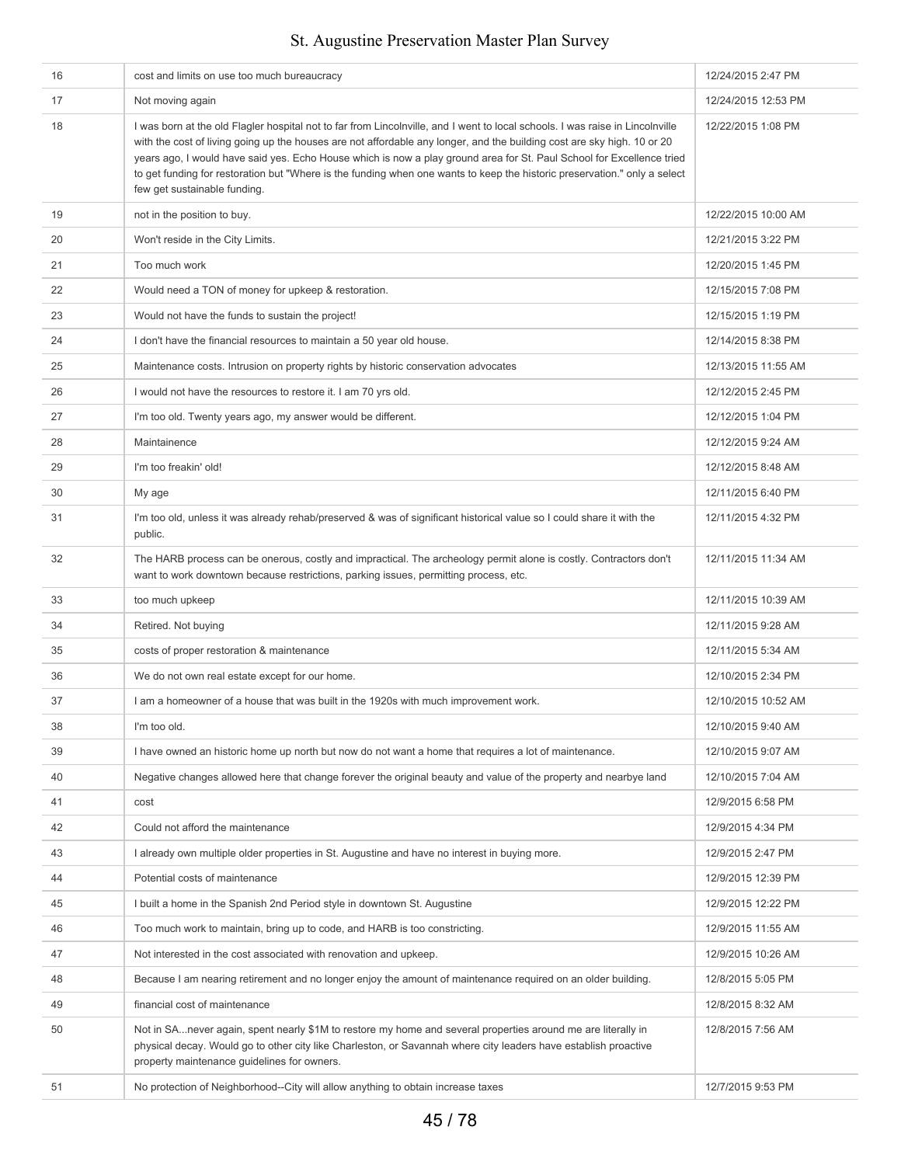| 16 | cost and limits on use too much bureaucracy                                                                                                                                                                                                                                                                                                                                                                                                                                                                                                    | 12/24/2015 2:47 PM  |
|----|------------------------------------------------------------------------------------------------------------------------------------------------------------------------------------------------------------------------------------------------------------------------------------------------------------------------------------------------------------------------------------------------------------------------------------------------------------------------------------------------------------------------------------------------|---------------------|
| 17 | Not moving again                                                                                                                                                                                                                                                                                                                                                                                                                                                                                                                               | 12/24/2015 12:53 PM |
| 18 | I was born at the old Flagler hospital not to far from Lincolnville, and I went to local schools. I was raise in Lincolnville<br>with the cost of living going up the houses are not affordable any longer, and the building cost are sky high. 10 or 20<br>years ago, I would have said yes. Echo House which is now a play ground area for St. Paul School for Excellence tried<br>to get funding for restoration but "Where is the funding when one wants to keep the historic preservation." only a select<br>few get sustainable funding. | 12/22/2015 1:08 PM  |
| 19 | not in the position to buy.                                                                                                                                                                                                                                                                                                                                                                                                                                                                                                                    | 12/22/2015 10:00 AM |
| 20 | Won't reside in the City Limits.                                                                                                                                                                                                                                                                                                                                                                                                                                                                                                               | 12/21/2015 3:22 PM  |
| 21 | Too much work                                                                                                                                                                                                                                                                                                                                                                                                                                                                                                                                  | 12/20/2015 1:45 PM  |
| 22 | Would need a TON of money for upkeep & restoration.                                                                                                                                                                                                                                                                                                                                                                                                                                                                                            | 12/15/2015 7:08 PM  |
| 23 | Would not have the funds to sustain the project!                                                                                                                                                                                                                                                                                                                                                                                                                                                                                               | 12/15/2015 1:19 PM  |
| 24 | I don't have the financial resources to maintain a 50 year old house.                                                                                                                                                                                                                                                                                                                                                                                                                                                                          | 12/14/2015 8:38 PM  |
| 25 | Maintenance costs. Intrusion on property rights by historic conservation advocates                                                                                                                                                                                                                                                                                                                                                                                                                                                             | 12/13/2015 11:55 AM |
| 26 | I would not have the resources to restore it. I am 70 yrs old.                                                                                                                                                                                                                                                                                                                                                                                                                                                                                 | 12/12/2015 2:45 PM  |
| 27 | I'm too old. Twenty years ago, my answer would be different.                                                                                                                                                                                                                                                                                                                                                                                                                                                                                   | 12/12/2015 1:04 PM  |
| 28 | Maintainence                                                                                                                                                                                                                                                                                                                                                                                                                                                                                                                                   | 12/12/2015 9:24 AM  |
| 29 | I'm too freakin' old!                                                                                                                                                                                                                                                                                                                                                                                                                                                                                                                          | 12/12/2015 8:48 AM  |
| 30 | My age                                                                                                                                                                                                                                                                                                                                                                                                                                                                                                                                         | 12/11/2015 6:40 PM  |
| 31 | I'm too old, unless it was already rehab/preserved & was of significant historical value so I could share it with the<br>public.                                                                                                                                                                                                                                                                                                                                                                                                               | 12/11/2015 4:32 PM  |
| 32 | The HARB process can be onerous, costly and impractical. The archeology permit alone is costly. Contractors don't<br>want to work downtown because restrictions, parking issues, permitting process, etc.                                                                                                                                                                                                                                                                                                                                      | 12/11/2015 11:34 AM |
| 33 | too much upkeep                                                                                                                                                                                                                                                                                                                                                                                                                                                                                                                                | 12/11/2015 10:39 AM |
| 34 | Retired. Not buying                                                                                                                                                                                                                                                                                                                                                                                                                                                                                                                            | 12/11/2015 9:28 AM  |
| 35 | costs of proper restoration & maintenance                                                                                                                                                                                                                                                                                                                                                                                                                                                                                                      | 12/11/2015 5:34 AM  |
| 36 | We do not own real estate except for our home.                                                                                                                                                                                                                                                                                                                                                                                                                                                                                                 | 12/10/2015 2:34 PM  |
| 37 | I am a homeowner of a house that was built in the 1920s with much improvement work.                                                                                                                                                                                                                                                                                                                                                                                                                                                            | 12/10/2015 10:52 AM |
| 38 | I'm too old.                                                                                                                                                                                                                                                                                                                                                                                                                                                                                                                                   | 12/10/2015 9:40 AM  |
| 39 | I have owned an historic home up north but now do not want a home that requires a lot of maintenance.                                                                                                                                                                                                                                                                                                                                                                                                                                          | 12/10/2015 9:07 AM  |
| 40 | Negative changes allowed here that change forever the original beauty and value of the property and nearbye land                                                                                                                                                                                                                                                                                                                                                                                                                               | 12/10/2015 7:04 AM  |
| 41 | cost                                                                                                                                                                                                                                                                                                                                                                                                                                                                                                                                           | 12/9/2015 6:58 PM   |
| 42 | Could not afford the maintenance                                                                                                                                                                                                                                                                                                                                                                                                                                                                                                               | 12/9/2015 4:34 PM   |
| 43 | I already own multiple older properties in St. Augustine and have no interest in buying more.                                                                                                                                                                                                                                                                                                                                                                                                                                                  | 12/9/2015 2:47 PM   |
| 44 | Potential costs of maintenance                                                                                                                                                                                                                                                                                                                                                                                                                                                                                                                 | 12/9/2015 12:39 PM  |
| 45 | I built a home in the Spanish 2nd Period style in downtown St. Augustine                                                                                                                                                                                                                                                                                                                                                                                                                                                                       | 12/9/2015 12:22 PM  |
| 46 | Too much work to maintain, bring up to code, and HARB is too constricting.                                                                                                                                                                                                                                                                                                                                                                                                                                                                     | 12/9/2015 11:55 AM  |
| 47 | Not interested in the cost associated with renovation and upkeep.                                                                                                                                                                                                                                                                                                                                                                                                                                                                              | 12/9/2015 10:26 AM  |
| 48 | Because I am nearing retirement and no longer enjoy the amount of maintenance required on an older building.                                                                                                                                                                                                                                                                                                                                                                                                                                   | 12/8/2015 5:05 PM   |
| 49 | financial cost of maintenance                                                                                                                                                                                                                                                                                                                                                                                                                                                                                                                  | 12/8/2015 8:32 AM   |
| 50 | Not in SAnever again, spent nearly \$1M to restore my home and several properties around me are literally in<br>physical decay. Would go to other city like Charleston, or Savannah where city leaders have establish proactive<br>property maintenance guidelines for owners.                                                                                                                                                                                                                                                                 | 12/8/2015 7:56 AM   |
| 51 | No protection of Neighborhood--City will allow anything to obtain increase taxes                                                                                                                                                                                                                                                                                                                                                                                                                                                               | 12/7/2015 9:53 PM   |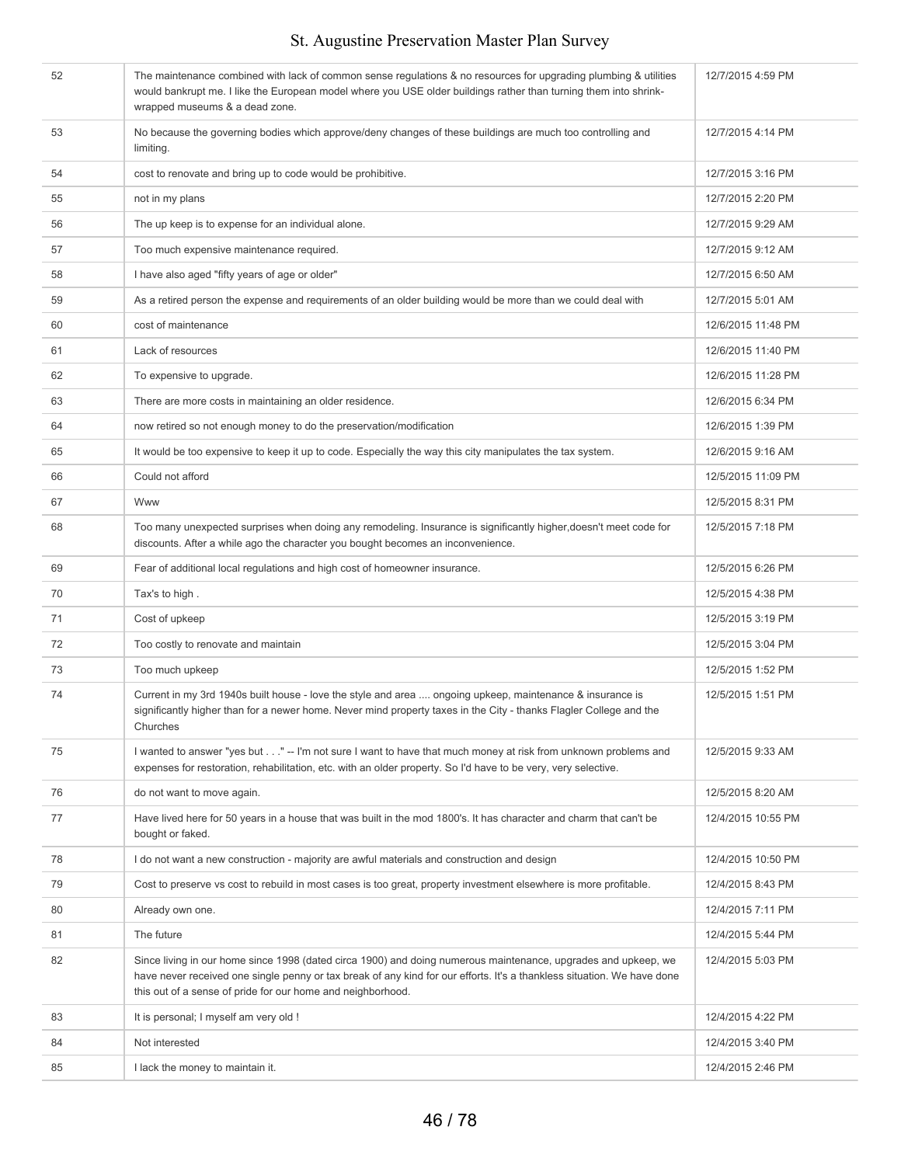| 52 | The maintenance combined with lack of common sense regulations & no resources for upgrading plumbing & utilities<br>would bankrupt me. I like the European model where you USE older buildings rather than turning them into shrink-<br>wrapped museums & a dead zone.                                   | 12/7/2015 4:59 PM  |
|----|----------------------------------------------------------------------------------------------------------------------------------------------------------------------------------------------------------------------------------------------------------------------------------------------------------|--------------------|
| 53 | No because the governing bodies which approve/deny changes of these buildings are much too controlling and<br>limiting.                                                                                                                                                                                  | 12/7/2015 4:14 PM  |
| 54 | cost to renovate and bring up to code would be prohibitive.                                                                                                                                                                                                                                              | 12/7/2015 3:16 PM  |
| 55 | not in my plans                                                                                                                                                                                                                                                                                          | 12/7/2015 2:20 PM  |
| 56 | The up keep is to expense for an individual alone.                                                                                                                                                                                                                                                       | 12/7/2015 9:29 AM  |
| 57 | Too much expensive maintenance required.                                                                                                                                                                                                                                                                 | 12/7/2015 9:12 AM  |
| 58 | I have also aged "fifty years of age or older"                                                                                                                                                                                                                                                           | 12/7/2015 6:50 AM  |
| 59 | As a retired person the expense and requirements of an older building would be more than we could deal with                                                                                                                                                                                              | 12/7/2015 5:01 AM  |
| 60 | cost of maintenance                                                                                                                                                                                                                                                                                      | 12/6/2015 11:48 PM |
| 61 | Lack of resources                                                                                                                                                                                                                                                                                        | 12/6/2015 11:40 PM |
| 62 | To expensive to upgrade.                                                                                                                                                                                                                                                                                 | 12/6/2015 11:28 PM |
| 63 | There are more costs in maintaining an older residence.                                                                                                                                                                                                                                                  | 12/6/2015 6:34 PM  |
| 64 | now retired so not enough money to do the preservation/modification                                                                                                                                                                                                                                      | 12/6/2015 1:39 PM  |
| 65 | It would be too expensive to keep it up to code. Especially the way this city manipulates the tax system.                                                                                                                                                                                                | 12/6/2015 9:16 AM  |
| 66 | Could not afford                                                                                                                                                                                                                                                                                         | 12/5/2015 11:09 PM |
| 67 | Www                                                                                                                                                                                                                                                                                                      | 12/5/2015 8:31 PM  |
| 68 | Too many unexpected surprises when doing any remodeling. Insurance is significantly higher, doesn't meet code for<br>discounts. After a while ago the character you bought becomes an inconvenience.                                                                                                     | 12/5/2015 7:18 PM  |
| 69 | Fear of additional local regulations and high cost of homeowner insurance.                                                                                                                                                                                                                               | 12/5/2015 6:26 PM  |
| 70 | Tax's to high.                                                                                                                                                                                                                                                                                           | 12/5/2015 4:38 PM  |
| 71 | Cost of upkeep                                                                                                                                                                                                                                                                                           | 12/5/2015 3:19 PM  |
| 72 | Too costly to renovate and maintain                                                                                                                                                                                                                                                                      | 12/5/2015 3:04 PM  |
| 73 | Too much upkeep                                                                                                                                                                                                                                                                                          | 12/5/2015 1:52 PM  |
| 74 | Current in my 3rd 1940s built house - love the style and area  ongoing upkeep, maintenance & insurance is<br>significantly higher than for a newer home. Never mind property taxes in the City - thanks Flagler College and the<br>Churches                                                              | 12/5/2015 1:51 PM  |
| 75 | I wanted to answer "yes but" -- I'm not sure I want to have that much money at risk from unknown problems and<br>expenses for restoration, rehabilitation, etc. with an older property. So I'd have to be very, very selective.                                                                          | 12/5/2015 9:33 AM  |
| 76 | do not want to move again.                                                                                                                                                                                                                                                                               | 12/5/2015 8:20 AM  |
| 77 | Have lived here for 50 years in a house that was built in the mod 1800's. It has character and charm that can't be<br>bought or faked.                                                                                                                                                                   | 12/4/2015 10:55 PM |
| 78 | I do not want a new construction - majority are awful materials and construction and design                                                                                                                                                                                                              | 12/4/2015 10:50 PM |
| 79 | Cost to preserve vs cost to rebuild in most cases is too great, property investment elsewhere is more profitable.                                                                                                                                                                                        | 12/4/2015 8:43 PM  |
| 80 | Already own one.                                                                                                                                                                                                                                                                                         | 12/4/2015 7:11 PM  |
| 81 | The future                                                                                                                                                                                                                                                                                               | 12/4/2015 5:44 PM  |
| 82 | Since living in our home since 1998 (dated circa 1900) and doing numerous maintenance, upgrades and upkeep, we<br>have never received one single penny or tax break of any kind for our efforts. It's a thankless situation. We have done<br>this out of a sense of pride for our home and neighborhood. | 12/4/2015 5:03 PM  |
| 83 | It is personal; I myself am very old !                                                                                                                                                                                                                                                                   | 12/4/2015 4:22 PM  |
| 84 | Not interested                                                                                                                                                                                                                                                                                           | 12/4/2015 3:40 PM  |
| 85 | I lack the money to maintain it.                                                                                                                                                                                                                                                                         | 12/4/2015 2:46 PM  |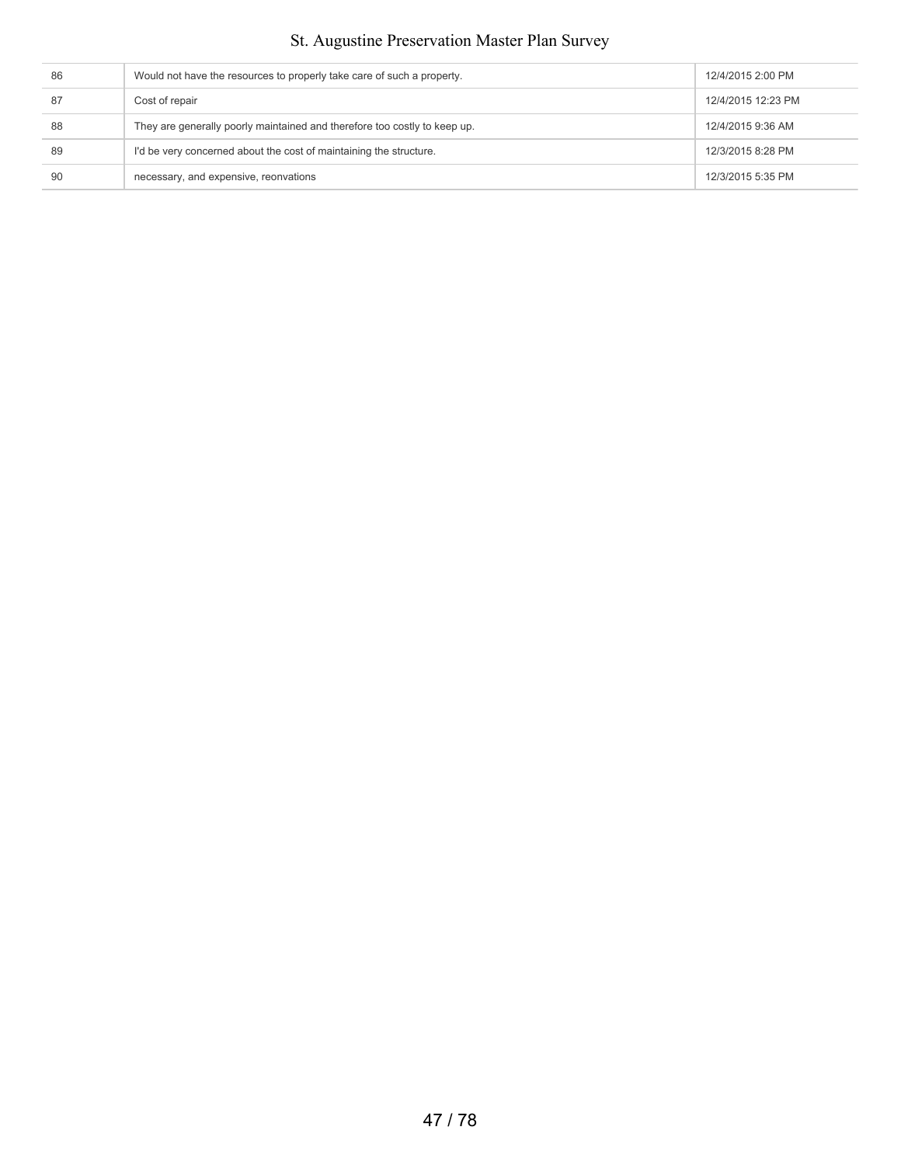| 86 | Would not have the resources to properly take care of such a property.    | 12/4/2015 2:00 PM  |
|----|---------------------------------------------------------------------------|--------------------|
| 87 | Cost of repair                                                            | 12/4/2015 12:23 PM |
| 88 | They are generally poorly maintained and therefore too costly to keep up. | 12/4/2015 9:36 AM  |
| 89 | I'd be very concerned about the cost of maintaining the structure.        | 12/3/2015 8:28 PM  |
| 90 | necessary, and expensive, reonvations                                     | 12/3/2015 5:35 PM  |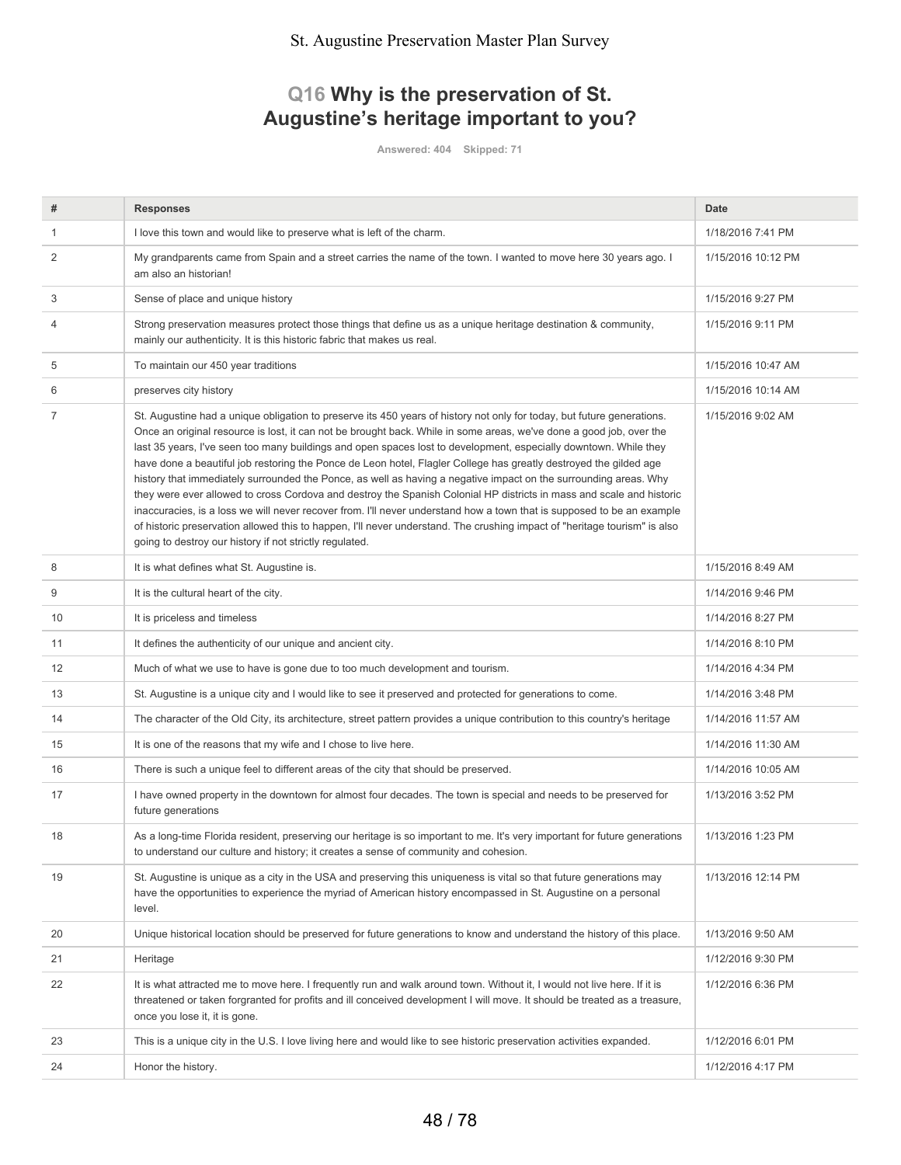# **Q16 Why is the preservation of St. Augustine's heritage important to you?**

**Answered: 404 Skipped: 71**

| #  | <b>Responses</b>                                                                                                                                                                                                                                                                                                                                                                                                                                                                                                                                                                                                                                                                                                                                                                                                                                                                                                                                                                                                                                     | Date               |
|----|------------------------------------------------------------------------------------------------------------------------------------------------------------------------------------------------------------------------------------------------------------------------------------------------------------------------------------------------------------------------------------------------------------------------------------------------------------------------------------------------------------------------------------------------------------------------------------------------------------------------------------------------------------------------------------------------------------------------------------------------------------------------------------------------------------------------------------------------------------------------------------------------------------------------------------------------------------------------------------------------------------------------------------------------------|--------------------|
| 1  | I love this town and would like to preserve what is left of the charm.                                                                                                                                                                                                                                                                                                                                                                                                                                                                                                                                                                                                                                                                                                                                                                                                                                                                                                                                                                               | 1/18/2016 7:41 PM  |
| 2  | My grandparents came from Spain and a street carries the name of the town. I wanted to move here 30 years ago. I<br>am also an historian!                                                                                                                                                                                                                                                                                                                                                                                                                                                                                                                                                                                                                                                                                                                                                                                                                                                                                                            | 1/15/2016 10:12 PM |
| 3  | Sense of place and unique history                                                                                                                                                                                                                                                                                                                                                                                                                                                                                                                                                                                                                                                                                                                                                                                                                                                                                                                                                                                                                    | 1/15/2016 9:27 PM  |
| 4  | Strong preservation measures protect those things that define us as a unique heritage destination & community,<br>mainly our authenticity. It is this historic fabric that makes us real.                                                                                                                                                                                                                                                                                                                                                                                                                                                                                                                                                                                                                                                                                                                                                                                                                                                            | 1/15/2016 9:11 PM  |
| 5  | To maintain our 450 year traditions                                                                                                                                                                                                                                                                                                                                                                                                                                                                                                                                                                                                                                                                                                                                                                                                                                                                                                                                                                                                                  | 1/15/2016 10:47 AM |
| 6  | preserves city history                                                                                                                                                                                                                                                                                                                                                                                                                                                                                                                                                                                                                                                                                                                                                                                                                                                                                                                                                                                                                               | 1/15/2016 10:14 AM |
| 7  | St. Augustine had a unique obligation to preserve its 450 years of history not only for today, but future generations.<br>Once an original resource is lost, it can not be brought back. While in some areas, we've done a good job, over the<br>last 35 years, I've seen too many buildings and open spaces lost to development, especially downtown. While they<br>have done a beautiful job restoring the Ponce de Leon hotel, Flagler College has greatly destroyed the gilded age<br>history that immediately surrounded the Ponce, as well as having a negative impact on the surrounding areas. Why<br>they were ever allowed to cross Cordova and destroy the Spanish Colonial HP districts in mass and scale and historic<br>inaccuracies, is a loss we will never recover from. I'll never understand how a town that is supposed to be an example<br>of historic preservation allowed this to happen, I'll never understand. The crushing impact of "heritage tourism" is also<br>going to destroy our history if not strictly regulated. | 1/15/2016 9:02 AM  |
| 8  | It is what defines what St. Augustine is.                                                                                                                                                                                                                                                                                                                                                                                                                                                                                                                                                                                                                                                                                                                                                                                                                                                                                                                                                                                                            | 1/15/2016 8:49 AM  |
| 9  | It is the cultural heart of the city.                                                                                                                                                                                                                                                                                                                                                                                                                                                                                                                                                                                                                                                                                                                                                                                                                                                                                                                                                                                                                | 1/14/2016 9:46 PM  |
| 10 | It is priceless and timeless                                                                                                                                                                                                                                                                                                                                                                                                                                                                                                                                                                                                                                                                                                                                                                                                                                                                                                                                                                                                                         | 1/14/2016 8:27 PM  |
| 11 | It defines the authenticity of our unique and ancient city.                                                                                                                                                                                                                                                                                                                                                                                                                                                                                                                                                                                                                                                                                                                                                                                                                                                                                                                                                                                          | 1/14/2016 8:10 PM  |
| 12 | Much of what we use to have is gone due to too much development and tourism.                                                                                                                                                                                                                                                                                                                                                                                                                                                                                                                                                                                                                                                                                                                                                                                                                                                                                                                                                                         | 1/14/2016 4:34 PM  |
| 13 | St. Augustine is a unique city and I would like to see it preserved and protected for generations to come.                                                                                                                                                                                                                                                                                                                                                                                                                                                                                                                                                                                                                                                                                                                                                                                                                                                                                                                                           | 1/14/2016 3:48 PM  |
| 14 | The character of the Old City, its architecture, street pattern provides a unique contribution to this country's heritage                                                                                                                                                                                                                                                                                                                                                                                                                                                                                                                                                                                                                                                                                                                                                                                                                                                                                                                            | 1/14/2016 11:57 AM |
| 15 | It is one of the reasons that my wife and I chose to live here.                                                                                                                                                                                                                                                                                                                                                                                                                                                                                                                                                                                                                                                                                                                                                                                                                                                                                                                                                                                      | 1/14/2016 11:30 AM |
| 16 | There is such a unique feel to different areas of the city that should be preserved.                                                                                                                                                                                                                                                                                                                                                                                                                                                                                                                                                                                                                                                                                                                                                                                                                                                                                                                                                                 | 1/14/2016 10:05 AM |
| 17 | I have owned property in the downtown for almost four decades. The town is special and needs to be preserved for<br>future generations                                                                                                                                                                                                                                                                                                                                                                                                                                                                                                                                                                                                                                                                                                                                                                                                                                                                                                               | 1/13/2016 3:52 PM  |
| 18 | As a long-time Florida resident, preserving our heritage is so important to me. It's very important for future generations<br>to understand our culture and history; it creates a sense of community and cohesion.                                                                                                                                                                                                                                                                                                                                                                                                                                                                                                                                                                                                                                                                                                                                                                                                                                   | 1/13/2016 1:23 PM  |
| 19 | St. Augustine is unique as a city in the USA and preserving this uniqueness is vital so that future generations may<br>have the opportunities to experience the myriad of American history encompassed in St. Augustine on a personal<br>level.                                                                                                                                                                                                                                                                                                                                                                                                                                                                                                                                                                                                                                                                                                                                                                                                      | 1/13/2016 12:14 PM |
| 20 | Unique historical location should be preserved for future generations to know and understand the history of this place.                                                                                                                                                                                                                                                                                                                                                                                                                                                                                                                                                                                                                                                                                                                                                                                                                                                                                                                              | 1/13/2016 9:50 AM  |
| 21 | Heritage                                                                                                                                                                                                                                                                                                                                                                                                                                                                                                                                                                                                                                                                                                                                                                                                                                                                                                                                                                                                                                             | 1/12/2016 9:30 PM  |
| 22 | It is what attracted me to move here. I frequently run and walk around town. Without it, I would not live here. If it is<br>threatened or taken forgranted for profits and ill conceived development I will move. It should be treated as a treasure,<br>once you lose it, it is gone.                                                                                                                                                                                                                                                                                                                                                                                                                                                                                                                                                                                                                                                                                                                                                               | 1/12/2016 6:36 PM  |
| 23 | This is a unique city in the U.S. I love living here and would like to see historic preservation activities expanded.                                                                                                                                                                                                                                                                                                                                                                                                                                                                                                                                                                                                                                                                                                                                                                                                                                                                                                                                | 1/12/2016 6:01 PM  |
| 24 | Honor the history.                                                                                                                                                                                                                                                                                                                                                                                                                                                                                                                                                                                                                                                                                                                                                                                                                                                                                                                                                                                                                                   | 1/12/2016 4:17 PM  |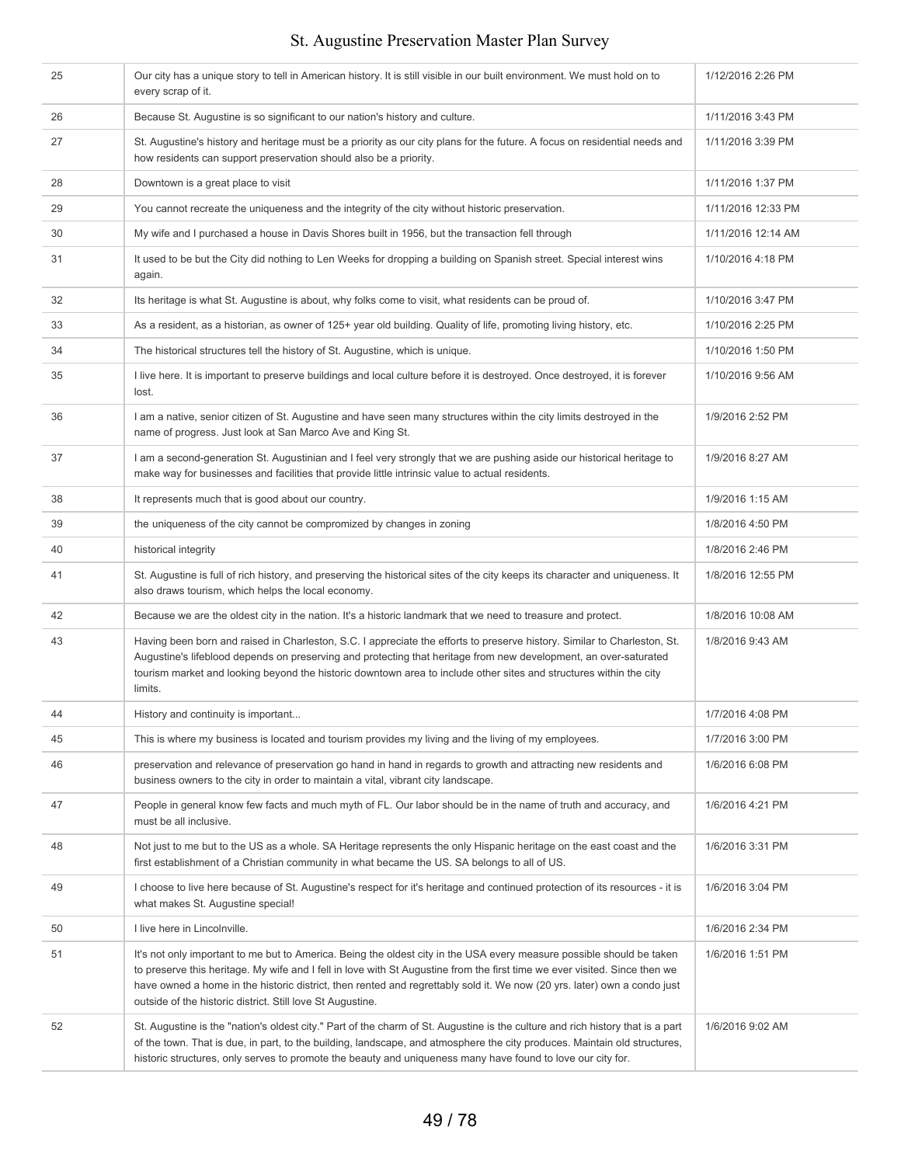#### 25 Our city has a unique story to tell in American history. It is still visible in our built environment. We must hold on to every scrap of it. 1/12/2016 2:26 PM 26 Because St. Augustine is so significant to our nation's history and culture. 1/11/2016 3:43 PM 27 St. Augustine's history and heritage must be a priority as our city plans for the future. A focus on residential needs and how residents can support preservation should also be a priority. 1/11/2016 3:39 PM 28 Downtown is a great place to visit 1/11/2016 1:37 PM 29 You cannot recreate the uniqueness and the integrity of the city without historic preservation. 1/11/2016 12:33 PM 30 My wife and I purchased a house in Davis Shores built in 1956, but the transaction fell through 1/11/2016 12:14 AM 31 It used to be but the City did nothing to Len Weeks for dropping a building on Spanish street. Special interest wins again. 1/10/2016 4:18 PM 1/10/2016 3:47 PM Its heritage is what St. Augustine is about, why folks come to visit, what residents can be proud of. 33 As a resident, as a historian, as owner of 125+ year old building. Quality of life, promoting living history, etc. 1/10/2016 2:25 PM 34 The historical structures tell the history of St. Augustine, which is unique. 1/10/2016 1:50 PM 35 I live here. It is important to preserve buildings and local culture before it is destroyed. Once destroyed, it is forever lost. 1/10/2016 9:56 AM 36 I am a native, senior citizen of St. Augustine and have seen many structures within the city limits destroyed in the name of progress. Just look at San Marco Ave and King St. 1/9/2016 2:52 PM 37 I am a second-generation St. Augustinian and I feel very strongly that we are pushing aside our historical heritage to make way for businesses and facilities that provide little intrinsic value to actual residents. 1/9/2016 8:27 AM 38 It represents much that is good about our country. 19/2016 1:15 AM 39 the uniqueness of the city cannot be compromized by changes in zoning 1/8/2016 4:50 PM 40 historical integrity 1/8/2016 2:46 PM 41 St. Augustine is full of rich history, and preserving the historical sites of the city keeps its character and uniqueness. It also draws tourism, which helps the local economy. 1/8/2016 12:55 PM 42 Because we are the oldest city in the nation. It's a historic landmark that we need to treasure and protect. 1/8/2016 10:08 AM 43 Having been born and raised in Charleston, S.C. I appreciate the efforts to preserve history. Similar to Charleston, St. Augustine's lifeblood depends on preserving and protecting that heritage from new development, an over-saturated tourism market and looking beyond the historic downtown area to include other sites and structures within the city limits. 1/8/2016 9:43 AM 44 History and continuity is important... 45 This is where my business is located and tourism provides my living and the living of my employees. 1/7/2016 3:00 PM 46 preservation and relevance of preservation go hand in hand in regards to growth and attracting new residents and business owners to the city in order to maintain a vital, vibrant city landscape. 1/6/2016 6:08 PM 47 People in general know few facts and much myth of FL. Our labor should be in the name of truth and accuracy, and must be all inclusive. 1/6/2016 4:21 PM 48 Not just to me but to the US as a whole. SA Heritage represents the only Hispanic heritage on the east coast and the first establishment of a Christian community in what became the US. SA belongs to all of US. 1/6/2016 3:31 PM 49 I choose to live here because of St. Augustine's respect for it's heritage and continued protection of its resources - it is what makes St. Augustine special! 1/6/2016 3:04 PM 50 I live here in Lincolnville. If the state of the state of the state of the state of the state of the state of the state of the state of the state of the state of the state of the state of the state of the state of the s 51 It's not only important to me but to America. Being the oldest city in the USA every measure possible should be taken to preserve this heritage. My wife and I fell in love with St Augustine from the first time we ever visited. Since then we have owned a home in the historic district, then rented and regrettably sold it. We now (20 yrs. later) own a condo just outside of the historic district. Still love St Augustine. 1/6/2016 1:51 PM 52 St. Augustine is the "nation's oldest city." Part of the charm of St. Augustine is the culture and rich history that is a part of the town. That is due, in part, to the building, landscape, and atmosphere the city produces. Maintain old structures, historic structures, only serves to promote the beauty and uniqueness many have found to love our city for. 1/6/2016 9:02 AM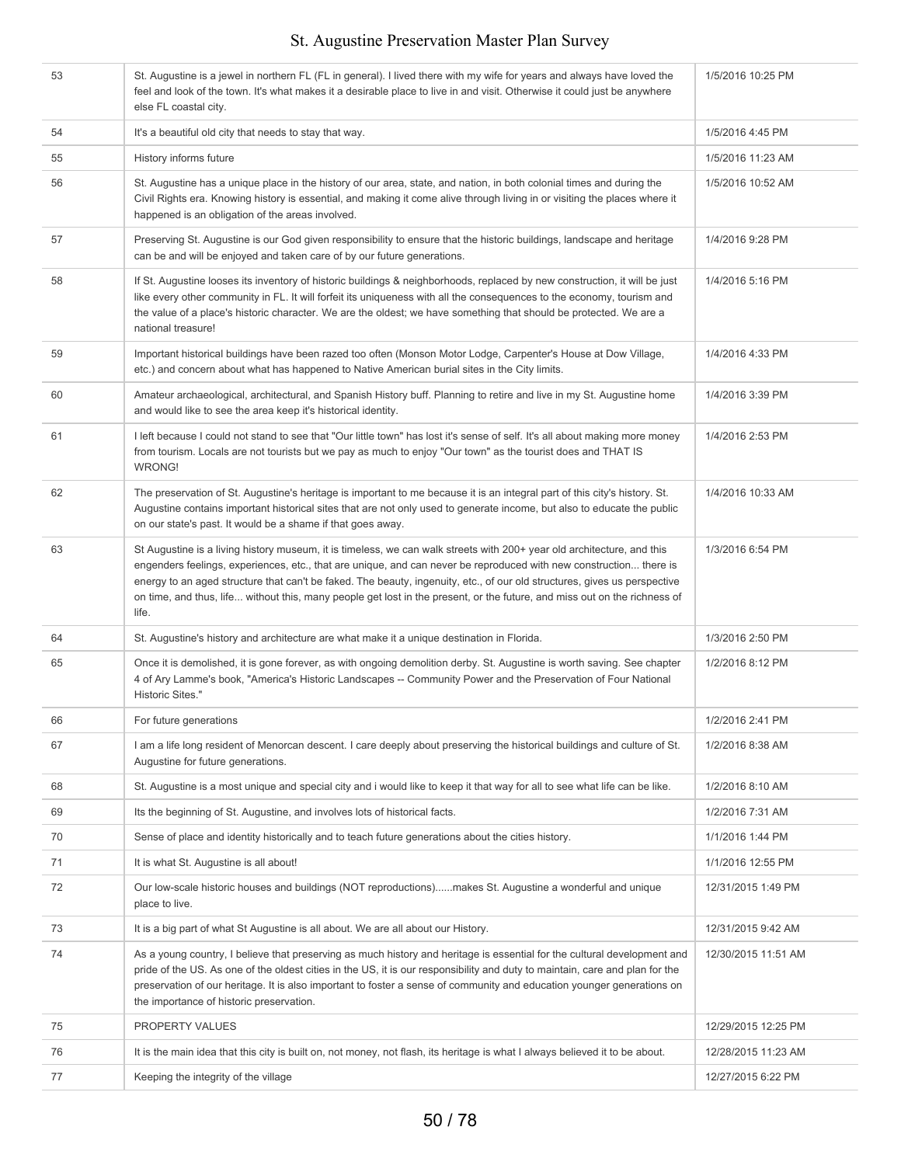| 53 | St. Augustine is a jewel in northern FL (FL in general). I lived there with my wife for years and always have loved the<br>feel and look of the town. It's what makes it a desirable place to live in and visit. Otherwise it could just be anywhere<br>else FL coastal city.                                                                                                                                                                                                                                   | 1/5/2016 10:25 PM   |
|----|-----------------------------------------------------------------------------------------------------------------------------------------------------------------------------------------------------------------------------------------------------------------------------------------------------------------------------------------------------------------------------------------------------------------------------------------------------------------------------------------------------------------|---------------------|
| 54 | It's a beautiful old city that needs to stay that way.                                                                                                                                                                                                                                                                                                                                                                                                                                                          | 1/5/2016 4:45 PM    |
| 55 | History informs future                                                                                                                                                                                                                                                                                                                                                                                                                                                                                          | 1/5/2016 11:23 AM   |
| 56 | St. Augustine has a unique place in the history of our area, state, and nation, in both colonial times and during the<br>Civil Rights era. Knowing history is essential, and making it come alive through living in or visiting the places where it<br>happened is an obligation of the areas involved.                                                                                                                                                                                                         | 1/5/2016 10:52 AM   |
| 57 | Preserving St. Augustine is our God given responsibility to ensure that the historic buildings, landscape and heritage<br>can be and will be enjoyed and taken care of by our future generations.                                                                                                                                                                                                                                                                                                               | 1/4/2016 9:28 PM    |
| 58 | If St. Augustine looses its inventory of historic buildings & neighborhoods, replaced by new construction, it will be just<br>like every other community in FL. It will forfeit its uniqueness with all the consequences to the economy, tourism and<br>the value of a place's historic character. We are the oldest; we have something that should be protected. We are a<br>national treasure!                                                                                                                | 1/4/2016 5:16 PM    |
| 59 | Important historical buildings have been razed too often (Monson Motor Lodge, Carpenter's House at Dow Village,<br>etc.) and concern about what has happened to Native American burial sites in the City limits.                                                                                                                                                                                                                                                                                                | 1/4/2016 4:33 PM    |
| 60 | Amateur archaeological, architectural, and Spanish History buff. Planning to retire and live in my St. Augustine home<br>and would like to see the area keep it's historical identity.                                                                                                                                                                                                                                                                                                                          | 1/4/2016 3:39 PM    |
| 61 | I left because I could not stand to see that "Our little town" has lost it's sense of self. It's all about making more money<br>from tourism. Locals are not tourists but we pay as much to enjoy "Our town" as the tourist does and THAT IS<br><b>WRONG!</b>                                                                                                                                                                                                                                                   | 1/4/2016 2:53 PM    |
| 62 | The preservation of St. Augustine's heritage is important to me because it is an integral part of this city's history. St.<br>Augustine contains important historical sites that are not only used to generate income, but also to educate the public<br>on our state's past. It would be a shame if that goes away.                                                                                                                                                                                            | 1/4/2016 10:33 AM   |
| 63 | St Augustine is a living history museum, it is timeless, we can walk streets with 200+ year old architecture, and this<br>engenders feelings, experiences, etc., that are unique, and can never be reproduced with new construction there is<br>energy to an aged structure that can't be faked. The beauty, ingenuity, etc., of our old structures, gives us perspective<br>on time, and thus, life without this, many people get lost in the present, or the future, and miss out on the richness of<br>life. | 1/3/2016 6:54 PM    |
| 64 | St. Augustine's history and architecture are what make it a unique destination in Florida.                                                                                                                                                                                                                                                                                                                                                                                                                      | 1/3/2016 2:50 PM    |
| 65 | Once it is demolished, it is gone forever, as with ongoing demolition derby. St. Augustine is worth saving. See chapter<br>4 of Ary Lamme's book, "America's Historic Landscapes -- Community Power and the Preservation of Four National<br>Historic Sites."                                                                                                                                                                                                                                                   | 1/2/2016 8:12 PM    |
| 66 | For future generations                                                                                                                                                                                                                                                                                                                                                                                                                                                                                          | 1/2/2016 2:41 PM    |
| 67 | I am a life long resident of Menorcan descent. I care deeply about preserving the historical buildings and culture of St.<br>Augustine for future generations.                                                                                                                                                                                                                                                                                                                                                  | 1/2/2016 8:38 AM    |
| 68 | St. Augustine is a most unique and special city and i would like to keep it that way for all to see what life can be like.                                                                                                                                                                                                                                                                                                                                                                                      | 1/2/2016 8:10 AM    |
| 69 | Its the beginning of St. Augustine, and involves lots of historical facts.                                                                                                                                                                                                                                                                                                                                                                                                                                      | 1/2/2016 7:31 AM    |
| 70 | Sense of place and identity historically and to teach future generations about the cities history.                                                                                                                                                                                                                                                                                                                                                                                                              | 1/1/2016 1:44 PM    |
| 71 | It is what St. Augustine is all about!                                                                                                                                                                                                                                                                                                                                                                                                                                                                          | 1/1/2016 12:55 PM   |
| 72 | Our low-scale historic houses and buildings (NOT reproductions)makes St. Augustine a wonderful and unique<br>place to live.                                                                                                                                                                                                                                                                                                                                                                                     | 12/31/2015 1:49 PM  |
| 73 | It is a big part of what St Augustine is all about. We are all about our History.                                                                                                                                                                                                                                                                                                                                                                                                                               | 12/31/2015 9:42 AM  |
| 74 | As a young country, I believe that preserving as much history and heritage is essential for the cultural development and<br>pride of the US. As one of the oldest cities in the US, it is our responsibility and duty to maintain, care and plan for the<br>preservation of our heritage. It is also important to foster a sense of community and education younger generations on<br>the importance of historic preservation.                                                                                  | 12/30/2015 11:51 AM |
| 75 | PROPERTY VALUES                                                                                                                                                                                                                                                                                                                                                                                                                                                                                                 | 12/29/2015 12:25 PM |
| 76 | It is the main idea that this city is built on, not money, not flash, its heritage is what I always believed it to be about.                                                                                                                                                                                                                                                                                                                                                                                    | 12/28/2015 11:23 AM |
| 77 | Keeping the integrity of the village                                                                                                                                                                                                                                                                                                                                                                                                                                                                            | 12/27/2015 6:22 PM  |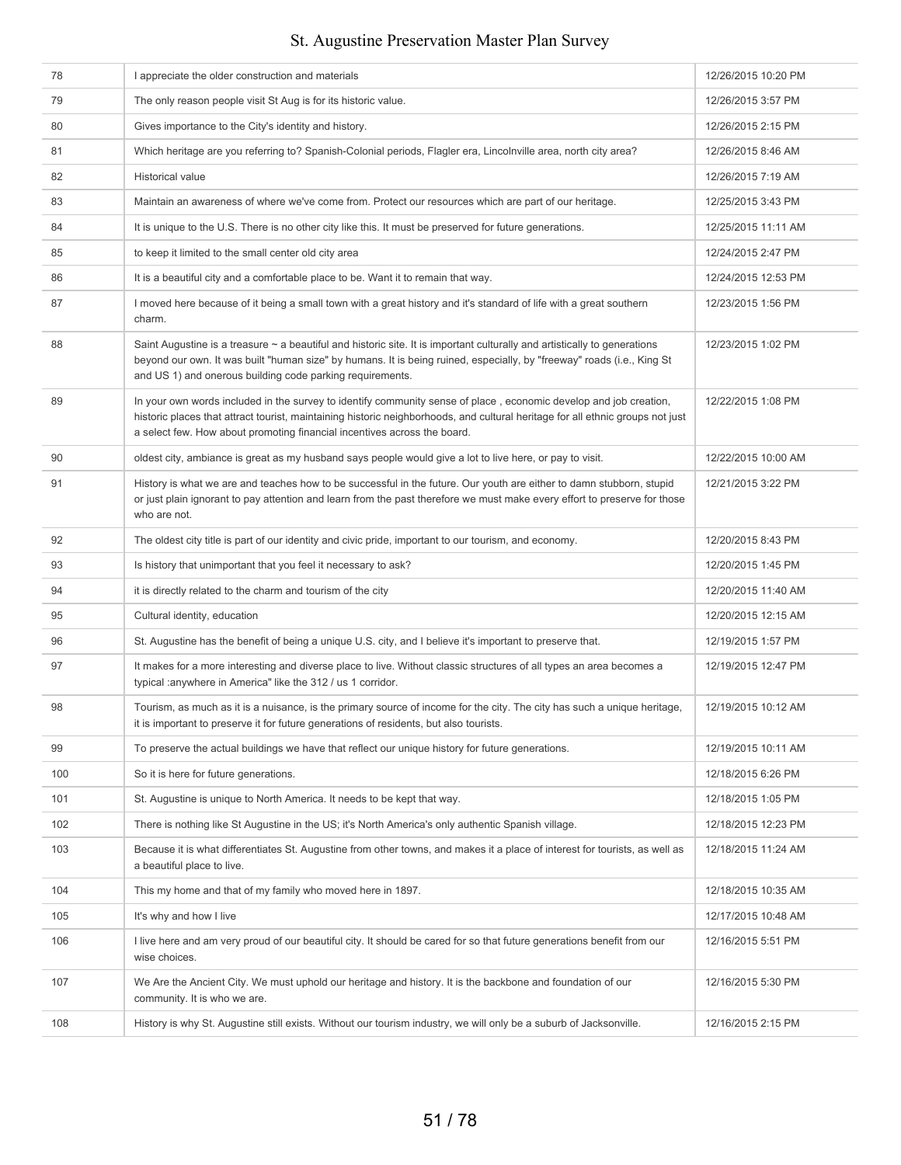| 78  | I appreciate the older construction and materials                                                                                                                                                                                                                                                                               | 12/26/2015 10:20 PM |
|-----|---------------------------------------------------------------------------------------------------------------------------------------------------------------------------------------------------------------------------------------------------------------------------------------------------------------------------------|---------------------|
| 79  | The only reason people visit St Aug is for its historic value.                                                                                                                                                                                                                                                                  | 12/26/2015 3:57 PM  |
| 80  | Gives importance to the City's identity and history.                                                                                                                                                                                                                                                                            | 12/26/2015 2:15 PM  |
| 81  | Which heritage are you referring to? Spanish-Colonial periods, Flagler era, Lincolnville area, north city area?                                                                                                                                                                                                                 | 12/26/2015 8:46 AM  |
| 82  | <b>Historical value</b>                                                                                                                                                                                                                                                                                                         | 12/26/2015 7:19 AM  |
| 83  | Maintain an awareness of where we've come from. Protect our resources which are part of our heritage.                                                                                                                                                                                                                           | 12/25/2015 3:43 PM  |
| 84  | It is unique to the U.S. There is no other city like this. It must be preserved for future generations.                                                                                                                                                                                                                         | 12/25/2015 11:11 AM |
| 85  | to keep it limited to the small center old city area                                                                                                                                                                                                                                                                            | 12/24/2015 2:47 PM  |
| 86  | It is a beautiful city and a comfortable place to be. Want it to remain that way.                                                                                                                                                                                                                                               | 12/24/2015 12:53 PM |
| 87  | I moved here because of it being a small town with a great history and it's standard of life with a great southern<br>charm.                                                                                                                                                                                                    | 12/23/2015 1:56 PM  |
| 88  | Saint Augustine is a treasure ~ a beautiful and historic site. It is important culturally and artistically to generations<br>beyond our own. It was built "human size" by humans. It is being ruined, especially, by "freeway" roads (i.e., King St<br>and US 1) and onerous building code parking requirements.                | 12/23/2015 1:02 PM  |
| 89  | In your own words included in the survey to identify community sense of place, economic develop and job creation,<br>historic places that attract tourist, maintaining historic neighborhoods, and cultural heritage for all ethnic groups not just<br>a select few. How about promoting financial incentives across the board. | 12/22/2015 1:08 PM  |
| 90  | oldest city, ambiance is great as my husband says people would give a lot to live here, or pay to visit.                                                                                                                                                                                                                        | 12/22/2015 10:00 AM |
| 91  | History is what we are and teaches how to be successful in the future. Our youth are either to damn stubborn, stupid<br>or just plain ignorant to pay attention and learn from the past therefore we must make every effort to preserve for those<br>who are not.                                                               | 12/21/2015 3:22 PM  |
| 92  | The oldest city title is part of our identity and civic pride, important to our tourism, and economy.                                                                                                                                                                                                                           | 12/20/2015 8:43 PM  |
| 93  | Is history that unimportant that you feel it necessary to ask?                                                                                                                                                                                                                                                                  | 12/20/2015 1:45 PM  |
| 94  | it is directly related to the charm and tourism of the city                                                                                                                                                                                                                                                                     | 12/20/2015 11:40 AM |
| 95  | Cultural identity, education                                                                                                                                                                                                                                                                                                    | 12/20/2015 12:15 AM |
| 96  | St. Augustine has the benefit of being a unique U.S. city, and I believe it's important to preserve that.                                                                                                                                                                                                                       | 12/19/2015 1:57 PM  |
| 97  | It makes for a more interesting and diverse place to live. Without classic structures of all types an area becomes a<br>typical : anywhere in America" like the 312 / us 1 corridor.                                                                                                                                            | 12/19/2015 12:47 PM |
| 98  | Tourism, as much as it is a nuisance, is the primary source of income for the city. The city has such a unique heritage,<br>it is important to preserve it for future generations of residents, but also tourists.                                                                                                              | 12/19/2015 10:12 AM |
| 99  | To preserve the actual buildings we have that reflect our unique history for future generations.                                                                                                                                                                                                                                | 12/19/2015 10:11 AM |
| 100 | So it is here for future generations.                                                                                                                                                                                                                                                                                           | 12/18/2015 6:26 PM  |
| 101 | St. Augustine is unique to North America. It needs to be kept that way.                                                                                                                                                                                                                                                         | 12/18/2015 1:05 PM  |
| 102 | There is nothing like St Augustine in the US; it's North America's only authentic Spanish village.                                                                                                                                                                                                                              | 12/18/2015 12:23 PM |
| 103 | Because it is what differentiates St. Augustine from other towns, and makes it a place of interest for tourists, as well as<br>a beautiful place to live.                                                                                                                                                                       | 12/18/2015 11:24 AM |
| 104 | This my home and that of my family who moved here in 1897.                                                                                                                                                                                                                                                                      | 12/18/2015 10:35 AM |
| 105 | It's why and how I live                                                                                                                                                                                                                                                                                                         | 12/17/2015 10:48 AM |
| 106 | I live here and am very proud of our beautiful city. It should be cared for so that future generations benefit from our<br>wise choices.                                                                                                                                                                                        | 12/16/2015 5:51 PM  |
| 107 | We Are the Ancient City. We must uphold our heritage and history. It is the backbone and foundation of our<br>community. It is who we are.                                                                                                                                                                                      | 12/16/2015 5:30 PM  |
| 108 | History is why St. Augustine still exists. Without our tourism industry, we will only be a suburb of Jacksonville.                                                                                                                                                                                                              | 12/16/2015 2:15 PM  |
|     |                                                                                                                                                                                                                                                                                                                                 |                     |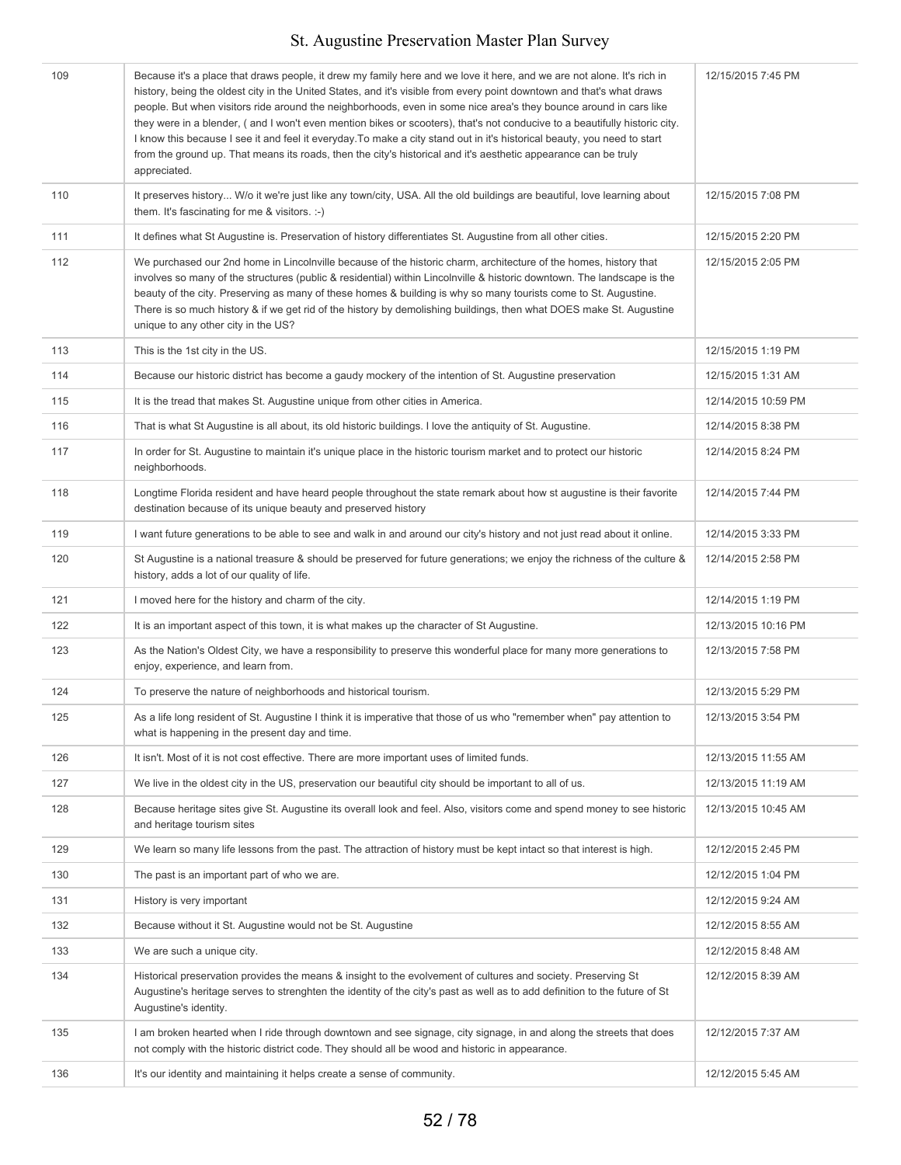| 109 | Because it's a place that draws people, it drew my family here and we love it here, and we are not alone. It's rich in<br>history, being the oldest city in the United States, and it's visible from every point downtown and that's what draws<br>people. But when visitors ride around the neighborhoods, even in some nice area's they bounce around in cars like<br>they were in a blender, (and I won't even mention bikes or scooters), that's not conducive to a beautifully historic city.<br>I know this because I see it and feel it everyday. To make a city stand out in it's historical beauty, you need to start<br>from the ground up. That means its roads, then the city's historical and it's aesthetic appearance can be truly<br>appreciated. | 12/15/2015 7:45 PM  |
|-----|-------------------------------------------------------------------------------------------------------------------------------------------------------------------------------------------------------------------------------------------------------------------------------------------------------------------------------------------------------------------------------------------------------------------------------------------------------------------------------------------------------------------------------------------------------------------------------------------------------------------------------------------------------------------------------------------------------------------------------------------------------------------|---------------------|
| 110 | It preserves history W/o it we're just like any town/city, USA. All the old buildings are beautiful, love learning about<br>them. It's fascinating for me $&$ visitors. :-)                                                                                                                                                                                                                                                                                                                                                                                                                                                                                                                                                                                       | 12/15/2015 7:08 PM  |
| 111 | It defines what St Augustine is. Preservation of history differentiates St. Augustine from all other cities.                                                                                                                                                                                                                                                                                                                                                                                                                                                                                                                                                                                                                                                      | 12/15/2015 2:20 PM  |
| 112 | We purchased our 2nd home in Lincolnville because of the historic charm, architecture of the homes, history that<br>involves so many of the structures (public & residential) within Lincolnville & historic downtown. The landscape is the<br>beauty of the city. Preserving as many of these homes & building is why so many tourists come to St. Augustine.<br>There is so much history & if we get rid of the history by demolishing buildings, then what DOES make St. Augustine<br>unique to any other city in the US?                                                                                                                                                                                                                                      | 12/15/2015 2:05 PM  |
| 113 | This is the 1st city in the US.                                                                                                                                                                                                                                                                                                                                                                                                                                                                                                                                                                                                                                                                                                                                   | 12/15/2015 1:19 PM  |
| 114 | Because our historic district has become a gaudy mockery of the intention of St. Augustine preservation                                                                                                                                                                                                                                                                                                                                                                                                                                                                                                                                                                                                                                                           | 12/15/2015 1:31 AM  |
| 115 | It is the tread that makes St. Augustine unique from other cities in America.                                                                                                                                                                                                                                                                                                                                                                                                                                                                                                                                                                                                                                                                                     | 12/14/2015 10:59 PM |
| 116 | That is what St Augustine is all about, its old historic buildings. I love the antiquity of St. Augustine.                                                                                                                                                                                                                                                                                                                                                                                                                                                                                                                                                                                                                                                        | 12/14/2015 8:38 PM  |
| 117 | In order for St. Augustine to maintain it's unique place in the historic tourism market and to protect our historic<br>neighborhoods.                                                                                                                                                                                                                                                                                                                                                                                                                                                                                                                                                                                                                             | 12/14/2015 8:24 PM  |
| 118 | Longtime Florida resident and have heard people throughout the state remark about how st augustine is their favorite<br>destination because of its unique beauty and preserved history                                                                                                                                                                                                                                                                                                                                                                                                                                                                                                                                                                            | 12/14/2015 7:44 PM  |
| 119 | I want future generations to be able to see and walk in and around our city's history and not just read about it online.                                                                                                                                                                                                                                                                                                                                                                                                                                                                                                                                                                                                                                          | 12/14/2015 3:33 PM  |
| 120 | St Augustine is a national treasure & should be preserved for future generations; we enjoy the richness of the culture &<br>history, adds a lot of our quality of life.                                                                                                                                                                                                                                                                                                                                                                                                                                                                                                                                                                                           | 12/14/2015 2:58 PM  |
| 121 | I moved here for the history and charm of the city.                                                                                                                                                                                                                                                                                                                                                                                                                                                                                                                                                                                                                                                                                                               | 12/14/2015 1:19 PM  |
| 122 | It is an important aspect of this town, it is what makes up the character of St Augustine.                                                                                                                                                                                                                                                                                                                                                                                                                                                                                                                                                                                                                                                                        | 12/13/2015 10:16 PM |
| 123 | As the Nation's Oldest City, we have a responsibility to preserve this wonderful place for many more generations to<br>enjoy, experience, and learn from.                                                                                                                                                                                                                                                                                                                                                                                                                                                                                                                                                                                                         | 12/13/2015 7:58 PM  |
| 124 | To preserve the nature of neighborhoods and historical tourism.                                                                                                                                                                                                                                                                                                                                                                                                                                                                                                                                                                                                                                                                                                   | 12/13/2015 5:29 PM  |
| 125 | As a life long resident of St. Augustine I think it is imperative that those of us who "remember when" pay attention to<br>what is happening in the present day and time.                                                                                                                                                                                                                                                                                                                                                                                                                                                                                                                                                                                         | 12/13/2015 3:54 PM  |
| 126 | It isn't. Most of it is not cost effective. There are more important uses of limited funds.                                                                                                                                                                                                                                                                                                                                                                                                                                                                                                                                                                                                                                                                       | 12/13/2015 11:55 AM |
| 127 | We live in the oldest city in the US, preservation our beautiful city should be important to all of us.                                                                                                                                                                                                                                                                                                                                                                                                                                                                                                                                                                                                                                                           | 12/13/2015 11:19 AM |
| 128 | Because heritage sites give St. Augustine its overall look and feel. Also, visitors come and spend money to see historic<br>and heritage tourism sites                                                                                                                                                                                                                                                                                                                                                                                                                                                                                                                                                                                                            | 12/13/2015 10:45 AM |
| 129 | We learn so many life lessons from the past. The attraction of history must be kept intact so that interest is high.                                                                                                                                                                                                                                                                                                                                                                                                                                                                                                                                                                                                                                              | 12/12/2015 2:45 PM  |
| 130 | The past is an important part of who we are.                                                                                                                                                                                                                                                                                                                                                                                                                                                                                                                                                                                                                                                                                                                      | 12/12/2015 1:04 PM  |
| 131 | History is very important                                                                                                                                                                                                                                                                                                                                                                                                                                                                                                                                                                                                                                                                                                                                         | 12/12/2015 9:24 AM  |
| 132 | Because without it St. Augustine would not be St. Augustine                                                                                                                                                                                                                                                                                                                                                                                                                                                                                                                                                                                                                                                                                                       | 12/12/2015 8:55 AM  |
| 133 | We are such a unique city.                                                                                                                                                                                                                                                                                                                                                                                                                                                                                                                                                                                                                                                                                                                                        | 12/12/2015 8:48 AM  |
| 134 | Historical preservation provides the means & insight to the evolvement of cultures and society. Preserving St<br>Augustine's heritage serves to strenghten the identity of the city's past as well as to add definition to the future of St<br>Augustine's identity.                                                                                                                                                                                                                                                                                                                                                                                                                                                                                              | 12/12/2015 8:39 AM  |
| 135 | I am broken hearted when I ride through downtown and see signage, city signage, in and along the streets that does<br>not comply with the historic district code. They should all be wood and historic in appearance.                                                                                                                                                                                                                                                                                                                                                                                                                                                                                                                                             | 12/12/2015 7:37 AM  |
| 136 | It's our identity and maintaining it helps create a sense of community.                                                                                                                                                                                                                                                                                                                                                                                                                                                                                                                                                                                                                                                                                           | 12/12/2015 5:45 AM  |
|     |                                                                                                                                                                                                                                                                                                                                                                                                                                                                                                                                                                                                                                                                                                                                                                   |                     |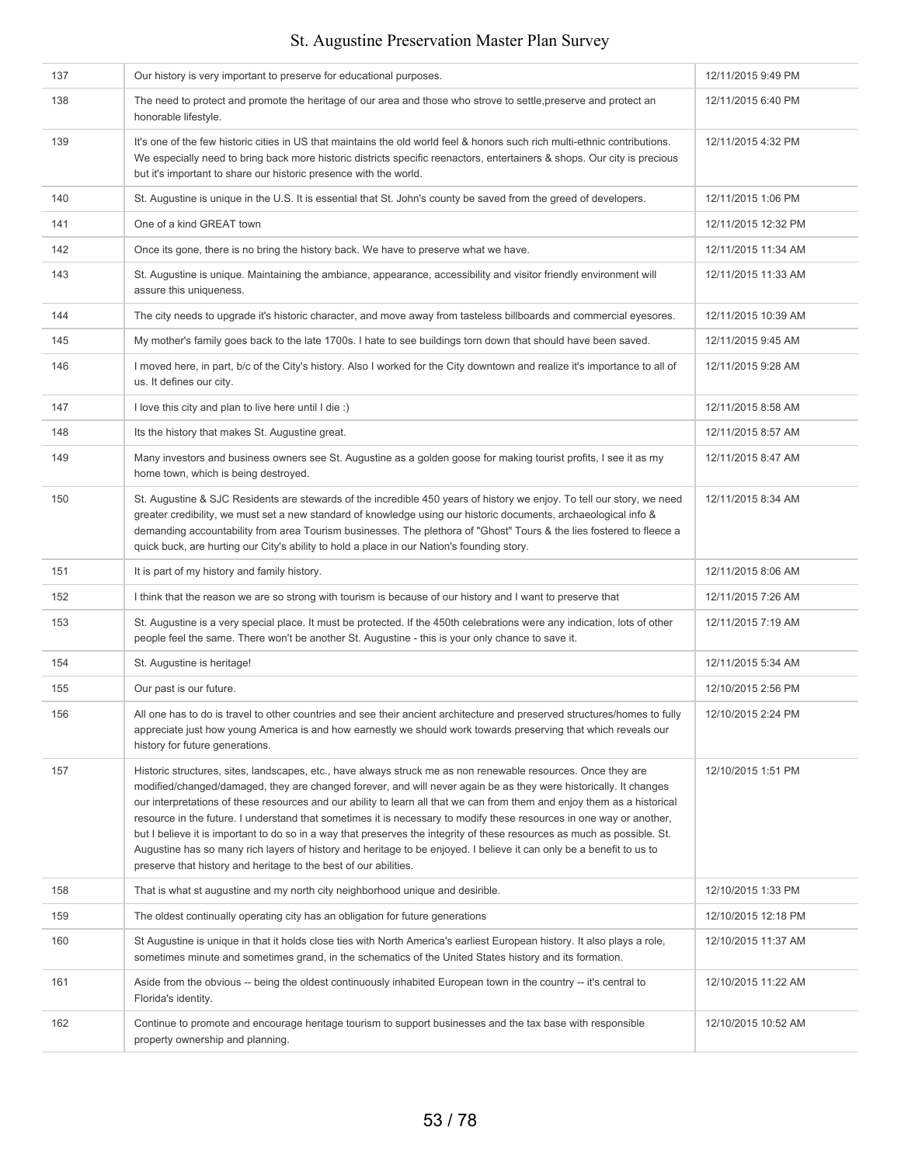| 137 | Our history is very important to preserve for educational purposes.                                                                                                                                                                                                                                                                                                                                                                                                                                                                                                                                                                                                                                                                                                                                            | 12/11/2015 9:49 PM  |
|-----|----------------------------------------------------------------------------------------------------------------------------------------------------------------------------------------------------------------------------------------------------------------------------------------------------------------------------------------------------------------------------------------------------------------------------------------------------------------------------------------------------------------------------------------------------------------------------------------------------------------------------------------------------------------------------------------------------------------------------------------------------------------------------------------------------------------|---------------------|
| 138 | The need to protect and promote the heritage of our area and those who strove to settle, preserve and protect an<br>honorable lifestyle.                                                                                                                                                                                                                                                                                                                                                                                                                                                                                                                                                                                                                                                                       | 12/11/2015 6:40 PM  |
| 139 | It's one of the few historic cities in US that maintains the old world feel & honors such rich multi-ethnic contributions.<br>We especially need to bring back more historic districts specific reenactors, entertainers & shops. Our city is precious<br>but it's important to share our historic presence with the world.                                                                                                                                                                                                                                                                                                                                                                                                                                                                                    | 12/11/2015 4:32 PM  |
| 140 | St. Augustine is unique in the U.S. It is essential that St. John's county be saved from the greed of developers.                                                                                                                                                                                                                                                                                                                                                                                                                                                                                                                                                                                                                                                                                              | 12/11/2015 1:06 PM  |
| 141 | One of a kind GREAT town                                                                                                                                                                                                                                                                                                                                                                                                                                                                                                                                                                                                                                                                                                                                                                                       | 12/11/2015 12:32 PM |
| 142 | Once its gone, there is no bring the history back. We have to preserve what we have.                                                                                                                                                                                                                                                                                                                                                                                                                                                                                                                                                                                                                                                                                                                           | 12/11/2015 11:34 AM |
| 143 | St. Augustine is unique. Maintaining the ambiance, appearance, accessibility and visitor friendly environment will<br>assure this uniqueness.                                                                                                                                                                                                                                                                                                                                                                                                                                                                                                                                                                                                                                                                  | 12/11/2015 11:33 AM |
| 144 | The city needs to upgrade it's historic character, and move away from tasteless billboards and commercial eyesores.                                                                                                                                                                                                                                                                                                                                                                                                                                                                                                                                                                                                                                                                                            | 12/11/2015 10:39 AM |
| 145 | My mother's family goes back to the late 1700s. I hate to see buildings torn down that should have been saved.                                                                                                                                                                                                                                                                                                                                                                                                                                                                                                                                                                                                                                                                                                 | 12/11/2015 9:45 AM  |
| 146 | I moved here, in part, b/c of the City's history. Also I worked for the City downtown and realize it's importance to all of<br>us. It defines our city.                                                                                                                                                                                                                                                                                                                                                                                                                                                                                                                                                                                                                                                        | 12/11/2015 9:28 AM  |
| 147 | I love this city and plan to live here until I die :)                                                                                                                                                                                                                                                                                                                                                                                                                                                                                                                                                                                                                                                                                                                                                          | 12/11/2015 8:58 AM  |
| 148 | Its the history that makes St. Augustine great.                                                                                                                                                                                                                                                                                                                                                                                                                                                                                                                                                                                                                                                                                                                                                                | 12/11/2015 8:57 AM  |
| 149 | Many investors and business owners see St. Augustine as a golden goose for making tourist profits, I see it as my<br>home town, which is being destroyed.                                                                                                                                                                                                                                                                                                                                                                                                                                                                                                                                                                                                                                                      | 12/11/2015 8:47 AM  |
| 150 | St. Augustine & SJC Residents are stewards of the incredible 450 years of history we enjoy. To tell our story, we need<br>greater credibility, we must set a new standard of knowledge using our historic documents, archaeological info &<br>demanding accountability from area Tourism businesses. The plethora of "Ghost" Tours & the lies fostered to fleece a<br>quick buck, are hurting our City's ability to hold a place in our Nation's founding story.                                                                                                                                                                                                                                                                                                                                               | 12/11/2015 8:34 AM  |
| 151 | It is part of my history and family history.                                                                                                                                                                                                                                                                                                                                                                                                                                                                                                                                                                                                                                                                                                                                                                   | 12/11/2015 8:06 AM  |
| 152 | I think that the reason we are so strong with tourism is because of our history and I want to preserve that                                                                                                                                                                                                                                                                                                                                                                                                                                                                                                                                                                                                                                                                                                    | 12/11/2015 7:26 AM  |
| 153 | St. Augustine is a very special place. It must be protected. If the 450th celebrations were any indication, lots of other<br>people feel the same. There won't be another St. Augustine - this is your only chance to save it.                                                                                                                                                                                                                                                                                                                                                                                                                                                                                                                                                                                 | 12/11/2015 7:19 AM  |
| 154 | St. Augustine is heritage!                                                                                                                                                                                                                                                                                                                                                                                                                                                                                                                                                                                                                                                                                                                                                                                     | 12/11/2015 5:34 AM  |
| 155 | Our past is our future.                                                                                                                                                                                                                                                                                                                                                                                                                                                                                                                                                                                                                                                                                                                                                                                        | 12/10/2015 2:56 PM  |
| 156 | All one has to do is travel to other countries and see their ancient architecture and preserved structures/homes to fully<br>appreciate just how young America is and how earnestly we should work towards preserving that which reveals our<br>history for future generations.                                                                                                                                                                                                                                                                                                                                                                                                                                                                                                                                | 12/10/2015 2:24 PM  |
| 157 | Historic structures, sites, landscapes, etc., have always struck me as non renewable resources. Once they are<br>modified/changed/damaged, they are changed forever, and will never again be as they were historically. It changes<br>our interpretations of these resources and our ability to learn all that we can from them and enjoy them as a historical<br>resource in the future. I understand that sometimes it is necessary to modify these resources in one way or another,<br>but I believe it is important to do so in a way that preserves the integrity of these resources as much as possible. St.<br>Augustine has so many rich layers of history and heritage to be enjoyed. I believe it can only be a benefit to us to<br>preserve that history and heritage to the best of our abilities. | 12/10/2015 1:51 PM  |
| 158 | That is what st augustine and my north city neighborhood unique and desirible.                                                                                                                                                                                                                                                                                                                                                                                                                                                                                                                                                                                                                                                                                                                                 | 12/10/2015 1:33 PM  |
| 159 | The oldest continually operating city has an obligation for future generations                                                                                                                                                                                                                                                                                                                                                                                                                                                                                                                                                                                                                                                                                                                                 | 12/10/2015 12:18 PM |
| 160 | St Augustine is unique in that it holds close ties with North America's earliest European history. It also plays a role,<br>sometimes minute and sometimes grand, in the schematics of the United States history and its formation.                                                                                                                                                                                                                                                                                                                                                                                                                                                                                                                                                                            | 12/10/2015 11:37 AM |
| 161 | Aside from the obvious -- being the oldest continuously inhabited European town in the country -- it's central to<br>Florida's identity.                                                                                                                                                                                                                                                                                                                                                                                                                                                                                                                                                                                                                                                                       | 12/10/2015 11:22 AM |
| 162 | Continue to promote and encourage heritage tourism to support businesses and the tax base with responsible<br>property ownership and planning.                                                                                                                                                                                                                                                                                                                                                                                                                                                                                                                                                                                                                                                                 | 12/10/2015 10:52 AM |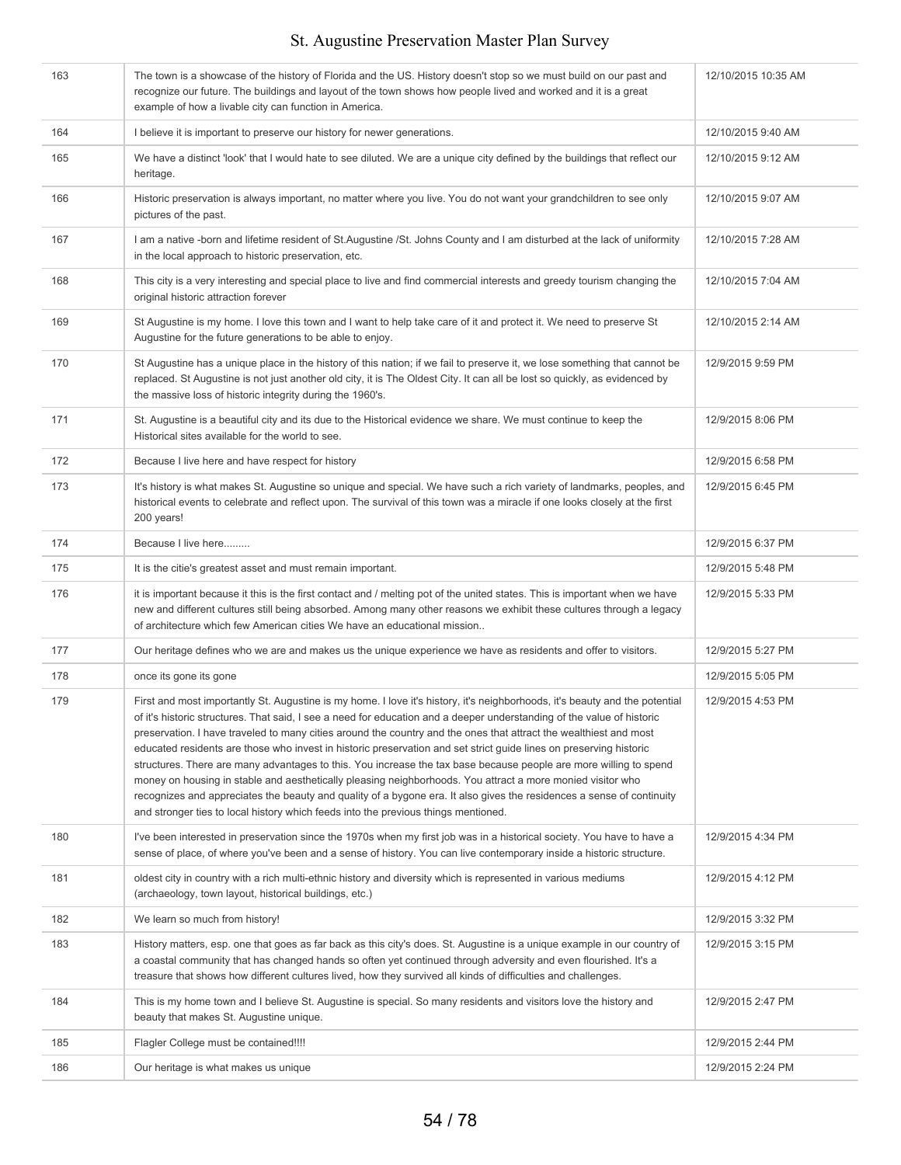| 163 | The town is a showcase of the history of Florida and the US. History doesn't stop so we must build on our past and<br>recognize our future. The buildings and layout of the town shows how people lived and worked and it is a great<br>example of how a livable city can function in America.                                                                                                                                                                                                                                                                                                                                                                                                                                                                                                                                                                                                                                                     | 12/10/2015 10:35 AM |
|-----|----------------------------------------------------------------------------------------------------------------------------------------------------------------------------------------------------------------------------------------------------------------------------------------------------------------------------------------------------------------------------------------------------------------------------------------------------------------------------------------------------------------------------------------------------------------------------------------------------------------------------------------------------------------------------------------------------------------------------------------------------------------------------------------------------------------------------------------------------------------------------------------------------------------------------------------------------|---------------------|
| 164 | I believe it is important to preserve our history for newer generations.                                                                                                                                                                                                                                                                                                                                                                                                                                                                                                                                                                                                                                                                                                                                                                                                                                                                           | 12/10/2015 9:40 AM  |
| 165 | We have a distinct 'look' that I would hate to see diluted. We are a unique city defined by the buildings that reflect our<br>heritage.                                                                                                                                                                                                                                                                                                                                                                                                                                                                                                                                                                                                                                                                                                                                                                                                            | 12/10/2015 9:12 AM  |
| 166 | Historic preservation is always important, no matter where you live. You do not want your grandchildren to see only<br>pictures of the past.                                                                                                                                                                                                                                                                                                                                                                                                                                                                                                                                                                                                                                                                                                                                                                                                       | 12/10/2015 9:07 AM  |
| 167 | I am a native -born and lifetime resident of St. Augustine /St. Johns County and I am disturbed at the lack of uniformity<br>in the local approach to historic preservation, etc.                                                                                                                                                                                                                                                                                                                                                                                                                                                                                                                                                                                                                                                                                                                                                                  | 12/10/2015 7:28 AM  |
| 168 | This city is a very interesting and special place to live and find commercial interests and greedy tourism changing the<br>original historic attraction forever                                                                                                                                                                                                                                                                                                                                                                                                                                                                                                                                                                                                                                                                                                                                                                                    | 12/10/2015 7:04 AM  |
| 169 | St Augustine is my home. I love this town and I want to help take care of it and protect it. We need to preserve St<br>Augustine for the future generations to be able to enjoy.                                                                                                                                                                                                                                                                                                                                                                                                                                                                                                                                                                                                                                                                                                                                                                   | 12/10/2015 2:14 AM  |
| 170 | St Augustine has a unique place in the history of this nation; if we fail to preserve it, we lose something that cannot be<br>replaced. St Augustine is not just another old city, it is The Oldest City. It can all be lost so quickly, as evidenced by<br>the massive loss of historic integrity during the 1960's.                                                                                                                                                                                                                                                                                                                                                                                                                                                                                                                                                                                                                              | 12/9/2015 9:59 PM   |
| 171 | St. Augustine is a beautiful city and its due to the Historical evidence we share. We must continue to keep the<br>Historical sites available for the world to see.                                                                                                                                                                                                                                                                                                                                                                                                                                                                                                                                                                                                                                                                                                                                                                                | 12/9/2015 8:06 PM   |
| 172 | Because I live here and have respect for history                                                                                                                                                                                                                                                                                                                                                                                                                                                                                                                                                                                                                                                                                                                                                                                                                                                                                                   | 12/9/2015 6:58 PM   |
| 173 | It's history is what makes St. Augustine so unique and special. We have such a rich variety of landmarks, peoples, and<br>historical events to celebrate and reflect upon. The survival of this town was a miracle if one looks closely at the first<br>200 years!                                                                                                                                                                                                                                                                                                                                                                                                                                                                                                                                                                                                                                                                                 | 12/9/2015 6:45 PM   |
| 174 | Because I live here                                                                                                                                                                                                                                                                                                                                                                                                                                                                                                                                                                                                                                                                                                                                                                                                                                                                                                                                | 12/9/2015 6:37 PM   |
| 175 | It is the citie's greatest asset and must remain important.                                                                                                                                                                                                                                                                                                                                                                                                                                                                                                                                                                                                                                                                                                                                                                                                                                                                                        | 12/9/2015 5:48 PM   |
| 176 | it is important because it this is the first contact and / melting pot of the united states. This is important when we have<br>new and different cultures still being absorbed. Among many other reasons we exhibit these cultures through a legacy<br>of architecture which few American cities We have an educational mission                                                                                                                                                                                                                                                                                                                                                                                                                                                                                                                                                                                                                    | 12/9/2015 5:33 PM   |
| 177 | Our heritage defines who we are and makes us the unique experience we have as residents and offer to visitors.                                                                                                                                                                                                                                                                                                                                                                                                                                                                                                                                                                                                                                                                                                                                                                                                                                     | 12/9/2015 5:27 PM   |
| 178 | once its gone its gone                                                                                                                                                                                                                                                                                                                                                                                                                                                                                                                                                                                                                                                                                                                                                                                                                                                                                                                             | 12/9/2015 5:05 PM   |
| 179 | First and most importantly St. Augustine is my home. I love it's history, it's neighborhoods, it's beauty and the potential<br>of it's historic structures. That said, I see a need for education and a deeper understanding of the value of historic<br>preservation. I have traveled to many cities around the country and the ones that attract the wealthiest and most<br>educated residents are those who invest in historic preservation and set strict guide lines on preserving historic<br>structures. There are many advantages to this. You increase the tax base because people are more willing to spend<br>money on housing in stable and aesthetically pleasing neighborhoods. You attract a more monied visitor who<br>recognizes and appreciates the beauty and quality of a bygone era. It also gives the residences a sense of continuity<br>and stronger ties to local history which feeds into the previous things mentioned. | 12/9/2015 4:53 PM   |
| 180 | I've been interested in preservation since the 1970s when my first job was in a historical society. You have to have a<br>sense of place, of where you've been and a sense of history. You can live contemporary inside a historic structure.                                                                                                                                                                                                                                                                                                                                                                                                                                                                                                                                                                                                                                                                                                      | 12/9/2015 4:34 PM   |
| 181 | oldest city in country with a rich multi-ethnic history and diversity which is represented in various mediums<br>(archaeology, town layout, historical buildings, etc.)                                                                                                                                                                                                                                                                                                                                                                                                                                                                                                                                                                                                                                                                                                                                                                            | 12/9/2015 4:12 PM   |
| 182 | We learn so much from history!                                                                                                                                                                                                                                                                                                                                                                                                                                                                                                                                                                                                                                                                                                                                                                                                                                                                                                                     | 12/9/2015 3:32 PM   |
| 183 | History matters, esp. one that goes as far back as this city's does. St. Augustine is a unique example in our country of<br>a coastal community that has changed hands so often yet continued through adversity and even flourished. It's a<br>treasure that shows how different cultures lived, how they survived all kinds of difficulties and challenges.                                                                                                                                                                                                                                                                                                                                                                                                                                                                                                                                                                                       | 12/9/2015 3:15 PM   |
| 184 | This is my home town and I believe St. Augustine is special. So many residents and visitors love the history and<br>beauty that makes St. Augustine unique.                                                                                                                                                                                                                                                                                                                                                                                                                                                                                                                                                                                                                                                                                                                                                                                        | 12/9/2015 2:47 PM   |
| 185 | Flagler College must be contained!!!!                                                                                                                                                                                                                                                                                                                                                                                                                                                                                                                                                                                                                                                                                                                                                                                                                                                                                                              | 12/9/2015 2:44 PM   |
| 186 | Our heritage is what makes us unique                                                                                                                                                                                                                                                                                                                                                                                                                                                                                                                                                                                                                                                                                                                                                                                                                                                                                                               | 12/9/2015 2:24 PM   |
|     |                                                                                                                                                                                                                                                                                                                                                                                                                                                                                                                                                                                                                                                                                                                                                                                                                                                                                                                                                    |                     |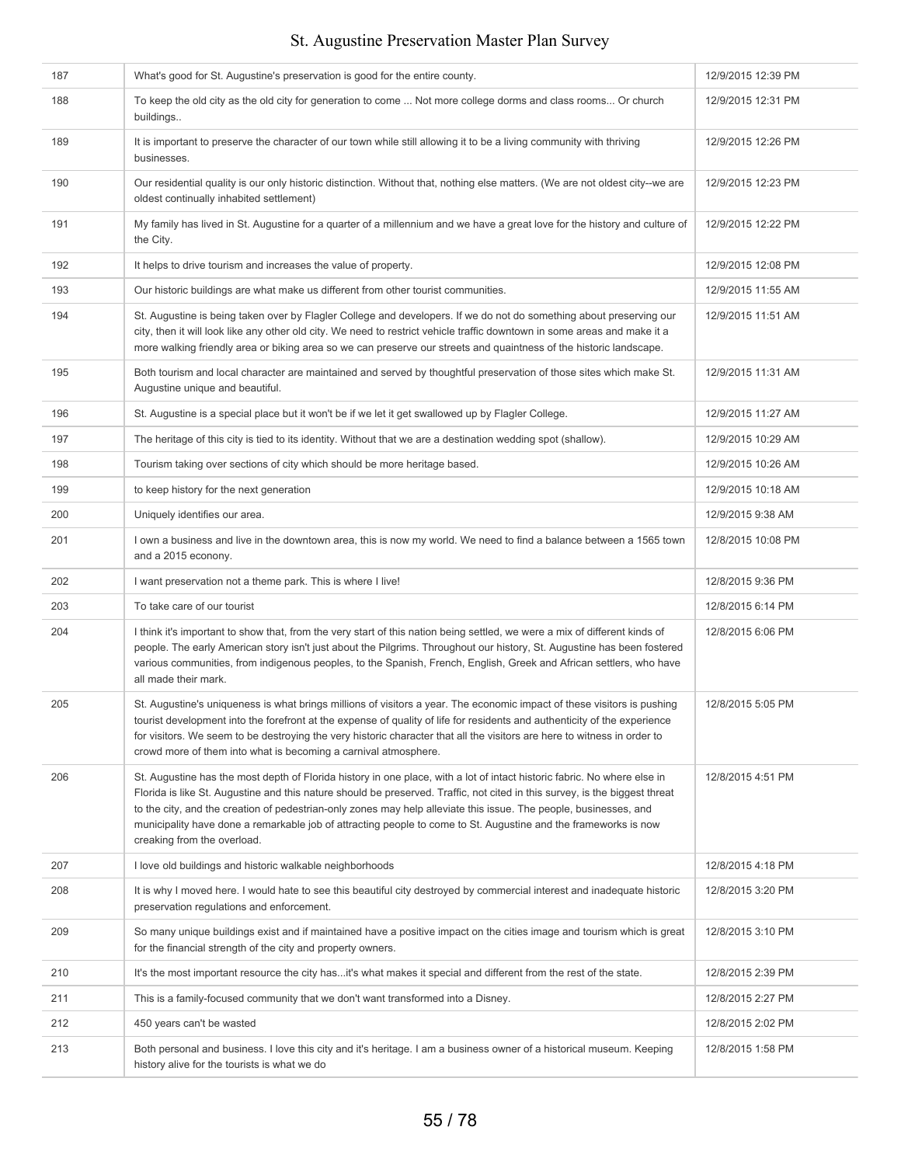#### 187 What's good for St. Augustine's preservation is good for the entire county. 12/9/2015 12:39 PM 188 To keep the old city as the old city for generation to come ... Not more college dorms and class rooms... Or church buildings.. 12/9/2015 12:31 PM 189 It is important to preserve the character of our town while still allowing it to be a living community with thriving businesses. 12/9/2015 12:26 PM 190 Our residential quality is our only historic distinction. Without that, nothing else matters. (We are not oldest city--we are oldest continually inhabited settlement) 12/9/2015 12:23 PM 191 My family has lived in St. Augustine for a quarter of a millennium and we have a great love for the history and culture of the City. 12/9/2015 12:22 PM 192 It helps to drive tourism and increases the value of property. 12/9/2015 12:08 PM 193 Our historic buildings are what make us different from other tourist communities. 1200 1209/2015 11:55 AM 194 St. Augustine is being taken over by Flagler College and developers. If we do not do something about preserving our city, then it will look like any other old city. We need to restrict vehicle traffic downtown in some areas and make it a more walking friendly area or biking area so we can preserve our streets and quaintness of the historic landscape. 12/9/2015 11:51 AM 195 Both tourism and local character are maintained and served by thoughtful preservation of those sites which make St. Augustine unique and beautiful. 12/9/2015 11:31 AM 196 St. Augustine is a special place but it won't be if we let it get swallowed up by Flagler College. 12/9/2015 11:27 AM 197 The heritage of this city is tied to its identity. Without that we are a destination wedding spot (shallow). 12/9/2015 10:29 AM 198 Tourism taking over sections of city which should be more heritage based. 1200 1209/2015 10:26 AM 199 to keep history for the next generation 1209/2015 10:18 AM 200 Uniquely identifies our area. 12/9/2015 9:38 AM 201 I own a business and live in the downtown area, this is now my world. We need to find a balance between a 1565 town and a 2015 econony. 12/8/2015 10:08 PM 202 I want preservation not a theme park. This is where I live! 12/8/2015 9:36 PM 203 To take care of our tourist 12/8/2015 6:14 PM 204 I think it's important to show that, from the very start of this nation being settled, we were a mix of different kinds of people. The early American story isn't just about the Pilgrims. Throughout our history, St. Augustine has been fostered various communities, from indigenous peoples, to the Spanish, French, English, Greek and African settlers, who have all made their mark. 12/8/2015 6:06 PM 205 St. Augustine's uniqueness is what brings millions of visitors a year. The economic impact of these visitors is pushing tourist development into the forefront at the expense of quality of life for residents and authenticity of the experience for visitors. We seem to be destroying the very historic character that all the visitors are here to witness in order to crowd more of them into what is becoming a carnival atmosphere. 12/8/2015 5:05 PM 206 St. Augustine has the most depth of Florida history in one place, with a lot of intact historic fabric. No where else in Florida is like St. Augustine and this nature should be preserved. Traffic, not cited in this survey, is the biggest threat to the city, and the creation of pedestrian-only zones may help alleviate this issue. The people, businesses, and municipality have done a remarkable job of attracting people to come to St. Augustine and the frameworks is now creaking from the overload. 12/8/2015 4:51 PM 207 I love old buildings and historic walkable neighborhoods **12/8/2015 4:18 PM** 12/8/2015 4:18 PM 208 It is why I moved here. I would hate to see this beautiful city destroyed by commercial interest and inadequate historic preservation regulations and enforcement. 12/8/2015 3:20 PM 209 So many unique buildings exist and if maintained have a positive impact on the cities image and tourism which is great for the financial strength of the city and property owners. 12/8/2015 3:10 PM 210 It's the most important resource the city has...it's what makes it special and different from the rest of the state. 12/8/2015 2:39 PM 211 This is a family-focused community that we don't want transformed into a Disney. 2001 This is a family-focused community that we don't want transformed into a Disney. 212 450 years can't be wasted 2008 and 2008 2:02 PM and 2008 2:02 PM and 2008 2:02 PM and 2008 2:02 PM and 200 213 Both personal and business. I love this city and it's heritage. I am a business owner of a historical museum. Keeping history alive for the tourists is what we do 12/8/2015 1:58 PM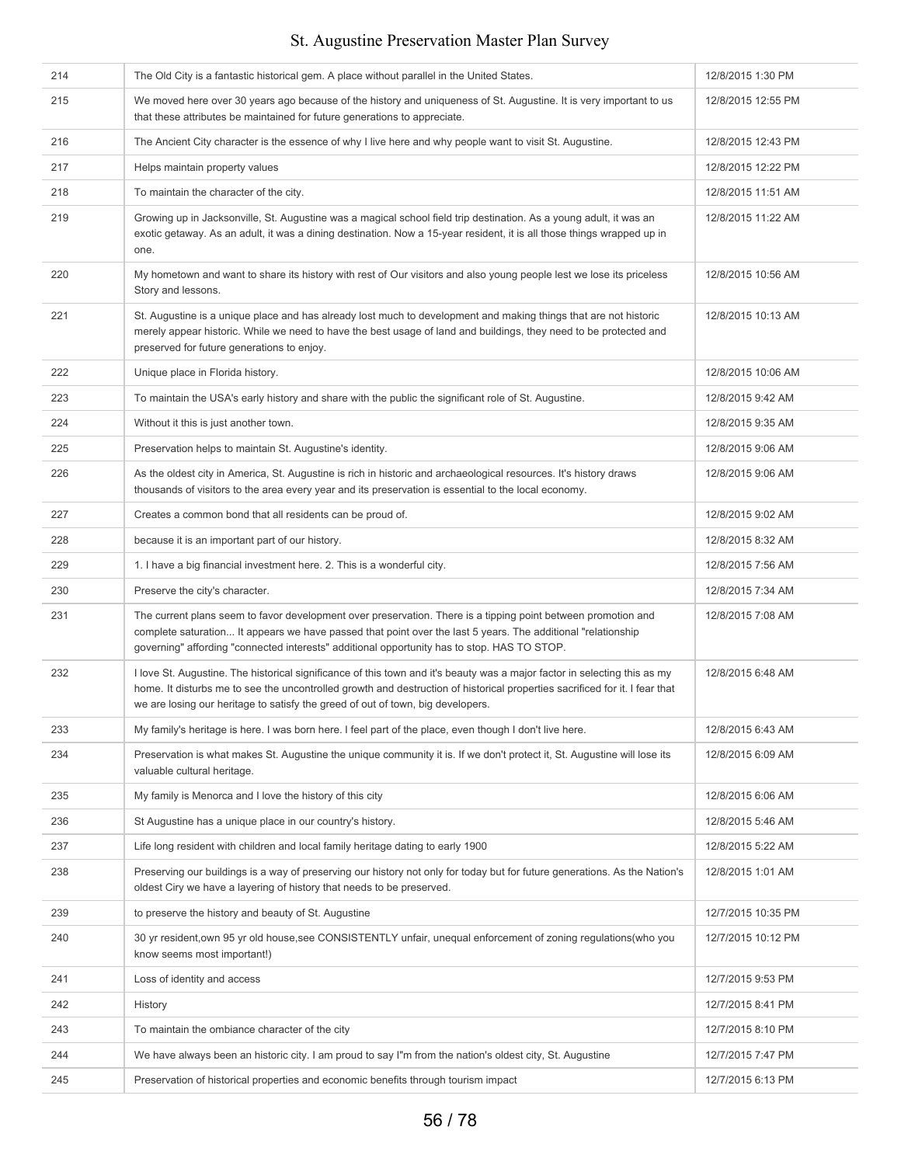| 214 | The Old City is a fantastic historical gem. A place without parallel in the United States.                                                                                                                                                                                                                                                  | 12/8/2015 1:30 PM  |
|-----|---------------------------------------------------------------------------------------------------------------------------------------------------------------------------------------------------------------------------------------------------------------------------------------------------------------------------------------------|--------------------|
| 215 | We moved here over 30 years ago because of the history and uniqueness of St. Augustine. It is very important to us<br>that these attributes be maintained for future generations to appreciate.                                                                                                                                             | 12/8/2015 12:55 PM |
| 216 | The Ancient City character is the essence of why I live here and why people want to visit St. Augustine.                                                                                                                                                                                                                                    | 12/8/2015 12:43 PM |
| 217 | Helps maintain property values                                                                                                                                                                                                                                                                                                              | 12/8/2015 12:22 PM |
| 218 | To maintain the character of the city.                                                                                                                                                                                                                                                                                                      | 12/8/2015 11:51 AM |
| 219 | Growing up in Jacksonville, St. Augustine was a magical school field trip destination. As a young adult, it was an<br>exotic getaway. As an adult, it was a dining destination. Now a 15-year resident, it is all those things wrapped up in<br>one.                                                                                        | 12/8/2015 11:22 AM |
| 220 | My hometown and want to share its history with rest of Our visitors and also young people lest we lose its priceless<br>Story and lessons.                                                                                                                                                                                                  | 12/8/2015 10:56 AM |
| 221 | St. Augustine is a unique place and has already lost much to development and making things that are not historic<br>merely appear historic. While we need to have the best usage of land and buildings, they need to be protected and<br>preserved for future generations to enjoy.                                                         | 12/8/2015 10:13 AM |
| 222 | Unique place in Florida history.                                                                                                                                                                                                                                                                                                            | 12/8/2015 10:06 AM |
| 223 | To maintain the USA's early history and share with the public the significant role of St. Augustine.                                                                                                                                                                                                                                        | 12/8/2015 9:42 AM  |
| 224 | Without it this is just another town.                                                                                                                                                                                                                                                                                                       | 12/8/2015 9:35 AM  |
| 225 | Preservation helps to maintain St. Augustine's identity.                                                                                                                                                                                                                                                                                    | 12/8/2015 9:06 AM  |
| 226 | As the oldest city in America, St. Augustine is rich in historic and archaeological resources. It's history draws<br>thousands of visitors to the area every year and its preservation is essential to the local economy.                                                                                                                   | 12/8/2015 9:06 AM  |
| 227 | Creates a common bond that all residents can be proud of.                                                                                                                                                                                                                                                                                   | 12/8/2015 9:02 AM  |
| 228 | because it is an important part of our history.                                                                                                                                                                                                                                                                                             | 12/8/2015 8:32 AM  |
| 229 | 1. I have a big financial investment here. 2. This is a wonderful city.                                                                                                                                                                                                                                                                     | 12/8/2015 7:56 AM  |
| 230 | Preserve the city's character.                                                                                                                                                                                                                                                                                                              | 12/8/2015 7:34 AM  |
| 231 | The current plans seem to favor development over preservation. There is a tipping point between promotion and<br>complete saturation It appears we have passed that point over the last 5 years. The additional "relationship<br>governing" affording "connected interests" additional opportunity has to stop. HAS TO STOP.                | 12/8/2015 7:08 AM  |
| 232 | I love St. Augustine. The historical significance of this town and it's beauty was a major factor in selecting this as my<br>home. It disturbs me to see the uncontrolled growth and destruction of historical properties sacrificed for it. I fear that<br>we are losing our heritage to satisfy the greed of out of town, big developers. | 12/8/2015 6:48 AM  |
| 233 | My family's heritage is here. I was born here. I feel part of the place, even though I don't live here.                                                                                                                                                                                                                                     | 12/8/2015 6:43 AM  |
| 234 | Preservation is what makes St. Augustine the unique community it is. If we don't protect it, St. Augustine will lose its<br>valuable cultural heritage.                                                                                                                                                                                     | 12/8/2015 6:09 AM  |
| 235 | My family is Menorca and I love the history of this city                                                                                                                                                                                                                                                                                    | 12/8/2015 6:06 AM  |
| 236 | St Augustine has a unique place in our country's history.                                                                                                                                                                                                                                                                                   | 12/8/2015 5:46 AM  |
| 237 | Life long resident with children and local family heritage dating to early 1900                                                                                                                                                                                                                                                             | 12/8/2015 5:22 AM  |
| 238 | Preserving our buildings is a way of preserving our history not only for today but for future generations. As the Nation's<br>oldest Ciry we have a layering of history that needs to be preserved.                                                                                                                                         | 12/8/2015 1:01 AM  |
| 239 | to preserve the history and beauty of St. Augustine                                                                                                                                                                                                                                                                                         | 12/7/2015 10:35 PM |
| 240 | 30 yr resident, own 95 yr old house, see CONSISTENTLY unfair, unequal enforcement of zoning regulations (who you<br>know seems most important!)                                                                                                                                                                                             | 12/7/2015 10:12 PM |
| 241 | Loss of identity and access                                                                                                                                                                                                                                                                                                                 | 12/7/2015 9:53 PM  |
| 242 | History                                                                                                                                                                                                                                                                                                                                     | 12/7/2015 8:41 PM  |
| 243 | To maintain the ombiance character of the city                                                                                                                                                                                                                                                                                              | 12/7/2015 8:10 PM  |
| 244 | We have always been an historic city. I am proud to say I"m from the nation's oldest city, St. Augustine                                                                                                                                                                                                                                    | 12/7/2015 7:47 PM  |
| 245 | Preservation of historical properties and economic benefits through tourism impact                                                                                                                                                                                                                                                          | 12/7/2015 6:13 PM  |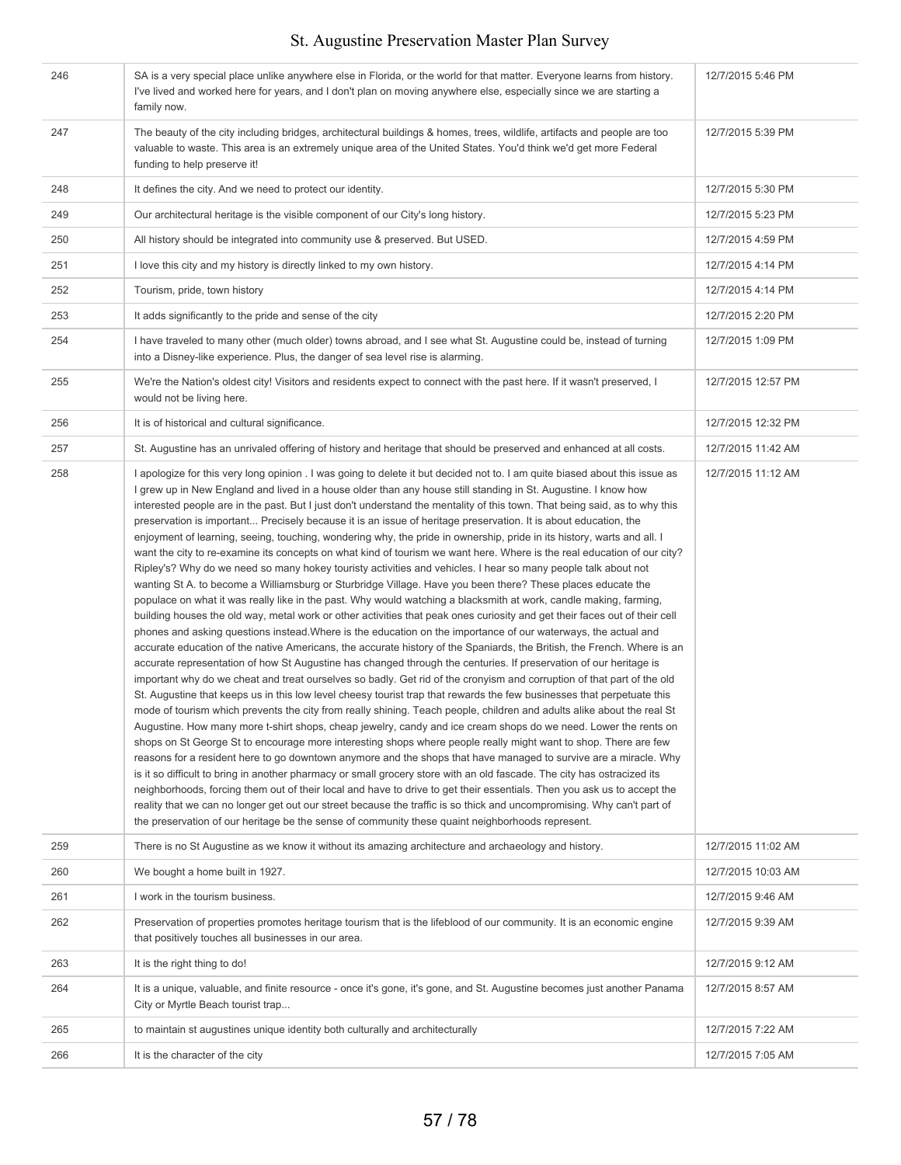| 246 | SA is a very special place unlike anywhere else in Florida, or the world for that matter. Everyone learns from history.<br>I've lived and worked here for years, and I don't plan on moving anywhere else, especially since we are starting a<br>family now.                                                                                                                                                                                                                                                                                                                                                                                                                                                                                                                                                                                                                                                                                                                                                                                                                                                                                                                                                                                                                                                                                                                                                                                                                                                                                                                                                                                                                                                                                                                                                                                                                                                                                                                                                                                                                                                                                                                                                                                                                                                                                                                                                                                                                                                                                                                                                                                                                                                                                                                                                                        | 12/7/2015 5:46 PM  |
|-----|-------------------------------------------------------------------------------------------------------------------------------------------------------------------------------------------------------------------------------------------------------------------------------------------------------------------------------------------------------------------------------------------------------------------------------------------------------------------------------------------------------------------------------------------------------------------------------------------------------------------------------------------------------------------------------------------------------------------------------------------------------------------------------------------------------------------------------------------------------------------------------------------------------------------------------------------------------------------------------------------------------------------------------------------------------------------------------------------------------------------------------------------------------------------------------------------------------------------------------------------------------------------------------------------------------------------------------------------------------------------------------------------------------------------------------------------------------------------------------------------------------------------------------------------------------------------------------------------------------------------------------------------------------------------------------------------------------------------------------------------------------------------------------------------------------------------------------------------------------------------------------------------------------------------------------------------------------------------------------------------------------------------------------------------------------------------------------------------------------------------------------------------------------------------------------------------------------------------------------------------------------------------------------------------------------------------------------------------------------------------------------------------------------------------------------------------------------------------------------------------------------------------------------------------------------------------------------------------------------------------------------------------------------------------------------------------------------------------------------------------------------------------------------------------------------------------------------------|--------------------|
| 247 | The beauty of the city including bridges, architectural buildings & homes, trees, wildlife, artifacts and people are too<br>valuable to waste. This area is an extremely unique area of the United States. You'd think we'd get more Federal<br>funding to help preserve it!                                                                                                                                                                                                                                                                                                                                                                                                                                                                                                                                                                                                                                                                                                                                                                                                                                                                                                                                                                                                                                                                                                                                                                                                                                                                                                                                                                                                                                                                                                                                                                                                                                                                                                                                                                                                                                                                                                                                                                                                                                                                                                                                                                                                                                                                                                                                                                                                                                                                                                                                                        | 12/7/2015 5:39 PM  |
| 248 | It defines the city. And we need to protect our identity.                                                                                                                                                                                                                                                                                                                                                                                                                                                                                                                                                                                                                                                                                                                                                                                                                                                                                                                                                                                                                                                                                                                                                                                                                                                                                                                                                                                                                                                                                                                                                                                                                                                                                                                                                                                                                                                                                                                                                                                                                                                                                                                                                                                                                                                                                                                                                                                                                                                                                                                                                                                                                                                                                                                                                                           | 12/7/2015 5:30 PM  |
| 249 | Our architectural heritage is the visible component of our City's long history.                                                                                                                                                                                                                                                                                                                                                                                                                                                                                                                                                                                                                                                                                                                                                                                                                                                                                                                                                                                                                                                                                                                                                                                                                                                                                                                                                                                                                                                                                                                                                                                                                                                                                                                                                                                                                                                                                                                                                                                                                                                                                                                                                                                                                                                                                                                                                                                                                                                                                                                                                                                                                                                                                                                                                     | 12/7/2015 5:23 PM  |
| 250 | All history should be integrated into community use & preserved. But USED.                                                                                                                                                                                                                                                                                                                                                                                                                                                                                                                                                                                                                                                                                                                                                                                                                                                                                                                                                                                                                                                                                                                                                                                                                                                                                                                                                                                                                                                                                                                                                                                                                                                                                                                                                                                                                                                                                                                                                                                                                                                                                                                                                                                                                                                                                                                                                                                                                                                                                                                                                                                                                                                                                                                                                          | 12/7/2015 4:59 PM  |
| 251 | I love this city and my history is directly linked to my own history.                                                                                                                                                                                                                                                                                                                                                                                                                                                                                                                                                                                                                                                                                                                                                                                                                                                                                                                                                                                                                                                                                                                                                                                                                                                                                                                                                                                                                                                                                                                                                                                                                                                                                                                                                                                                                                                                                                                                                                                                                                                                                                                                                                                                                                                                                                                                                                                                                                                                                                                                                                                                                                                                                                                                                               | 12/7/2015 4:14 PM  |
| 252 | Tourism, pride, town history                                                                                                                                                                                                                                                                                                                                                                                                                                                                                                                                                                                                                                                                                                                                                                                                                                                                                                                                                                                                                                                                                                                                                                                                                                                                                                                                                                                                                                                                                                                                                                                                                                                                                                                                                                                                                                                                                                                                                                                                                                                                                                                                                                                                                                                                                                                                                                                                                                                                                                                                                                                                                                                                                                                                                                                                        | 12/7/2015 4:14 PM  |
| 253 | It adds significantly to the pride and sense of the city                                                                                                                                                                                                                                                                                                                                                                                                                                                                                                                                                                                                                                                                                                                                                                                                                                                                                                                                                                                                                                                                                                                                                                                                                                                                                                                                                                                                                                                                                                                                                                                                                                                                                                                                                                                                                                                                                                                                                                                                                                                                                                                                                                                                                                                                                                                                                                                                                                                                                                                                                                                                                                                                                                                                                                            | 12/7/2015 2:20 PM  |
| 254 | I have traveled to many other (much older) towns abroad, and I see what St. Augustine could be, instead of turning<br>into a Disney-like experience. Plus, the danger of sea level rise is alarming.                                                                                                                                                                                                                                                                                                                                                                                                                                                                                                                                                                                                                                                                                                                                                                                                                                                                                                                                                                                                                                                                                                                                                                                                                                                                                                                                                                                                                                                                                                                                                                                                                                                                                                                                                                                                                                                                                                                                                                                                                                                                                                                                                                                                                                                                                                                                                                                                                                                                                                                                                                                                                                | 12/7/2015 1:09 PM  |
| 255 | We're the Nation's oldest city! Visitors and residents expect to connect with the past here. If it wasn't preserved, I<br>would not be living here.                                                                                                                                                                                                                                                                                                                                                                                                                                                                                                                                                                                                                                                                                                                                                                                                                                                                                                                                                                                                                                                                                                                                                                                                                                                                                                                                                                                                                                                                                                                                                                                                                                                                                                                                                                                                                                                                                                                                                                                                                                                                                                                                                                                                                                                                                                                                                                                                                                                                                                                                                                                                                                                                                 | 12/7/2015 12:57 PM |
| 256 | It is of historical and cultural significance.                                                                                                                                                                                                                                                                                                                                                                                                                                                                                                                                                                                                                                                                                                                                                                                                                                                                                                                                                                                                                                                                                                                                                                                                                                                                                                                                                                                                                                                                                                                                                                                                                                                                                                                                                                                                                                                                                                                                                                                                                                                                                                                                                                                                                                                                                                                                                                                                                                                                                                                                                                                                                                                                                                                                                                                      | 12/7/2015 12:32 PM |
| 257 | St. Augustine has an unrivaled offering of history and heritage that should be preserved and enhanced at all costs.                                                                                                                                                                                                                                                                                                                                                                                                                                                                                                                                                                                                                                                                                                                                                                                                                                                                                                                                                                                                                                                                                                                                                                                                                                                                                                                                                                                                                                                                                                                                                                                                                                                                                                                                                                                                                                                                                                                                                                                                                                                                                                                                                                                                                                                                                                                                                                                                                                                                                                                                                                                                                                                                                                                 | 12/7/2015 11:42 AM |
| 258 | I apologize for this very long opinion. I was going to delete it but decided not to. I am quite biased about this issue as<br>I grew up in New England and lived in a house older than any house still standing in St. Augustine. I know how<br>interested people are in the past. But I just don't understand the mentality of this town. That being said, as to why this<br>preservation is important Precisely because it is an issue of heritage preservation. It is about education, the<br>enjoyment of learning, seeing, touching, wondering why, the pride in ownership, pride in its history, warts and all. I<br>want the city to re-examine its concepts on what kind of tourism we want here. Where is the real education of our city?<br>Ripley's? Why do we need so many hokey touristy activities and vehicles. I hear so many people talk about not<br>wanting St A. to become a Williamsburg or Sturbridge Village. Have you been there? These places educate the<br>populace on what it was really like in the past. Why would watching a blacksmith at work, candle making, farming,<br>building houses the old way, metal work or other activities that peak ones curiosity and get their faces out of their cell<br>phones and asking questions instead. Where is the education on the importance of our waterways, the actual and<br>accurate education of the native Americans, the accurate history of the Spaniards, the British, the French. Where is an<br>accurate representation of how St Augustine has changed through the centuries. If preservation of our heritage is<br>important why do we cheat and treat ourselves so badly. Get rid of the cronyism and corruption of that part of the old<br>St. Augustine that keeps us in this low level cheesy tourist trap that rewards the few businesses that perpetuate this<br>mode of tourism which prevents the city from really shining. Teach people, children and adults alike about the real St<br>Augustine. How many more t-shirt shops, cheap jewelry, candy and ice cream shops do we need. Lower the rents on<br>shops on St George St to encourage more interesting shops where people really might want to shop. There are few<br>reasons for a resident here to go downtown anymore and the shops that have managed to survive are a miracle. Why<br>is it so difficult to bring in another pharmacy or small grocery store with an old fascade. The city has ostracized its<br>neighborhoods, forcing them out of their local and have to drive to get their essentials. Then you ask us to accept the<br>reality that we can no longer get out our street because the traffic is so thick and uncompromising. Why can't part of<br>the preservation of our heritage be the sense of community these quaint neighborhoods represent. | 12/7/2015 11:12 AM |
| 259 | There is no St Augustine as we know it without its amazing architecture and archaeology and history.                                                                                                                                                                                                                                                                                                                                                                                                                                                                                                                                                                                                                                                                                                                                                                                                                                                                                                                                                                                                                                                                                                                                                                                                                                                                                                                                                                                                                                                                                                                                                                                                                                                                                                                                                                                                                                                                                                                                                                                                                                                                                                                                                                                                                                                                                                                                                                                                                                                                                                                                                                                                                                                                                                                                | 12/7/2015 11:02 AM |
| 260 | We bought a home built in 1927.                                                                                                                                                                                                                                                                                                                                                                                                                                                                                                                                                                                                                                                                                                                                                                                                                                                                                                                                                                                                                                                                                                                                                                                                                                                                                                                                                                                                                                                                                                                                                                                                                                                                                                                                                                                                                                                                                                                                                                                                                                                                                                                                                                                                                                                                                                                                                                                                                                                                                                                                                                                                                                                                                                                                                                                                     | 12/7/2015 10:03 AM |
| 261 | I work in the tourism business.                                                                                                                                                                                                                                                                                                                                                                                                                                                                                                                                                                                                                                                                                                                                                                                                                                                                                                                                                                                                                                                                                                                                                                                                                                                                                                                                                                                                                                                                                                                                                                                                                                                                                                                                                                                                                                                                                                                                                                                                                                                                                                                                                                                                                                                                                                                                                                                                                                                                                                                                                                                                                                                                                                                                                                                                     | 12/7/2015 9:46 AM  |
| 262 | Preservation of properties promotes heritage tourism that is the lifeblood of our community. It is an economic engine<br>that positively touches all businesses in our area.                                                                                                                                                                                                                                                                                                                                                                                                                                                                                                                                                                                                                                                                                                                                                                                                                                                                                                                                                                                                                                                                                                                                                                                                                                                                                                                                                                                                                                                                                                                                                                                                                                                                                                                                                                                                                                                                                                                                                                                                                                                                                                                                                                                                                                                                                                                                                                                                                                                                                                                                                                                                                                                        | 12/7/2015 9:39 AM  |
| 263 | It is the right thing to do!                                                                                                                                                                                                                                                                                                                                                                                                                                                                                                                                                                                                                                                                                                                                                                                                                                                                                                                                                                                                                                                                                                                                                                                                                                                                                                                                                                                                                                                                                                                                                                                                                                                                                                                                                                                                                                                                                                                                                                                                                                                                                                                                                                                                                                                                                                                                                                                                                                                                                                                                                                                                                                                                                                                                                                                                        | 12/7/2015 9:12 AM  |
| 264 | It is a unique, valuable, and finite resource - once it's gone, it's gone, and St. Augustine becomes just another Panama<br>City or Myrtle Beach tourist trap                                                                                                                                                                                                                                                                                                                                                                                                                                                                                                                                                                                                                                                                                                                                                                                                                                                                                                                                                                                                                                                                                                                                                                                                                                                                                                                                                                                                                                                                                                                                                                                                                                                                                                                                                                                                                                                                                                                                                                                                                                                                                                                                                                                                                                                                                                                                                                                                                                                                                                                                                                                                                                                                       | 12/7/2015 8:57 AM  |
| 265 | to maintain st augustines unique identity both culturally and architecturally                                                                                                                                                                                                                                                                                                                                                                                                                                                                                                                                                                                                                                                                                                                                                                                                                                                                                                                                                                                                                                                                                                                                                                                                                                                                                                                                                                                                                                                                                                                                                                                                                                                                                                                                                                                                                                                                                                                                                                                                                                                                                                                                                                                                                                                                                                                                                                                                                                                                                                                                                                                                                                                                                                                                                       | 12/7/2015 7:22 AM  |
| 266 | It is the character of the city                                                                                                                                                                                                                                                                                                                                                                                                                                                                                                                                                                                                                                                                                                                                                                                                                                                                                                                                                                                                                                                                                                                                                                                                                                                                                                                                                                                                                                                                                                                                                                                                                                                                                                                                                                                                                                                                                                                                                                                                                                                                                                                                                                                                                                                                                                                                                                                                                                                                                                                                                                                                                                                                                                                                                                                                     | 12/7/2015 7:05 AM  |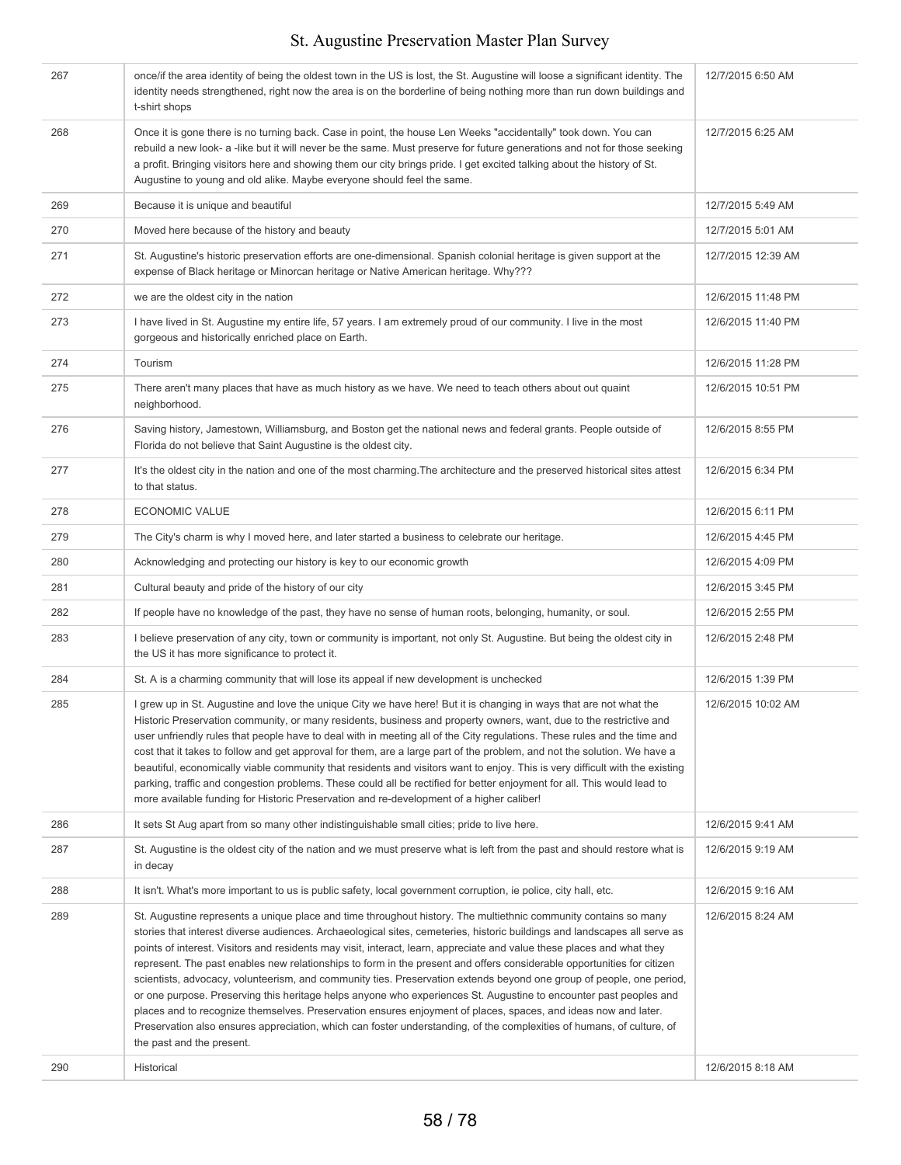| 267 | once/if the area identity of being the oldest town in the US is lost, the St. Augustine will loose a significant identity. The<br>identity needs strengthened, right now the area is on the borderline of being nothing more than run down buildings and<br>t-shirt shops                                                                                                                                                                                                                                                                                                                                                                                                                                                                                                                                                                                                                                                                                                                                             | 12/7/2015 6:50 AM  |
|-----|-----------------------------------------------------------------------------------------------------------------------------------------------------------------------------------------------------------------------------------------------------------------------------------------------------------------------------------------------------------------------------------------------------------------------------------------------------------------------------------------------------------------------------------------------------------------------------------------------------------------------------------------------------------------------------------------------------------------------------------------------------------------------------------------------------------------------------------------------------------------------------------------------------------------------------------------------------------------------------------------------------------------------|--------------------|
| 268 | Once it is gone there is no turning back. Case in point, the house Len Weeks "accidentally" took down. You can<br>rebuild a new look- a -like but it will never be the same. Must preserve for future generations and not for those seeking<br>a profit. Bringing visitors here and showing them our city brings pride. I get excited talking about the history of St.<br>Augustine to young and old alike. Maybe everyone should feel the same.                                                                                                                                                                                                                                                                                                                                                                                                                                                                                                                                                                      | 12/7/2015 6:25 AM  |
| 269 | Because it is unique and beautiful                                                                                                                                                                                                                                                                                                                                                                                                                                                                                                                                                                                                                                                                                                                                                                                                                                                                                                                                                                                    | 12/7/2015 5:49 AM  |
| 270 | Moved here because of the history and beauty                                                                                                                                                                                                                                                                                                                                                                                                                                                                                                                                                                                                                                                                                                                                                                                                                                                                                                                                                                          | 12/7/2015 5:01 AM  |
| 271 | St. Augustine's historic preservation efforts are one-dimensional. Spanish colonial heritage is given support at the<br>expense of Black heritage or Minorcan heritage or Native American heritage. Why???                                                                                                                                                                                                                                                                                                                                                                                                                                                                                                                                                                                                                                                                                                                                                                                                            | 12/7/2015 12:39 AM |
| 272 | we are the oldest city in the nation                                                                                                                                                                                                                                                                                                                                                                                                                                                                                                                                                                                                                                                                                                                                                                                                                                                                                                                                                                                  | 12/6/2015 11:48 PM |
| 273 | I have lived in St. Augustine my entire life, 57 years. I am extremely proud of our community. I live in the most<br>gorgeous and historically enriched place on Earth.                                                                                                                                                                                                                                                                                                                                                                                                                                                                                                                                                                                                                                                                                                                                                                                                                                               | 12/6/2015 11:40 PM |
| 274 | Tourism                                                                                                                                                                                                                                                                                                                                                                                                                                                                                                                                                                                                                                                                                                                                                                                                                                                                                                                                                                                                               | 12/6/2015 11:28 PM |
| 275 | There aren't many places that have as much history as we have. We need to teach others about out quaint<br>neighborhood.                                                                                                                                                                                                                                                                                                                                                                                                                                                                                                                                                                                                                                                                                                                                                                                                                                                                                              | 12/6/2015 10:51 PM |
| 276 | Saving history, Jamestown, Williamsburg, and Boston get the national news and federal grants. People outside of<br>Florida do not believe that Saint Augustine is the oldest city.                                                                                                                                                                                                                                                                                                                                                                                                                                                                                                                                                                                                                                                                                                                                                                                                                                    | 12/6/2015 8:55 PM  |
| 277 | It's the oldest city in the nation and one of the most charming. The architecture and the preserved historical sites attest<br>to that status.                                                                                                                                                                                                                                                                                                                                                                                                                                                                                                                                                                                                                                                                                                                                                                                                                                                                        | 12/6/2015 6:34 PM  |
| 278 | <b>ECONOMIC VALUE</b>                                                                                                                                                                                                                                                                                                                                                                                                                                                                                                                                                                                                                                                                                                                                                                                                                                                                                                                                                                                                 | 12/6/2015 6:11 PM  |
| 279 | The City's charm is why I moved here, and later started a business to celebrate our heritage.                                                                                                                                                                                                                                                                                                                                                                                                                                                                                                                                                                                                                                                                                                                                                                                                                                                                                                                         | 12/6/2015 4:45 PM  |
| 280 | Acknowledging and protecting our history is key to our economic growth                                                                                                                                                                                                                                                                                                                                                                                                                                                                                                                                                                                                                                                                                                                                                                                                                                                                                                                                                | 12/6/2015 4:09 PM  |
| 281 | Cultural beauty and pride of the history of our city                                                                                                                                                                                                                                                                                                                                                                                                                                                                                                                                                                                                                                                                                                                                                                                                                                                                                                                                                                  | 12/6/2015 3:45 PM  |
| 282 | If people have no knowledge of the past, they have no sense of human roots, belonging, humanity, or soul.                                                                                                                                                                                                                                                                                                                                                                                                                                                                                                                                                                                                                                                                                                                                                                                                                                                                                                             | 12/6/2015 2:55 PM  |
| 283 | I believe preservation of any city, town or community is important, not only St. Augustine. But being the oldest city in<br>the US it has more significance to protect it.                                                                                                                                                                                                                                                                                                                                                                                                                                                                                                                                                                                                                                                                                                                                                                                                                                            | 12/6/2015 2:48 PM  |
| 284 | St. A is a charming community that will lose its appeal if new development is unchecked                                                                                                                                                                                                                                                                                                                                                                                                                                                                                                                                                                                                                                                                                                                                                                                                                                                                                                                               | 12/6/2015 1:39 PM  |
| 285 | I grew up in St. Augustine and love the unique City we have here! But it is changing in ways that are not what the<br>Historic Preservation community, or many residents, business and property owners, want, due to the restrictive and<br>user unfriendly rules that people have to deal with in meeting all of the City regulations. These rules and the time and<br>cost that it takes to follow and get approval for them, are a large part of the problem, and not the solution. We have a<br>beautiful, economically viable community that residents and visitors want to enjoy. This is very difficult with the existing<br>parking, traffic and congestion problems. These could all be rectified for better enjoyment for all. This would lead to<br>more available funding for Historic Preservation and re-development of a higher caliber!                                                                                                                                                               | 12/6/2015 10:02 AM |
| 286 | It sets St Aug apart from so many other indistinguishable small cities; pride to live here.                                                                                                                                                                                                                                                                                                                                                                                                                                                                                                                                                                                                                                                                                                                                                                                                                                                                                                                           | 12/6/2015 9:41 AM  |
| 287 | St. Augustine is the oldest city of the nation and we must preserve what is left from the past and should restore what is<br>in decay                                                                                                                                                                                                                                                                                                                                                                                                                                                                                                                                                                                                                                                                                                                                                                                                                                                                                 | 12/6/2015 9:19 AM  |
| 288 | It isn't. What's more important to us is public safety, local government corruption, ie police, city hall, etc.                                                                                                                                                                                                                                                                                                                                                                                                                                                                                                                                                                                                                                                                                                                                                                                                                                                                                                       | 12/6/2015 9:16 AM  |
| 289 | St. Augustine represents a unique place and time throughout history. The multiethnic community contains so many<br>stories that interest diverse audiences. Archaeological sites, cemeteries, historic buildings and landscapes all serve as<br>points of interest. Visitors and residents may visit, interact, learn, appreciate and value these places and what they<br>represent. The past enables new relationships to form in the present and offers considerable opportunities for citizen<br>scientists, advocacy, volunteerism, and community ties. Preservation extends beyond one group of people, one period,<br>or one purpose. Preserving this heritage helps anyone who experiences St. Augustine to encounter past peoples and<br>places and to recognize themselves. Preservation ensures enjoyment of places, spaces, and ideas now and later.<br>Preservation also ensures appreciation, which can foster understanding, of the complexities of humans, of culture, of<br>the past and the present. | 12/6/2015 8:24 AM  |
| 290 | Historical                                                                                                                                                                                                                                                                                                                                                                                                                                                                                                                                                                                                                                                                                                                                                                                                                                                                                                                                                                                                            | 12/6/2015 8:18 AM  |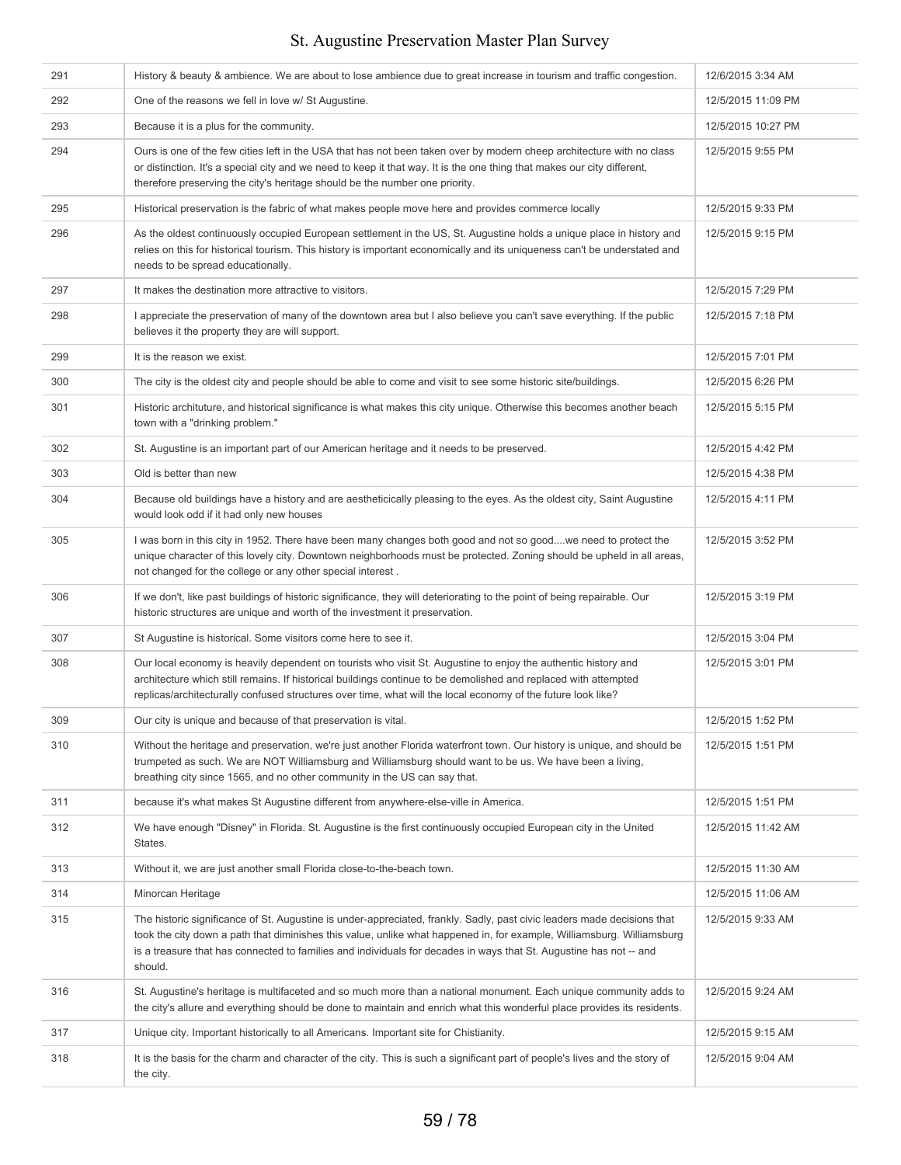| 291 | History & beauty & ambience. We are about to lose ambience due to great increase in tourism and traffic congestion.                                                                                                                                                                                                                                                                | 12/6/2015 3:34 AM  |
|-----|------------------------------------------------------------------------------------------------------------------------------------------------------------------------------------------------------------------------------------------------------------------------------------------------------------------------------------------------------------------------------------|--------------------|
| 292 | One of the reasons we fell in love w/ St Augustine.                                                                                                                                                                                                                                                                                                                                | 12/5/2015 11:09 PM |
| 293 | Because it is a plus for the community.                                                                                                                                                                                                                                                                                                                                            | 12/5/2015 10:27 PM |
| 294 | Ours is one of the few cities left in the USA that has not been taken over by modern cheep architecture with no class<br>or distinction. It's a special city and we need to keep it that way. It is the one thing that makes our city different,<br>therefore preserving the city's heritage should be the number one priority.                                                    | 12/5/2015 9:55 PM  |
| 295 | Historical preservation is the fabric of what makes people move here and provides commerce locally                                                                                                                                                                                                                                                                                 | 12/5/2015 9:33 PM  |
| 296 | As the oldest continuously occupied European settlement in the US, St. Augustine holds a unique place in history and<br>relies on this for historical tourism. This history is important economically and its uniqueness can't be understated and<br>needs to be spread educationally.                                                                                             | 12/5/2015 9:15 PM  |
| 297 | It makes the destination more attractive to visitors.                                                                                                                                                                                                                                                                                                                              | 12/5/2015 7:29 PM  |
| 298 | I appreciate the preservation of many of the downtown area but I also believe you can't save everything. If the public<br>believes it the property they are will support.                                                                                                                                                                                                          | 12/5/2015 7:18 PM  |
| 299 | It is the reason we exist.                                                                                                                                                                                                                                                                                                                                                         | 12/5/2015 7:01 PM  |
| 300 | The city is the oldest city and people should be able to come and visit to see some historic site/buildings.                                                                                                                                                                                                                                                                       | 12/5/2015 6:26 PM  |
| 301 | Historic archituture, and historical significance is what makes this city unique. Otherwise this becomes another beach<br>town with a "drinking problem."                                                                                                                                                                                                                          | 12/5/2015 5:15 PM  |
| 302 | St. Augustine is an important part of our American heritage and it needs to be preserved.                                                                                                                                                                                                                                                                                          | 12/5/2015 4:42 PM  |
| 303 | Old is better than new                                                                                                                                                                                                                                                                                                                                                             | 12/5/2015 4:38 PM  |
| 304 | Because old buildings have a history and are aestheticically pleasing to the eyes. As the oldest city, Saint Augustine<br>would look odd if it had only new houses                                                                                                                                                                                                                 | 12/5/2015 4:11 PM  |
| 305 | I was born in this city in 1952. There have been many changes both good and not so goodwe need to protect the<br>unique character of this lovely city. Downtown neighborhoods must be protected. Zoning should be upheld in all areas,<br>not changed for the college or any other special interest.                                                                               | 12/5/2015 3:52 PM  |
| 306 | If we don't, like past buildings of historic significance, they will deteriorating to the point of being repairable. Our<br>historic structures are unique and worth of the investment it preservation.                                                                                                                                                                            | 12/5/2015 3:19 PM  |
| 307 | St Augustine is historical. Some visitors come here to see it.                                                                                                                                                                                                                                                                                                                     | 12/5/2015 3:04 PM  |
| 308 | Our local economy is heavily dependent on tourists who visit St. Augustine to enjoy the authentic history and<br>architecture which still remains. If historical buildings continue to be demolished and replaced with attempted<br>replicas/architecturally confused structures over time, what will the local economy of the future look like?                                   | 12/5/2015 3:01 PM  |
| 309 | Our city is unique and because of that preservation is vital.                                                                                                                                                                                                                                                                                                                      | 12/5/2015 1:52 PM  |
| 310 | Without the heritage and preservation, we're just another Florida waterfront town. Our history is unique, and should be<br>trumpeted as such. We are NOT Williamsburg and Williamsburg should want to be us. We have been a living,<br>breathing city since 1565, and no other community in the US can say that.                                                                   | 12/5/2015 1:51 PM  |
| 311 | because it's what makes St Augustine different from anywhere-else-ville in America.                                                                                                                                                                                                                                                                                                | 12/5/2015 1:51 PM  |
| 312 | We have enough "Disney" in Florida. St. Augustine is the first continuously occupied European city in the United<br>States.                                                                                                                                                                                                                                                        | 12/5/2015 11:42 AM |
| 313 | Without it, we are just another small Florida close-to-the-beach town.                                                                                                                                                                                                                                                                                                             | 12/5/2015 11:30 AM |
| 314 | Minorcan Heritage                                                                                                                                                                                                                                                                                                                                                                  | 12/5/2015 11:06 AM |
| 315 | The historic significance of St. Augustine is under-appreciated, frankly. Sadly, past civic leaders made decisions that<br>took the city down a path that diminishes this value, unlike what happened in, for example, Williamsburg. Williamsburg<br>is a treasure that has connected to families and individuals for decades in ways that St. Augustine has not -- and<br>should. | 12/5/2015 9:33 AM  |
| 316 | St. Augustine's heritage is multifaceted and so much more than a national monument. Each unique community adds to<br>the city's allure and everything should be done to maintain and enrich what this wonderful place provides its residents.                                                                                                                                      | 12/5/2015 9:24 AM  |
| 317 | Unique city. Important historically to all Americans. Important site for Chistianity.                                                                                                                                                                                                                                                                                              | 12/5/2015 9:15 AM  |
| 318 | It is the basis for the charm and character of the city. This is such a significant part of people's lives and the story of<br>the city.                                                                                                                                                                                                                                           | 12/5/2015 9:04 AM  |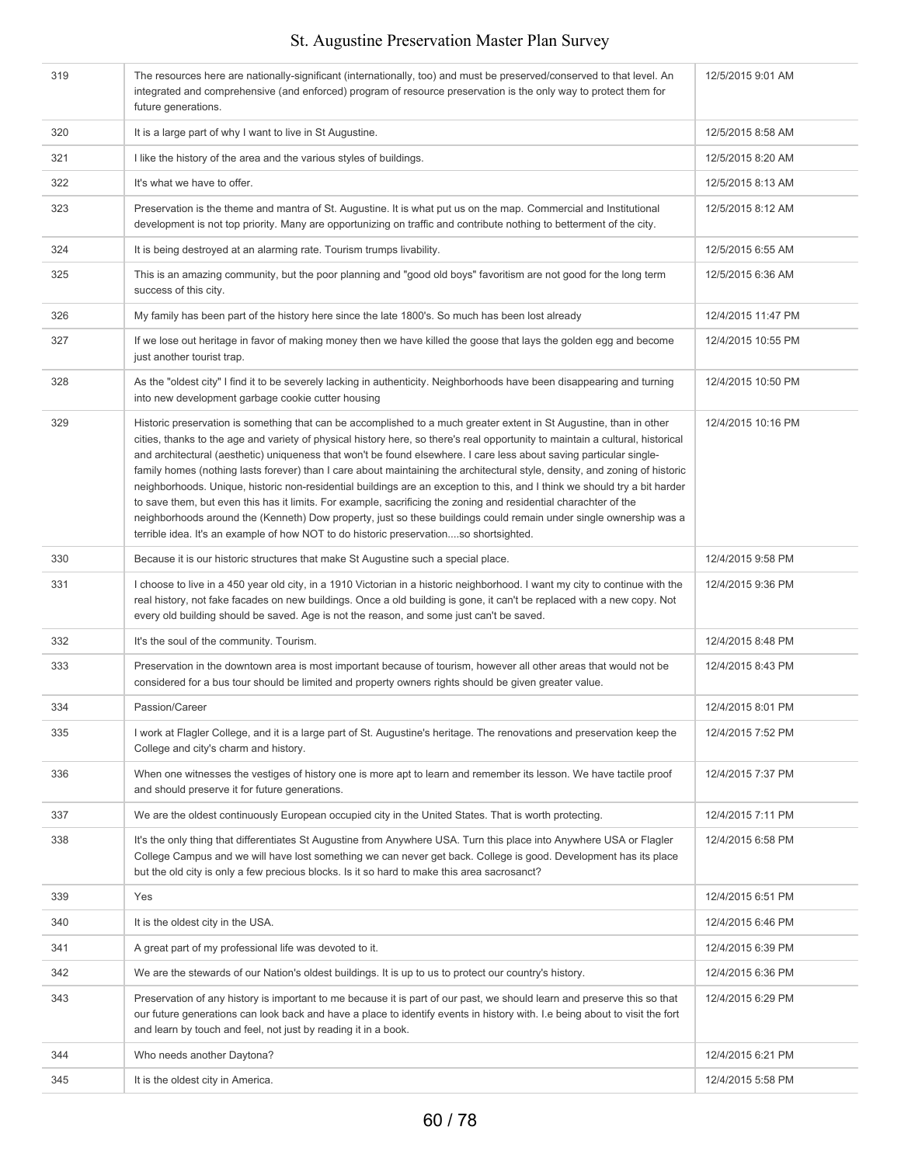| 319 | The resources here are nationally-significant (internationally, too) and must be preserved/conserved to that level. An<br>integrated and comprehensive (and enforced) program of resource preservation is the only way to protect them for<br>future generations.                                                                                                                                                                                                                                                                                                                                                                                                                                                                                                                                                                                                                                                                                                            | 12/5/2015 9:01 AM  |
|-----|------------------------------------------------------------------------------------------------------------------------------------------------------------------------------------------------------------------------------------------------------------------------------------------------------------------------------------------------------------------------------------------------------------------------------------------------------------------------------------------------------------------------------------------------------------------------------------------------------------------------------------------------------------------------------------------------------------------------------------------------------------------------------------------------------------------------------------------------------------------------------------------------------------------------------------------------------------------------------|--------------------|
| 320 | It is a large part of why I want to live in St Augustine.                                                                                                                                                                                                                                                                                                                                                                                                                                                                                                                                                                                                                                                                                                                                                                                                                                                                                                                    | 12/5/2015 8:58 AM  |
| 321 | I like the history of the area and the various styles of buildings.                                                                                                                                                                                                                                                                                                                                                                                                                                                                                                                                                                                                                                                                                                                                                                                                                                                                                                          | 12/5/2015 8:20 AM  |
| 322 | It's what we have to offer.                                                                                                                                                                                                                                                                                                                                                                                                                                                                                                                                                                                                                                                                                                                                                                                                                                                                                                                                                  | 12/5/2015 8:13 AM  |
| 323 | Preservation is the theme and mantra of St. Augustine. It is what put us on the map. Commercial and Institutional<br>development is not top priority. Many are opportunizing on traffic and contribute nothing to betterment of the city.                                                                                                                                                                                                                                                                                                                                                                                                                                                                                                                                                                                                                                                                                                                                    | 12/5/2015 8:12 AM  |
| 324 | It is being destroyed at an alarming rate. Tourism trumps livability.                                                                                                                                                                                                                                                                                                                                                                                                                                                                                                                                                                                                                                                                                                                                                                                                                                                                                                        | 12/5/2015 6:55 AM  |
| 325 | This is an amazing community, but the poor planning and "good old boys" favoritism are not good for the long term<br>success of this city.                                                                                                                                                                                                                                                                                                                                                                                                                                                                                                                                                                                                                                                                                                                                                                                                                                   | 12/5/2015 6:36 AM  |
| 326 | My family has been part of the history here since the late 1800's. So much has been lost already                                                                                                                                                                                                                                                                                                                                                                                                                                                                                                                                                                                                                                                                                                                                                                                                                                                                             | 12/4/2015 11:47 PM |
| 327 | If we lose out heritage in favor of making money then we have killed the goose that lays the golden egg and become<br>just another tourist trap.                                                                                                                                                                                                                                                                                                                                                                                                                                                                                                                                                                                                                                                                                                                                                                                                                             | 12/4/2015 10:55 PM |
| 328 | As the "oldest city" I find it to be severely lacking in authenticity. Neighborhoods have been disappearing and turning<br>into new development garbage cookie cutter housing                                                                                                                                                                                                                                                                                                                                                                                                                                                                                                                                                                                                                                                                                                                                                                                                | 12/4/2015 10:50 PM |
| 329 | Historic preservation is something that can be accomplished to a much greater extent in St Augustine, than in other<br>cities, thanks to the age and variety of physical history here, so there's real opportunity to maintain a cultural, historical<br>and architectural (aesthetic) uniqueness that won't be found elsewhere. I care less about saving particular single-<br>family homes (nothing lasts forever) than I care about maintaining the architectural style, density, and zoning of historic<br>neighborhoods. Unique, historic non-residential buildings are an exception to this, and I think we should try a bit harder<br>to save them, but even this has it limits. For example, sacrificing the zoning and residential charachter of the<br>neighborhoods around the (Kenneth) Dow property, just so these buildings could remain under single ownership was a<br>terrible idea. It's an example of how NOT to do historic preservationso shortsighted. | 12/4/2015 10:16 PM |
| 330 | Because it is our historic structures that make St Augustine such a special place.                                                                                                                                                                                                                                                                                                                                                                                                                                                                                                                                                                                                                                                                                                                                                                                                                                                                                           | 12/4/2015 9:58 PM  |
| 331 | I choose to live in a 450 year old city, in a 1910 Victorian in a historic neighborhood. I want my city to continue with the<br>real history, not fake facades on new buildings. Once a old building is gone, it can't be replaced with a new copy. Not<br>every old building should be saved. Age is not the reason, and some just can't be saved.                                                                                                                                                                                                                                                                                                                                                                                                                                                                                                                                                                                                                          | 12/4/2015 9:36 PM  |
| 332 | It's the soul of the community. Tourism.                                                                                                                                                                                                                                                                                                                                                                                                                                                                                                                                                                                                                                                                                                                                                                                                                                                                                                                                     | 12/4/2015 8:48 PM  |
| 333 | Preservation in the downtown area is most important because of tourism, however all other areas that would not be<br>considered for a bus tour should be limited and property owners rights should be given greater value.                                                                                                                                                                                                                                                                                                                                                                                                                                                                                                                                                                                                                                                                                                                                                   | 12/4/2015 8:43 PM  |
| 334 | Passion/Career                                                                                                                                                                                                                                                                                                                                                                                                                                                                                                                                                                                                                                                                                                                                                                                                                                                                                                                                                               | 12/4/2015 8:01 PM  |
| 335 | I work at Flagler College, and it is a large part of St. Augustine's heritage. The renovations and preservation keep the<br>College and city's charm and history.                                                                                                                                                                                                                                                                                                                                                                                                                                                                                                                                                                                                                                                                                                                                                                                                            | 12/4/2015 7:52 PM  |
| 336 | When one witnesses the vestiges of history one is more apt to learn and remember its lesson. We have tactile proof<br>and should preserve it for future generations.                                                                                                                                                                                                                                                                                                                                                                                                                                                                                                                                                                                                                                                                                                                                                                                                         | 12/4/2015 7:37 PM  |
| 337 | We are the oldest continuously European occupied city in the United States. That is worth protecting.                                                                                                                                                                                                                                                                                                                                                                                                                                                                                                                                                                                                                                                                                                                                                                                                                                                                        | 12/4/2015 7:11 PM  |
| 338 | It's the only thing that differentiates St Augustine from Anywhere USA. Turn this place into Anywhere USA or Flagler<br>College Campus and we will have lost something we can never get back. College is good. Development has its place<br>but the old city is only a few precious blocks. Is it so hard to make this area sacrosanct?                                                                                                                                                                                                                                                                                                                                                                                                                                                                                                                                                                                                                                      | 12/4/2015 6:58 PM  |
| 339 | Yes                                                                                                                                                                                                                                                                                                                                                                                                                                                                                                                                                                                                                                                                                                                                                                                                                                                                                                                                                                          | 12/4/2015 6:51 PM  |
| 340 | It is the oldest city in the USA.                                                                                                                                                                                                                                                                                                                                                                                                                                                                                                                                                                                                                                                                                                                                                                                                                                                                                                                                            | 12/4/2015 6:46 PM  |
| 341 | A great part of my professional life was devoted to it.                                                                                                                                                                                                                                                                                                                                                                                                                                                                                                                                                                                                                                                                                                                                                                                                                                                                                                                      | 12/4/2015 6:39 PM  |
| 342 | We are the stewards of our Nation's oldest buildings. It is up to us to protect our country's history.                                                                                                                                                                                                                                                                                                                                                                                                                                                                                                                                                                                                                                                                                                                                                                                                                                                                       | 12/4/2015 6:36 PM  |
| 343 | Preservation of any history is important to me because it is part of our past, we should learn and preserve this so that<br>our future generations can look back and have a place to identify events in history with. I.e being about to visit the fort<br>and learn by touch and feel, not just by reading it in a book.                                                                                                                                                                                                                                                                                                                                                                                                                                                                                                                                                                                                                                                    | 12/4/2015 6:29 PM  |
| 344 | Who needs another Daytona?                                                                                                                                                                                                                                                                                                                                                                                                                                                                                                                                                                                                                                                                                                                                                                                                                                                                                                                                                   | 12/4/2015 6:21 PM  |
| 345 | It is the oldest city in America.                                                                                                                                                                                                                                                                                                                                                                                                                                                                                                                                                                                                                                                                                                                                                                                                                                                                                                                                            | 12/4/2015 5:58 PM  |
|     |                                                                                                                                                                                                                                                                                                                                                                                                                                                                                                                                                                                                                                                                                                                                                                                                                                                                                                                                                                              |                    |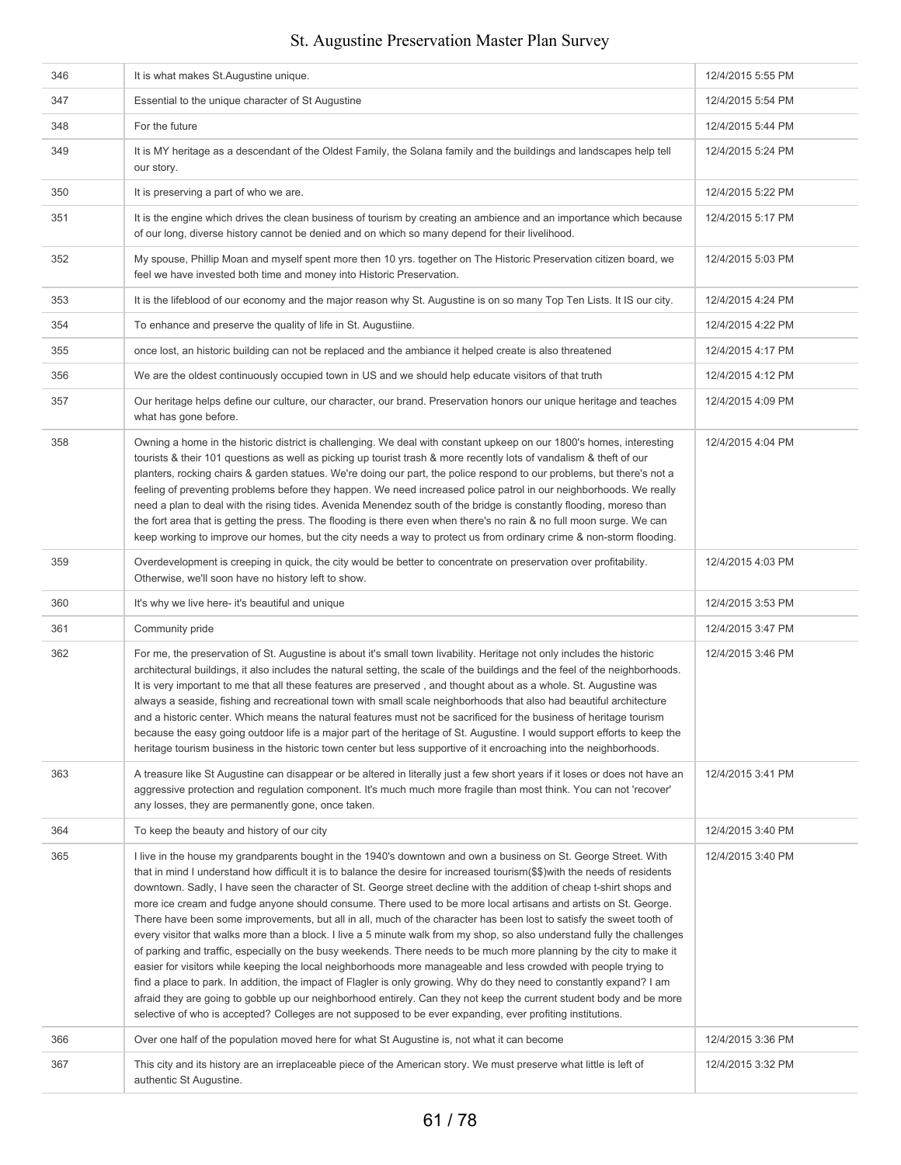| 346 | It is what makes St.Augustine unique.                                                                                                                                                                                                                                                                                                                                                                                                                                                                                                                                                                                                                                                                                                                                                                                                                                                                                                                                                                                                                                                                                                                                                                                                                                                                                                                   | 12/4/2015 5:55 PM |
|-----|---------------------------------------------------------------------------------------------------------------------------------------------------------------------------------------------------------------------------------------------------------------------------------------------------------------------------------------------------------------------------------------------------------------------------------------------------------------------------------------------------------------------------------------------------------------------------------------------------------------------------------------------------------------------------------------------------------------------------------------------------------------------------------------------------------------------------------------------------------------------------------------------------------------------------------------------------------------------------------------------------------------------------------------------------------------------------------------------------------------------------------------------------------------------------------------------------------------------------------------------------------------------------------------------------------------------------------------------------------|-------------------|
| 347 | Essential to the unique character of St Augustine                                                                                                                                                                                                                                                                                                                                                                                                                                                                                                                                                                                                                                                                                                                                                                                                                                                                                                                                                                                                                                                                                                                                                                                                                                                                                                       | 12/4/2015 5:54 PM |
| 348 | For the future                                                                                                                                                                                                                                                                                                                                                                                                                                                                                                                                                                                                                                                                                                                                                                                                                                                                                                                                                                                                                                                                                                                                                                                                                                                                                                                                          | 12/4/2015 5:44 PM |
| 349 | It is MY heritage as a descendant of the Oldest Family, the Solana family and the buildings and landscapes help tell<br>our story.                                                                                                                                                                                                                                                                                                                                                                                                                                                                                                                                                                                                                                                                                                                                                                                                                                                                                                                                                                                                                                                                                                                                                                                                                      | 12/4/2015 5:24 PM |
| 350 | It is preserving a part of who we are.                                                                                                                                                                                                                                                                                                                                                                                                                                                                                                                                                                                                                                                                                                                                                                                                                                                                                                                                                                                                                                                                                                                                                                                                                                                                                                                  | 12/4/2015 5:22 PM |
| 351 | It is the engine which drives the clean business of tourism by creating an ambience and an importance which because<br>of our long, diverse history cannot be denied and on which so many depend for their livelihood.                                                                                                                                                                                                                                                                                                                                                                                                                                                                                                                                                                                                                                                                                                                                                                                                                                                                                                                                                                                                                                                                                                                                  | 12/4/2015 5:17 PM |
| 352 | My spouse, Phillip Moan and myself spent more then 10 yrs. together on The Historic Preservation citizen board, we<br>feel we have invested both time and money into Historic Preservation.                                                                                                                                                                                                                                                                                                                                                                                                                                                                                                                                                                                                                                                                                                                                                                                                                                                                                                                                                                                                                                                                                                                                                             | 12/4/2015 5:03 PM |
| 353 | It is the lifeblood of our economy and the major reason why St. Augustine is on so many Top Ten Lists. It IS our city.                                                                                                                                                                                                                                                                                                                                                                                                                                                                                                                                                                                                                                                                                                                                                                                                                                                                                                                                                                                                                                                                                                                                                                                                                                  | 12/4/2015 4:24 PM |
| 354 | To enhance and preserve the quality of life in St. Augustiine.                                                                                                                                                                                                                                                                                                                                                                                                                                                                                                                                                                                                                                                                                                                                                                                                                                                                                                                                                                                                                                                                                                                                                                                                                                                                                          | 12/4/2015 4:22 PM |
| 355 | once lost, an historic building can not be replaced and the ambiance it helped create is also threatened                                                                                                                                                                                                                                                                                                                                                                                                                                                                                                                                                                                                                                                                                                                                                                                                                                                                                                                                                                                                                                                                                                                                                                                                                                                | 12/4/2015 4:17 PM |
| 356 | We are the oldest continuously occupied town in US and we should help educate visitors of that truth                                                                                                                                                                                                                                                                                                                                                                                                                                                                                                                                                                                                                                                                                                                                                                                                                                                                                                                                                                                                                                                                                                                                                                                                                                                    | 12/4/2015 4:12 PM |
| 357 | Our heritage helps define our culture, our character, our brand. Preservation honors our unique heritage and teaches<br>what has gone before.                                                                                                                                                                                                                                                                                                                                                                                                                                                                                                                                                                                                                                                                                                                                                                                                                                                                                                                                                                                                                                                                                                                                                                                                           | 12/4/2015 4:09 PM |
| 358 | Owning a home in the historic district is challenging. We deal with constant upkeep on our 1800's homes, interesting<br>tourists & their 101 questions as well as picking up tourist trash & more recently lots of vandalism & theft of our<br>planters, rocking chairs & garden statues. We're doing our part, the police respond to our problems, but there's not a<br>feeling of preventing problems before they happen. We need increased police patrol in our neighborhoods. We really<br>need a plan to deal with the rising tides. Avenida Menendez south of the bridge is constantly flooding, moreso than<br>the fort area that is getting the press. The flooding is there even when there's no rain & no full moon surge. We can<br>keep working to improve our homes, but the city needs a way to protect us from ordinary crime & non-storm flooding.                                                                                                                                                                                                                                                                                                                                                                                                                                                                                      | 12/4/2015 4:04 PM |
| 359 | Overdevelopment is creeping in quick, the city would be better to concentrate on preservation over profitability.<br>Otherwise, we'll soon have no history left to show.                                                                                                                                                                                                                                                                                                                                                                                                                                                                                                                                                                                                                                                                                                                                                                                                                                                                                                                                                                                                                                                                                                                                                                                | 12/4/2015 4:03 PM |
| 360 | It's why we live here- it's beautiful and unique                                                                                                                                                                                                                                                                                                                                                                                                                                                                                                                                                                                                                                                                                                                                                                                                                                                                                                                                                                                                                                                                                                                                                                                                                                                                                                        | 12/4/2015 3:53 PM |
| 361 | Community pride                                                                                                                                                                                                                                                                                                                                                                                                                                                                                                                                                                                                                                                                                                                                                                                                                                                                                                                                                                                                                                                                                                                                                                                                                                                                                                                                         | 12/4/2015 3:47 PM |
| 362 | For me, the preservation of St. Augustine is about it's small town livability. Heritage not only includes the historic<br>architectural buildings, it also includes the natural setting, the scale of the buildings and the feel of the neighborhoods.<br>It is very important to me that all these features are preserved, and thought about as a whole. St. Augustine was<br>always a seaside, fishing and recreational town with small scale neighborhoods that also had beautiful architecture<br>and a historic center. Which means the natural features must not be sacrificed for the business of heritage tourism<br>because the easy going outdoor life is a major part of the heritage of St. Augustine. I would support efforts to keep the<br>heritage tourism business in the historic town center but less supportive of it encroaching into the neighborhoods.                                                                                                                                                                                                                                                                                                                                                                                                                                                                           | 12/4/2015 3:46 PM |
| 363 | A treasure like St Augustine can disappear or be altered in literally just a few short years if it loses or does not have an<br>aggressive protection and regulation component. It's much much more fragile than most think. You can not 'recover'<br>any losses, they are permanently gone, once taken.                                                                                                                                                                                                                                                                                                                                                                                                                                                                                                                                                                                                                                                                                                                                                                                                                                                                                                                                                                                                                                                | 12/4/2015 3:41 PM |
| 364 | To keep the beauty and history of our city                                                                                                                                                                                                                                                                                                                                                                                                                                                                                                                                                                                                                                                                                                                                                                                                                                                                                                                                                                                                                                                                                                                                                                                                                                                                                                              | 12/4/2015 3:40 PM |
| 365 | I live in the house my grandparents bought in the 1940's downtown and own a business on St. George Street. With<br>that in mind I understand how difficult it is to balance the desire for increased tourism(\$\$)with the needs of residents<br>downtown. Sadly, I have seen the character of St. George street decline with the addition of cheap t-shirt shops and<br>more ice cream and fudge anyone should consume. There used to be more local artisans and artists on St. George.<br>There have been some improvements, but all in all, much of the character has been lost to satisfy the sweet tooth of<br>every visitor that walks more than a block. I live a 5 minute walk from my shop, so also understand fully the challenges<br>of parking and traffic, especially on the busy weekends. There needs to be much more planning by the city to make it<br>easier for visitors while keeping the local neighborhoods more manageable and less crowded with people trying to<br>find a place to park. In addition, the impact of Flagler is only growing. Why do they need to constantly expand? I am<br>afraid they are going to gobble up our neighborhood entirely. Can they not keep the current student body and be more<br>selective of who is accepted? Colleges are not supposed to be ever expanding, ever profiting institutions. | 12/4/2015 3:40 PM |
| 366 | Over one half of the population moved here for what St Augustine is, not what it can become                                                                                                                                                                                                                                                                                                                                                                                                                                                                                                                                                                                                                                                                                                                                                                                                                                                                                                                                                                                                                                                                                                                                                                                                                                                             | 12/4/2015 3:36 PM |
| 367 | This city and its history are an irreplaceable piece of the American story. We must preserve what little is left of<br>authentic St Augustine.                                                                                                                                                                                                                                                                                                                                                                                                                                                                                                                                                                                                                                                                                                                                                                                                                                                                                                                                                                                                                                                                                                                                                                                                          | 12/4/2015 3:32 PM |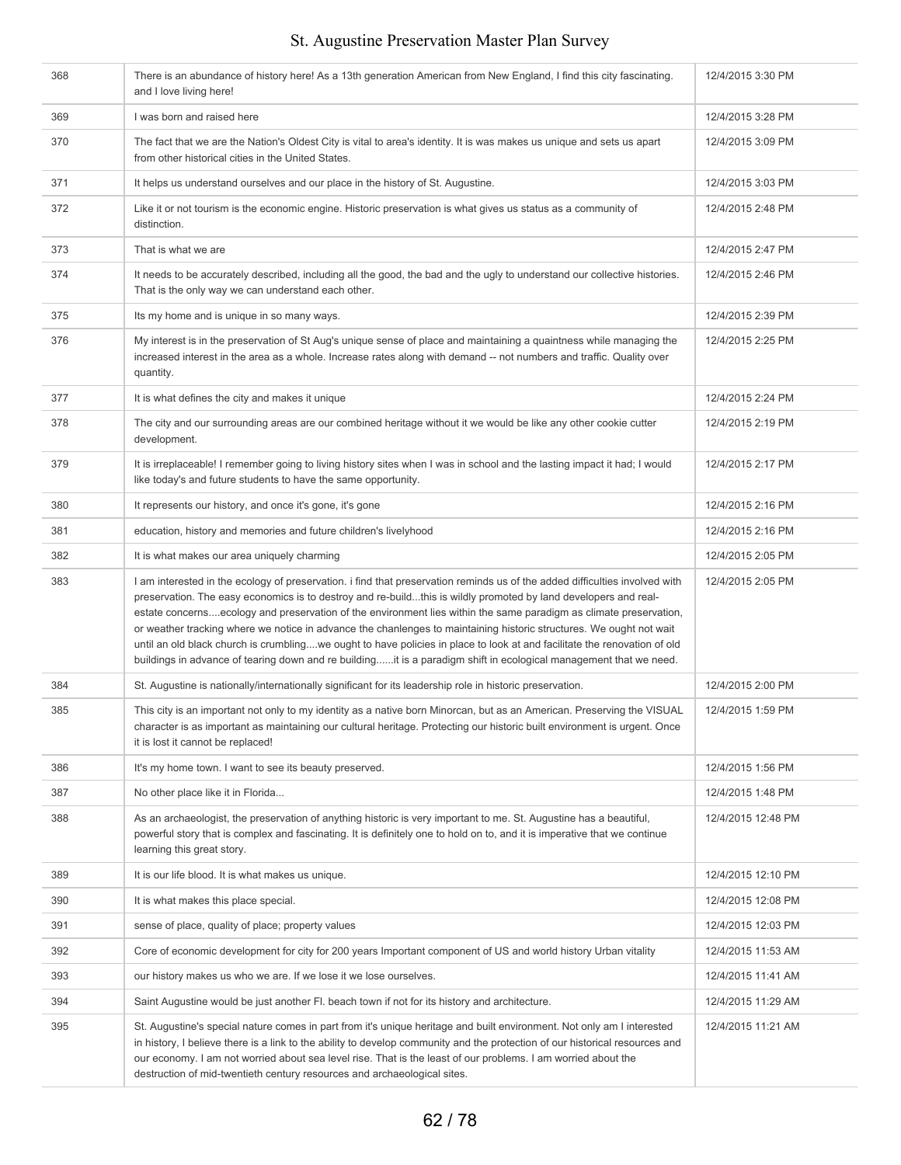| 368 | There is an abundance of history here! As a 13th generation American from New England, I find this city fascinating.<br>and I love living here!                                                                                                                                                                                                                                                                                                                                                                                                                                                                                                                                                                                             | 12/4/2015 3:30 PM  |
|-----|---------------------------------------------------------------------------------------------------------------------------------------------------------------------------------------------------------------------------------------------------------------------------------------------------------------------------------------------------------------------------------------------------------------------------------------------------------------------------------------------------------------------------------------------------------------------------------------------------------------------------------------------------------------------------------------------------------------------------------------------|--------------------|
| 369 | I was born and raised here                                                                                                                                                                                                                                                                                                                                                                                                                                                                                                                                                                                                                                                                                                                  | 12/4/2015 3:28 PM  |
| 370 | The fact that we are the Nation's Oldest City is vital to area's identity. It is was makes us unique and sets us apart<br>from other historical cities in the United States.                                                                                                                                                                                                                                                                                                                                                                                                                                                                                                                                                                | 12/4/2015 3:09 PM  |
| 371 | It helps us understand ourselves and our place in the history of St. Augustine.                                                                                                                                                                                                                                                                                                                                                                                                                                                                                                                                                                                                                                                             | 12/4/2015 3:03 PM  |
| 372 | Like it or not tourism is the economic engine. Historic preservation is what gives us status as a community of<br>distinction.                                                                                                                                                                                                                                                                                                                                                                                                                                                                                                                                                                                                              | 12/4/2015 2:48 PM  |
| 373 | That is what we are                                                                                                                                                                                                                                                                                                                                                                                                                                                                                                                                                                                                                                                                                                                         | 12/4/2015 2:47 PM  |
| 374 | It needs to be accurately described, including all the good, the bad and the ugly to understand our collective histories.<br>That is the only way we can understand each other.                                                                                                                                                                                                                                                                                                                                                                                                                                                                                                                                                             | 12/4/2015 2:46 PM  |
| 375 | Its my home and is unique in so many ways.                                                                                                                                                                                                                                                                                                                                                                                                                                                                                                                                                                                                                                                                                                  | 12/4/2015 2:39 PM  |
| 376 | My interest is in the preservation of St Aug's unique sense of place and maintaining a quaintness while managing the<br>increased interest in the area as a whole. Increase rates along with demand -- not numbers and traffic. Quality over<br>quantity.                                                                                                                                                                                                                                                                                                                                                                                                                                                                                   | 12/4/2015 2:25 PM  |
| 377 | It is what defines the city and makes it unique                                                                                                                                                                                                                                                                                                                                                                                                                                                                                                                                                                                                                                                                                             | 12/4/2015 2:24 PM  |
| 378 | The city and our surrounding areas are our combined heritage without it we would be like any other cookie cutter<br>development.                                                                                                                                                                                                                                                                                                                                                                                                                                                                                                                                                                                                            | 12/4/2015 2:19 PM  |
| 379 | It is irreplaceable! I remember going to living history sites when I was in school and the lasting impact it had; I would<br>like today's and future students to have the same opportunity.                                                                                                                                                                                                                                                                                                                                                                                                                                                                                                                                                 | 12/4/2015 2:17 PM  |
| 380 | It represents our history, and once it's gone, it's gone                                                                                                                                                                                                                                                                                                                                                                                                                                                                                                                                                                                                                                                                                    | 12/4/2015 2:16 PM  |
| 381 | education, history and memories and future children's livelyhood                                                                                                                                                                                                                                                                                                                                                                                                                                                                                                                                                                                                                                                                            | 12/4/2015 2:16 PM  |
| 382 | It is what makes our area uniquely charming                                                                                                                                                                                                                                                                                                                                                                                                                                                                                                                                                                                                                                                                                                 | 12/4/2015 2:05 PM  |
| 383 | I am interested in the ecology of preservation. I find that preservation reminds us of the added difficulties involved with<br>preservation. The easy economics is to destroy and re-buildthis is wildly promoted by land developers and real-<br>estate concernsecology and preservation of the environment lies within the same paradigm as climate preservation,<br>or weather tracking where we notice in advance the chanlenges to maintaining historic structures. We ought not wait<br>until an old black church is crumblingwe ought to have policies in place to look at and facilitate the renovation of old<br>buildings in advance of tearing down and re buildingit is a paradigm shift in ecological management that we need. | 12/4/2015 2:05 PM  |
| 384 | St. Augustine is nationally/internationally significant for its leadership role in historic preservation.                                                                                                                                                                                                                                                                                                                                                                                                                                                                                                                                                                                                                                   | 12/4/2015 2:00 PM  |
| 385 | This city is an important not only to my identity as a native born Minorcan, but as an American. Preserving the VISUAL<br>character is as important as maintaining our cultural heritage. Protecting our historic built environment is urgent. Once<br>it is lost it cannot be replaced!                                                                                                                                                                                                                                                                                                                                                                                                                                                    | 12/4/2015 1:59 PM  |
| 386 | It's my home town. I want to see its beauty preserved.                                                                                                                                                                                                                                                                                                                                                                                                                                                                                                                                                                                                                                                                                      | 12/4/2015 1:56 PM  |
| 387 | No other place like it in Florida                                                                                                                                                                                                                                                                                                                                                                                                                                                                                                                                                                                                                                                                                                           | 12/4/2015 1:48 PM  |
| 388 | As an archaeologist, the preservation of anything historic is very important to me. St. Augustine has a beautiful,<br>powerful story that is complex and fascinating. It is definitely one to hold on to, and it is imperative that we continue<br>learning this great story.                                                                                                                                                                                                                                                                                                                                                                                                                                                               | 12/4/2015 12:48 PM |
| 389 | It is our life blood. It is what makes us unique.                                                                                                                                                                                                                                                                                                                                                                                                                                                                                                                                                                                                                                                                                           | 12/4/2015 12:10 PM |
| 390 | It is what makes this place special.                                                                                                                                                                                                                                                                                                                                                                                                                                                                                                                                                                                                                                                                                                        | 12/4/2015 12:08 PM |
| 391 | sense of place, quality of place; property values                                                                                                                                                                                                                                                                                                                                                                                                                                                                                                                                                                                                                                                                                           | 12/4/2015 12:03 PM |
| 392 | Core of economic development for city for 200 years Important component of US and world history Urban vitality                                                                                                                                                                                                                                                                                                                                                                                                                                                                                                                                                                                                                              | 12/4/2015 11:53 AM |
| 393 | our history makes us who we are. If we lose it we lose ourselves.                                                                                                                                                                                                                                                                                                                                                                                                                                                                                                                                                                                                                                                                           | 12/4/2015 11:41 AM |
| 394 | Saint Augustine would be just another FI. beach town if not for its history and architecture.                                                                                                                                                                                                                                                                                                                                                                                                                                                                                                                                                                                                                                               | 12/4/2015 11:29 AM |
| 395 | St. Augustine's special nature comes in part from it's unique heritage and built environment. Not only am I interested<br>in history, I believe there is a link to the ability to develop community and the protection of our historical resources and<br>our economy. I am not worried about sea level rise. That is the least of our problems. I am worried about the<br>destruction of mid-twentieth century resources and archaeological sites.                                                                                                                                                                                                                                                                                         | 12/4/2015 11:21 AM |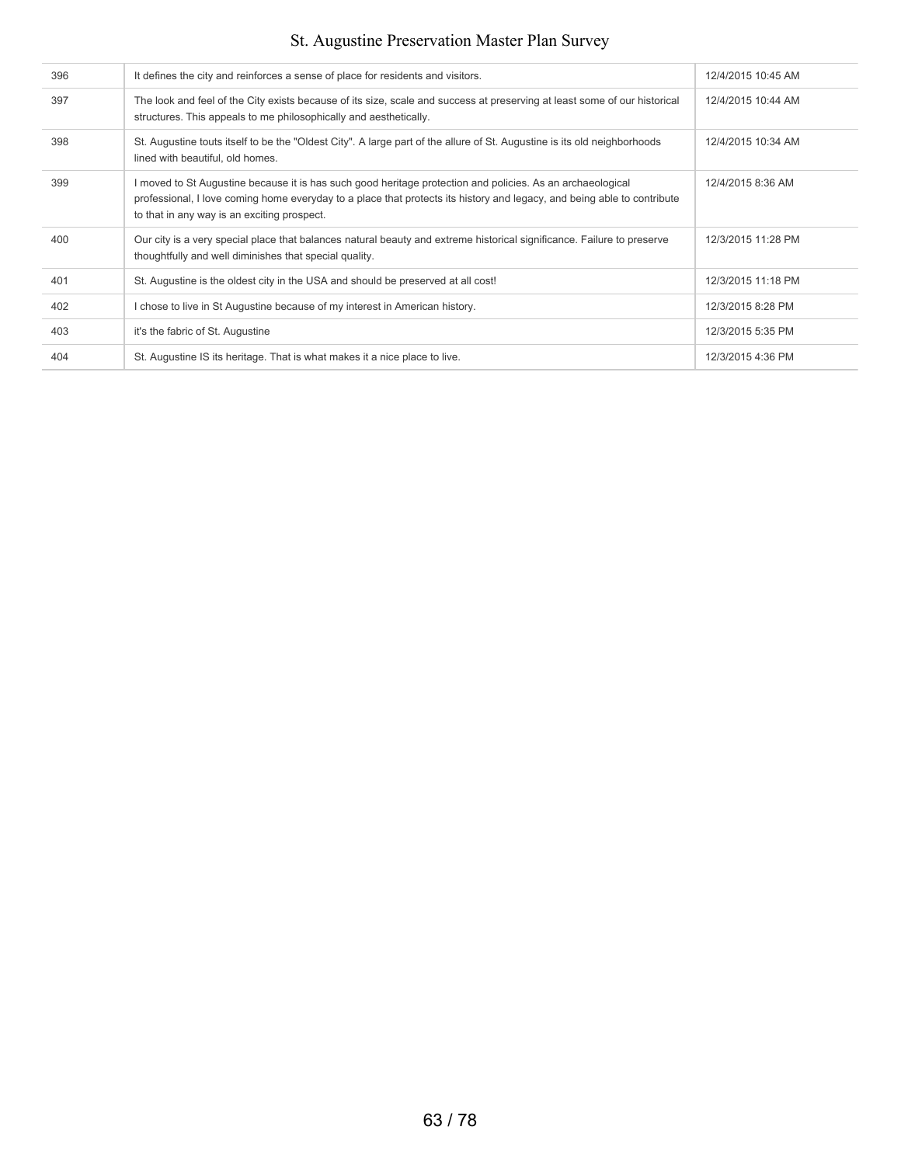| 396 | It defines the city and reinforces a sense of place for residents and visitors.                                                                                                                                                                                                      | 12/4/2015 10:45 AM |
|-----|--------------------------------------------------------------------------------------------------------------------------------------------------------------------------------------------------------------------------------------------------------------------------------------|--------------------|
| 397 | The look and feel of the City exists because of its size, scale and success at preserving at least some of our historical<br>structures. This appeals to me philosophically and aesthetically.                                                                                       | 12/4/2015 10:44 AM |
| 398 | St. Augustine touts itself to be the "Oldest City". A large part of the allure of St. Augustine is its old neighborhoods<br>lined with beautiful, old homes.                                                                                                                         | 12/4/2015 10:34 AM |
| 399 | I moved to St Augustine because it is has such good heritage protection and policies. As an archaeological<br>professional, I love coming home everyday to a place that protects its history and legacy, and being able to contribute<br>to that in any way is an exciting prospect. | 12/4/2015 8:36 AM  |
| 400 | Our city is a very special place that balances natural beauty and extreme historical significance. Failure to preserve<br>thoughtfully and well diminishes that special quality.                                                                                                     | 12/3/2015 11:28 PM |
| 401 | St. Augustine is the oldest city in the USA and should be preserved at all cost!                                                                                                                                                                                                     | 12/3/2015 11:18 PM |
| 402 | I chose to live in St Augustine because of my interest in American history.                                                                                                                                                                                                          | 12/3/2015 8:28 PM  |
| 403 | it's the fabric of St. Augustine                                                                                                                                                                                                                                                     | 12/3/2015 5:35 PM  |
| 404 | St. Augustine IS its heritage. That is what makes it a nice place to live.                                                                                                                                                                                                           | 12/3/2015 4:36 PM  |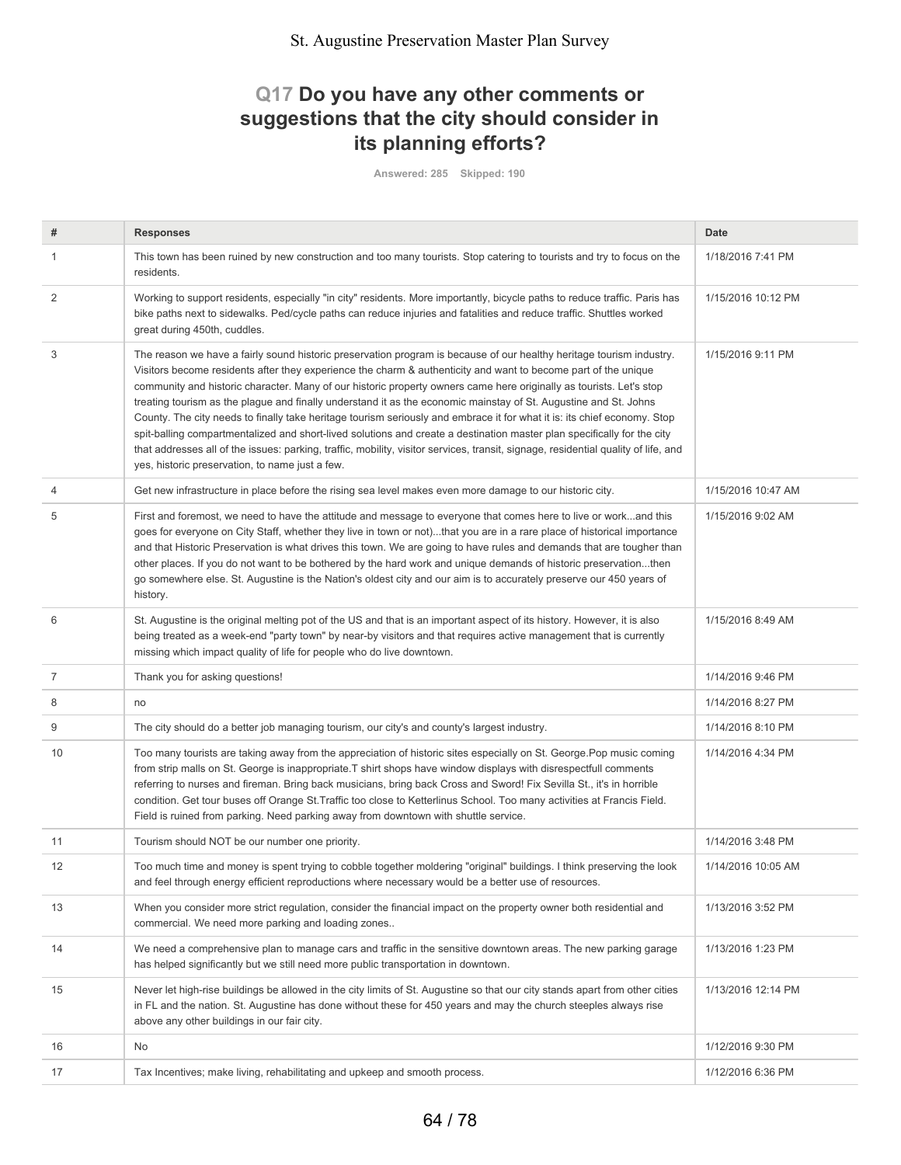## **Q17 Do you have any other comments or suggestions that the city should consider in its planning efforts?**

**Answered: 285 Skipped: 190**

| #              | <b>Responses</b>                                                                                                                                                                                                                                                                                                                                                                                                                                                                                                                                                                                                                                                                                                                                                                                                                                                                                                                  | Date               |
|----------------|-----------------------------------------------------------------------------------------------------------------------------------------------------------------------------------------------------------------------------------------------------------------------------------------------------------------------------------------------------------------------------------------------------------------------------------------------------------------------------------------------------------------------------------------------------------------------------------------------------------------------------------------------------------------------------------------------------------------------------------------------------------------------------------------------------------------------------------------------------------------------------------------------------------------------------------|--------------------|
| 1              | This town has been ruined by new construction and too many tourists. Stop catering to tourists and try to focus on the<br>residents.                                                                                                                                                                                                                                                                                                                                                                                                                                                                                                                                                                                                                                                                                                                                                                                              | 1/18/2016 7:41 PM  |
| 2              | Working to support residents, especially "in city" residents. More importantly, bicycle paths to reduce traffic. Paris has<br>bike paths next to sidewalks. Ped/cycle paths can reduce injuries and fatalities and reduce traffic. Shuttles worked<br>great during 450th, cuddles.                                                                                                                                                                                                                                                                                                                                                                                                                                                                                                                                                                                                                                                | 1/15/2016 10:12 PM |
| 3              | The reason we have a fairly sound historic preservation program is because of our healthy heritage tourism industry.<br>Visitors become residents after they experience the charm & authenticity and want to become part of the unique<br>community and historic character. Many of our historic property owners came here originally as tourists. Let's stop<br>treating tourism as the plague and finally understand it as the economic mainstay of St. Augustine and St. Johns<br>County. The city needs to finally take heritage tourism seriously and embrace it for what it is: its chief economy. Stop<br>spit-balling compartmentalized and short-lived solutions and create a destination master plan specifically for the city<br>that addresses all of the issues: parking, traffic, mobility, visitor services, transit, signage, residential quality of life, and<br>yes, historic preservation, to name just a few. | 1/15/2016 9:11 PM  |
| $\overline{4}$ | Get new infrastructure in place before the rising sea level makes even more damage to our historic city.                                                                                                                                                                                                                                                                                                                                                                                                                                                                                                                                                                                                                                                                                                                                                                                                                          | 1/15/2016 10:47 AM |
| 5              | First and foremost, we need to have the attitude and message to everyone that comes here to live or workand this<br>goes for everyone on City Staff, whether they live in town or not)that you are in a rare place of historical importance<br>and that Historic Preservation is what drives this town. We are going to have rules and demands that are tougher than<br>other places. If you do not want to be bothered by the hard work and unique demands of historic preservationthen<br>go somewhere else. St. Augustine is the Nation's oldest city and our aim is to accurately preserve our 450 years of<br>history.                                                                                                                                                                                                                                                                                                       | 1/15/2016 9:02 AM  |
| 6              | St. Augustine is the original melting pot of the US and that is an important aspect of its history. However, it is also<br>being treated as a week-end "party town" by near-by visitors and that requires active management that is currently<br>missing which impact quality of life for people who do live downtown.                                                                                                                                                                                                                                                                                                                                                                                                                                                                                                                                                                                                            | 1/15/2016 8:49 AM  |
| $\overline{7}$ | Thank you for asking questions!                                                                                                                                                                                                                                                                                                                                                                                                                                                                                                                                                                                                                                                                                                                                                                                                                                                                                                   | 1/14/2016 9:46 PM  |
| 8              | no                                                                                                                                                                                                                                                                                                                                                                                                                                                                                                                                                                                                                                                                                                                                                                                                                                                                                                                                | 1/14/2016 8:27 PM  |
| 9              | The city should do a better job managing tourism, our city's and county's largest industry.                                                                                                                                                                                                                                                                                                                                                                                                                                                                                                                                                                                                                                                                                                                                                                                                                                       | 1/14/2016 8:10 PM  |
| 10             | Too many tourists are taking away from the appreciation of historic sites especially on St. George Pop music coming<br>from strip malls on St. George is inappropriate. T shirt shops have window displays with disrespectfull comments<br>referring to nurses and fireman. Bring back musicians, bring back Cross and Sword! Fix Sevilla St., it's in horrible<br>condition. Get tour buses off Orange St. Traffic too close to Ketterlinus School. Too many activities at Francis Field.<br>Field is ruined from parking. Need parking away from downtown with shuttle service.                                                                                                                                                                                                                                                                                                                                                 | 1/14/2016 4:34 PM  |
| 11             | Tourism should NOT be our number one priority.                                                                                                                                                                                                                                                                                                                                                                                                                                                                                                                                                                                                                                                                                                                                                                                                                                                                                    | 1/14/2016 3:48 PM  |
| 12             | Too much time and money is spent trying to cobble together moldering "original" buildings. I think preserving the look<br>and feel through energy efficient reproductions where necessary would be a better use of resources.                                                                                                                                                                                                                                                                                                                                                                                                                                                                                                                                                                                                                                                                                                     | 1/14/2016 10:05 AM |
| 13             | When you consider more strict regulation, consider the financial impact on the property owner both residential and<br>commercial. We need more parking and loading zones                                                                                                                                                                                                                                                                                                                                                                                                                                                                                                                                                                                                                                                                                                                                                          | 1/13/2016 3:52 PM  |
| 14             | We need a comprehensive plan to manage cars and traffic in the sensitive downtown areas. The new parking garage<br>has helped significantly but we still need more public transportation in downtown.                                                                                                                                                                                                                                                                                                                                                                                                                                                                                                                                                                                                                                                                                                                             | 1/13/2016 1:23 PM  |
| 15             | Never let high-rise buildings be allowed in the city limits of St. Augustine so that our city stands apart from other cities<br>in FL and the nation. St. Augustine has done without these for 450 years and may the church steeples always rise<br>above any other buildings in our fair city.                                                                                                                                                                                                                                                                                                                                                                                                                                                                                                                                                                                                                                   | 1/13/2016 12:14 PM |
| 16             | No                                                                                                                                                                                                                                                                                                                                                                                                                                                                                                                                                                                                                                                                                                                                                                                                                                                                                                                                | 1/12/2016 9:30 PM  |
| 17             | Tax Incentives; make living, rehabilitating and upkeep and smooth process.                                                                                                                                                                                                                                                                                                                                                                                                                                                                                                                                                                                                                                                                                                                                                                                                                                                        | 1/12/2016 6:36 PM  |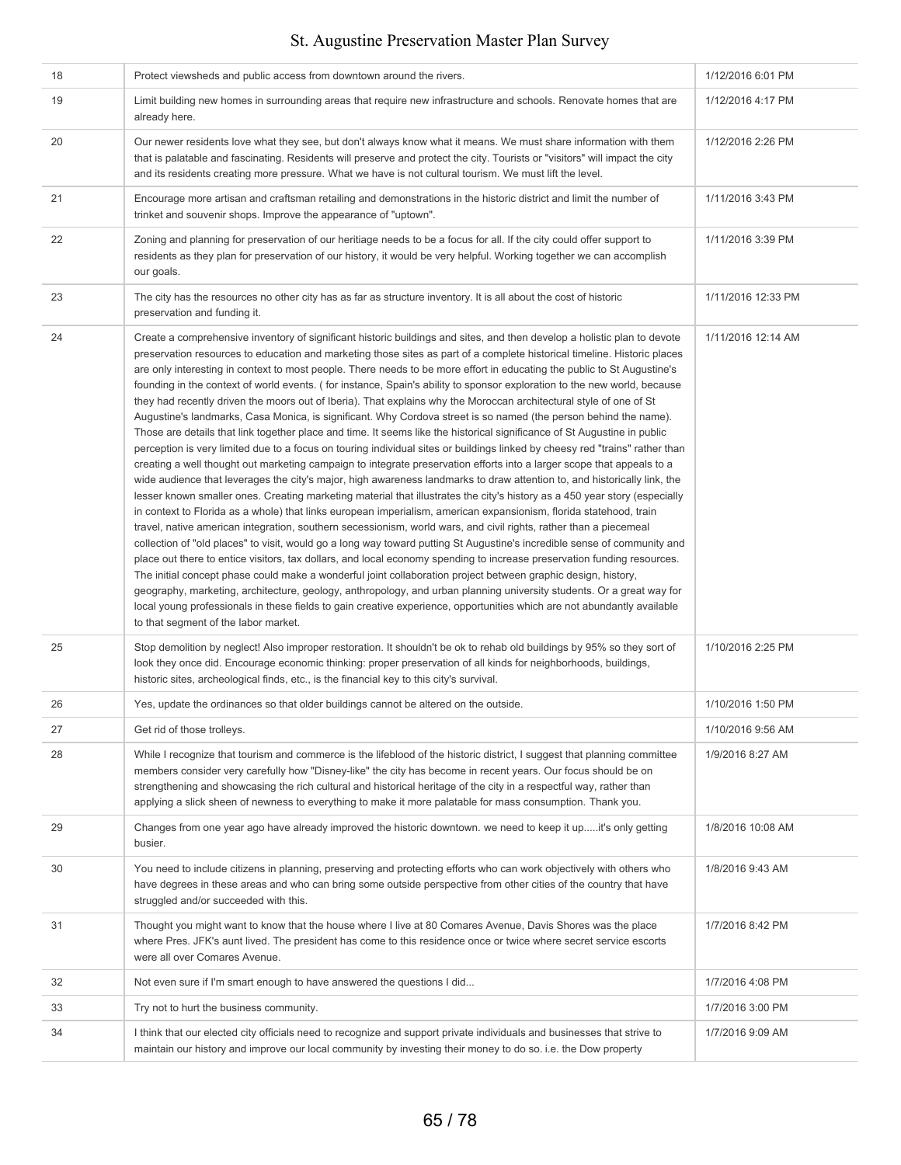| 18 | Protect viewsheds and public access from downtown around the rivers.                                                                                                                                                                                                                                                                                                                                                                                                                                                                                                                                                                                                                                                                                                                                                                                                                                                                                                                                                                                                                                                                                                                                                                                                                                                                                                                                                                                                                                                                                                                                                                                                                                                                                                                                                                                                                                                                                                                                                                                                                                                                                                                                                                                                                                                 | 1/12/2016 6:01 PM  |
|----|----------------------------------------------------------------------------------------------------------------------------------------------------------------------------------------------------------------------------------------------------------------------------------------------------------------------------------------------------------------------------------------------------------------------------------------------------------------------------------------------------------------------------------------------------------------------------------------------------------------------------------------------------------------------------------------------------------------------------------------------------------------------------------------------------------------------------------------------------------------------------------------------------------------------------------------------------------------------------------------------------------------------------------------------------------------------------------------------------------------------------------------------------------------------------------------------------------------------------------------------------------------------------------------------------------------------------------------------------------------------------------------------------------------------------------------------------------------------------------------------------------------------------------------------------------------------------------------------------------------------------------------------------------------------------------------------------------------------------------------------------------------------------------------------------------------------------------------------------------------------------------------------------------------------------------------------------------------------------------------------------------------------------------------------------------------------------------------------------------------------------------------------------------------------------------------------------------------------------------------------------------------------------------------------------------------------|--------------------|
| 19 | Limit building new homes in surrounding areas that require new infrastructure and schools. Renovate homes that are<br>already here.                                                                                                                                                                                                                                                                                                                                                                                                                                                                                                                                                                                                                                                                                                                                                                                                                                                                                                                                                                                                                                                                                                                                                                                                                                                                                                                                                                                                                                                                                                                                                                                                                                                                                                                                                                                                                                                                                                                                                                                                                                                                                                                                                                                  | 1/12/2016 4:17 PM  |
| 20 | Our newer residents love what they see, but don't always know what it means. We must share information with them<br>that is palatable and fascinating. Residents will preserve and protect the city. Tourists or "visitors" will impact the city<br>and its residents creating more pressure. What we have is not cultural tourism. We must lift the level.                                                                                                                                                                                                                                                                                                                                                                                                                                                                                                                                                                                                                                                                                                                                                                                                                                                                                                                                                                                                                                                                                                                                                                                                                                                                                                                                                                                                                                                                                                                                                                                                                                                                                                                                                                                                                                                                                                                                                          | 1/12/2016 2:26 PM  |
| 21 | Encourage more artisan and craftsman retailing and demonstrations in the historic district and limit the number of<br>trinket and souvenir shops. Improve the appearance of "uptown".                                                                                                                                                                                                                                                                                                                                                                                                                                                                                                                                                                                                                                                                                                                                                                                                                                                                                                                                                                                                                                                                                                                                                                                                                                                                                                                                                                                                                                                                                                                                                                                                                                                                                                                                                                                                                                                                                                                                                                                                                                                                                                                                | 1/11/2016 3:43 PM  |
| 22 | Zoning and planning for preservation of our heritiage needs to be a focus for all. If the city could offer support to<br>residents as they plan for preservation of our history, it would be very helpful. Working together we can accomplish<br>our goals.                                                                                                                                                                                                                                                                                                                                                                                                                                                                                                                                                                                                                                                                                                                                                                                                                                                                                                                                                                                                                                                                                                                                                                                                                                                                                                                                                                                                                                                                                                                                                                                                                                                                                                                                                                                                                                                                                                                                                                                                                                                          | 1/11/2016 3:39 PM  |
| 23 | The city has the resources no other city has as far as structure inventory. It is all about the cost of historic<br>preservation and funding it.                                                                                                                                                                                                                                                                                                                                                                                                                                                                                                                                                                                                                                                                                                                                                                                                                                                                                                                                                                                                                                                                                                                                                                                                                                                                                                                                                                                                                                                                                                                                                                                                                                                                                                                                                                                                                                                                                                                                                                                                                                                                                                                                                                     | 1/11/2016 12:33 PM |
| 24 | Create a comprehensive inventory of significant historic buildings and sites, and then develop a holistic plan to devote<br>preservation resources to education and marketing those sites as part of a complete historical timeline. Historic places<br>are only interesting in context to most people. There needs to be more effort in educating the public to St Augustine's<br>founding in the context of world events. (for instance, Spain's ability to sponsor exploration to the new world, because<br>they had recently driven the moors out of Iberia). That explains why the Moroccan architectural style of one of St<br>Augustine's landmarks, Casa Monica, is significant. Why Cordova street is so named (the person behind the name).<br>Those are details that link together place and time. It seems like the historical significance of St Augustine in public<br>perception is very limited due to a focus on touring individual sites or buildings linked by cheesy red "trains" rather than<br>creating a well thought out marketing campaign to integrate preservation efforts into a larger scope that appeals to a<br>wide audience that leverages the city's major, high awareness landmarks to draw attention to, and historically link, the<br>lesser known smaller ones. Creating marketing material that illustrates the city's history as a 450 year story (especially<br>in context to Florida as a whole) that links european imperialism, american expansionism, florida statehood, train<br>travel, native american integration, southern secessionism, world wars, and civil rights, rather than a piecemeal<br>collection of "old places" to visit, would go a long way toward putting St Augustine's incredible sense of community and<br>place out there to entice visitors, tax dollars, and local economy spending to increase preservation funding resources.<br>The initial concept phase could make a wonderful joint collaboration project between graphic design, history,<br>geography, marketing, architecture, geology, anthropology, and urban planning university students. Or a great way for<br>local young professionals in these fields to gain creative experience, opportunities which are not abundantly available<br>to that segment of the labor market. | 1/11/2016 12:14 AM |
| 25 | Stop demolition by neglect! Also improper restoration. It shouldn't be ok to rehab old buildings by 95% so they sort of<br>look they once did. Encourage economic thinking: proper preservation of all kinds for neighborhoods, buildings,<br>historic sites, archeological finds, etc., is the financial key to this city's survival.                                                                                                                                                                                                                                                                                                                                                                                                                                                                                                                                                                                                                                                                                                                                                                                                                                                                                                                                                                                                                                                                                                                                                                                                                                                                                                                                                                                                                                                                                                                                                                                                                                                                                                                                                                                                                                                                                                                                                                               | 1/10/2016 2:25 PM  |
| 26 | Yes, update the ordinances so that older buildings cannot be altered on the outside.                                                                                                                                                                                                                                                                                                                                                                                                                                                                                                                                                                                                                                                                                                                                                                                                                                                                                                                                                                                                                                                                                                                                                                                                                                                                                                                                                                                                                                                                                                                                                                                                                                                                                                                                                                                                                                                                                                                                                                                                                                                                                                                                                                                                                                 | 1/10/2016 1:50 PM  |
| 27 | Get rid of those trolleys.                                                                                                                                                                                                                                                                                                                                                                                                                                                                                                                                                                                                                                                                                                                                                                                                                                                                                                                                                                                                                                                                                                                                                                                                                                                                                                                                                                                                                                                                                                                                                                                                                                                                                                                                                                                                                                                                                                                                                                                                                                                                                                                                                                                                                                                                                           | 1/10/2016 9:56 AM  |
| 28 | While I recognize that tourism and commerce is the lifeblood of the historic district, I suggest that planning committee<br>members consider very carefully how "Disney-like" the city has become in recent years. Our focus should be on<br>strengthening and showcasing the rich cultural and historical heritage of the city in a respectful way, rather than<br>applying a slick sheen of newness to everything to make it more palatable for mass consumption. Thank you.                                                                                                                                                                                                                                                                                                                                                                                                                                                                                                                                                                                                                                                                                                                                                                                                                                                                                                                                                                                                                                                                                                                                                                                                                                                                                                                                                                                                                                                                                                                                                                                                                                                                                                                                                                                                                                       | 1/9/2016 8:27 AM   |
| 29 | Changes from one year ago have already improved the historic downtown. we need to keep it upit's only getting<br>busier.                                                                                                                                                                                                                                                                                                                                                                                                                                                                                                                                                                                                                                                                                                                                                                                                                                                                                                                                                                                                                                                                                                                                                                                                                                                                                                                                                                                                                                                                                                                                                                                                                                                                                                                                                                                                                                                                                                                                                                                                                                                                                                                                                                                             | 1/8/2016 10:08 AM  |
| 30 | You need to include citizens in planning, preserving and protecting efforts who can work objectively with others who<br>have degrees in these areas and who can bring some outside perspective from other cities of the country that have<br>struggled and/or succeeded with this.                                                                                                                                                                                                                                                                                                                                                                                                                                                                                                                                                                                                                                                                                                                                                                                                                                                                                                                                                                                                                                                                                                                                                                                                                                                                                                                                                                                                                                                                                                                                                                                                                                                                                                                                                                                                                                                                                                                                                                                                                                   | 1/8/2016 9:43 AM   |
| 31 | Thought you might want to know that the house where I live at 80 Comares Avenue, Davis Shores was the place<br>where Pres. JFK's aunt lived. The president has come to this residence once or twice where secret service escorts<br>were all over Comares Avenue.                                                                                                                                                                                                                                                                                                                                                                                                                                                                                                                                                                                                                                                                                                                                                                                                                                                                                                                                                                                                                                                                                                                                                                                                                                                                                                                                                                                                                                                                                                                                                                                                                                                                                                                                                                                                                                                                                                                                                                                                                                                    | 1/7/2016 8:42 PM   |
| 32 | Not even sure if I'm smart enough to have answered the questions I did                                                                                                                                                                                                                                                                                                                                                                                                                                                                                                                                                                                                                                                                                                                                                                                                                                                                                                                                                                                                                                                                                                                                                                                                                                                                                                                                                                                                                                                                                                                                                                                                                                                                                                                                                                                                                                                                                                                                                                                                                                                                                                                                                                                                                                               | 1/7/2016 4:08 PM   |
| 33 | Try not to hurt the business community.                                                                                                                                                                                                                                                                                                                                                                                                                                                                                                                                                                                                                                                                                                                                                                                                                                                                                                                                                                                                                                                                                                                                                                                                                                                                                                                                                                                                                                                                                                                                                                                                                                                                                                                                                                                                                                                                                                                                                                                                                                                                                                                                                                                                                                                                              | 1/7/2016 3:00 PM   |
| 34 | I think that our elected city officials need to recognize and support private individuals and businesses that strive to<br>maintain our history and improve our local community by investing their money to do so. i.e. the Dow property                                                                                                                                                                                                                                                                                                                                                                                                                                                                                                                                                                                                                                                                                                                                                                                                                                                                                                                                                                                                                                                                                                                                                                                                                                                                                                                                                                                                                                                                                                                                                                                                                                                                                                                                                                                                                                                                                                                                                                                                                                                                             | 1/7/2016 9:09 AM   |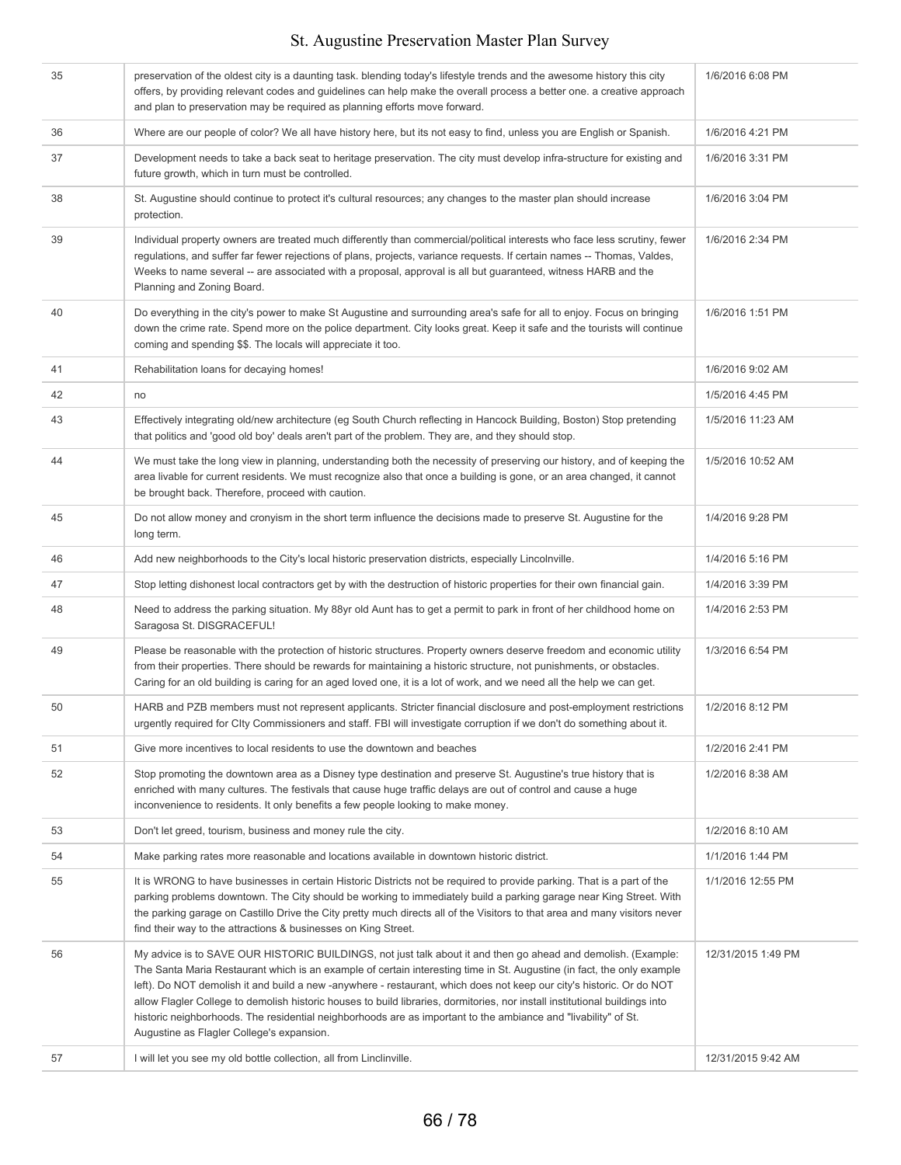| 35 | preservation of the oldest city is a daunting task. blending today's lifestyle trends and the awesome history this city<br>offers, by providing relevant codes and guidelines can help make the overall process a better one. a creative approach<br>and plan to preservation may be required as planning efforts move forward.                                                                                                                                                                                                                                                                                                                               | 1/6/2016 6:08 PM   |
|----|---------------------------------------------------------------------------------------------------------------------------------------------------------------------------------------------------------------------------------------------------------------------------------------------------------------------------------------------------------------------------------------------------------------------------------------------------------------------------------------------------------------------------------------------------------------------------------------------------------------------------------------------------------------|--------------------|
| 36 | Where are our people of color? We all have history here, but its not easy to find, unless you are English or Spanish.                                                                                                                                                                                                                                                                                                                                                                                                                                                                                                                                         | 1/6/2016 4:21 PM   |
| 37 | Development needs to take a back seat to heritage preservation. The city must develop infra-structure for existing and<br>future growth, which in turn must be controlled.                                                                                                                                                                                                                                                                                                                                                                                                                                                                                    | 1/6/2016 3:31 PM   |
| 38 | St. Augustine should continue to protect it's cultural resources; any changes to the master plan should increase<br>protection.                                                                                                                                                                                                                                                                                                                                                                                                                                                                                                                               | 1/6/2016 3:04 PM   |
| 39 | Individual property owners are treated much differently than commercial/political interests who face less scrutiny, fewer<br>regulations, and suffer far fewer rejections of plans, projects, variance requests. If certain names -- Thomas, Valdes,<br>Weeks to name several -- are associated with a proposal, approval is all but guaranteed, witness HARB and the<br>Planning and Zoning Board.                                                                                                                                                                                                                                                           | 1/6/2016 2:34 PM   |
| 40 | Do everything in the city's power to make St Augustine and surrounding area's safe for all to enjoy. Focus on bringing<br>down the crime rate. Spend more on the police department. City looks great. Keep it safe and the tourists will continue<br>coming and spending \$\$. The locals will appreciate it too.                                                                                                                                                                                                                                                                                                                                             | 1/6/2016 1:51 PM   |
| 41 | Rehabilitation loans for decaying homes!                                                                                                                                                                                                                                                                                                                                                                                                                                                                                                                                                                                                                      | 1/6/2016 9:02 AM   |
| 42 | no                                                                                                                                                                                                                                                                                                                                                                                                                                                                                                                                                                                                                                                            | 1/5/2016 4:45 PM   |
| 43 | Effectively integrating old/new architecture (eg South Church reflecting in Hancock Building, Boston) Stop pretending<br>that politics and 'good old boy' deals aren't part of the problem. They are, and they should stop.                                                                                                                                                                                                                                                                                                                                                                                                                                   | 1/5/2016 11:23 AM  |
| 44 | We must take the long view in planning, understanding both the necessity of preserving our history, and of keeping the<br>area livable for current residents. We must recognize also that once a building is gone, or an area changed, it cannot<br>be brought back. Therefore, proceed with caution.                                                                                                                                                                                                                                                                                                                                                         | 1/5/2016 10:52 AM  |
| 45 | Do not allow money and cronyism in the short term influence the decisions made to preserve St. Augustine for the<br>long term.                                                                                                                                                                                                                                                                                                                                                                                                                                                                                                                                | 1/4/2016 9:28 PM   |
| 46 | Add new neighborhoods to the City's local historic preservation districts, especially Lincolnville.                                                                                                                                                                                                                                                                                                                                                                                                                                                                                                                                                           | 1/4/2016 5:16 PM   |
| 47 | Stop letting dishonest local contractors get by with the destruction of historic properties for their own financial gain.                                                                                                                                                                                                                                                                                                                                                                                                                                                                                                                                     | 1/4/2016 3:39 PM   |
| 48 | Need to address the parking situation. My 88yr old Aunt has to get a permit to park in front of her childhood home on<br>Saragosa St. DISGRACEFUL!                                                                                                                                                                                                                                                                                                                                                                                                                                                                                                            | 1/4/2016 2:53 PM   |
| 49 | Please be reasonable with the protection of historic structures. Property owners deserve freedom and economic utility<br>from their properties. There should be rewards for maintaining a historic structure, not punishments, or obstacles.<br>Caring for an old building is caring for an aged loved one, it is a lot of work, and we need all the help we can get.                                                                                                                                                                                                                                                                                         | 1/3/2016 6:54 PM   |
| 50 | HARB and PZB members must not represent applicants. Stricter financial disclosure and post-employment restrictions<br>urgently required for Clty Commissioners and staff. FBI will investigate corruption if we don't do something about it.                                                                                                                                                                                                                                                                                                                                                                                                                  | 1/2/2016 8:12 PM   |
| 51 | Give more incentives to local residents to use the downtown and beaches                                                                                                                                                                                                                                                                                                                                                                                                                                                                                                                                                                                       | 1/2/2016 2:41 PM   |
| 52 | Stop promoting the downtown area as a Disney type destination and preserve St. Augustine's true history that is<br>enriched with many cultures. The festivals that cause huge traffic delays are out of control and cause a huge<br>inconvenience to residents. It only benefits a few people looking to make money.                                                                                                                                                                                                                                                                                                                                          | 1/2/2016 8:38 AM   |
| 53 | Don't let greed, tourism, business and money rule the city.                                                                                                                                                                                                                                                                                                                                                                                                                                                                                                                                                                                                   | 1/2/2016 8:10 AM   |
| 54 | Make parking rates more reasonable and locations available in downtown historic district.                                                                                                                                                                                                                                                                                                                                                                                                                                                                                                                                                                     | 1/1/2016 1:44 PM   |
| 55 | It is WRONG to have businesses in certain Historic Districts not be required to provide parking. That is a part of the<br>parking problems downtown. The City should be working to immediately build a parking garage near King Street. With<br>the parking garage on Castillo Drive the City pretty much directs all of the Visitors to that area and many visitors never<br>find their way to the attractions & businesses on King Street.                                                                                                                                                                                                                  | 1/1/2016 12:55 PM  |
| 56 | My advice is to SAVE OUR HISTORIC BUILDINGS, not just talk about it and then go ahead and demolish. (Example:<br>The Santa Maria Restaurant which is an example of certain interesting time in St. Augustine (in fact, the only example<br>left). Do NOT demolish it and build a new -anywhere - restaurant, which does not keep our city's historic. Or do NOT<br>allow Flagler College to demolish historic houses to build libraries, dormitories, nor install institutional buildings into<br>historic neighborhoods. The residential neighborhoods are as important to the ambiance and "livability" of St.<br>Augustine as Flagler College's expansion. | 12/31/2015 1:49 PM |
| 57 | I will let you see my old bottle collection, all from Linclinville.                                                                                                                                                                                                                                                                                                                                                                                                                                                                                                                                                                                           | 12/31/2015 9:42 AM |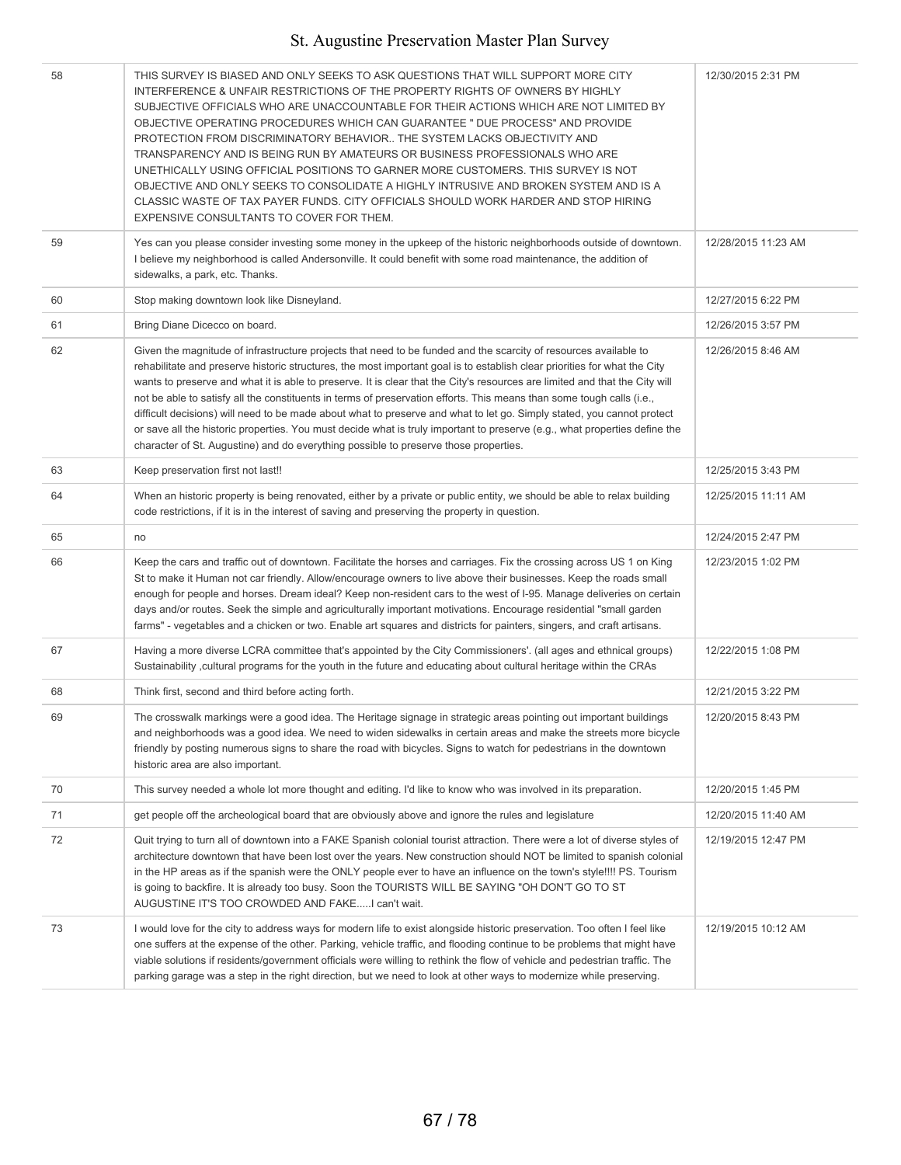| 58 | THIS SURVEY IS BIASED AND ONLY SEEKS TO ASK QUESTIONS THAT WILL SUPPORT MORE CITY<br>INTERFERENCE & UNFAIR RESTRICTIONS OF THE PROPERTY RIGHTS OF OWNERS BY HIGHLY<br>SUBJECTIVE OFFICIALS WHO ARE UNACCOUNTABLE FOR THEIR ACTIONS WHICH ARE NOT LIMITED BY<br>OBJECTIVE OPERATING PROCEDURES WHICH CAN GUARANTEE " DUE PROCESS" AND PROVIDE<br>PROTECTION FROM DISCRIMINATORY BEHAVIOR THE SYSTEM LACKS OBJECTIVITY AND<br>TRANSPARENCY AND IS BEING RUN BY AMATEURS OR BUSINESS PROFESSIONALS WHO ARE<br>UNETHICALLY USING OFFICIAL POSITIONS TO GARNER MORE CUSTOMERS. THIS SURVEY IS NOT<br>OBJECTIVE AND ONLY SEEKS TO CONSOLIDATE A HIGHLY INTRUSIVE AND BROKEN SYSTEM AND IS A<br>CLASSIC WASTE OF TAX PAYER FUNDS. CITY OFFICIALS SHOULD WORK HARDER AND STOP HIRING<br>EXPENSIVE CONSULTANTS TO COVER FOR THEM.                              | 12/30/2015 2:31 PM  |
|----|-------------------------------------------------------------------------------------------------------------------------------------------------------------------------------------------------------------------------------------------------------------------------------------------------------------------------------------------------------------------------------------------------------------------------------------------------------------------------------------------------------------------------------------------------------------------------------------------------------------------------------------------------------------------------------------------------------------------------------------------------------------------------------------------------------------------------------------------------------|---------------------|
| 59 | Yes can you please consider investing some money in the upkeep of the historic neighborhoods outside of downtown.<br>I believe my neighborhood is called Andersonville. It could benefit with some road maintenance, the addition of<br>sidewalks, a park, etc. Thanks.                                                                                                                                                                                                                                                                                                                                                                                                                                                                                                                                                                               | 12/28/2015 11:23 AM |
| 60 | Stop making downtown look like Disneyland.                                                                                                                                                                                                                                                                                                                                                                                                                                                                                                                                                                                                                                                                                                                                                                                                            | 12/27/2015 6:22 PM  |
| 61 | Bring Diane Dicecco on board.                                                                                                                                                                                                                                                                                                                                                                                                                                                                                                                                                                                                                                                                                                                                                                                                                         | 12/26/2015 3:57 PM  |
| 62 | Given the magnitude of infrastructure projects that need to be funded and the scarcity of resources available to<br>rehabilitate and preserve historic structures, the most important goal is to establish clear priorities for what the City<br>wants to preserve and what it is able to preserve. It is clear that the City's resources are limited and that the City will<br>not be able to satisfy all the constituents in terms of preservation efforts. This means than some tough calls (i.e.,<br>difficult decisions) will need to be made about what to preserve and what to let go. Simply stated, you cannot protect<br>or save all the historic properties. You must decide what is truly important to preserve (e.g., what properties define the<br>character of St. Augustine) and do everything possible to preserve those properties. | 12/26/2015 8:46 AM  |
| 63 | Keep preservation first not last!!                                                                                                                                                                                                                                                                                                                                                                                                                                                                                                                                                                                                                                                                                                                                                                                                                    | 12/25/2015 3:43 PM  |
| 64 | When an historic property is being renovated, either by a private or public entity, we should be able to relax building<br>code restrictions, if it is in the interest of saving and preserving the property in question.                                                                                                                                                                                                                                                                                                                                                                                                                                                                                                                                                                                                                             | 12/25/2015 11:11 AM |
| 65 | no                                                                                                                                                                                                                                                                                                                                                                                                                                                                                                                                                                                                                                                                                                                                                                                                                                                    | 12/24/2015 2:47 PM  |
| 66 | Keep the cars and traffic out of downtown. Facilitate the horses and carriages. Fix the crossing across US 1 on King<br>St to make it Human not car friendly. Allow/encourage owners to live above their businesses. Keep the roads small<br>enough for people and horses. Dream ideal? Keep non-resident cars to the west of I-95. Manage deliveries on certain<br>days and/or routes. Seek the simple and agriculturally important motivations. Encourage residential "small garden<br>farms" - vegetables and a chicken or two. Enable art squares and districts for painters, singers, and craft artisans.                                                                                                                                                                                                                                        | 12/23/2015 1:02 PM  |
| 67 | Having a more diverse LCRA committee that's appointed by the City Commissioners'. (all ages and ethnical groups)<br>Sustainability , cultural programs for the youth in the future and educating about cultural heritage within the CRAs                                                                                                                                                                                                                                                                                                                                                                                                                                                                                                                                                                                                              | 12/22/2015 1:08 PM  |
| 68 | Think first, second and third before acting forth.                                                                                                                                                                                                                                                                                                                                                                                                                                                                                                                                                                                                                                                                                                                                                                                                    | 12/21/2015 3:22 PM  |
| 69 | The crosswalk markings were a good idea. The Heritage signage in strategic areas pointing out important buildings<br>and neighborhoods was a good idea. We need to widen sidewalks in certain areas and make the streets more bicycle<br>friendly by posting numerous signs to share the road with bicycles. Signs to watch for pedestrians in the downtown<br>historic area are also important.                                                                                                                                                                                                                                                                                                                                                                                                                                                      | 12/20/2015 8:43 PM  |
| 70 | This survey needed a whole lot more thought and editing. I'd like to know who was involved in its preparation.                                                                                                                                                                                                                                                                                                                                                                                                                                                                                                                                                                                                                                                                                                                                        | 12/20/2015 1:45 PM  |
| 71 | get people off the archeological board that are obviously above and ignore the rules and legislature                                                                                                                                                                                                                                                                                                                                                                                                                                                                                                                                                                                                                                                                                                                                                  | 12/20/2015 11:40 AM |
| 72 | Quit trying to turn all of downtown into a FAKE Spanish colonial tourist attraction. There were a lot of diverse styles of<br>architecture downtown that have been lost over the years. New construction should NOT be limited to spanish colonial<br>in the HP areas as if the spanish were the ONLY people ever to have an influence on the town's style!!!! PS. Tourism<br>is going to backfire. It is already too busy. Soon the TOURISTS WILL BE SAYING "OH DON'T GO TO ST<br>AUGUSTINE IT'S TOO CROWDED AND FAKEI can't wait.                                                                                                                                                                                                                                                                                                                   | 12/19/2015 12:47 PM |
| 73 | I would love for the city to address ways for modern life to exist alongside historic preservation. Too often I feel like<br>one suffers at the expense of the other. Parking, vehicle traffic, and flooding continue to be problems that might have<br>viable solutions if residents/government officials were willing to rethink the flow of vehicle and pedestrian traffic. The<br>parking garage was a step in the right direction, but we need to look at other ways to modernize while preserving.                                                                                                                                                                                                                                                                                                                                              | 12/19/2015 10:12 AM |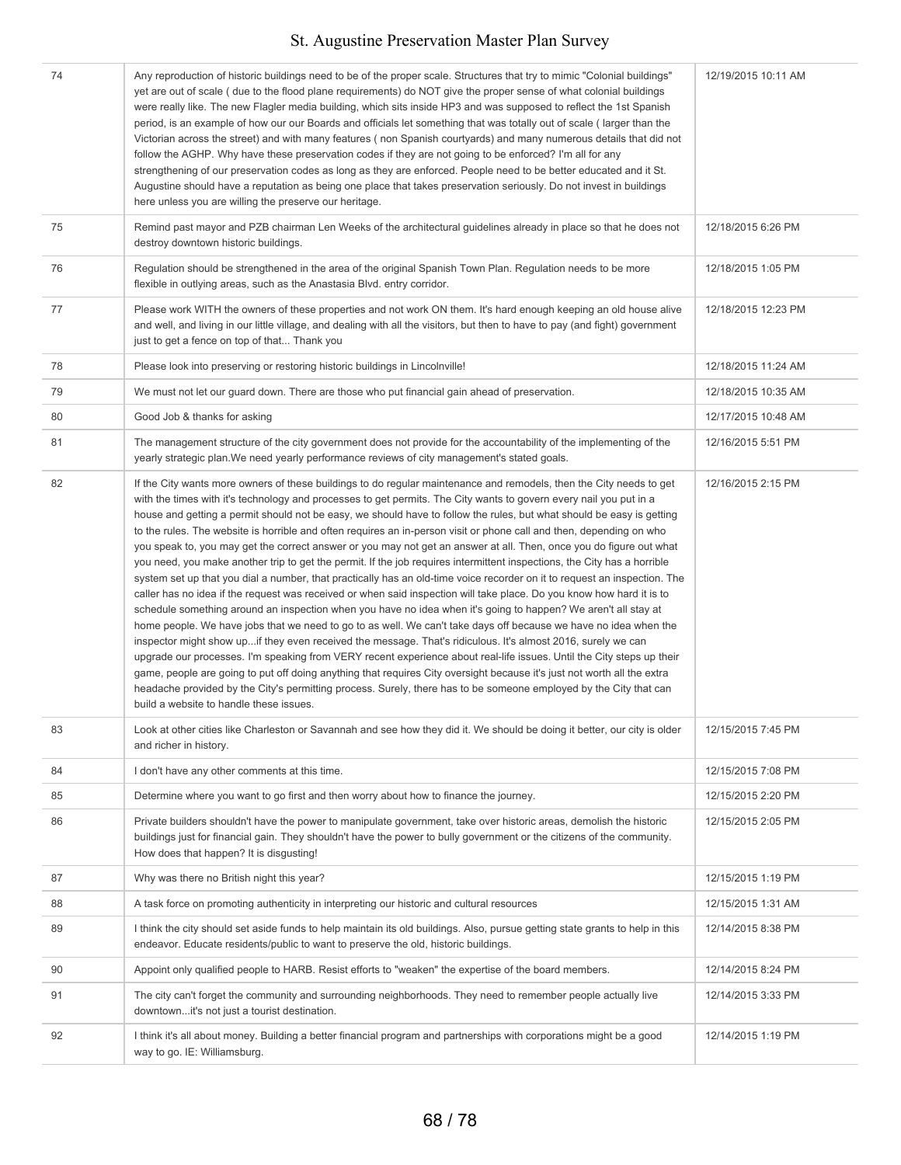| 74 | Any reproduction of historic buildings need to be of the proper scale. Structures that try to mimic "Colonial buildings"<br>yet are out of scale ( due to the flood plane requirements) do NOT give the proper sense of what colonial buildings<br>were really like. The new Flagler media building, which sits inside HP3 and was supposed to reflect the 1st Spanish<br>period, is an example of how our our Boards and officials let something that was totally out of scale (larger than the<br>Victorian across the street) and with many features (non Spanish courtyards) and many numerous details that did not<br>follow the AGHP. Why have these preservation codes if they are not going to be enforced? I'm all for any<br>strengthening of our preservation codes as long as they are enforced. People need to be better educated and it St.<br>Augustine should have a reputation as being one place that takes preservation seriously. Do not invest in buildings<br>here unless you are willing the preserve our heritage.                                                                                                                                                                                                                                                                                                                                                                                                                                                                                                                                                                                                                                                                                                                                     | 12/19/2015 10:11 AM |
|----|--------------------------------------------------------------------------------------------------------------------------------------------------------------------------------------------------------------------------------------------------------------------------------------------------------------------------------------------------------------------------------------------------------------------------------------------------------------------------------------------------------------------------------------------------------------------------------------------------------------------------------------------------------------------------------------------------------------------------------------------------------------------------------------------------------------------------------------------------------------------------------------------------------------------------------------------------------------------------------------------------------------------------------------------------------------------------------------------------------------------------------------------------------------------------------------------------------------------------------------------------------------------------------------------------------------------------------------------------------------------------------------------------------------------------------------------------------------------------------------------------------------------------------------------------------------------------------------------------------------------------------------------------------------------------------------------------------------------------------------------------------------------------------|---------------------|
| 75 | Remind past mayor and PZB chairman Len Weeks of the architectural guidelines already in place so that he does not<br>destroy downtown historic buildings.                                                                                                                                                                                                                                                                                                                                                                                                                                                                                                                                                                                                                                                                                                                                                                                                                                                                                                                                                                                                                                                                                                                                                                                                                                                                                                                                                                                                                                                                                                                                                                                                                      | 12/18/2015 6:26 PM  |
| 76 | Regulation should be strengthened in the area of the original Spanish Town Plan. Regulation needs to be more<br>flexible in outlying areas, such as the Anastasia Blvd. entry corridor.                                                                                                                                                                                                                                                                                                                                                                                                                                                                                                                                                                                                                                                                                                                                                                                                                                                                                                                                                                                                                                                                                                                                                                                                                                                                                                                                                                                                                                                                                                                                                                                        | 12/18/2015 1:05 PM  |
| 77 | Please work WITH the owners of these properties and not work ON them. It's hard enough keeping an old house alive<br>and well, and living in our little village, and dealing with all the visitors, but then to have to pay (and fight) government<br>just to get a fence on top of that Thank you                                                                                                                                                                                                                                                                                                                                                                                                                                                                                                                                                                                                                                                                                                                                                                                                                                                                                                                                                                                                                                                                                                                                                                                                                                                                                                                                                                                                                                                                             | 12/18/2015 12:23 PM |
| 78 | Please look into preserving or restoring historic buildings in Lincolnville!                                                                                                                                                                                                                                                                                                                                                                                                                                                                                                                                                                                                                                                                                                                                                                                                                                                                                                                                                                                                                                                                                                                                                                                                                                                                                                                                                                                                                                                                                                                                                                                                                                                                                                   | 12/18/2015 11:24 AM |
| 79 | We must not let our guard down. There are those who put financial gain ahead of preservation.                                                                                                                                                                                                                                                                                                                                                                                                                                                                                                                                                                                                                                                                                                                                                                                                                                                                                                                                                                                                                                                                                                                                                                                                                                                                                                                                                                                                                                                                                                                                                                                                                                                                                  | 12/18/2015 10:35 AM |
| 80 | Good Job & thanks for asking                                                                                                                                                                                                                                                                                                                                                                                                                                                                                                                                                                                                                                                                                                                                                                                                                                                                                                                                                                                                                                                                                                                                                                                                                                                                                                                                                                                                                                                                                                                                                                                                                                                                                                                                                   | 12/17/2015 10:48 AM |
| 81 | The management structure of the city government does not provide for the accountability of the implementing of the<br>yearly strategic plan. We need yearly performance reviews of city management's stated goals.                                                                                                                                                                                                                                                                                                                                                                                                                                                                                                                                                                                                                                                                                                                                                                                                                                                                                                                                                                                                                                                                                                                                                                                                                                                                                                                                                                                                                                                                                                                                                             | 12/16/2015 5:51 PM  |
| 82 | If the City wants more owners of these buildings to do regular maintenance and remodels, then the City needs to get<br>with the times with it's technology and processes to get permits. The City wants to govern every nail you put in a<br>house and getting a permit should not be easy, we should have to follow the rules, but what should be easy is getting<br>to the rules. The website is horrible and often requires an in-person visit or phone call and then, depending on who<br>you speak to, you may get the correct answer or you may not get an answer at all. Then, once you do figure out what<br>you need, you make another trip to get the permit. If the job requires intermittent inspections, the City has a horrible<br>system set up that you dial a number, that practically has an old-time voice recorder on it to request an inspection. The<br>caller has no idea if the request was received or when said inspection will take place. Do you know how hard it is to<br>schedule something around an inspection when you have no idea when it's going to happen? We aren't all stay at<br>home people. We have jobs that we need to go to as well. We can't take days off because we have no idea when the<br>inspector might show up if they even received the message. That's ridiculous. It's almost 2016, surely we can<br>upgrade our processes. I'm speaking from VERY recent experience about real-life issues. Until the City steps up their<br>game, people are going to put off doing anything that requires City oversight because it's just not worth all the extra<br>headache provided by the City's permitting process. Surely, there has to be someone employed by the City that can<br>build a website to handle these issues. | 12/16/2015 2:15 PM  |
| 83 | Look at other cities like Charleston or Savannah and see how they did it. We should be doing it better, our city is older<br>and richer in history.                                                                                                                                                                                                                                                                                                                                                                                                                                                                                                                                                                                                                                                                                                                                                                                                                                                                                                                                                                                                                                                                                                                                                                                                                                                                                                                                                                                                                                                                                                                                                                                                                            | 12/15/2015 7:45 PM  |
| 84 | I don't have any other comments at this time.                                                                                                                                                                                                                                                                                                                                                                                                                                                                                                                                                                                                                                                                                                                                                                                                                                                                                                                                                                                                                                                                                                                                                                                                                                                                                                                                                                                                                                                                                                                                                                                                                                                                                                                                  | 12/15/2015 7:08 PM  |
| 85 | Determine where you want to go first and then worry about how to finance the journey.                                                                                                                                                                                                                                                                                                                                                                                                                                                                                                                                                                                                                                                                                                                                                                                                                                                                                                                                                                                                                                                                                                                                                                                                                                                                                                                                                                                                                                                                                                                                                                                                                                                                                          | 12/15/2015 2:20 PM  |
| 86 | Private builders shouldn't have the power to manipulate government, take over historic areas, demolish the historic<br>buildings just for financial gain. They shouldn't have the power to bully government or the citizens of the community.<br>How does that happen? It is disgusting!                                                                                                                                                                                                                                                                                                                                                                                                                                                                                                                                                                                                                                                                                                                                                                                                                                                                                                                                                                                                                                                                                                                                                                                                                                                                                                                                                                                                                                                                                       | 12/15/2015 2:05 PM  |
| 87 | Why was there no British night this year?                                                                                                                                                                                                                                                                                                                                                                                                                                                                                                                                                                                                                                                                                                                                                                                                                                                                                                                                                                                                                                                                                                                                                                                                                                                                                                                                                                                                                                                                                                                                                                                                                                                                                                                                      | 12/15/2015 1:19 PM  |
| 88 | A task force on promoting authenticity in interpreting our historic and cultural resources                                                                                                                                                                                                                                                                                                                                                                                                                                                                                                                                                                                                                                                                                                                                                                                                                                                                                                                                                                                                                                                                                                                                                                                                                                                                                                                                                                                                                                                                                                                                                                                                                                                                                     | 12/15/2015 1:31 AM  |
| 89 | I think the city should set aside funds to help maintain its old buildings. Also, pursue getting state grants to help in this<br>endeavor. Educate residents/public to want to preserve the old, historic buildings.                                                                                                                                                                                                                                                                                                                                                                                                                                                                                                                                                                                                                                                                                                                                                                                                                                                                                                                                                                                                                                                                                                                                                                                                                                                                                                                                                                                                                                                                                                                                                           | 12/14/2015 8:38 PM  |
| 90 | Appoint only qualified people to HARB. Resist efforts to "weaken" the expertise of the board members.                                                                                                                                                                                                                                                                                                                                                                                                                                                                                                                                                                                                                                                                                                                                                                                                                                                                                                                                                                                                                                                                                                                                                                                                                                                                                                                                                                                                                                                                                                                                                                                                                                                                          | 12/14/2015 8:24 PM  |
| 91 | The city can't forget the community and surrounding neighborhoods. They need to remember people actually live<br>downtownit's not just a tourist destination.                                                                                                                                                                                                                                                                                                                                                                                                                                                                                                                                                                                                                                                                                                                                                                                                                                                                                                                                                                                                                                                                                                                                                                                                                                                                                                                                                                                                                                                                                                                                                                                                                  | 12/14/2015 3:33 PM  |
| 92 | I think it's all about money. Building a better financial program and partnerships with corporations might be a good<br>way to go. IE: Williamsburg.                                                                                                                                                                                                                                                                                                                                                                                                                                                                                                                                                                                                                                                                                                                                                                                                                                                                                                                                                                                                                                                                                                                                                                                                                                                                                                                                                                                                                                                                                                                                                                                                                           | 12/14/2015 1:19 PM  |
|    |                                                                                                                                                                                                                                                                                                                                                                                                                                                                                                                                                                                                                                                                                                                                                                                                                                                                                                                                                                                                                                                                                                                                                                                                                                                                                                                                                                                                                                                                                                                                                                                                                                                                                                                                                                                |                     |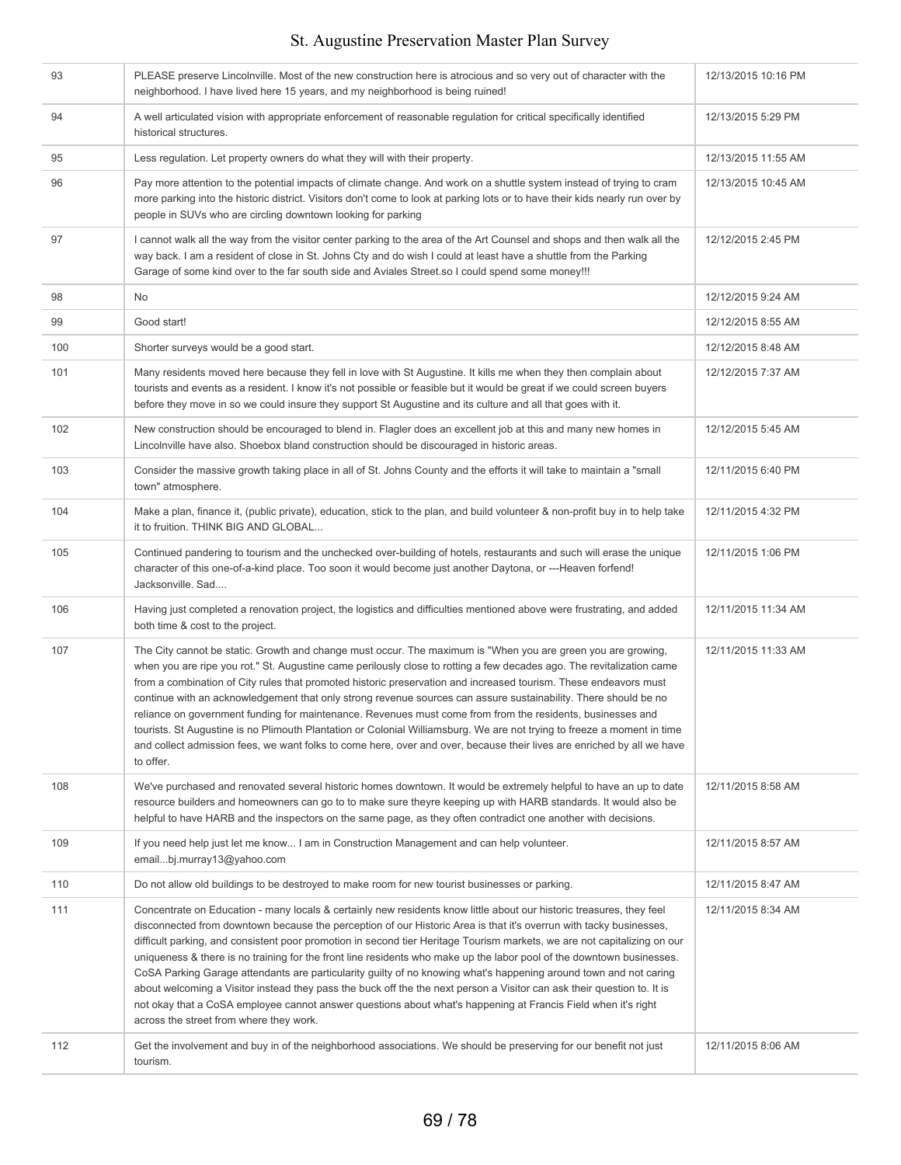| 93  | PLEASE preserve Lincolnville. Most of the new construction here is atrocious and so very out of character with the<br>neighborhood. I have lived here 15 years, and my neighborhood is being ruined!                                                                                                                                                                                                                                                                                                                                                                                                                                                                                                                                                                                                                                                                                                        | 12/13/2015 10:16 PM |
|-----|-------------------------------------------------------------------------------------------------------------------------------------------------------------------------------------------------------------------------------------------------------------------------------------------------------------------------------------------------------------------------------------------------------------------------------------------------------------------------------------------------------------------------------------------------------------------------------------------------------------------------------------------------------------------------------------------------------------------------------------------------------------------------------------------------------------------------------------------------------------------------------------------------------------|---------------------|
| 94  | A well articulated vision with appropriate enforcement of reasonable regulation for critical specifically identified<br>historical structures.                                                                                                                                                                                                                                                                                                                                                                                                                                                                                                                                                                                                                                                                                                                                                              | 12/13/2015 5:29 PM  |
| 95  | Less regulation. Let property owners do what they will with their property.                                                                                                                                                                                                                                                                                                                                                                                                                                                                                                                                                                                                                                                                                                                                                                                                                                 | 12/13/2015 11:55 AM |
| 96  | Pay more attention to the potential impacts of climate change. And work on a shuttle system instead of trying to cram<br>more parking into the historic district. Visitors don't come to look at parking lots or to have their kids nearly run over by<br>people in SUVs who are circling downtown looking for parking                                                                                                                                                                                                                                                                                                                                                                                                                                                                                                                                                                                      | 12/13/2015 10:45 AM |
| 97  | I cannot walk all the way from the visitor center parking to the area of the Art Counsel and shops and then walk all the<br>way back. I am a resident of close in St. Johns Cty and do wish I could at least have a shuttle from the Parking<br>Garage of some kind over to the far south side and Aviales Street.so I could spend some money!!!                                                                                                                                                                                                                                                                                                                                                                                                                                                                                                                                                            | 12/12/2015 2:45 PM  |
| 98  | No                                                                                                                                                                                                                                                                                                                                                                                                                                                                                                                                                                                                                                                                                                                                                                                                                                                                                                          | 12/12/2015 9:24 AM  |
| 99  | Good start!                                                                                                                                                                                                                                                                                                                                                                                                                                                                                                                                                                                                                                                                                                                                                                                                                                                                                                 | 12/12/2015 8:55 AM  |
| 100 | Shorter surveys would be a good start.                                                                                                                                                                                                                                                                                                                                                                                                                                                                                                                                                                                                                                                                                                                                                                                                                                                                      | 12/12/2015 8:48 AM  |
| 101 | Many residents moved here because they fell in love with St Augustine. It kills me when they then complain about<br>tourists and events as a resident. I know it's not possible or feasible but it would be great if we could screen buyers<br>before they move in so we could insure they support St Augustine and its culture and all that goes with it.                                                                                                                                                                                                                                                                                                                                                                                                                                                                                                                                                  | 12/12/2015 7:37 AM  |
| 102 | New construction should be encouraged to blend in. Flagler does an excellent job at this and many new homes in<br>Lincolnville have also. Shoebox bland construction should be discouraged in historic areas.                                                                                                                                                                                                                                                                                                                                                                                                                                                                                                                                                                                                                                                                                               | 12/12/2015 5:45 AM  |
| 103 | Consider the massive growth taking place in all of St. Johns County and the efforts it will take to maintain a "small<br>town" atmosphere.                                                                                                                                                                                                                                                                                                                                                                                                                                                                                                                                                                                                                                                                                                                                                                  | 12/11/2015 6:40 PM  |
| 104 | Make a plan, finance it, (public private), education, stick to the plan, and build volunteer & non-profit buy in to help take<br>it to fruition. THINK BIG AND GLOBAL                                                                                                                                                                                                                                                                                                                                                                                                                                                                                                                                                                                                                                                                                                                                       | 12/11/2015 4:32 PM  |
| 105 | Continued pandering to tourism and the unchecked over-building of hotels, restaurants and such will erase the unique<br>character of this one-of-a-kind place. Too soon it would become just another Daytona, or ---Heaven forfend!<br>Jacksonville. Sad                                                                                                                                                                                                                                                                                                                                                                                                                                                                                                                                                                                                                                                    | 12/11/2015 1:06 PM  |
| 106 | Having just completed a renovation project, the logistics and difficulties mentioned above were frustrating, and added<br>both time & cost to the project.                                                                                                                                                                                                                                                                                                                                                                                                                                                                                                                                                                                                                                                                                                                                                  | 12/11/2015 11:34 AM |
| 107 | The City cannot be static. Growth and change must occur. The maximum is "When you are green you are growing,<br>when you are ripe you rot." St. Augustine came perilously close to rotting a few decades ago. The revitalization came<br>from a combination of City rules that promoted historic preservation and increased tourism. These endeavors must<br>continue with an acknowledgement that only strong revenue sources can assure sustainability. There should be no<br>reliance on government funding for maintenance. Revenues must come from from the residents, businesses and<br>tourists. St Augustine is no Plimouth Plantation or Colonial Williamsburg. We are not trying to freeze a moment in time<br>and collect admission fees, we want folks to come here, over and over, because their lives are enriched by all we have<br>to offer.                                                | 12/11/2015 11:33 AM |
| 108 | We've purchased and renovated several historic homes downtown. It would be extremely helpful to have an up to date<br>resource builders and homeowners can go to to make sure theyre keeping up with HARB standards. It would also be<br>helpful to have HARB and the inspectors on the same page, as they often contradict one another with decisions.                                                                                                                                                                                                                                                                                                                                                                                                                                                                                                                                                     | 12/11/2015 8:58 AM  |
| 109 | If you need help just let me know I am in Construction Management and can help volunteer.<br>emailbj.murray13@yahoo.com                                                                                                                                                                                                                                                                                                                                                                                                                                                                                                                                                                                                                                                                                                                                                                                     | 12/11/2015 8:57 AM  |
| 110 | Do not allow old buildings to be destroyed to make room for new tourist businesses or parking.                                                                                                                                                                                                                                                                                                                                                                                                                                                                                                                                                                                                                                                                                                                                                                                                              | 12/11/2015 8:47 AM  |
| 111 | Concentrate on Education - many locals & certainly new residents know little about our historic treasures, they feel<br>disconnected from downtown because the perception of our Historic Area is that it's overrun with tacky businesses,<br>difficult parking, and consistent poor promotion in second tier Heritage Tourism markets, we are not capitalizing on our<br>uniqueness & there is no training for the front line residents who make up the labor pool of the downtown businesses.<br>CoSA Parking Garage attendants are particularity guilty of no knowing what's happening around town and not caring<br>about welcoming a Visitor instead they pass the buck off the the next person a Visitor can ask their question to. It is<br>not okay that a CoSA employee cannot answer questions about what's happening at Francis Field when it's right<br>across the street from where they work. | 12/11/2015 8:34 AM  |
| 112 | Get the involvement and buy in of the neighborhood associations. We should be preserving for our benefit not just<br>tourism.                                                                                                                                                                                                                                                                                                                                                                                                                                                                                                                                                                                                                                                                                                                                                                               | 12/11/2015 8:06 AM  |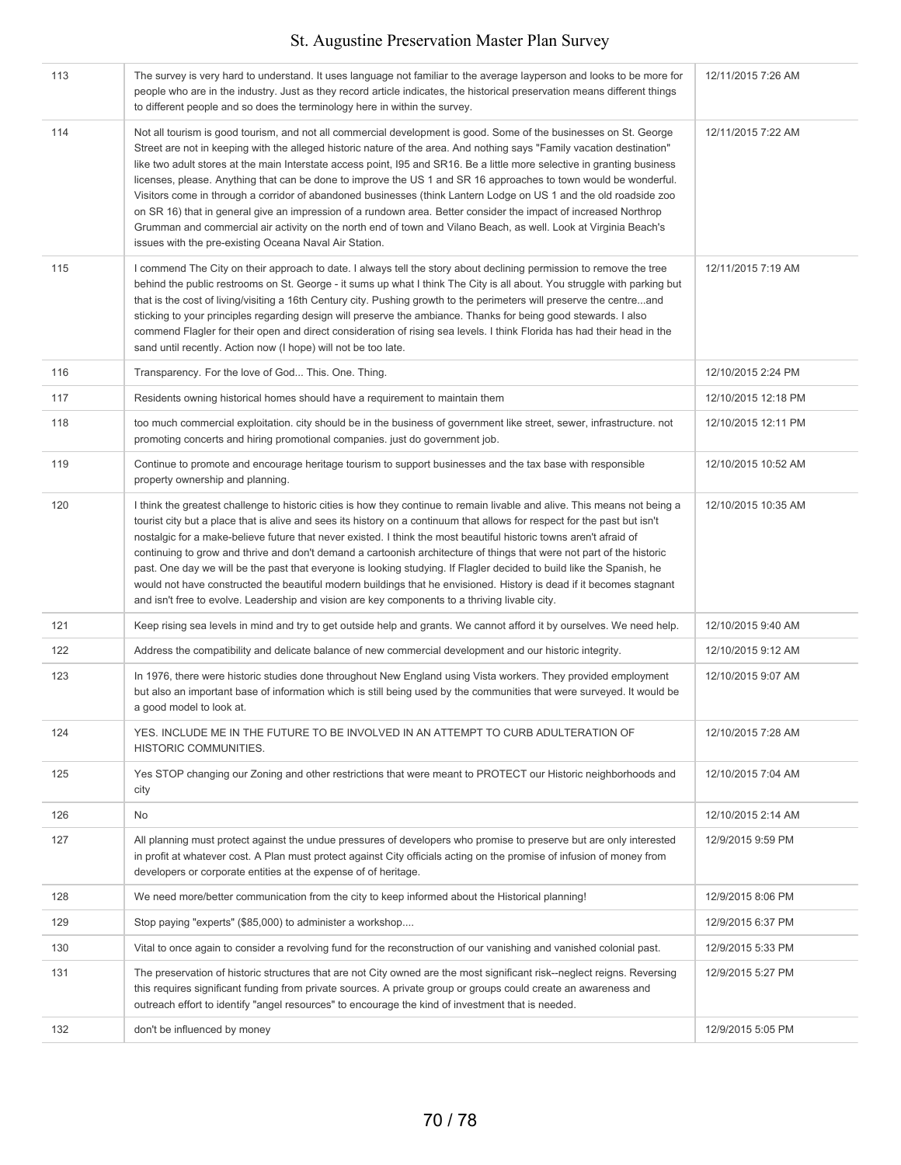| 113 | The survey is very hard to understand. It uses language not familiar to the average layperson and looks to be more for<br>people who are in the industry. Just as they record article indicates, the historical preservation means different things<br>to different people and so does the terminology here in within the survey.                                                                                                                                                                                                                                                                                                                                                                                                                                                                                                                                                                                  | 12/11/2015 7:26 AM  |
|-----|--------------------------------------------------------------------------------------------------------------------------------------------------------------------------------------------------------------------------------------------------------------------------------------------------------------------------------------------------------------------------------------------------------------------------------------------------------------------------------------------------------------------------------------------------------------------------------------------------------------------------------------------------------------------------------------------------------------------------------------------------------------------------------------------------------------------------------------------------------------------------------------------------------------------|---------------------|
| 114 | Not all tourism is good tourism, and not all commercial development is good. Some of the businesses on St. George<br>Street are not in keeping with the alleged historic nature of the area. And nothing says "Family vacation destination"<br>like two adult stores at the main Interstate access point, 195 and SR16. Be a little more selective in granting business<br>licenses, please. Anything that can be done to improve the US 1 and SR 16 approaches to town would be wonderful.<br>Visitors come in through a corridor of abandoned businesses (think Lantern Lodge on US 1 and the old roadside zoo<br>on SR 16) that in general give an impression of a rundown area. Better consider the impact of increased Northrop<br>Grumman and commercial air activity on the north end of town and Vilano Beach, as well. Look at Virginia Beach's<br>issues with the pre-existing Oceana Naval Air Station. | 12/11/2015 7:22 AM  |
| 115 | I commend The City on their approach to date. I always tell the story about declining permission to remove the tree<br>behind the public restrooms on St. George - it sums up what I think The City is all about. You struggle with parking but<br>that is the cost of living/visiting a 16th Century city. Pushing growth to the perimeters will preserve the centreand<br>sticking to your principles regarding design will preserve the ambiance. Thanks for being good stewards. I also<br>commend Flagler for their open and direct consideration of rising sea levels. I think Florida has had their head in the<br>sand until recently. Action now (I hope) will not be too late.                                                                                                                                                                                                                           | 12/11/2015 7:19 AM  |
| 116 | Transparency. For the love of God This. One. Thing.                                                                                                                                                                                                                                                                                                                                                                                                                                                                                                                                                                                                                                                                                                                                                                                                                                                                | 12/10/2015 2:24 PM  |
| 117 | Residents owning historical homes should have a requirement to maintain them                                                                                                                                                                                                                                                                                                                                                                                                                                                                                                                                                                                                                                                                                                                                                                                                                                       | 12/10/2015 12:18 PM |
| 118 | too much commercial exploitation, city should be in the business of government like street, sewer, infrastructure, not<br>promoting concerts and hiring promotional companies, just do government job.                                                                                                                                                                                                                                                                                                                                                                                                                                                                                                                                                                                                                                                                                                             | 12/10/2015 12:11 PM |
| 119 | Continue to promote and encourage heritage tourism to support businesses and the tax base with responsible<br>property ownership and planning.                                                                                                                                                                                                                                                                                                                                                                                                                                                                                                                                                                                                                                                                                                                                                                     | 12/10/2015 10:52 AM |
| 120 | I think the greatest challenge to historic cities is how they continue to remain livable and alive. This means not being a<br>tourist city but a place that is alive and sees its history on a continuum that allows for respect for the past but isn't<br>nostalgic for a make-believe future that never existed. I think the most beautiful historic towns aren't afraid of<br>continuing to grow and thrive and don't demand a cartoonish architecture of things that were not part of the historic<br>past. One day we will be the past that everyone is looking studying. If Flagler decided to build like the Spanish, he<br>would not have constructed the beautiful modern buildings that he envisioned. History is dead if it becomes stagnant<br>and isn't free to evolve. Leadership and vision are key components to a thriving livable city.                                                          | 12/10/2015 10:35 AM |
| 121 | Keep rising sea levels in mind and try to get outside help and grants. We cannot afford it by ourselves. We need help.                                                                                                                                                                                                                                                                                                                                                                                                                                                                                                                                                                                                                                                                                                                                                                                             | 12/10/2015 9:40 AM  |
| 122 | Address the compatibility and delicate balance of new commercial development and our historic integrity.                                                                                                                                                                                                                                                                                                                                                                                                                                                                                                                                                                                                                                                                                                                                                                                                           | 12/10/2015 9:12 AM  |
| 123 | In 1976, there were historic studies done throughout New England using Vista workers. They provided employment<br>but also an important base of information which is still being used by the communities that were surveyed. It would be<br>a good model to look at.                                                                                                                                                                                                                                                                                                                                                                                                                                                                                                                                                                                                                                               | 12/10/2015 9:07 AM  |
| 124 | YES. INCLUDE ME IN THE FUTURE TO BE INVOLVED IN AN ATTEMPT TO CURB ADULTERATION OF<br>HISTORIC COMMUNITIES.                                                                                                                                                                                                                                                                                                                                                                                                                                                                                                                                                                                                                                                                                                                                                                                                        | 12/10/2015 7:28 AM  |
| 125 | Yes STOP changing our Zoning and other restrictions that were meant to PROTECT our Historic neighborhoods and<br>city                                                                                                                                                                                                                                                                                                                                                                                                                                                                                                                                                                                                                                                                                                                                                                                              | 12/10/2015 7:04 AM  |
| 126 | No                                                                                                                                                                                                                                                                                                                                                                                                                                                                                                                                                                                                                                                                                                                                                                                                                                                                                                                 | 12/10/2015 2:14 AM  |
| 127 | All planning must protect against the undue pressures of developers who promise to preserve but are only interested<br>in profit at whatever cost. A Plan must protect against City officials acting on the promise of infusion of money from<br>developers or corporate entities at the expense of of heritage.                                                                                                                                                                                                                                                                                                                                                                                                                                                                                                                                                                                                   | 12/9/2015 9:59 PM   |
| 128 | We need more/better communication from the city to keep informed about the Historical planning!                                                                                                                                                                                                                                                                                                                                                                                                                                                                                                                                                                                                                                                                                                                                                                                                                    | 12/9/2015 8:06 PM   |
| 129 | Stop paying "experts" (\$85,000) to administer a workshop                                                                                                                                                                                                                                                                                                                                                                                                                                                                                                                                                                                                                                                                                                                                                                                                                                                          | 12/9/2015 6:37 PM   |
| 130 | Vital to once again to consider a revolving fund for the reconstruction of our vanishing and vanished colonial past.                                                                                                                                                                                                                                                                                                                                                                                                                                                                                                                                                                                                                                                                                                                                                                                               | 12/9/2015 5:33 PM   |
| 131 | The preservation of historic structures that are not City owned are the most significant risk--neglect reigns. Reversing<br>this requires significant funding from private sources. A private group or groups could create an awareness and<br>outreach effort to identify "angel resources" to encourage the kind of investment that is needed.                                                                                                                                                                                                                                                                                                                                                                                                                                                                                                                                                                   | 12/9/2015 5:27 PM   |
| 132 | don't be influenced by money                                                                                                                                                                                                                                                                                                                                                                                                                                                                                                                                                                                                                                                                                                                                                                                                                                                                                       | 12/9/2015 5:05 PM   |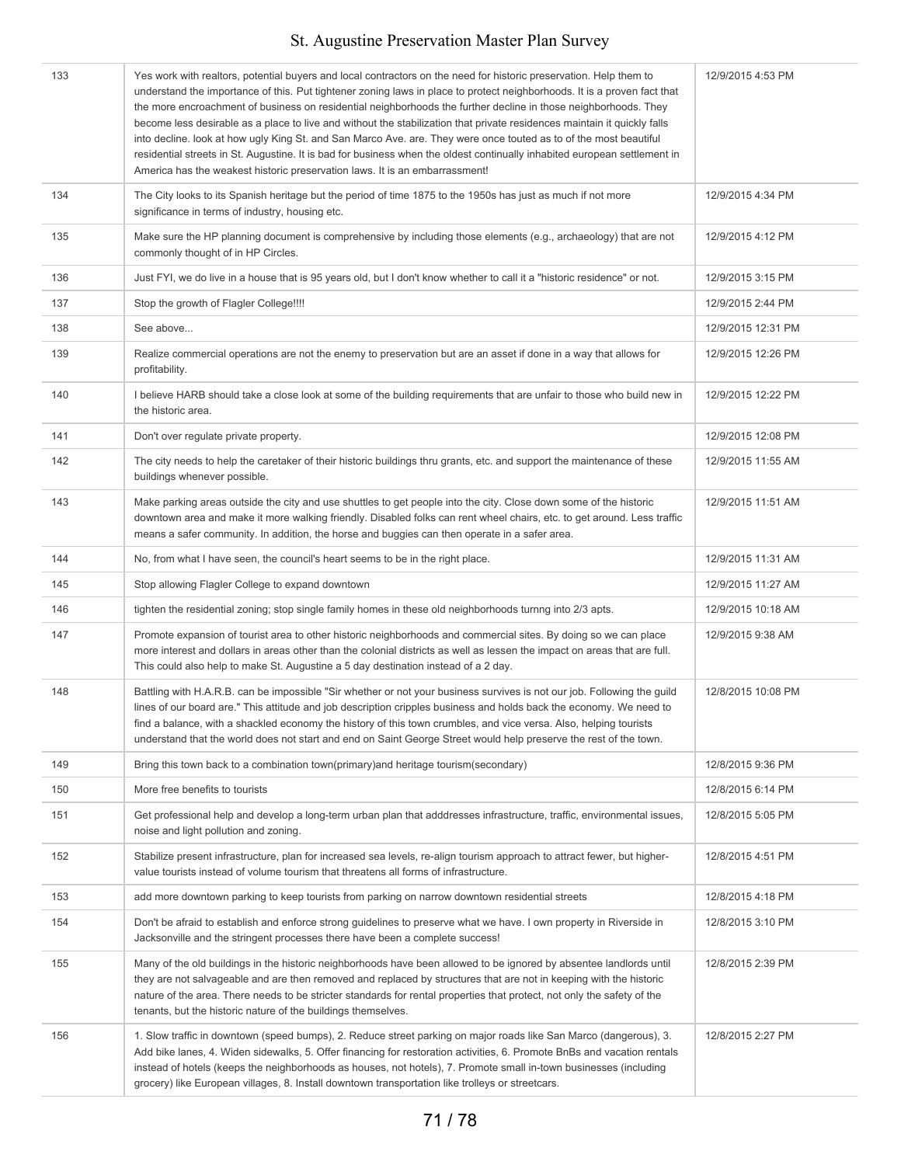| 133 | Yes work with realtors, potential buyers and local contractors on the need for historic preservation. Help them to<br>understand the importance of this. Put tightener zoning laws in place to protect neighborhoods. It is a proven fact that<br>the more encroachment of business on residential neighborhoods the further decline in those neighborhoods. They<br>become less desirable as a place to live and without the stabilization that private residences maintain it quickly falls<br>into decline. look at how ugly King St. and San Marco Ave. are. They were once touted as to of the most beautiful<br>residential streets in St. Augustine. It is bad for business when the oldest continually inhabited european settlement in<br>America has the weakest historic preservation laws. It is an embarrassment! | 12/9/2015 4:53 PM  |
|-----|--------------------------------------------------------------------------------------------------------------------------------------------------------------------------------------------------------------------------------------------------------------------------------------------------------------------------------------------------------------------------------------------------------------------------------------------------------------------------------------------------------------------------------------------------------------------------------------------------------------------------------------------------------------------------------------------------------------------------------------------------------------------------------------------------------------------------------|--------------------|
| 134 | The City looks to its Spanish heritage but the period of time 1875 to the 1950s has just as much if not more<br>significance in terms of industry, housing etc.                                                                                                                                                                                                                                                                                                                                                                                                                                                                                                                                                                                                                                                                | 12/9/2015 4:34 PM  |
| 135 | Make sure the HP planning document is comprehensive by including those elements (e.g., archaeology) that are not<br>commonly thought of in HP Circles.                                                                                                                                                                                                                                                                                                                                                                                                                                                                                                                                                                                                                                                                         | 12/9/2015 4:12 PM  |
| 136 | Just FYI, we do live in a house that is 95 years old, but I don't know whether to call it a "historic residence" or not.                                                                                                                                                                                                                                                                                                                                                                                                                                                                                                                                                                                                                                                                                                       | 12/9/2015 3:15 PM  |
| 137 | Stop the growth of Flagler College!!!!                                                                                                                                                                                                                                                                                                                                                                                                                                                                                                                                                                                                                                                                                                                                                                                         | 12/9/2015 2:44 PM  |
| 138 | See above                                                                                                                                                                                                                                                                                                                                                                                                                                                                                                                                                                                                                                                                                                                                                                                                                      | 12/9/2015 12:31 PM |
| 139 | Realize commercial operations are not the enemy to preservation but are an asset if done in a way that allows for<br>profitability.                                                                                                                                                                                                                                                                                                                                                                                                                                                                                                                                                                                                                                                                                            | 12/9/2015 12:26 PM |
| 140 | I believe HARB should take a close look at some of the building requirements that are unfair to those who build new in<br>the historic area.                                                                                                                                                                                                                                                                                                                                                                                                                                                                                                                                                                                                                                                                                   | 12/9/2015 12:22 PM |
| 141 | Don't over regulate private property.                                                                                                                                                                                                                                                                                                                                                                                                                                                                                                                                                                                                                                                                                                                                                                                          | 12/9/2015 12:08 PM |
| 142 | The city needs to help the caretaker of their historic buildings thru grants, etc. and support the maintenance of these<br>buildings whenever possible.                                                                                                                                                                                                                                                                                                                                                                                                                                                                                                                                                                                                                                                                        | 12/9/2015 11:55 AM |
| 143 | Make parking areas outside the city and use shuttles to get people into the city. Close down some of the historic<br>downtown area and make it more walking friendly. Disabled folks can rent wheel chairs, etc. to get around. Less traffic<br>means a safer community. In addition, the horse and buggies can then operate in a safer area.                                                                                                                                                                                                                                                                                                                                                                                                                                                                                  | 12/9/2015 11:51 AM |
| 144 | No, from what I have seen, the council's heart seems to be in the right place.                                                                                                                                                                                                                                                                                                                                                                                                                                                                                                                                                                                                                                                                                                                                                 | 12/9/2015 11:31 AM |
| 145 | Stop allowing Flagler College to expand downtown                                                                                                                                                                                                                                                                                                                                                                                                                                                                                                                                                                                                                                                                                                                                                                               | 12/9/2015 11:27 AM |
| 146 | tighten the residential zoning; stop single family homes in these old neighborhoods turnng into 2/3 apts.                                                                                                                                                                                                                                                                                                                                                                                                                                                                                                                                                                                                                                                                                                                      | 12/9/2015 10:18 AM |
| 147 | Promote expansion of tourist area to other historic neighborhoods and commercial sites. By doing so we can place<br>more interest and dollars in areas other than the colonial districts as well as lessen the impact on areas that are full.<br>This could also help to make St. Augustine a 5 day destination instead of a 2 day.                                                                                                                                                                                                                                                                                                                                                                                                                                                                                            | 12/9/2015 9:38 AM  |
| 148 | Battling with H.A.R.B. can be impossible "Sir whether or not your business survives is not our job. Following the guild<br>lines of our board are." This attitude and job description cripples business and holds back the economy. We need to<br>find a balance, with a shackled economy the history of this town crumbles, and vice versa. Also, helping tourists<br>understand that the world does not start and end on Saint George Street would help preserve the rest of the town.                                                                                                                                                                                                                                                                                                                                       | 12/8/2015 10:08 PM |
| 149 | Bring this town back to a combination town(primary) and heritage tourism(secondary)                                                                                                                                                                                                                                                                                                                                                                                                                                                                                                                                                                                                                                                                                                                                            | 12/8/2015 9:36 PM  |
| 150 | More free benefits to tourists                                                                                                                                                                                                                                                                                                                                                                                                                                                                                                                                                                                                                                                                                                                                                                                                 | 12/8/2015 6:14 PM  |
| 151 | Get professional help and develop a long-term urban plan that adddresses infrastructure, traffic, environmental issues,<br>noise and light pollution and zoning.                                                                                                                                                                                                                                                                                                                                                                                                                                                                                                                                                                                                                                                               | 12/8/2015 5:05 PM  |
| 152 | Stabilize present infrastructure, plan for increased sea levels, re-align tourism approach to attract fewer, but higher-<br>value tourists instead of volume tourism that threatens all forms of infrastructure.                                                                                                                                                                                                                                                                                                                                                                                                                                                                                                                                                                                                               | 12/8/2015 4:51 PM  |
| 153 | add more downtown parking to keep tourists from parking on narrow downtown residential streets                                                                                                                                                                                                                                                                                                                                                                                                                                                                                                                                                                                                                                                                                                                                 | 12/8/2015 4:18 PM  |
| 154 | Don't be afraid to establish and enforce strong guidelines to preserve what we have. I own property in Riverside in<br>Jacksonville and the stringent processes there have been a complete success!                                                                                                                                                                                                                                                                                                                                                                                                                                                                                                                                                                                                                            | 12/8/2015 3:10 PM  |
| 155 | Many of the old buildings in the historic neighborhoods have been allowed to be ignored by absentee landlords until<br>they are not salvageable and are then removed and replaced by structures that are not in keeping with the historic<br>nature of the area. There needs to be stricter standards for rental properties that protect, not only the safety of the<br>tenants, but the historic nature of the buildings themselves.                                                                                                                                                                                                                                                                                                                                                                                          | 12/8/2015 2:39 PM  |
| 156 | 1. Slow traffic in downtown (speed bumps), 2. Reduce street parking on major roads like San Marco (dangerous), 3.<br>Add bike lanes, 4. Widen sidewalks, 5. Offer financing for restoration activities, 6. Promote BnBs and vacation rentals<br>instead of hotels (keeps the neighborhoods as houses, not hotels), 7. Promote small in-town businesses (including<br>grocery) like European villages, 8. Install downtown transportation like trolleys or streetcars.                                                                                                                                                                                                                                                                                                                                                          | 12/8/2015 2:27 PM  |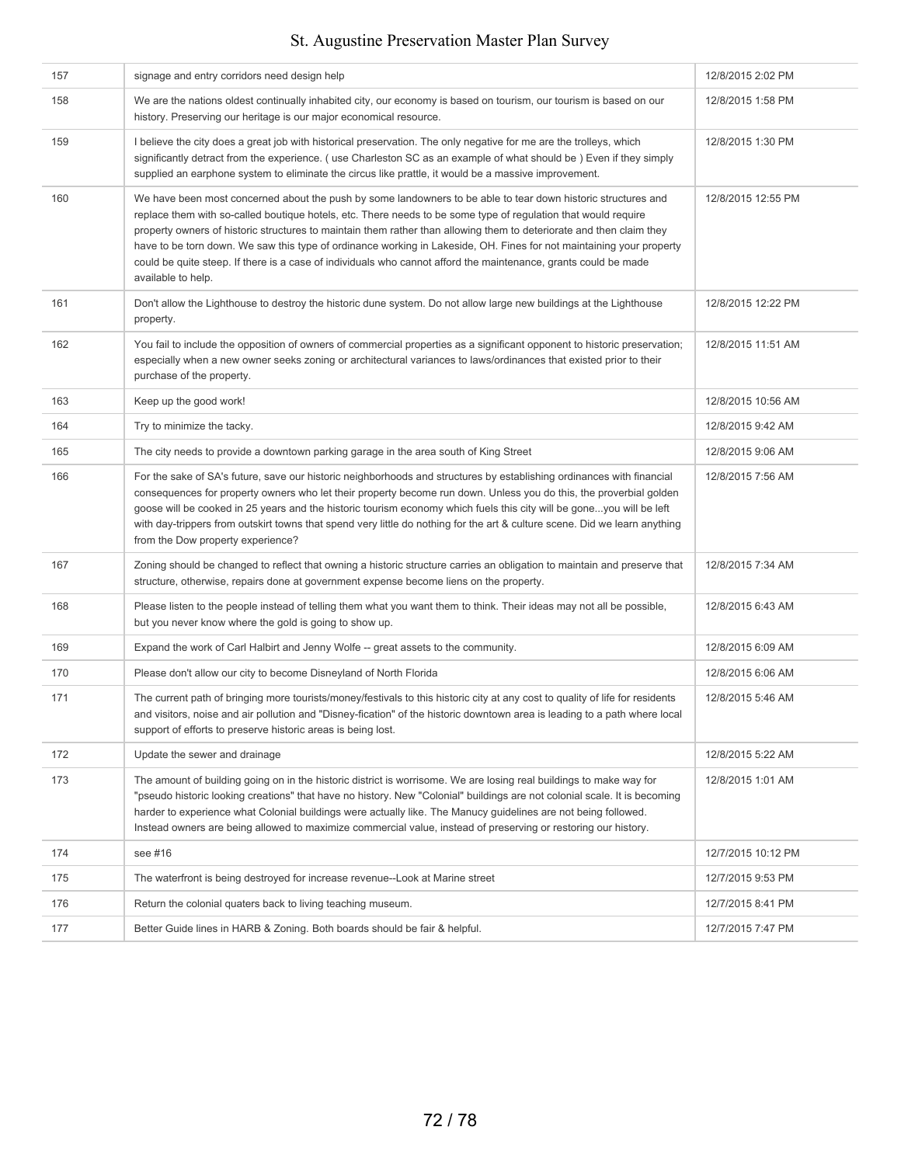| 157 | signage and entry corridors need design help                                                                                                                                                                                                                                                                                                                                                                                                                                                                                                                                                                             | 12/8/2015 2:02 PM  |
|-----|--------------------------------------------------------------------------------------------------------------------------------------------------------------------------------------------------------------------------------------------------------------------------------------------------------------------------------------------------------------------------------------------------------------------------------------------------------------------------------------------------------------------------------------------------------------------------------------------------------------------------|--------------------|
| 158 | We are the nations oldest continually inhabited city, our economy is based on tourism, our tourism is based on our<br>history. Preserving our heritage is our major economical resource.                                                                                                                                                                                                                                                                                                                                                                                                                                 | 12/8/2015 1:58 PM  |
| 159 | I believe the city does a great job with historical preservation. The only negative for me are the trolleys, which<br>significantly detract from the experience. (use Charleston SC as an example of what should be) Even if they simply<br>supplied an earphone system to eliminate the circus like prattle, it would be a massive improvement.                                                                                                                                                                                                                                                                         | 12/8/2015 1:30 PM  |
| 160 | We have been most concerned about the push by some landowners to be able to tear down historic structures and<br>replace them with so-called boutique hotels, etc. There needs to be some type of regulation that would require<br>property owners of historic structures to maintain them rather than allowing them to deteriorate and then claim they<br>have to be torn down. We saw this type of ordinance working in Lakeside, OH. Fines for not maintaining your property<br>could be quite steep. If there is a case of individuals who cannot afford the maintenance, grants could be made<br>available to help. | 12/8/2015 12:55 PM |
| 161 | Don't allow the Lighthouse to destroy the historic dune system. Do not allow large new buildings at the Lighthouse<br>property.                                                                                                                                                                                                                                                                                                                                                                                                                                                                                          | 12/8/2015 12:22 PM |
| 162 | You fail to include the opposition of owners of commercial properties as a significant opponent to historic preservation;<br>especially when a new owner seeks zoning or architectural variances to laws/ordinances that existed prior to their<br>purchase of the property.                                                                                                                                                                                                                                                                                                                                             | 12/8/2015 11:51 AM |
| 163 | Keep up the good work!                                                                                                                                                                                                                                                                                                                                                                                                                                                                                                                                                                                                   | 12/8/2015 10:56 AM |
| 164 | Try to minimize the tacky.                                                                                                                                                                                                                                                                                                                                                                                                                                                                                                                                                                                               | 12/8/2015 9:42 AM  |
| 165 | The city needs to provide a downtown parking garage in the area south of King Street                                                                                                                                                                                                                                                                                                                                                                                                                                                                                                                                     | 12/8/2015 9:06 AM  |
| 166 | For the sake of SA's future, save our historic neighborhoods and structures by establishing ordinances with financial<br>consequences for property owners who let their property become run down. Unless you do this, the proverbial golden<br>goose will be cooked in 25 years and the historic tourism economy which fuels this city will be goneyou will be left<br>with day-trippers from outskirt towns that spend very little do nothing for the art & culture scene. Did we learn anything<br>from the Dow property experience?                                                                                   | 12/8/2015 7:56 AM  |
| 167 | Zoning should be changed to reflect that owning a historic structure carries an obligation to maintain and preserve that<br>structure, otherwise, repairs done at government expense become liens on the property.                                                                                                                                                                                                                                                                                                                                                                                                       | 12/8/2015 7:34 AM  |
| 168 | Please listen to the people instead of telling them what you want them to think. Their ideas may not all be possible,<br>but you never know where the gold is going to show up.                                                                                                                                                                                                                                                                                                                                                                                                                                          | 12/8/2015 6:43 AM  |
| 169 | Expand the work of Carl Halbirt and Jenny Wolfe -- great assets to the community.                                                                                                                                                                                                                                                                                                                                                                                                                                                                                                                                        | 12/8/2015 6:09 AM  |
| 170 | Please don't allow our city to become Disneyland of North Florida                                                                                                                                                                                                                                                                                                                                                                                                                                                                                                                                                        | 12/8/2015 6:06 AM  |
| 171 | The current path of bringing more tourists/money/festivals to this historic city at any cost to quality of life for residents<br>and visitors, noise and air pollution and "Disney-fication" of the historic downtown area is leading to a path where local<br>support of efforts to preserve historic areas is being lost.                                                                                                                                                                                                                                                                                              | 12/8/2015 5:46 AM  |
| 172 | Update the sewer and drainage                                                                                                                                                                                                                                                                                                                                                                                                                                                                                                                                                                                            | 12/8/2015 5:22 AM  |
| 173 | The amount of building going on in the historic district is worrisome. We are losing real buildings to make way for<br>"pseudo historic looking creations" that have no history. New "Colonial" buildings are not colonial scale. It is becoming<br>harder to experience what Colonial buildings were actually like. The Manucy quidelines are not being followed.<br>Instead owners are being allowed to maximize commercial value, instead of preserving or restoring our history.                                                                                                                                     | 12/8/2015 1:01 AM  |
| 174 | see #16                                                                                                                                                                                                                                                                                                                                                                                                                                                                                                                                                                                                                  | 12/7/2015 10:12 PM |
| 175 | The waterfront is being destroyed for increase revenue--Look at Marine street                                                                                                                                                                                                                                                                                                                                                                                                                                                                                                                                            | 12/7/2015 9:53 PM  |
| 176 | Return the colonial quaters back to living teaching museum.                                                                                                                                                                                                                                                                                                                                                                                                                                                                                                                                                              | 12/7/2015 8:41 PM  |
| 177 | Better Guide lines in HARB & Zoning. Both boards should be fair & helpful.                                                                                                                                                                                                                                                                                                                                                                                                                                                                                                                                               | 12/7/2015 7:47 PM  |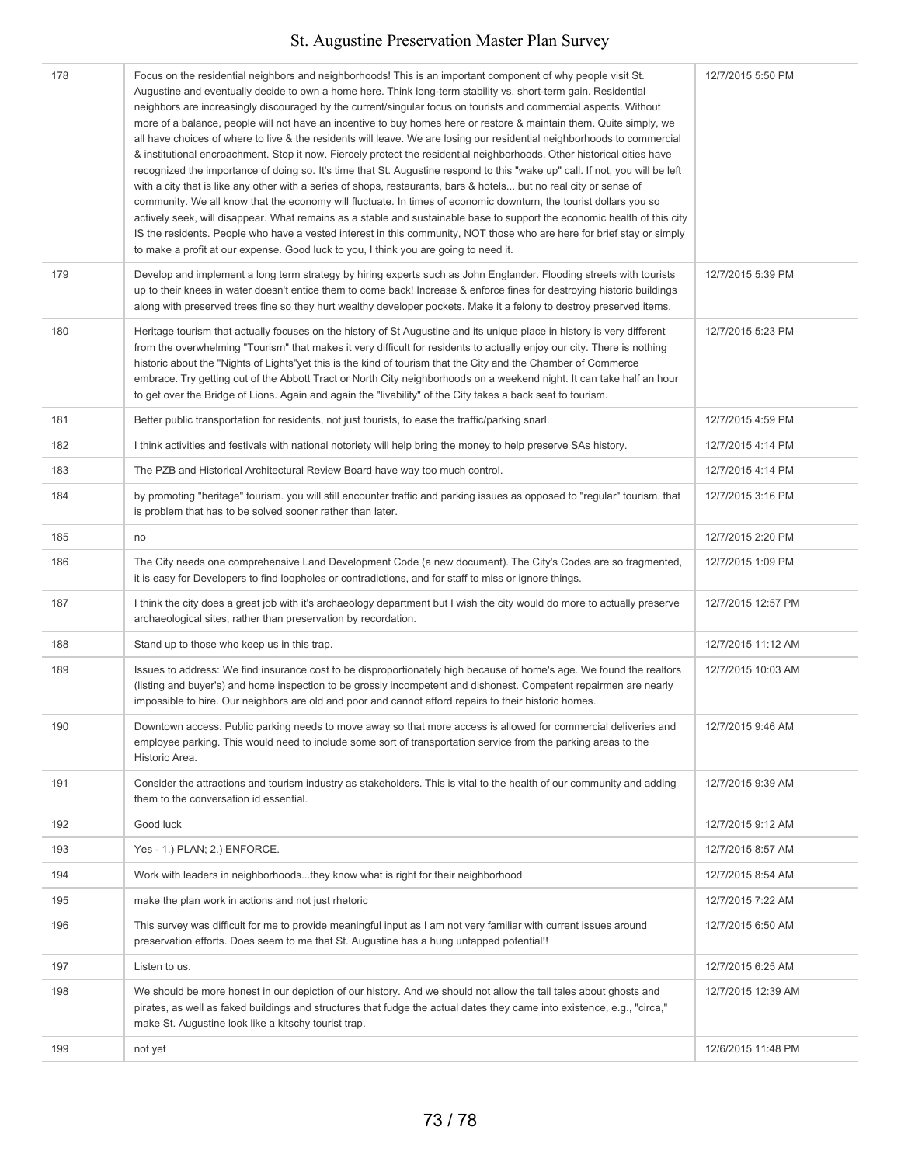| 178 | Focus on the residential neighbors and neighborhoods! This is an important component of why people visit St.<br>Augustine and eventually decide to own a home here. Think long-term stability vs. short-term gain. Residential<br>neighbors are increasingly discouraged by the current/singular focus on tourists and commercial aspects. Without<br>more of a balance, people will not have an incentive to buy homes here or restore & maintain them. Quite simply, we<br>all have choices of where to live & the residents will leave. We are losing our residential neighborhoods to commercial<br>& institutional encroachment. Stop it now. Fiercely protect the residential neighborhoods. Other historical cities have<br>recognized the importance of doing so. It's time that St. Augustine respond to this "wake up" call. If not, you will be left<br>with a city that is like any other with a series of shops, restaurants, bars & hotels but no real city or sense of<br>community. We all know that the economy will fluctuate. In times of economic downturn, the tourist dollars you so<br>actively seek, will disappear. What remains as a stable and sustainable base to support the economic health of this city<br>IS the residents. People who have a vested interest in this community, NOT those who are here for brief stay or simply<br>to make a profit at our expense. Good luck to you, I think you are going to need it. | 12/7/2015 5:50 PM  |
|-----|----------------------------------------------------------------------------------------------------------------------------------------------------------------------------------------------------------------------------------------------------------------------------------------------------------------------------------------------------------------------------------------------------------------------------------------------------------------------------------------------------------------------------------------------------------------------------------------------------------------------------------------------------------------------------------------------------------------------------------------------------------------------------------------------------------------------------------------------------------------------------------------------------------------------------------------------------------------------------------------------------------------------------------------------------------------------------------------------------------------------------------------------------------------------------------------------------------------------------------------------------------------------------------------------------------------------------------------------------------------------------------------------------------------------------------------------------------|--------------------|
| 179 | Develop and implement a long term strategy by hiring experts such as John Englander. Flooding streets with tourists<br>up to their knees in water doesn't entice them to come back! Increase & enforce fines for destroying historic buildings<br>along with preserved trees fine so they hurt wealthy developer pockets. Make it a felony to destroy preserved items.                                                                                                                                                                                                                                                                                                                                                                                                                                                                                                                                                                                                                                                                                                                                                                                                                                                                                                                                                                                                                                                                                   | 12/7/2015 5:39 PM  |
| 180 | Heritage tourism that actually focuses on the history of St Augustine and its unique place in history is very different<br>from the overwhelming "Tourism" that makes it very difficult for residents to actually enjoy our city. There is nothing<br>historic about the "Nights of Lights"yet this is the kind of tourism that the City and the Chamber of Commerce<br>embrace. Try getting out of the Abbott Tract or North City neighborhoods on a weekend night. It can take half an hour<br>to get over the Bridge of Lions. Again and again the "livability" of the City takes a back seat to tourism.                                                                                                                                                                                                                                                                                                                                                                                                                                                                                                                                                                                                                                                                                                                                                                                                                                             | 12/7/2015 5:23 PM  |
| 181 | Better public transportation for residents, not just tourists, to ease the traffic/parking snarl.                                                                                                                                                                                                                                                                                                                                                                                                                                                                                                                                                                                                                                                                                                                                                                                                                                                                                                                                                                                                                                                                                                                                                                                                                                                                                                                                                        | 12/7/2015 4:59 PM  |
| 182 | I think activities and festivals with national notoriety will help bring the money to help preserve SAs history.                                                                                                                                                                                                                                                                                                                                                                                                                                                                                                                                                                                                                                                                                                                                                                                                                                                                                                                                                                                                                                                                                                                                                                                                                                                                                                                                         | 12/7/2015 4:14 PM  |
| 183 | The PZB and Historical Architectural Review Board have way too much control.                                                                                                                                                                                                                                                                                                                                                                                                                                                                                                                                                                                                                                                                                                                                                                                                                                                                                                                                                                                                                                                                                                                                                                                                                                                                                                                                                                             | 12/7/2015 4:14 PM  |
| 184 | by promoting "heritage" tourism. you will still encounter traffic and parking issues as opposed to "regular" tourism. that<br>is problem that has to be solved sooner rather than later.                                                                                                                                                                                                                                                                                                                                                                                                                                                                                                                                                                                                                                                                                                                                                                                                                                                                                                                                                                                                                                                                                                                                                                                                                                                                 | 12/7/2015 3:16 PM  |
| 185 | no                                                                                                                                                                                                                                                                                                                                                                                                                                                                                                                                                                                                                                                                                                                                                                                                                                                                                                                                                                                                                                                                                                                                                                                                                                                                                                                                                                                                                                                       | 12/7/2015 2:20 PM  |
| 186 | The City needs one comprehensive Land Development Code (a new document). The City's Codes are so fragmented,<br>it is easy for Developers to find loopholes or contradictions, and for staff to miss or ignore things.                                                                                                                                                                                                                                                                                                                                                                                                                                                                                                                                                                                                                                                                                                                                                                                                                                                                                                                                                                                                                                                                                                                                                                                                                                   | 12/7/2015 1:09 PM  |
| 187 | I think the city does a great job with it's archaeology department but I wish the city would do more to actually preserve<br>archaeological sites, rather than preservation by recordation.                                                                                                                                                                                                                                                                                                                                                                                                                                                                                                                                                                                                                                                                                                                                                                                                                                                                                                                                                                                                                                                                                                                                                                                                                                                              | 12/7/2015 12:57 PM |
| 188 | Stand up to those who keep us in this trap.                                                                                                                                                                                                                                                                                                                                                                                                                                                                                                                                                                                                                                                                                                                                                                                                                                                                                                                                                                                                                                                                                                                                                                                                                                                                                                                                                                                                              | 12/7/2015 11:12 AM |
| 189 | Issues to address: We find insurance cost to be disproportionately high because of home's age. We found the realtors<br>(listing and buyer's) and home inspection to be grossly incompetent and dishonest. Competent repairmen are nearly<br>impossible to hire. Our neighbors are old and poor and cannot afford repairs to their historic homes.                                                                                                                                                                                                                                                                                                                                                                                                                                                                                                                                                                                                                                                                                                                                                                                                                                                                                                                                                                                                                                                                                                       | 12/7/2015 10:03 AM |
| 190 | Downtown access. Public parking needs to move away so that more access is allowed for commercial deliveries and<br>employee parking. This would need to include some sort of transportation service from the parking areas to the<br>Historic Area.                                                                                                                                                                                                                                                                                                                                                                                                                                                                                                                                                                                                                                                                                                                                                                                                                                                                                                                                                                                                                                                                                                                                                                                                      | 12/7/2015 9:46 AM  |
| 191 | Consider the attractions and tourism industry as stakeholders. This is vital to the health of our community and adding<br>them to the conversation id essential.                                                                                                                                                                                                                                                                                                                                                                                                                                                                                                                                                                                                                                                                                                                                                                                                                                                                                                                                                                                                                                                                                                                                                                                                                                                                                         | 12/7/2015 9:39 AM  |
| 192 | Good luck                                                                                                                                                                                                                                                                                                                                                                                                                                                                                                                                                                                                                                                                                                                                                                                                                                                                                                                                                                                                                                                                                                                                                                                                                                                                                                                                                                                                                                                | 12/7/2015 9:12 AM  |
| 193 | Yes - 1.) PLAN; 2.) ENFORCE.                                                                                                                                                                                                                                                                                                                                                                                                                                                                                                                                                                                                                                                                                                                                                                                                                                                                                                                                                                                                                                                                                                                                                                                                                                                                                                                                                                                                                             | 12/7/2015 8:57 AM  |
| 194 | Work with leaders in neighborhoodsthey know what is right for their neighborhood                                                                                                                                                                                                                                                                                                                                                                                                                                                                                                                                                                                                                                                                                                                                                                                                                                                                                                                                                                                                                                                                                                                                                                                                                                                                                                                                                                         | 12/7/2015 8:54 AM  |
| 195 | make the plan work in actions and not just rhetoric                                                                                                                                                                                                                                                                                                                                                                                                                                                                                                                                                                                                                                                                                                                                                                                                                                                                                                                                                                                                                                                                                                                                                                                                                                                                                                                                                                                                      | 12/7/2015 7:22 AM  |
| 196 | This survey was difficult for me to provide meaningful input as I am not very familiar with current issues around<br>preservation efforts. Does seem to me that St. Augustine has a hung untapped potential!!                                                                                                                                                                                                                                                                                                                                                                                                                                                                                                                                                                                                                                                                                                                                                                                                                                                                                                                                                                                                                                                                                                                                                                                                                                            | 12/7/2015 6:50 AM  |
| 197 | Listen to us.                                                                                                                                                                                                                                                                                                                                                                                                                                                                                                                                                                                                                                                                                                                                                                                                                                                                                                                                                                                                                                                                                                                                                                                                                                                                                                                                                                                                                                            | 12/7/2015 6:25 AM  |
| 198 | We should be more honest in our depiction of our history. And we should not allow the tall tales about ghosts and<br>pirates, as well as faked buildings and structures that fudge the actual dates they came into existence, e.g., "circa,"<br>make St. Augustine look like a kitschy tourist trap.                                                                                                                                                                                                                                                                                                                                                                                                                                                                                                                                                                                                                                                                                                                                                                                                                                                                                                                                                                                                                                                                                                                                                     | 12/7/2015 12:39 AM |
| 199 | not yet                                                                                                                                                                                                                                                                                                                                                                                                                                                                                                                                                                                                                                                                                                                                                                                                                                                                                                                                                                                                                                                                                                                                                                                                                                                                                                                                                                                                                                                  | 12/6/2015 11:48 PM |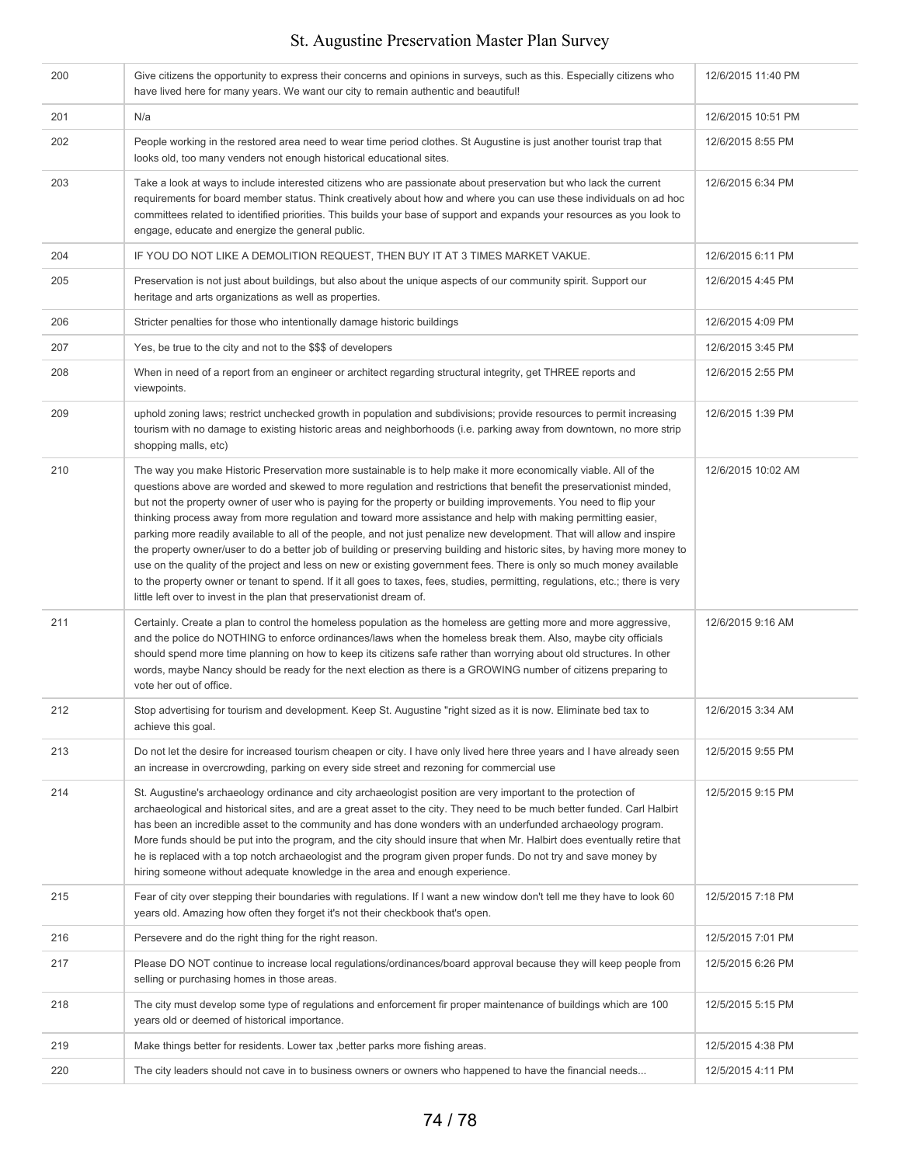| 200 | Give citizens the opportunity to express their concerns and opinions in surveys, such as this. Especially citizens who<br>have lived here for many years. We want our city to remain authentic and beautiful!                                                                                                                                                                                                                                                                                                                                                                                                                                                                                                                                                                                                                                                                                                                                                                                                                                                          | 12/6/2015 11:40 PM |
|-----|------------------------------------------------------------------------------------------------------------------------------------------------------------------------------------------------------------------------------------------------------------------------------------------------------------------------------------------------------------------------------------------------------------------------------------------------------------------------------------------------------------------------------------------------------------------------------------------------------------------------------------------------------------------------------------------------------------------------------------------------------------------------------------------------------------------------------------------------------------------------------------------------------------------------------------------------------------------------------------------------------------------------------------------------------------------------|--------------------|
| 201 | N/a                                                                                                                                                                                                                                                                                                                                                                                                                                                                                                                                                                                                                                                                                                                                                                                                                                                                                                                                                                                                                                                                    | 12/6/2015 10:51 PM |
| 202 | People working in the restored area need to wear time period clothes. St Augustine is just another tourist trap that<br>looks old, too many venders not enough historical educational sites.                                                                                                                                                                                                                                                                                                                                                                                                                                                                                                                                                                                                                                                                                                                                                                                                                                                                           | 12/6/2015 8:55 PM  |
| 203 | Take a look at ways to include interested citizens who are passionate about preservation but who lack the current<br>requirements for board member status. Think creatively about how and where you can use these individuals on ad hoc<br>committees related to identified priorities. This builds your base of support and expands your resources as you look to<br>engage, educate and energize the general public.                                                                                                                                                                                                                                                                                                                                                                                                                                                                                                                                                                                                                                                 | 12/6/2015 6:34 PM  |
| 204 | IF YOU DO NOT LIKE A DEMOLITION REQUEST, THEN BUY IT AT 3 TIMES MARKET VAKUE.                                                                                                                                                                                                                                                                                                                                                                                                                                                                                                                                                                                                                                                                                                                                                                                                                                                                                                                                                                                          | 12/6/2015 6:11 PM  |
| 205 | Preservation is not just about buildings, but also about the unique aspects of our community spirit. Support our<br>heritage and arts organizations as well as properties.                                                                                                                                                                                                                                                                                                                                                                                                                                                                                                                                                                                                                                                                                                                                                                                                                                                                                             | 12/6/2015 4:45 PM  |
| 206 | Stricter penalties for those who intentionally damage historic buildings                                                                                                                                                                                                                                                                                                                                                                                                                                                                                                                                                                                                                                                                                                                                                                                                                                                                                                                                                                                               | 12/6/2015 4:09 PM  |
| 207 | Yes, be true to the city and not to the \$\$\$ of developers                                                                                                                                                                                                                                                                                                                                                                                                                                                                                                                                                                                                                                                                                                                                                                                                                                                                                                                                                                                                           | 12/6/2015 3:45 PM  |
| 208 | When in need of a report from an engineer or architect regarding structural integrity, get THREE reports and<br>viewpoints.                                                                                                                                                                                                                                                                                                                                                                                                                                                                                                                                                                                                                                                                                                                                                                                                                                                                                                                                            | 12/6/2015 2:55 PM  |
| 209 | uphold zoning laws; restrict unchecked growth in population and subdivisions; provide resources to permit increasing<br>tourism with no damage to existing historic areas and neighborhoods (i.e. parking away from downtown, no more strip<br>shopping malls, etc)                                                                                                                                                                                                                                                                                                                                                                                                                                                                                                                                                                                                                                                                                                                                                                                                    | 12/6/2015 1:39 PM  |
| 210 | The way you make Historic Preservation more sustainable is to help make it more economically viable. All of the<br>questions above are worded and skewed to more regulation and restrictions that benefit the preservationist minded,<br>but not the property owner of user who is paying for the property or building improvements. You need to flip your<br>thinking process away from more regulation and toward more assistance and help with making permitting easier,<br>parking more readily available to all of the people, and not just penalize new development. That will allow and inspire<br>the property owner/user to do a better job of building or preserving building and historic sites, by having more money to<br>use on the quality of the project and less on new or existing government fees. There is only so much money available<br>to the property owner or tenant to spend. If it all goes to taxes, fees, studies, permitting, regulations, etc.; there is very<br>little left over to invest in the plan that preservationist dream of. | 12/6/2015 10:02 AM |
| 211 | Certainly. Create a plan to control the homeless population as the homeless are getting more and more aggressive,<br>and the police do NOTHING to enforce ordinances/laws when the homeless break them. Also, maybe city officials<br>should spend more time planning on how to keep its citizens safe rather than worrying about old structures. In other<br>words, maybe Nancy should be ready for the next election as there is a GROWING number of citizens preparing to<br>vote her out of office.                                                                                                                                                                                                                                                                                                                                                                                                                                                                                                                                                                | 12/6/2015 9:16 AM  |
| 212 | Stop advertising for tourism and development. Keep St. Augustine "right sized as it is now. Eliminate bed tax to<br>achieve this goal.                                                                                                                                                                                                                                                                                                                                                                                                                                                                                                                                                                                                                                                                                                                                                                                                                                                                                                                                 | 12/6/2015 3:34 AM  |
| 213 | Do not let the desire for increased tourism cheapen or city. I have only lived here three years and I have already seen<br>an increase in overcrowding, parking on every side street and rezoning for commercial use                                                                                                                                                                                                                                                                                                                                                                                                                                                                                                                                                                                                                                                                                                                                                                                                                                                   | 12/5/2015 9:55 PM  |
| 214 | St. Augustine's archaeology ordinance and city archaeologist position are very important to the protection of<br>archaeological and historical sites, and are a great asset to the city. They need to be much better funded. Carl Halbirt<br>has been an incredible asset to the community and has done wonders with an underfunded archaeology program.<br>More funds should be put into the program, and the city should insure that when Mr. Halbirt does eventually retire that<br>he is replaced with a top notch archaeologist and the program given proper funds. Do not try and save money by<br>hiring someone without adequate knowledge in the area and enough experience.                                                                                                                                                                                                                                                                                                                                                                                  | 12/5/2015 9:15 PM  |
| 215 | Fear of city over stepping their boundaries with regulations. If I want a new window don't tell me they have to look 60<br>years old. Amazing how often they forget it's not their checkbook that's open.                                                                                                                                                                                                                                                                                                                                                                                                                                                                                                                                                                                                                                                                                                                                                                                                                                                              | 12/5/2015 7:18 PM  |
| 216 | Persevere and do the right thing for the right reason.                                                                                                                                                                                                                                                                                                                                                                                                                                                                                                                                                                                                                                                                                                                                                                                                                                                                                                                                                                                                                 | 12/5/2015 7:01 PM  |
| 217 | Please DO NOT continue to increase local regulations/ordinances/board approval because they will keep people from<br>selling or purchasing homes in those areas.                                                                                                                                                                                                                                                                                                                                                                                                                                                                                                                                                                                                                                                                                                                                                                                                                                                                                                       | 12/5/2015 6:26 PM  |
| 218 | The city must develop some type of regulations and enforcement fir proper maintenance of buildings which are 100<br>years old or deemed of historical importance.                                                                                                                                                                                                                                                                                                                                                                                                                                                                                                                                                                                                                                                                                                                                                                                                                                                                                                      | 12/5/2015 5:15 PM  |
| 219 | Make things better for residents. Lower tax, better parks more fishing areas.                                                                                                                                                                                                                                                                                                                                                                                                                                                                                                                                                                                                                                                                                                                                                                                                                                                                                                                                                                                          | 12/5/2015 4:38 PM  |
| 220 | The city leaders should not cave in to business owners or owners who happened to have the financial needs                                                                                                                                                                                                                                                                                                                                                                                                                                                                                                                                                                                                                                                                                                                                                                                                                                                                                                                                                              | 12/5/2015 4:11 PM  |
|     |                                                                                                                                                                                                                                                                                                                                                                                                                                                                                                                                                                                                                                                                                                                                                                                                                                                                                                                                                                                                                                                                        |                    |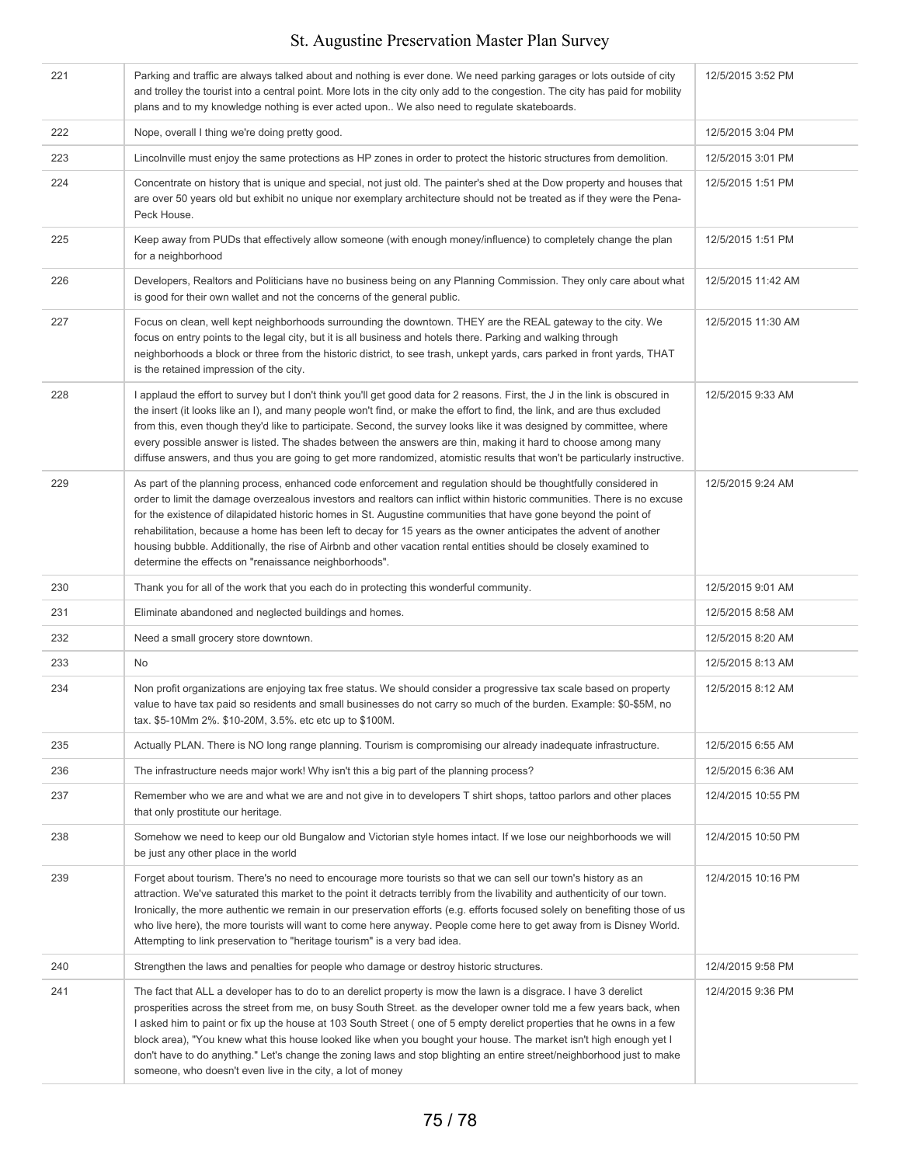| 221 | Parking and traffic are always talked about and nothing is ever done. We need parking garages or lots outside of city<br>and trolley the tourist into a central point. More lots in the city only add to the congestion. The city has paid for mobility<br>plans and to my knowledge nothing is ever acted upon We also need to regulate skateboards.                                                                                                                                                                                                                                                                                                                          | 12/5/2015 3:52 PM  |  |
|-----|--------------------------------------------------------------------------------------------------------------------------------------------------------------------------------------------------------------------------------------------------------------------------------------------------------------------------------------------------------------------------------------------------------------------------------------------------------------------------------------------------------------------------------------------------------------------------------------------------------------------------------------------------------------------------------|--------------------|--|
| 222 | Nope, overall I thing we're doing pretty good.                                                                                                                                                                                                                                                                                                                                                                                                                                                                                                                                                                                                                                 | 12/5/2015 3:04 PM  |  |
| 223 | Lincolnville must enjoy the same protections as HP zones in order to protect the historic structures from demolition.                                                                                                                                                                                                                                                                                                                                                                                                                                                                                                                                                          | 12/5/2015 3:01 PM  |  |
| 224 | Concentrate on history that is unique and special, not just old. The painter's shed at the Dow property and houses that<br>are over 50 years old but exhibit no unique nor exemplary architecture should not be treated as if they were the Pena-<br>Peck House.                                                                                                                                                                                                                                                                                                                                                                                                               | 12/5/2015 1:51 PM  |  |
| 225 | Keep away from PUDs that effectively allow someone (with enough money/influence) to completely change the plan<br>for a neighborhood                                                                                                                                                                                                                                                                                                                                                                                                                                                                                                                                           | 12/5/2015 1:51 PM  |  |
| 226 | Developers, Realtors and Politicians have no business being on any Planning Commission. They only care about what<br>is good for their own wallet and not the concerns of the general public.                                                                                                                                                                                                                                                                                                                                                                                                                                                                                  | 12/5/2015 11:42 AM |  |
| 227 | Focus on clean, well kept neighborhoods surrounding the downtown. THEY are the REAL gateway to the city. We<br>focus on entry points to the legal city, but it is all business and hotels there. Parking and walking through<br>neighborhoods a block or three from the historic district, to see trash, unkept yards, cars parked in front yards, THAT<br>is the retained impression of the city.                                                                                                                                                                                                                                                                             | 12/5/2015 11:30 AM |  |
| 228 | I applaud the effort to survey but I don't think you'll get good data for 2 reasons. First, the J in the link is obscured in<br>the insert (it looks like an I), and many people won't find, or make the effort to find, the link, and are thus excluded<br>from this, even though they'd like to participate. Second, the survey looks like it was designed by committee, where<br>every possible answer is listed. The shades between the answers are thin, making it hard to choose among many<br>diffuse answers, and thus you are going to get more randomized, atomistic results that won't be particularly instructive.                                                 | 12/5/2015 9:33 AM  |  |
| 229 | As part of the planning process, enhanced code enforcement and regulation should be thoughtfully considered in<br>order to limit the damage overzealous investors and realtors can inflict within historic communities. There is no excuse<br>for the existence of dilapidated historic homes in St. Augustine communities that have gone beyond the point of<br>rehabilitation, because a home has been left to decay for 15 years as the owner anticipates the advent of another<br>housing bubble. Additionally, the rise of Airbnb and other vacation rental entities should be closely examined to<br>determine the effects on "renaissance neighborhoods".               | 12/5/2015 9:24 AM  |  |
| 230 | Thank you for all of the work that you each do in protecting this wonderful community.                                                                                                                                                                                                                                                                                                                                                                                                                                                                                                                                                                                         | 12/5/2015 9:01 AM  |  |
| 231 | Eliminate abandoned and neglected buildings and homes.                                                                                                                                                                                                                                                                                                                                                                                                                                                                                                                                                                                                                         | 12/5/2015 8:58 AM  |  |
| 232 | Need a small grocery store downtown.                                                                                                                                                                                                                                                                                                                                                                                                                                                                                                                                                                                                                                           | 12/5/2015 8:20 AM  |  |
| 233 | No                                                                                                                                                                                                                                                                                                                                                                                                                                                                                                                                                                                                                                                                             | 12/5/2015 8:13 AM  |  |
| 234 | Non profit organizations are enjoying tax free status. We should consider a progressive tax scale based on property<br>value to have tax paid so residents and small businesses do not carry so much of the burden. Example: \$0-\$5M, no<br>tax. \$5-10Mm 2%, \$10-20M, 3.5%, etc etc up to \$100M.                                                                                                                                                                                                                                                                                                                                                                           | 12/5/2015 8:12 AM  |  |
| 235 | Actually PLAN. There is NO long range planning. Tourism is compromising our already inadequate infrastructure.                                                                                                                                                                                                                                                                                                                                                                                                                                                                                                                                                                 | 12/5/2015 6:55 AM  |  |
| 236 | The infrastructure needs major work! Why isn't this a big part of the planning process?                                                                                                                                                                                                                                                                                                                                                                                                                                                                                                                                                                                        | 12/5/2015 6:36 AM  |  |
| 237 | Remember who we are and what we are and not give in to developers T shirt shops, tattoo parlors and other places<br>that only prostitute our heritage.                                                                                                                                                                                                                                                                                                                                                                                                                                                                                                                         | 12/4/2015 10:55 PM |  |
| 238 | Somehow we need to keep our old Bungalow and Victorian style homes intact. If we lose our neighborhoods we will<br>be just any other place in the world                                                                                                                                                                                                                                                                                                                                                                                                                                                                                                                        | 12/4/2015 10:50 PM |  |
| 239 | Forget about tourism. There's no need to encourage more tourists so that we can sell our town's history as an<br>attraction. We've saturated this market to the point it detracts terribly from the livability and authenticity of our town.<br>Ironically, the more authentic we remain in our preservation efforts (e.g. efforts focused solely on benefiting those of us<br>who live here), the more tourists will want to come here anyway. People come here to get away from is Disney World.<br>Attempting to link preservation to "heritage tourism" is a very bad idea.                                                                                                | 12/4/2015 10:16 PM |  |
| 240 | Strengthen the laws and penalties for people who damage or destroy historic structures.                                                                                                                                                                                                                                                                                                                                                                                                                                                                                                                                                                                        | 12/4/2015 9:58 PM  |  |
| 241 | The fact that ALL a developer has to do to an derelict property is mow the lawn is a disgrace. I have 3 derelict<br>prosperities across the street from me, on busy South Street. as the developer owner told me a few years back, when<br>I asked him to paint or fix up the house at 103 South Street (one of 5 empty derelict properties that he owns in a few<br>block area), "You knew what this house looked like when you bought your house. The market isn't high enough yet I<br>don't have to do anything." Let's change the zoning laws and stop blighting an entire street/neighborhood just to make<br>someone, who doesn't even live in the city, a lot of money | 12/4/2015 9:36 PM  |  |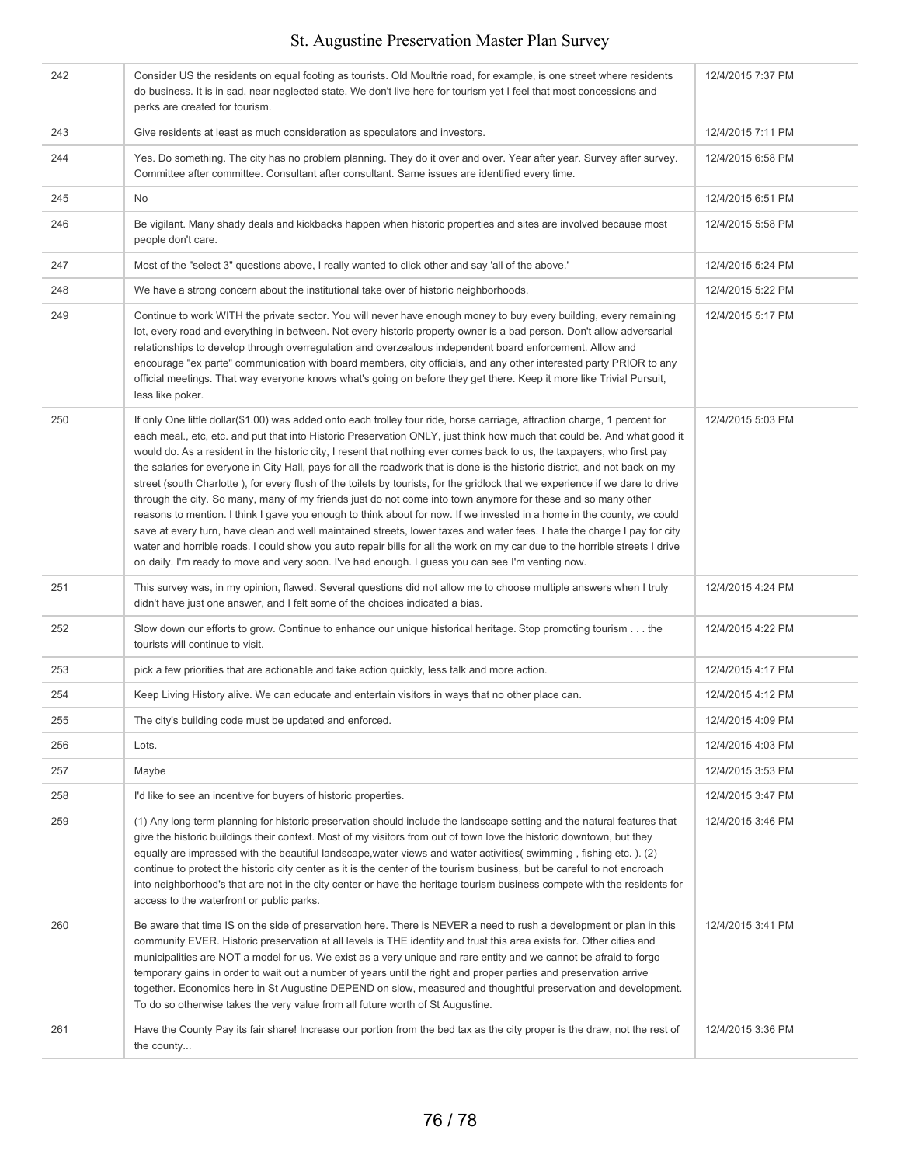| 242 | Consider US the residents on equal footing as tourists. Old Moultrie road, for example, is one street where residents<br>do business. It is in sad, near neglected state. We don't live here for tourism yet I feel that most concessions and<br>perks are created for tourism.                                                                                                                                                                                                                                                                                                                                                                                                                                                                                                                                                                                                                                                                                                                                                                                                                                                                                                                                                                          | 12/4/2015 7:37 PM |
|-----|----------------------------------------------------------------------------------------------------------------------------------------------------------------------------------------------------------------------------------------------------------------------------------------------------------------------------------------------------------------------------------------------------------------------------------------------------------------------------------------------------------------------------------------------------------------------------------------------------------------------------------------------------------------------------------------------------------------------------------------------------------------------------------------------------------------------------------------------------------------------------------------------------------------------------------------------------------------------------------------------------------------------------------------------------------------------------------------------------------------------------------------------------------------------------------------------------------------------------------------------------------|-------------------|
| 243 | Give residents at least as much consideration as speculators and investors.                                                                                                                                                                                                                                                                                                                                                                                                                                                                                                                                                                                                                                                                                                                                                                                                                                                                                                                                                                                                                                                                                                                                                                              | 12/4/2015 7:11 PM |
| 244 | Yes. Do something. The city has no problem planning. They do it over and over. Year after year. Survey after survey.<br>Committee after committee. Consultant after consultant. Same issues are identified every time.                                                                                                                                                                                                                                                                                                                                                                                                                                                                                                                                                                                                                                                                                                                                                                                                                                                                                                                                                                                                                                   | 12/4/2015 6:58 PM |
| 245 | No                                                                                                                                                                                                                                                                                                                                                                                                                                                                                                                                                                                                                                                                                                                                                                                                                                                                                                                                                                                                                                                                                                                                                                                                                                                       | 12/4/2015 6:51 PM |
| 246 | Be vigilant. Many shady deals and kickbacks happen when historic properties and sites are involved because most<br>people don't care.                                                                                                                                                                                                                                                                                                                                                                                                                                                                                                                                                                                                                                                                                                                                                                                                                                                                                                                                                                                                                                                                                                                    | 12/4/2015 5:58 PM |
| 247 | Most of the "select 3" questions above, I really wanted to click other and say 'all of the above."                                                                                                                                                                                                                                                                                                                                                                                                                                                                                                                                                                                                                                                                                                                                                                                                                                                                                                                                                                                                                                                                                                                                                       | 12/4/2015 5:24 PM |
| 248 | We have a strong concern about the institutional take over of historic neighborhoods.                                                                                                                                                                                                                                                                                                                                                                                                                                                                                                                                                                                                                                                                                                                                                                                                                                                                                                                                                                                                                                                                                                                                                                    | 12/4/2015 5:22 PM |
| 249 | Continue to work WITH the private sector. You will never have enough money to buy every building, every remaining<br>lot, every road and everything in between. Not every historic property owner is a bad person. Don't allow adversarial<br>relationships to develop through overregulation and overzealous independent board enforcement. Allow and<br>encourage "ex parte" communication with board members, city officials, and any other interested party PRIOR to any<br>official meetings. That way everyone knows what's going on before they get there. Keep it more like Trivial Pursuit,<br>less like poker.                                                                                                                                                                                                                                                                                                                                                                                                                                                                                                                                                                                                                                 | 12/4/2015 5:17 PM |
| 250 | If only One little dollar(\$1.00) was added onto each trolley tour ride, horse carriage, attraction charge, 1 percent for<br>each meal., etc, etc. and put that into Historic Preservation ONLY, just think how much that could be. And what good it<br>would do. As a resident in the historic city, I resent that nothing ever comes back to us, the taxpayers, who first pay<br>the salaries for everyone in City Hall, pays for all the roadwork that is done is the historic district, and not back on my<br>street (south Charlotte), for every flush of the toilets by tourists, for the gridlock that we experience if we dare to drive<br>through the city. So many, many of my friends just do not come into town anymore for these and so many other<br>reasons to mention. I think I gave you enough to think about for now. If we invested in a home in the county, we could<br>save at every turn, have clean and well maintained streets, lower taxes and water fees. I hate the charge I pay for city<br>water and horrible roads. I could show you auto repair bills for all the work on my car due to the horrible streets I drive<br>on daily. I'm ready to move and very soon. I've had enough. I guess you can see I'm venting now. | 12/4/2015 5:03 PM |
| 251 | This survey was, in my opinion, flawed. Several questions did not allow me to choose multiple answers when I truly<br>didn't have just one answer, and I felt some of the choices indicated a bias.                                                                                                                                                                                                                                                                                                                                                                                                                                                                                                                                                                                                                                                                                                                                                                                                                                                                                                                                                                                                                                                      | 12/4/2015 4:24 PM |
| 252 | Slow down our efforts to grow. Continue to enhance our unique historical heritage. Stop promoting tourism the<br>tourists will continue to visit.                                                                                                                                                                                                                                                                                                                                                                                                                                                                                                                                                                                                                                                                                                                                                                                                                                                                                                                                                                                                                                                                                                        | 12/4/2015 4:22 PM |
| 253 | pick a few priorities that are actionable and take action quickly, less talk and more action.                                                                                                                                                                                                                                                                                                                                                                                                                                                                                                                                                                                                                                                                                                                                                                                                                                                                                                                                                                                                                                                                                                                                                            | 12/4/2015 4:17 PM |
| 254 | Keep Living History alive. We can educate and entertain visitors in ways that no other place can.                                                                                                                                                                                                                                                                                                                                                                                                                                                                                                                                                                                                                                                                                                                                                                                                                                                                                                                                                                                                                                                                                                                                                        | 12/4/2015 4:12 PM |
| 255 | The city's building code must be updated and enforced.                                                                                                                                                                                                                                                                                                                                                                                                                                                                                                                                                                                                                                                                                                                                                                                                                                                                                                                                                                                                                                                                                                                                                                                                   | 12/4/2015 4:09 PM |
| 256 | Lots.                                                                                                                                                                                                                                                                                                                                                                                                                                                                                                                                                                                                                                                                                                                                                                                                                                                                                                                                                                                                                                                                                                                                                                                                                                                    | 12/4/2015 4:03 PM |
| 257 | Maybe                                                                                                                                                                                                                                                                                                                                                                                                                                                                                                                                                                                                                                                                                                                                                                                                                                                                                                                                                                                                                                                                                                                                                                                                                                                    | 12/4/2015 3:53 PM |
| 258 | I'd like to see an incentive for buyers of historic properties.                                                                                                                                                                                                                                                                                                                                                                                                                                                                                                                                                                                                                                                                                                                                                                                                                                                                                                                                                                                                                                                                                                                                                                                          | 12/4/2015 3:47 PM |
| 259 | (1) Any long term planning for historic preservation should include the landscape setting and the natural features that<br>give the historic buildings their context. Most of my visitors from out of town love the historic downtown, but they<br>equally are impressed with the beautiful landscape, water views and water activities (swimming, fishing etc.). (2)<br>continue to protect the historic city center as it is the center of the tourism business, but be careful to not encroach<br>into neighborhood's that are not in the city center or have the heritage tourism business compete with the residents for<br>access to the waterfront or public parks.                                                                                                                                                                                                                                                                                                                                                                                                                                                                                                                                                                               | 12/4/2015 3:46 PM |
| 260 | Be aware that time IS on the side of preservation here. There is NEVER a need to rush a development or plan in this<br>community EVER. Historic preservation at all levels is THE identity and trust this area exists for. Other cities and<br>municipalities are NOT a model for us. We exist as a very unique and rare entity and we cannot be afraid to forgo<br>temporary gains in order to wait out a number of years until the right and proper parties and preservation arrive<br>together. Economics here in St Augustine DEPEND on slow, measured and thoughtful preservation and development.<br>To do so otherwise takes the very value from all future worth of St Augustine.                                                                                                                                                                                                                                                                                                                                                                                                                                                                                                                                                                | 12/4/2015 3:41 PM |
| 261 | Have the County Pay its fair share! Increase our portion from the bed tax as the city proper is the draw, not the rest of<br>the county                                                                                                                                                                                                                                                                                                                                                                                                                                                                                                                                                                                                                                                                                                                                                                                                                                                                                                                                                                                                                                                                                                                  | 12/4/2015 3:36 PM |
|     |                                                                                                                                                                                                                                                                                                                                                                                                                                                                                                                                                                                                                                                                                                                                                                                                                                                                                                                                                                                                                                                                                                                                                                                                                                                          |                   |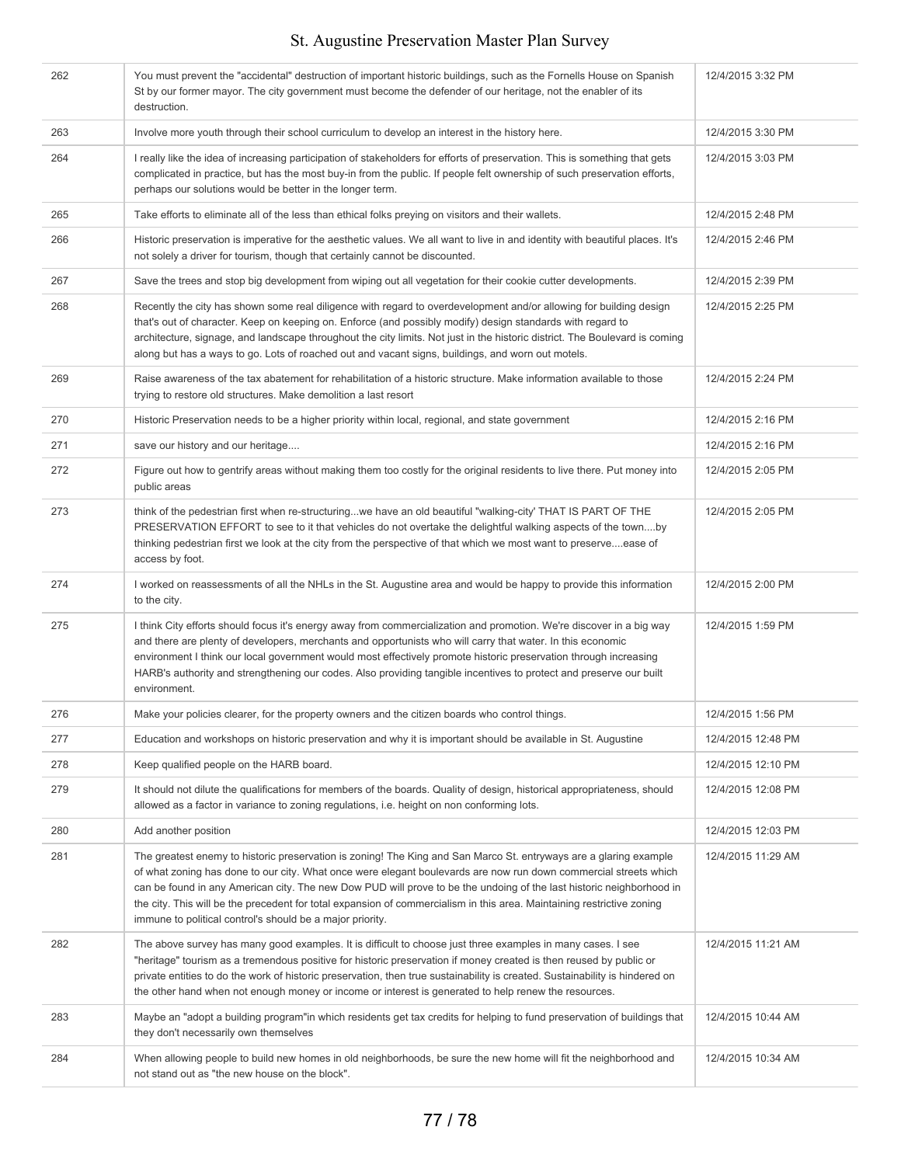| 262 | You must prevent the "accidental" destruction of important historic buildings, such as the Fornells House on Spanish<br>St by our former mayor. The city government must become the defender of our heritage, not the enabler of its<br>destruction.                                                                                                                                                                                                                                                                                                 | 12/4/2015 3:32 PM  |
|-----|------------------------------------------------------------------------------------------------------------------------------------------------------------------------------------------------------------------------------------------------------------------------------------------------------------------------------------------------------------------------------------------------------------------------------------------------------------------------------------------------------------------------------------------------------|--------------------|
| 263 | Involve more youth through their school curriculum to develop an interest in the history here.                                                                                                                                                                                                                                                                                                                                                                                                                                                       | 12/4/2015 3:30 PM  |
| 264 | I really like the idea of increasing participation of stakeholders for efforts of preservation. This is something that gets<br>complicated in practice, but has the most buy-in from the public. If people felt ownership of such preservation efforts,<br>perhaps our solutions would be better in the longer term.                                                                                                                                                                                                                                 | 12/4/2015 3:03 PM  |
| 265 | Take efforts to eliminate all of the less than ethical folks preying on visitors and their wallets.                                                                                                                                                                                                                                                                                                                                                                                                                                                  | 12/4/2015 2:48 PM  |
| 266 | Historic preservation is imperative for the aesthetic values. We all want to live in and identity with beautiful places. It's<br>not solely a driver for tourism, though that certainly cannot be discounted.                                                                                                                                                                                                                                                                                                                                        | 12/4/2015 2:46 PM  |
| 267 | Save the trees and stop big development from wiping out all vegetation for their cookie cutter developments.                                                                                                                                                                                                                                                                                                                                                                                                                                         | 12/4/2015 2:39 PM  |
| 268 | Recently the city has shown some real diligence with regard to overdevelopment and/or allowing for building design<br>that's out of character. Keep on keeping on. Enforce (and possibly modify) design standards with regard to<br>architecture, signage, and landscape throughout the city limits. Not just in the historic district. The Boulevard is coming<br>along but has a ways to go. Lots of roached out and vacant signs, buildings, and worn out motels.                                                                                 | 12/4/2015 2:25 PM  |
| 269 | Raise awareness of the tax abatement for rehabilitation of a historic structure. Make information available to those<br>trying to restore old structures. Make demolition a last resort                                                                                                                                                                                                                                                                                                                                                              | 12/4/2015 2:24 PM  |
| 270 | Historic Preservation needs to be a higher priority within local, regional, and state government                                                                                                                                                                                                                                                                                                                                                                                                                                                     | 12/4/2015 2:16 PM  |
| 271 | save our history and our heritage                                                                                                                                                                                                                                                                                                                                                                                                                                                                                                                    | 12/4/2015 2:16 PM  |
| 272 | Figure out how to gentrify areas without making them too costly for the original residents to live there. Put money into<br>public areas                                                                                                                                                                                                                                                                                                                                                                                                             | 12/4/2015 2:05 PM  |
| 273 | think of the pedestrian first when re-structuringwe have an old beautiful "walking-city' THAT IS PART OF THE<br>PRESERVATION EFFORT to see to it that vehicles do not overtake the delightful walking aspects of the townby<br>thinking pedestrian first we look at the city from the perspective of that which we most want to preserveease of<br>access by foot.                                                                                                                                                                                   | 12/4/2015 2:05 PM  |
| 274 | I worked on reassessments of all the NHLs in the St. Augustine area and would be happy to provide this information<br>to the city.                                                                                                                                                                                                                                                                                                                                                                                                                   | 12/4/2015 2:00 PM  |
| 275 | I think City efforts should focus it's energy away from commercialization and promotion. We're discover in a big way<br>and there are plenty of developers, merchants and opportunists who will carry that water. In this economic<br>environment I think our local government would most effectively promote historic preservation through increasing<br>HARB's authority and strengthening our codes. Also providing tangible incentives to protect and preserve our built<br>environment.                                                         | 12/4/2015 1:59 PM  |
| 276 | Make your policies clearer, for the property owners and the citizen boards who control things.                                                                                                                                                                                                                                                                                                                                                                                                                                                       | 12/4/2015 1:56 PM  |
| 277 | Education and workshops on historic preservation and why it is important should be available in St. Augustine                                                                                                                                                                                                                                                                                                                                                                                                                                        | 12/4/2015 12:48 PM |
| 278 | Keep qualified people on the HARB board.                                                                                                                                                                                                                                                                                                                                                                                                                                                                                                             | 12/4/2015 12:10 PM |
| 279 | It should not dilute the qualifications for members of the boards. Quality of design, historical appropriateness, should<br>allowed as a factor in variance to zoning regulations, i.e. height on non conforming lots.                                                                                                                                                                                                                                                                                                                               | 12/4/2015 12:08 PM |
| 280 | Add another position                                                                                                                                                                                                                                                                                                                                                                                                                                                                                                                                 | 12/4/2015 12:03 PM |
| 281 | The greatest enemy to historic preservation is zoning! The King and San Marco St. entryways are a glaring example<br>of what zoning has done to our city. What once were elegant boulevards are now run down commercial streets which<br>can be found in any American city. The new Dow PUD will prove to be the undoing of the last historic neighborhood in<br>the city. This will be the precedent for total expansion of commercialism in this area. Maintaining restrictive zoning<br>immune to political control's should be a major priority. | 12/4/2015 11:29 AM |
| 282 | The above survey has many good examples. It is difficult to choose just three examples in many cases. I see<br>"heritage" tourism as a tremendous positive for historic preservation if money created is then reused by public or<br>private entities to do the work of historic preservation, then true sustainability is created. Sustainability is hindered on<br>the other hand when not enough money or income or interest is generated to help renew the resources.                                                                            | 12/4/2015 11:21 AM |
| 283 | Maybe an "adopt a building program"in which residents get tax credits for helping to fund preservation of buildings that<br>they don't necessarily own themselves                                                                                                                                                                                                                                                                                                                                                                                    | 12/4/2015 10:44 AM |
| 284 | When allowing people to build new homes in old neighborhoods, be sure the new home will fit the neighborhood and<br>not stand out as "the new house on the block".                                                                                                                                                                                                                                                                                                                                                                                   | 12/4/2015 10:34 AM |